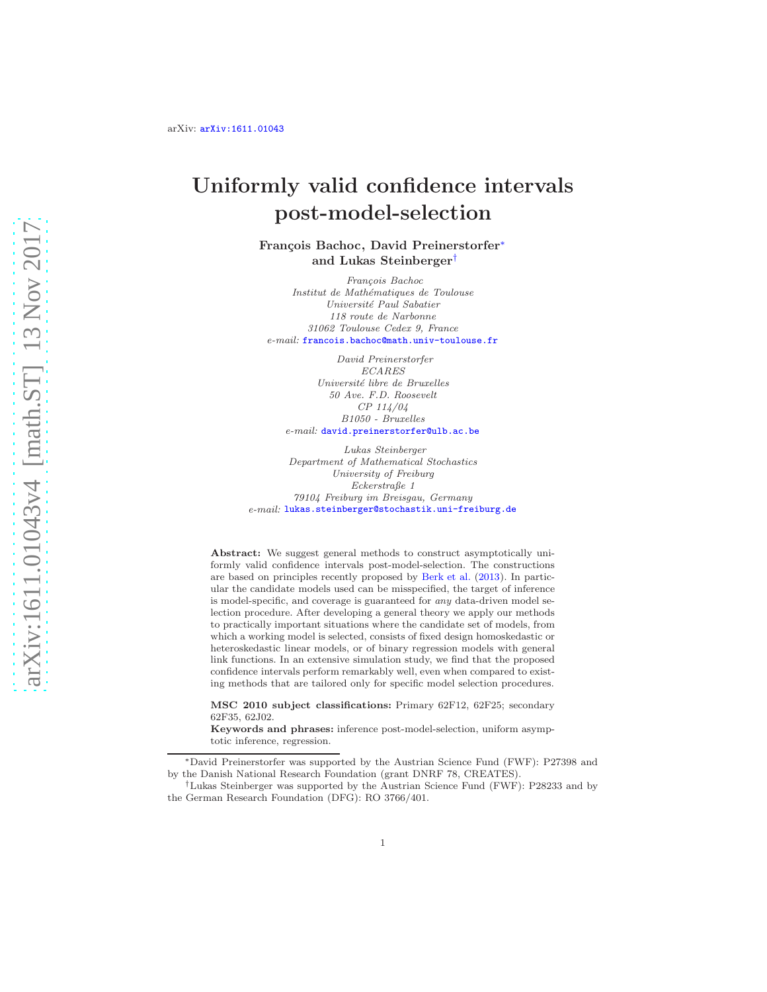# Uniformly valid confidence intervals post-model-selection

François Bachoc, David Preinerstorfer<sup>\*</sup> and Lukas Steinberger[†](#page-0-1)

*Fran¸cois Bachoc Institut de Math´ematiques de Toulouse Universit´e Paul Sabatier 118 route de Narbonne 31062 Toulouse Cedex 9, France e-mail:* [francois.bachoc@math.univ-toulouse.fr](mailto:francois.bachoc@math.univ-toulouse.fr)

*David Preinerstorfer ECARES Universit´e libre de Bruxelles 50 Ave. F.D. Roosevelt CP 114/04 B1050 - Bruxelles e-mail:* [david.preinerstorfer@ulb.ac.be](mailto:david.preinerstorfer@ulb.ac.be)

*Lukas Steinberger Department of Mathematical Stochastics University of Freiburg Eckerstraße 1 79104 Freiburg im Breisgau, Germany e-mail:* [lukas.steinberger@stochastik.uni-freiburg.de](mailto:lukas.steinberger@stochastik.uni-freiburg.de)

Abstract: We suggest general methods to construct asymptotically uniformly valid confidence intervals post-model-selection. The constructions are based on principles recently proposed by [Berk et al.](#page-67-0) [\(2013](#page-67-0)). In particular the candidate models used can be misspecified, the target of inference is model-specific, and coverage is guaranteed for *any* data-driven model selection procedure. After developing a general theory we apply our methods to practically important situations where the candidate set of models, from which a working model is selected, consists of fixed design homoskedastic or heteroskedastic linear models, or of binary regression models with general link functions. In an extensive simulation study, we find that the proposed confidence intervals perform remarkably well, even when compared to existing methods that are tailored only for specific model selection procedures.

MSC 2010 subject classifications: Primary 62F12, 62F25; secondary 62F35, 62J02.

Keywords and phrases: inference post-model-selection, uniform asymptotic inference, regression.

<span id="page-0-0"></span><sup>∗</sup>David Preinerstorfer was supported by the Austrian Science Fund (FWF): P27398 and by the Danish National Research Foundation (grant DNRF 78, CREATES).

<span id="page-0-1"></span><sup>†</sup>Lukas Steinberger was supported by the Austrian Science Fund (FWF): P28233 and by the German Research Foundation (DFG): RO 3766/401.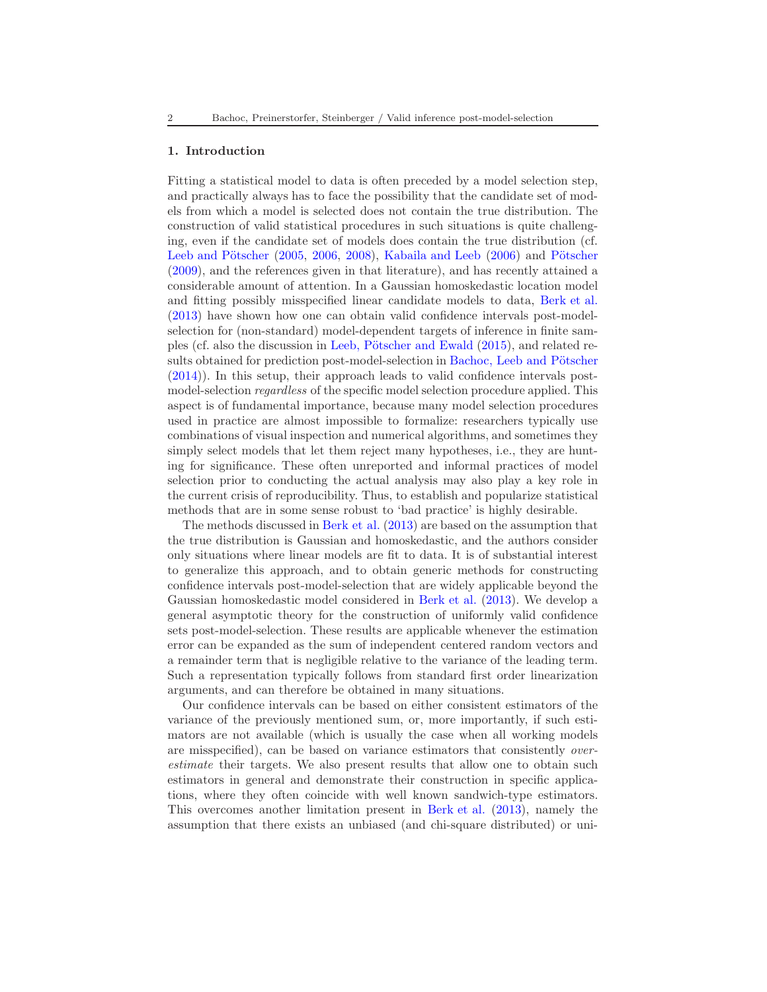#### 1. Introduction

Fitting a statistical model to data is often preceded by a model selection step, and practically always has to face the possibility that the candidate set of models from which a model is selected does not contain the true distribution. The construction of valid statistical procedures in such situations is quite challenging, even if the candidate set of models does contain the true distribution (cf. Leeb and Pötscher  $(2005, 2006, 2008)$  $(2005, 2006, 2008)$  $(2005, 2006, 2008)$  $(2005, 2006, 2008)$  $(2005, 2006, 2008)$  $(2005, 2006, 2008)$ , [Kabaila and Leeb](#page-67-1)  $(2006)$  and Pötscher [\(2009\)](#page-68-3), and the references given in that literature), and has recently attained a considerable amount of attention. In a Gaussian homoskedastic location model and fitting possibly misspecified linear candidate models to data, [Berk et al.](#page-67-0) [\(2013\)](#page-67-0) have shown how one can obtain valid confidence intervals post-modelselection for (non-standard) model-dependent targets of inference in finite sam-ples (cf. also the discussion in Leeb, Pötscher and Ewald [\(2015\)](#page-68-4), and related results obtained for prediction post-model-selection in Bachoc, Leeb and Pötscher [\(2014\)](#page-67-2)). In this setup, their approach leads to valid confidence intervals postmodel-selection regardless of the specific model selection procedure applied. This aspect is of fundamental importance, because many model selection procedures used in practice are almost impossible to formalize: researchers typically use combinations of visual inspection and numerical algorithms, and sometimes they simply select models that let them reject many hypotheses, i.e., they are hunting for significance. These often unreported and informal practices of model selection prior to conducting the actual analysis may also play a key role in the current crisis of reproducibility. Thus, to establish and popularize statistical methods that are in some sense robust to 'bad practice' is highly desirable.

The methods discussed in [Berk et al.](#page-67-0) [\(2013\)](#page-67-0) are based on the assumption that the true distribution is Gaussian and homoskedastic, and the authors consider only situations where linear models are fit to data. It is of substantial interest to generalize this approach, and to obtain generic methods for constructing confidence intervals post-model-selection that are widely applicable beyond the Gaussian homoskedastic model considered in [Berk et al.](#page-67-0) [\(2013](#page-67-0)). We develop a general asymptotic theory for the construction of uniformly valid confidence sets post-model-selection. These results are applicable whenever the estimation error can be expanded as the sum of independent centered random vectors and a remainder term that is negligible relative to the variance of the leading term. Such a representation typically follows from standard first order linearization arguments, and can therefore be obtained in many situations.

Our confidence intervals can be based on either consistent estimators of the variance of the previously mentioned sum, or, more importantly, if such estimators are not available (which is usually the case when all working models are misspecified), can be based on variance estimators that consistently overestimate their targets. We also present results that allow one to obtain such estimators in general and demonstrate their construction in specific applications, where they often coincide with well known sandwich-type estimators. This overcomes another limitation present in [Berk et al.](#page-67-0) [\(2013](#page-67-0)), namely the assumption that there exists an unbiased (and chi-square distributed) or uni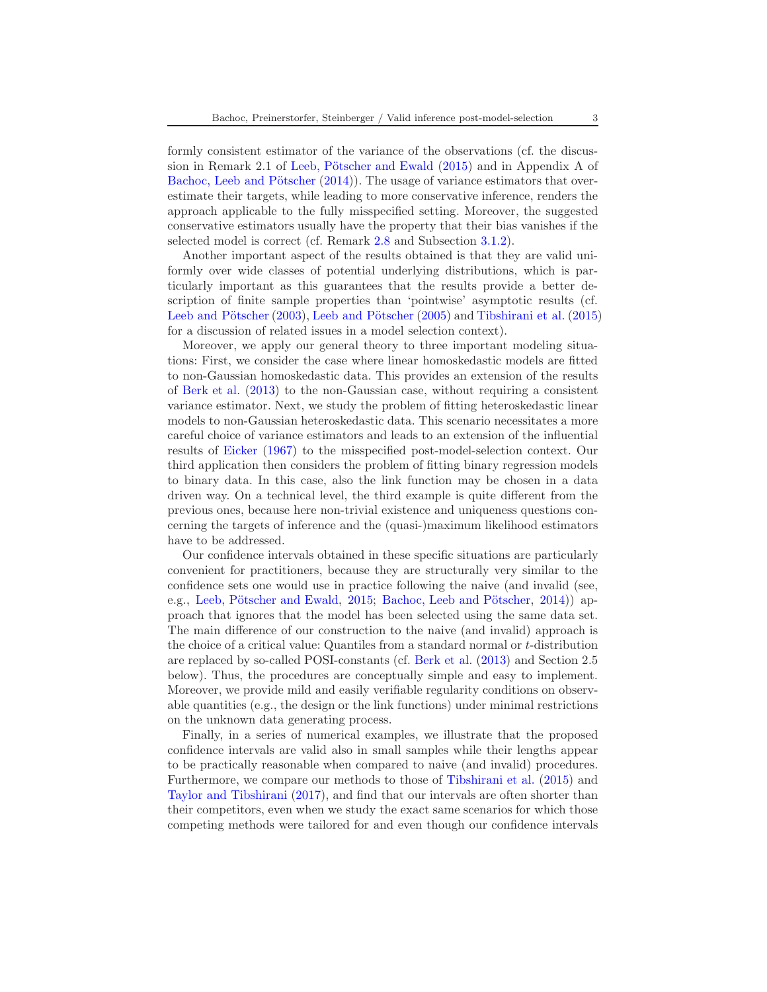formly consistent estimator of the variance of the observations (cf. the discussion in Remark 2.1 of Leeb, Pötscher and Ewald  $(2015)$  and in Appendix A of Bachoc, Leeb and Pötscher  $(2014)$ ). The usage of variance estimators that overestimate their targets, while leading to more conservative inference, renders the approach applicable to the fully misspecified setting. Moreover, the suggested conservative estimators usually have the property that their bias vanishes if the selected model is correct (cf. Remark [2.8](#page-14-0) and Subsection [3.1.2\)](#page-20-0).

Another important aspect of the results obtained is that they are valid uniformly over wide classes of potential underlying distributions, which is particularly important as this guarantees that the results provide a better description of finite sample properties than 'pointwise' asymptotic results (cf. Leeb and Pötscher [\(2003\)](#page-68-5), Leeb and Pötscher [\(2005\)](#page-68-0) and [Tibshirani et al.](#page-68-6) [\(2015](#page-68-6)) for a discussion of related issues in a model selection context).

Moreover, we apply our general theory to three important modeling situations: First, we consider the case where linear homoskedastic models are fitted to non-Gaussian homoskedastic data. This provides an extension of the results of [Berk et al.](#page-67-0) [\(2013\)](#page-67-0) to the non-Gaussian case, without requiring a consistent variance estimator. Next, we study the problem of fitting heteroskedastic linear models to non-Gaussian heteroskedastic data. This scenario necessitates a more careful choice of variance estimators and leads to an extension of the influential results of [Eicker](#page-67-3) [\(1967\)](#page-67-3) to the misspecified post-model-selection context. Our third application then considers the problem of fitting binary regression models to binary data. In this case, also the link function may be chosen in a data driven way. On a technical level, the third example is quite different from the previous ones, because here non-trivial existence and uniqueness questions concerning the targets of inference and the (quasi-)maximum likelihood estimators have to be addressed.

Our confidence intervals obtained in these specific situations are particularly convenient for practitioners, because they are structurally very similar to the confidence sets one would use in practice following the naive (and invalid (see, e.g., Leeb, Pötscher and Ewald, [2015;](#page-68-4) Bachoc, Leeb and Pötscher, [2014](#page-67-2))) approach that ignores that the model has been selected using the same data set. The main difference of our construction to the naive (and invalid) approach is the choice of a critical value: Quantiles from a standard normal or t-distribution are replaced by so-called POSI-constants (cf. [Berk et al.](#page-67-0) [\(2013](#page-67-0)) and Section 2.5 below). Thus, the procedures are conceptually simple and easy to implement. Moreover, we provide mild and easily verifiable regularity conditions on observable quantities (e.g., the design or the link functions) under minimal restrictions on the unknown data generating process.

Finally, in a series of numerical examples, we illustrate that the proposed confidence intervals are valid also in small samples while their lengths appear to be practically reasonable when compared to naive (and invalid) procedures. Furthermore, we compare our methods to those of [Tibshirani et al.](#page-68-6) [\(2015](#page-68-6)) and [Taylor and Tibshirani](#page-68-7) [\(2017](#page-68-7)), and find that our intervals are often shorter than their competitors, even when we study the exact same scenarios for which those competing methods were tailored for and even though our confidence intervals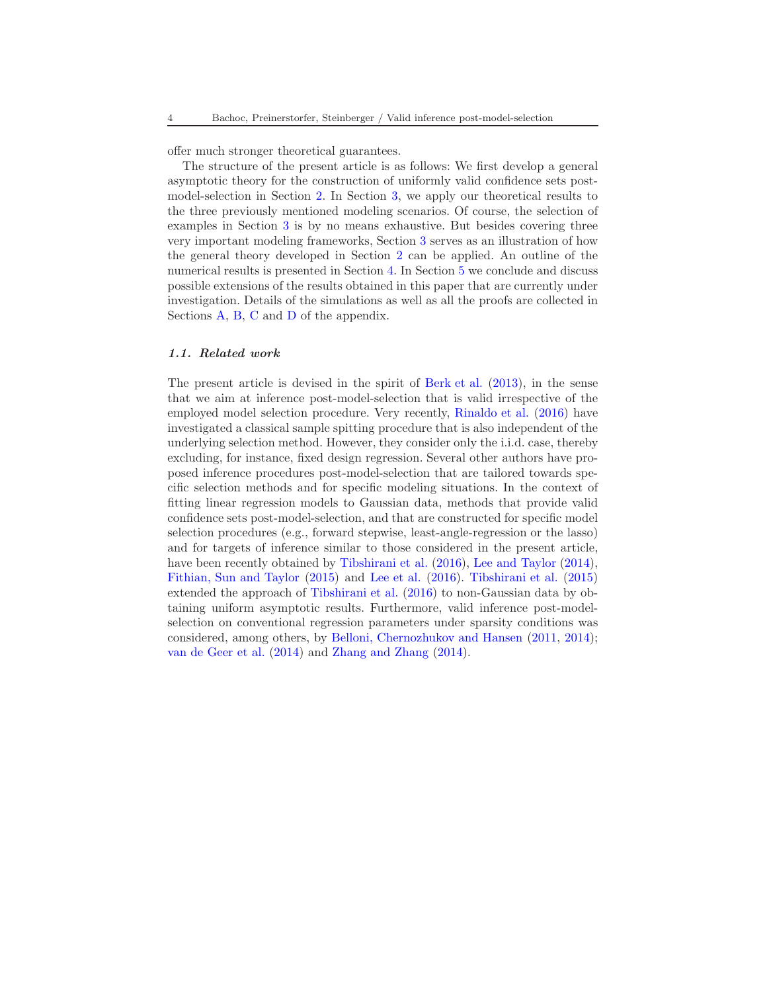offer much stronger theoretical guarantees.

The structure of the present article is as follows: We first develop a general asymptotic theory for the construction of uniformly valid confidence sets postmodel-selection in Section [2.](#page-4-0) In Section [3,](#page-15-0) we apply our theoretical results to the three previously mentioned modeling scenarios. Of course, the selection of examples in Section [3](#page-15-0) is by no means exhaustive. But besides covering three very important modeling frameworks, Section [3](#page-15-0) serves as an illustration of how the general theory developed in Section [2](#page-4-0) can be applied. An outline of the numerical results is presented in Section [4.](#page-27-0) In Section [5](#page-30-0) we conclude and discuss possible extensions of the results obtained in this paper that are currently under investigation. Details of the simulations as well as all the proofs are collected in Sections [A,](#page-31-0) [B,](#page-40-0) [C](#page-46-0) and [D](#page-50-0) of the appendix.

#### 1.1. Related work

The present article is devised in the spirit of [Berk et al.](#page-67-0) [\(2013\)](#page-67-0), in the sense that we aim at inference post-model-selection that is valid irrespective of the employed model selection procedure. Very recently, [Rinaldo et al.](#page-68-8) [\(2016](#page-68-8)) have investigated a classical sample spitting procedure that is also independent of the underlying selection method. However, they consider only the i.i.d. case, thereby excluding, for instance, fixed design regression. Several other authors have proposed inference procedures post-model-selection that are tailored towards specific selection methods and for specific modeling situations. In the context of fitting linear regression models to Gaussian data, methods that provide valid confidence sets post-model-selection, and that are constructed for specific model selection procedures (e.g., forward stepwise, least-angle-regression or the lasso) and for targets of inference similar to those considered in the present article, have been recently obtained by [Tibshirani et al.](#page-68-9) [\(2016\)](#page-68-9), [Lee and Taylor](#page-68-10) [\(2014\)](#page-68-10), [Fithian, Sun and Taylor](#page-67-4) [\(2015](#page-67-4)) and [Lee et al.](#page-68-11) [\(2016](#page-68-11)). [Tibshirani et al.](#page-68-6) [\(2015\)](#page-68-6) extended the approach of [Tibshirani et al.](#page-68-9) [\(2016](#page-68-9)) to non-Gaussian data by obtaining uniform asymptotic results. Furthermore, valid inference post-modelselection on conventional regression parameters under sparsity conditions was considered, among others, by [Belloni, Chernozhukov and Hansen](#page-67-5) [\(2011,](#page-67-5) [2014\)](#page-67-6); [van de Geer et al.](#page-69-0) [\(2014\)](#page-69-0) and [Zhang and Zhang](#page-69-1) [\(2014\)](#page-69-1).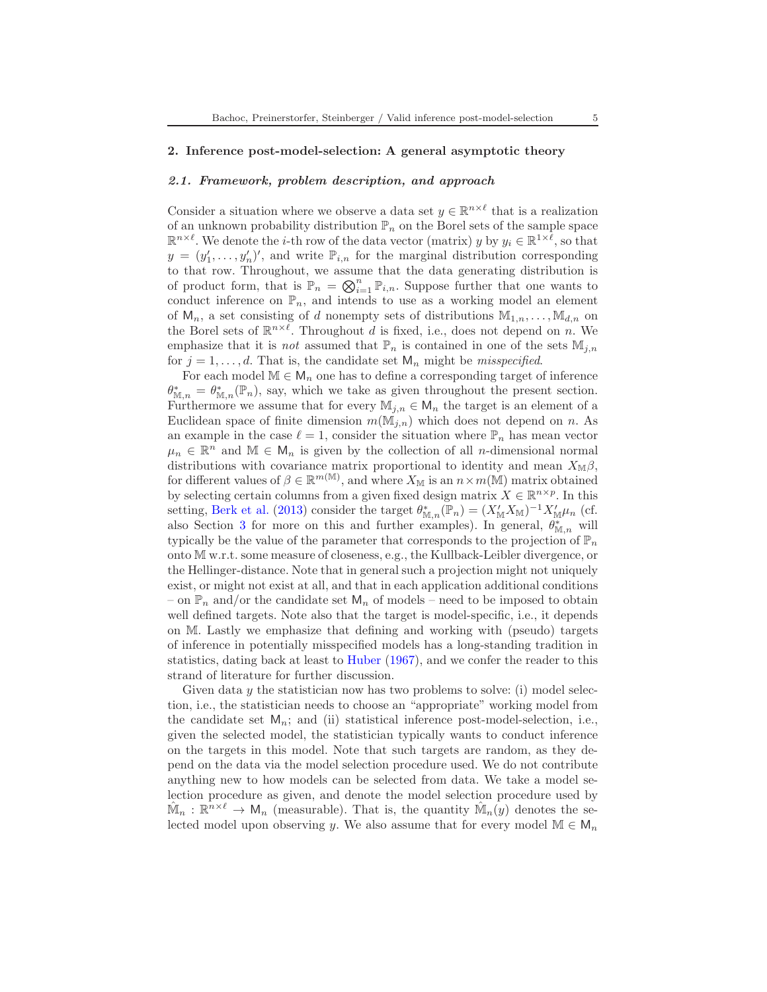### <span id="page-4-1"></span><span id="page-4-0"></span>2. Inference post-model-selection: A general asymptotic theory

#### 2.1. Framework, problem description, and approach

Consider a situation where we observe a data set  $y \in \mathbb{R}^{n \times \ell}$  that is a realization of an unknown probability distribution  $\mathbb{P}_n$  on the Borel sets of the sample space  $\mathbb{R}^{n \times \ell}$ . We denote the *i*-th row of the data vector (matrix) y by  $y_i \in \mathbb{R}^{1 \times \ell}$ , so that  $y = (y'_1, \ldots, y'_n)'$ , and write  $\mathbb{P}_{i,n}$  for the marginal distribution corresponding to that row. Throughout, we assume that the data generating distribution is of product form, that is  $\mathbb{P}_n = \bigotimes_{i=1}^n \mathbb{P}_{i,n}$ . Suppose further that one wants to conduct inference on  $\mathbb{P}_n$ , and intends to use as a working model an element of  $M_n$ , a set consisting of d nonempty sets of distributions  $M_{1,n},\ldots,M_{d,n}$  on the Borel sets of  $\mathbb{R}^{n \times \ell}$ . Throughout d is fixed, i.e., does not depend on n. We emphasize that it is *not* assumed that  $\mathbb{P}_n$  is contained in one of the sets  $\mathbb{M}_{i,n}$ for  $j = 1, \ldots, d$ . That is, the candidate set  $\mathsf{M}_n$  might be *misspecified*.

For each model  $\mathbb{M} \in \mathsf{M}_n$  one has to define a corresponding target of inference  $\theta_{\mathbb{M},n}^* = \theta_{\mathbb{M},n}^*(\mathbb{P}_n)$ , say, which we take as given throughout the present section. Furthermore we assume that for every  $\mathbb{M}_{j,n} \in \mathsf{M}_n$  the target is an element of a Euclidean space of finite dimension  $m(\mathbb{M}_{i,n})$  which does not depend on n. As an example in the case  $\ell = 1$ , consider the situation where  $\mathbb{P}_n$  has mean vector  $\mu_n \in \mathbb{R}^n$  and  $\mathbb{M} \in \mathsf{M}_n$  is given by the collection of all *n*-dimensional normal distributions with covariance matrix proportional to identity and mean  $X_{\mathbb{M}}\beta$ , for different values of  $\beta \in \mathbb{R}^{m(\mathbb{M})}$ , and where  $X_{\mathbb{M}}$  is an  $n \times m(\mathbb{M})$  matrix obtained by selecting certain columns from a given fixed design matrix  $X \in \mathbb{R}^{n \times p}$ . In this setting, [Berk et al.](#page-67-0) [\(2013\)](#page-67-0) consider the target  $\theta_{\mathbb{M},n}^*(\mathbb{P}_n) = (X'_{\mathbb{M}} X_{\mathbb{M}})^{-1} X'_{\mathbb{M}} \mu_n$  (cf. also Section [3](#page-15-0) for more on this and further examples). In general,  $\theta_{\mathbb{M},n}^*$  will typically be the value of the parameter that corresponds to the projection of  $\mathbb{P}_n$ onto M w.r.t. some measure of closeness, e.g., the Kullback-Leibler divergence, or the Hellinger-distance. Note that in general such a projection might not uniquely exist, or might not exist at all, and that in each application additional conditions – on  $\mathbb{P}_n$  and/or the candidate set  $\mathsf{M}_n$  of models – need to be imposed to obtain well defined targets. Note also that the target is model-specific, i.e., it depends on M. Lastly we emphasize that defining and working with (pseudo) targets of inference in potentially misspecified models has a long-standing tradition in statistics, dating back at least to [Huber](#page-67-7) [\(1967](#page-67-7)), and we confer the reader to this strand of literature for further discussion.

Given data  $\gamma$  the statistician now has two problems to solve: (i) model selection, i.e., the statistician needs to choose an "appropriate" working model from the candidate set  $M_n$ ; and (ii) statistical inference post-model-selection, i.e., given the selected model, the statistician typically wants to conduct inference on the targets in this model. Note that such targets are random, as they depend on the data via the model selection procedure used. We do not contribute anything new to how models can be selected from data. We take a model selection procedure as given, and denote the model selection procedure used by  $\hat{\mathbb{M}}_n : \mathbb{R}^{n \times \ell} \to \mathsf{M}_n$  (measurable). That is, the quantity  $\hat{\mathbb{M}}_n(y)$  denotes the selected model upon observing y. We also assume that for every model  $\mathbb{M} \in \mathsf{M}_n$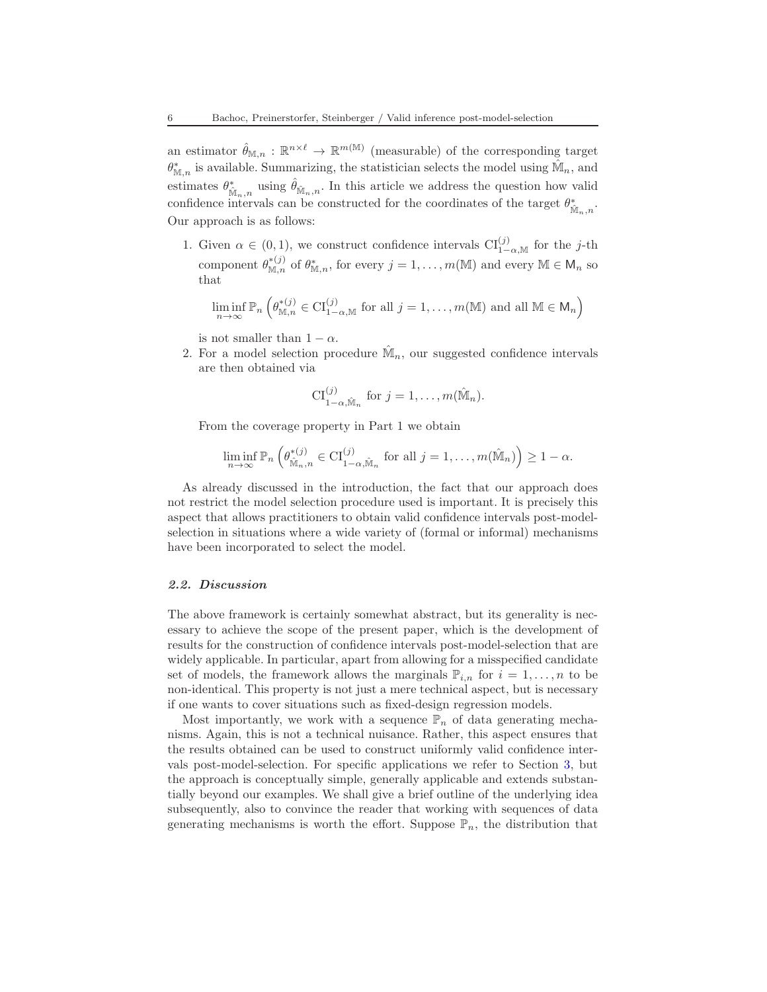an estimator  $\hat{\theta}_{\mathbb{M},n} : \mathbb{R}^{n \times \ell} \to \mathbb{R}^{m(\mathbb{M})}$  (measurable) of the corresponding target  $\theta_{\mathbb{M},n}^*$  is available. Summarizing, the statistician selects the model using  $\hat{\mathbb{M}}_n$ , and estimates  $\theta_{\hat{\mathbb{M}}_n,n}^*$  using  $\hat{\theta}_{\hat{\mathbb{M}}_n,n}$ . In this article we address the question how valid confidence intervals can be constructed for the coordinates of the target  $\theta^*_{\hat{\mathbb{M}}_n,n}.$ Our approach is as follows:

1. Given  $\alpha \in (0,1)$ , we construct confidence intervals  $\text{CI}_{1-\alpha,\mathbb{M}}^{(j)}$  for the j-th component  $\theta_{\mathbb{M},n}^{*(j)}$  of  $\theta_{\mathbb{M},n}^{*}$ , for every  $j = 1, ..., m(\mathbb{M})$  and every  $\mathbb{M} \in \mathsf{M}_n$  so that

$$
\liminf_{n \to \infty} \mathbb{P}_n \left( \theta_{\mathbb{M}, n}^{*(j)} \in \mathrm{CI}_{1-\alpha, \mathbb{M}}^{(j)} \text{ for all } j = 1, \dots, m(\mathbb{M}) \text{ and all } \mathbb{M} \in \mathsf{M}_n \right)
$$

is not smaller than  $1 - \alpha$ .

2. For a model selection procedure  $\hat{\mathbb{M}}_n$ , our suggested confidence intervals are then obtained via

$$
\mathrm{CI}_{1-\alpha,\hat{\mathbb{M}}_n}^{(j)} \text{ for } j=1,\ldots,m(\hat{\mathbb{M}}_n).
$$

From the coverage property in Part 1 we obtain

$$
\liminf_{n\to\infty} \mathbb{P}_n\left(\theta_{\hat{\mathbb{M}}_n,n}^{*(j)} \in \mathrm{CI}_{1-\alpha,\hat{\mathbb{M}}_n}^{(j)} \text{ for all } j=1,\ldots,m(\hat{\mathbb{M}}_n)\right) \geq 1-\alpha.
$$

As already discussed in the introduction, the fact that our approach does not restrict the model selection procedure used is important. It is precisely this aspect that allows practitioners to obtain valid confidence intervals post-modelselection in situations where a wide variety of (formal or informal) mechanisms have been incorporated to select the model.

### <span id="page-5-0"></span>2.2. Discussion

The above framework is certainly somewhat abstract, but its generality is necessary to achieve the scope of the present paper, which is the development of results for the construction of confidence intervals post-model-selection that are widely applicable. In particular, apart from allowing for a misspecified candidate set of models, the framework allows the marginals  $\mathbb{P}_{i,n}$  for  $i=1,\ldots,n$  to be non-identical. This property is not just a mere technical aspect, but is necessary if one wants to cover situations such as fixed-design regression models.

Most importantly, we work with a sequence  $\mathbb{P}_n$  of data generating mechanisms. Again, this is not a technical nuisance. Rather, this aspect ensures that the results obtained can be used to construct uniformly valid confidence intervals post-model-selection. For specific applications we refer to Section [3,](#page-15-0) but the approach is conceptually simple, generally applicable and extends substantially beyond our examples. We shall give a brief outline of the underlying idea subsequently, also to convince the reader that working with sequences of data generating mechanisms is worth the effort. Suppose  $\mathbb{P}_n$ , the distribution that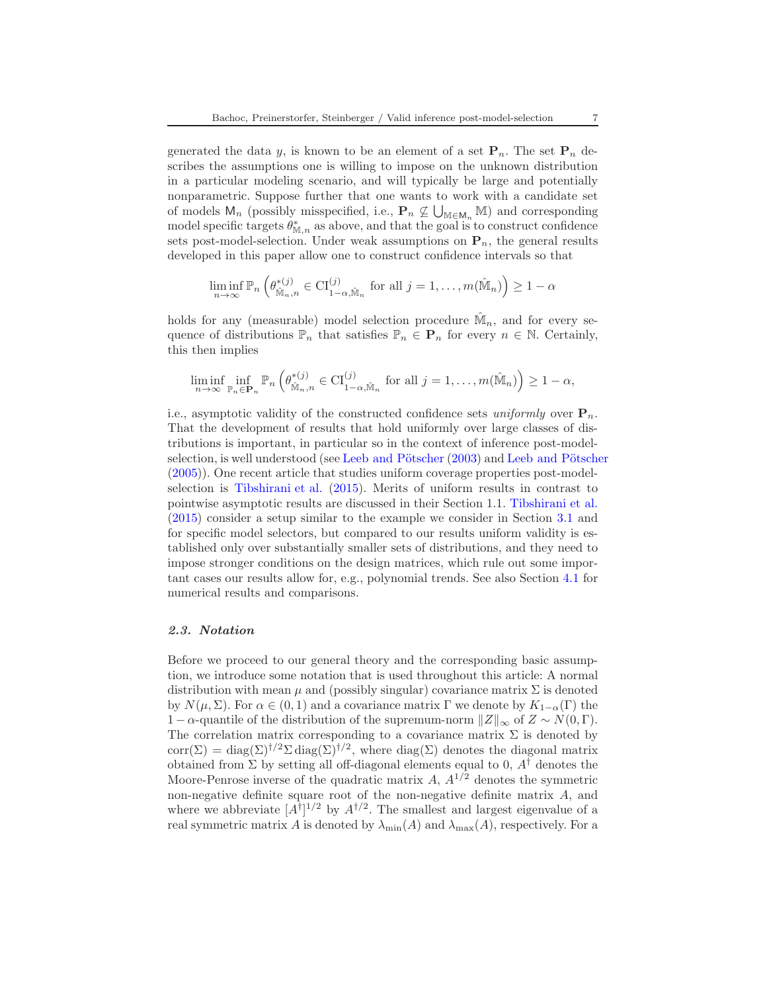generated the data y, is known to be an element of a set  $P_n$ . The set  $P_n$  describes the assumptions one is willing to impose on the unknown distribution in a particular modeling scenario, and will typically be large and potentially nonparametric. Suppose further that one wants to work with a candidate set of models  $M_n$  (possibly misspecified, i.e.,  $\mathbf{P}_n \not\subseteq \bigcup_{\mathbb{M} \in M_n} \mathbb{M}$ ) and corresponding model specific targets  $\theta_{\mathbb{M},n}^*$  as above, and that the goal is to construct confidence sets post-model-selection. Under weak assumptions on  $P_n$ , the general results developed in this paper allow one to construct confidence intervals so that

$$
\liminf_{n \to \infty} \mathbb{P}_n \left( \theta_{\hat{\mathbb{M}}_n,n}^{*(j)} \in \mathrm{CI}_{1-\alpha,\hat{\mathbb{M}}_n}^{(j)} \text{ for all } j = 1,\ldots,m(\hat{\mathbb{M}}_n) \right) \ge 1 - \alpha
$$

holds for any (measurable) model selection procedure  $\hat{\mathbb{M}}_n$ , and for every sequence of distributions  $\mathbb{P}_n$  that satisfies  $\mathbb{P}_n \in \mathbf{P}_n$  for every  $n \in \mathbb{N}$ . Certainly, this then implies

$$
\liminf_{n\to\infty}\inf_{\mathbb{P}_n\in\mathbf{P}_n}\mathbb{P}_n\left(\theta_{\hat{\mathbb{M}}_n,n}^{*(j)}\in\mathrm{CI}_{1-\alpha,\hat{\mathbb{M}}_n}^{(j)}\text{ for all }j=1,\ldots,m(\hat{\mathbb{M}}_n)\right)\geq 1-\alpha,
$$

i.e., asymptotic validity of the constructed confidence sets uniformly over  $P_n$ . That the development of results that hold uniformly over large classes of distributions is important, in particular so in the context of inference post-model-selection, is well understood (see Leeb and Pötscher [\(2003\)](#page-68-5) and Leeb and Pötscher [\(2005\)](#page-68-0)). One recent article that studies uniform coverage properties post-modelselection is [Tibshirani et al.](#page-68-6) [\(2015](#page-68-6)). Merits of uniform results in contrast to pointwise asymptotic results are discussed in their Section 1.1. [Tibshirani et al.](#page-68-6) [\(2015\)](#page-68-6) consider a setup similar to the example we consider in Section [3.1](#page-16-0) and for specific model selectors, but compared to our results uniform validity is established only over substantially smaller sets of distributions, and they need to impose stronger conditions on the design matrices, which rule out some important cases our results allow for, e.g., polynomial trends. See also Section [4.1](#page-27-1) for numerical results and comparisons.

#### 2.3. Notation

Before we proceed to our general theory and the corresponding basic assumption, we introduce some notation that is used throughout this article: A normal distribution with mean  $\mu$  and (possibly singular) covariance matrix  $\Sigma$  is denoted by  $N(\mu, \Sigma)$ . For  $\alpha \in (0, 1)$  and a covariance matrix  $\Gamma$  we denote by  $K_{1-\alpha}(\Gamma)$  the 1 − α-quantile of the distribution of the supremum-norm  $||Z||_{\infty}$  of  $Z \sim N(0, \Gamma)$ . The correlation matrix corresponding to a covariance matrix  $\Sigma$  is denoted by corr( $\Sigma$ ) = diag( $\Sigma$ )<sup>†/2</sup> $\Sigma$  diag( $\Sigma$ )<sup>†/2</sup>, where diag( $\Sigma$ ) denotes the diagonal matrix obtained from  $\Sigma$  by setting all off-diagonal elements equal to 0,  $A^{\dagger}$  denotes the Moore-Penrose inverse of the quadratic matrix  $A$ ,  $A^{1/2}$  denotes the symmetric non-negative definite square root of the non-negative definite matrix A, and where we abbreviate  $[A^{\dagger}]^{1/2}$  by  $A^{\dagger/2}$ . The smallest and largest eigenvalue of a real symmetric matrix A is denoted by  $\lambda_{\min}(A)$  and  $\lambda_{\max}(A)$ , respectively. For a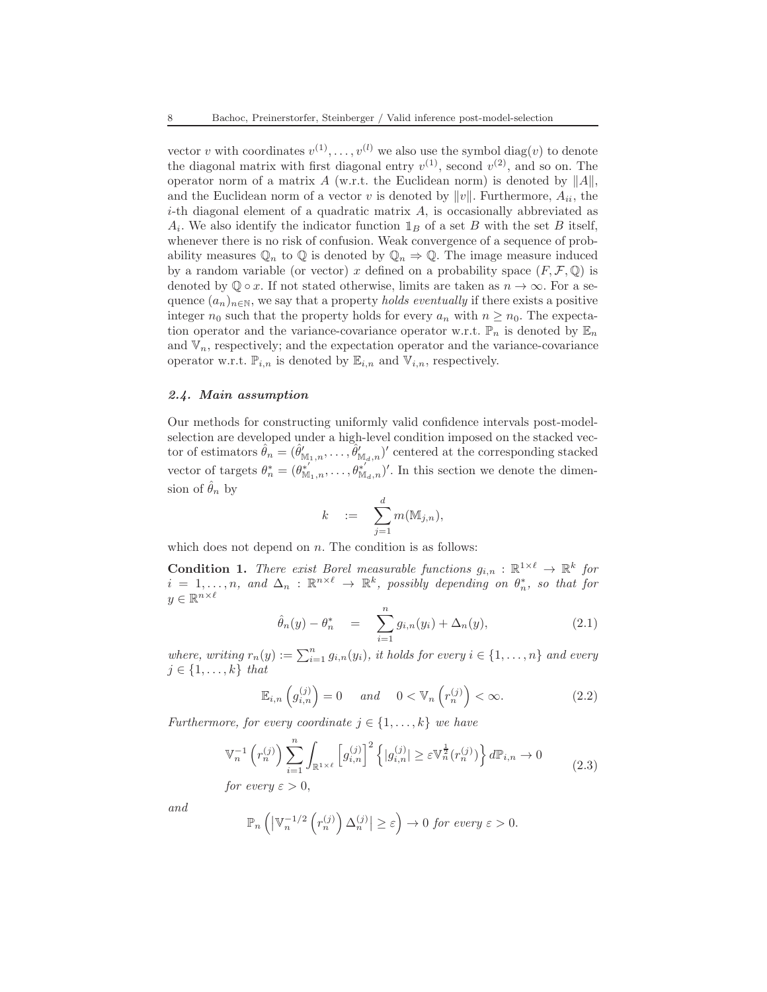vector v with coordinates  $v^{(1)}, \ldots, v^{(l)}$  we also use the symbol  $\text{diag}(v)$  to denote the diagonal matrix with first diagonal entry  $v^{(1)}$ , second  $v^{(2)}$ , and so on. The operator norm of a matrix A (w.r.t. the Euclidean norm) is denoted by  $||A||$ , and the Euclidean norm of a vector v is denoted by  $||v||$ . Furthermore,  $A_{ii}$ , the  $i$ -th diagonal element of a quadratic matrix  $A$ , is occasionally abbreviated as  $A_i$ . We also identify the indicator function  $\mathbb{1}_B$  of a set B with the set B itself, whenever there is no risk of confusion. Weak convergence of a sequence of probability measures  $\mathbb{Q}_n$  to  $\mathbb{Q}$  is denoted by  $\mathbb{Q}_n \Rightarrow \mathbb{Q}$ . The image measure induced by a random variable (or vector) x defined on a probability space  $(F, \mathcal{F}, \mathbb{Q})$  is denoted by  $\mathbb{Q} \circ x$ . If not stated otherwise, limits are taken as  $n \to \infty$ . For a sequence  $(a_n)_{n\in\mathbb{N}}$ , we say that a property *holds eventually* if there exists a positive integer  $n_0$  such that the property holds for every  $a_n$  with  $n \geq n_0$ . The expectation operator and the variance-covariance operator w.r.t.  $\mathbb{P}_n$  is denoted by  $\mathbb{E}_n$ and  $V_n$ , respectively; and the expectation operator and the variance-covariance operator w.r.t.  $\mathbb{P}_{i,n}$  is denoted by  $\mathbb{E}_{i,n}$  and  $\mathbb{V}_{i,n}$ , respectively.

### <span id="page-7-3"></span>2.4. Main assumption

Our methods for constructing uniformly valid confidence intervals post-modelselection are developed under a high-level condition imposed on the stacked vector of estimators  $\hat{\theta}_n = (\hat{\theta}_{\mathbb{M}_1,n}', \ldots, \hat{\theta}_{\mathbb{M}_d,n}')'$  centered at the corresponding stacked vector of targets  $\theta_n^* = (\theta_{M_1,n}^{*'}, \ldots, \theta_{M_d,n}^{*'}')'$ . In this section we denote the dimension of  $\hat{\theta}_n$  by

$$
k = \sum_{j=1}^d m(\mathbb{M}_{j,n}),
$$

which does not depend on  $n$ . The condition is as follows:

<span id="page-7-1"></span>**Condition 1.** There exist Borel measurable functions  $g_{i,n} : \mathbb{R}^{1 \times \ell} \to \mathbb{R}^k$  for  $i = 1, \ldots, n$ , and  $\Delta_n : \mathbb{R}^{n \times \ell} \to \mathbb{R}^k$ , possibly depending on  $\theta_n^*$ , so that for  $y \in \mathbb{R}^{n \times \ell}$ 

<span id="page-7-0"></span>
$$
\hat{\theta}_n(y) - \theta_n^* = \sum_{i=1}^n g_{i,n}(y_i) + \Delta_n(y), \qquad (2.1)
$$

where, writing  $r_n(y) := \sum_{i=1}^n g_{i,n}(y_i)$ , it holds for every  $i \in \{1, \ldots, n\}$  and every  $j \in \{1, \ldots, k\}$  that

$$
\mathbb{E}_{i,n}\left(g_{i,n}^{(j)}\right) = 0 \quad \text{and} \quad 0 < \mathbb{V}_n\left(r_n^{(j)}\right) < \infty. \tag{2.2}
$$

Furthermore, for every coordinate  $j \in \{1, \ldots, k\}$  we have

<span id="page-7-2"></span>
$$
\mathbb{V}_n^{-1}\left(r_n^{(j)}\right) \sum_{i=1}^n \int_{\mathbb{R}^{1\times\ell}} \left[g_{i,n}^{(j)}\right]^2 \left\{|g_{i,n}^{(j)}| \geq \varepsilon \mathbb{V}_n^{\frac{1}{2}}(r_n^{(j)})\right\} d\mathbb{P}_{i,n} \to 0
$$
\n
$$
\text{for some } i > 0 \tag{2.3}
$$

for every  $\varepsilon > 0$ ,

and

$$
\mathbb{P}_n\left(\left|\mathbb{V}_n^{-1/2}\left(r_n^{(j)}\right)\Delta_n^{(j)}\right| \geq \varepsilon\right) \to 0 \text{ for every } \varepsilon > 0.
$$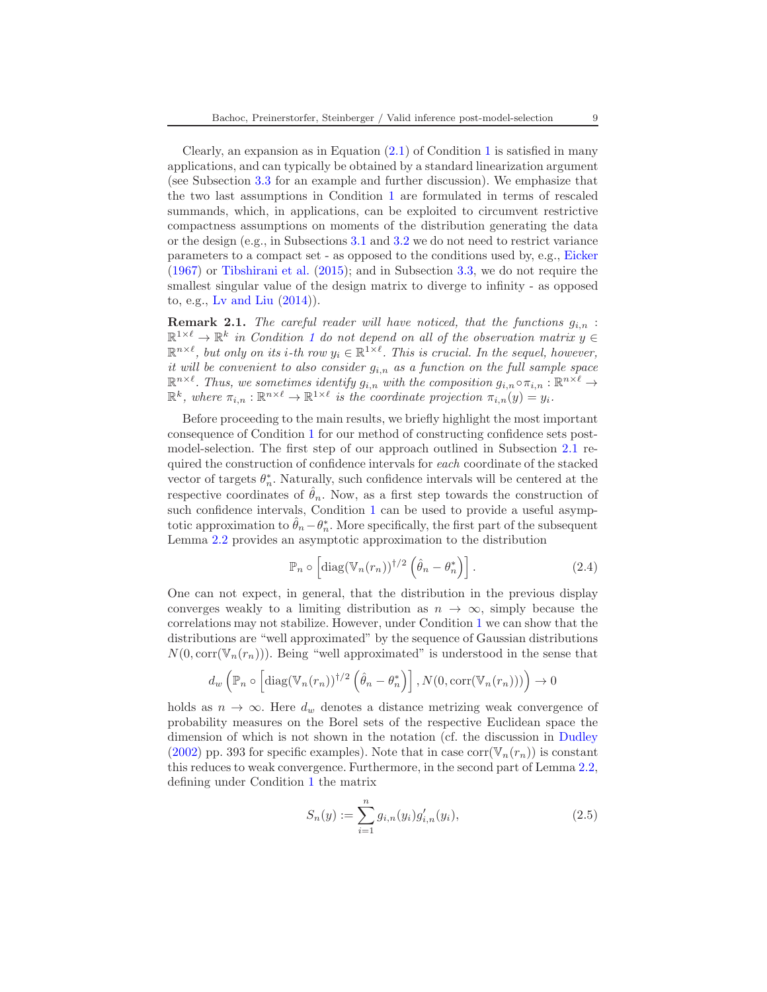Clearly, an expansion as in Equation  $(2.1)$  $(2.1)$  $(2.1)$  of Condition 1 is satisfied in many applications, and can typically be obtained by a standard linearization argument (see Subsection [3.3](#page-23-0) for an example and further discussion). We emphasize that the two last assumptions in Condition [1](#page-7-1) are formulated in terms of rescaled summands, which, in applications, can be exploited to circumvent restrictive compactness assumptions on moments of the distribution generating the data or the design (e.g., in Subsections [3.1](#page-16-0) and [3.2](#page-21-0) we do not need to restrict variance parameters to a compact set - as opposed to the conditions used by, e.g., [Eicker](#page-67-3) [\(1967\)](#page-67-3) or [Tibshirani et al.](#page-68-6) [\(2015\)](#page-68-6); and in Subsection [3.3,](#page-23-0) we do not require the smallest singular value of the design matrix to diverge to infinity - as opposed to, e.g., [Lv and Liu](#page-68-12) [\(2014\)](#page-68-12)).

<span id="page-8-1"></span>**Remark 2.1.** The careful reader will have noticed, that the functions  $g_{i,n}$ :  $\mathbb{R}^{1\times\ell}\to\mathbb{R}^k$  $\mathbb{R}^{1\times\ell}\to\mathbb{R}^k$  $\mathbb{R}^{1\times\ell}\to\mathbb{R}^k$  in Condition 1 do not depend on all of the observation matrix  $y\in\mathbb{R}^{n\times k}$  $\mathbb{R}^{n \times \ell}$ , but only on its i-th row  $y_i \in \mathbb{R}^{1 \times \ell}$ . This is crucial. In the sequel, however, it will be convenient to also consider  $g_{i,n}$  as a function on the full sample space  $\mathbb{R}^{n \times \ell}$ . Thus, we sometimes identify  $g_{i,n}$  with the composition  $g_{i,n} \circ \pi_{i,n} : \mathbb{R}^{n \times \ell} \to$  $\mathbb{R}^k$ , where  $\pi_{i,n} : \mathbb{R}^{n \times \ell} \to \mathbb{R}^{1 \times \ell}$  is the coordinate projection  $\pi_{i,n}(y) = y_i$ .

Before proceeding to the main results, we briefly highlight the most important consequence of Condition [1](#page-7-1) for our method of constructing confidence sets postmodel-selection. The first step of our approach outlined in Subsection [2.1](#page-4-1) required the construction of confidence intervals for each coordinate of the stacked vector of targets  $\theta_n^*$ . Naturally, such confidence intervals will be centered at the respective coordinates of  $\hat{\theta}_n$ . Now, as a first step towards the construction of such confidence intervals, Condition [1](#page-7-1) can be used to provide a useful asymptotic approximation to  $\hat{\theta}_n - \theta_n^*$ . More specifically, the first part of the subsequent Lemma [2.2](#page-9-0) provides an asymptotic approximation to the distribution

$$
\mathbb{P}_n \circ \left[ \text{diag}(\mathbb{V}_n(r_n))^{1/2} \left( \hat{\theta}_n - \theta_n^* \right) \right]. \tag{2.4}
$$

One can not expect, in general, that the distribution in the previous display converges weakly to a limiting distribution as  $n \to \infty$ , simply because the correlations may not stabilize. However, under Condition [1](#page-7-1) we can show that the distributions are "well approximated" by the sequence of Gaussian distributions  $N(0, \text{corr}(\mathbb{V}_n(r_n)))$ . Being "well approximated" is understood in the sense that

$$
d_w\left(\mathbb{P}_n\circ\left[\text{diag}(\mathbb{V}_n(r_n))^{1/2}\left(\hat{\theta}_n-\theta_n^*\right)\right],N(0,\text{corr}(\mathbb{V}_n(r_n)))\right)\to 0
$$

holds as  $n \to \infty$ . Here  $d_w$  denotes a distance metrizing weak convergence of probability measures on the Borel sets of the respective Euclidean space the dimension of which is not shown in the notation (cf. the discussion in [Dudley](#page-67-8) [\(2002\)](#page-67-8) pp. 393 for specific examples). Note that in case corr( $\mathbb{V}_n(r_n)$ ) is constant this reduces to weak convergence. Furthermore, in the second part of Lemma [2.2,](#page-9-0) defining under Condition [1](#page-7-1) the matrix

<span id="page-8-0"></span>
$$
S_n(y) := \sum_{i=1}^n g_{i,n}(y_i) g'_{i,n}(y_i),
$$
\n(2.5)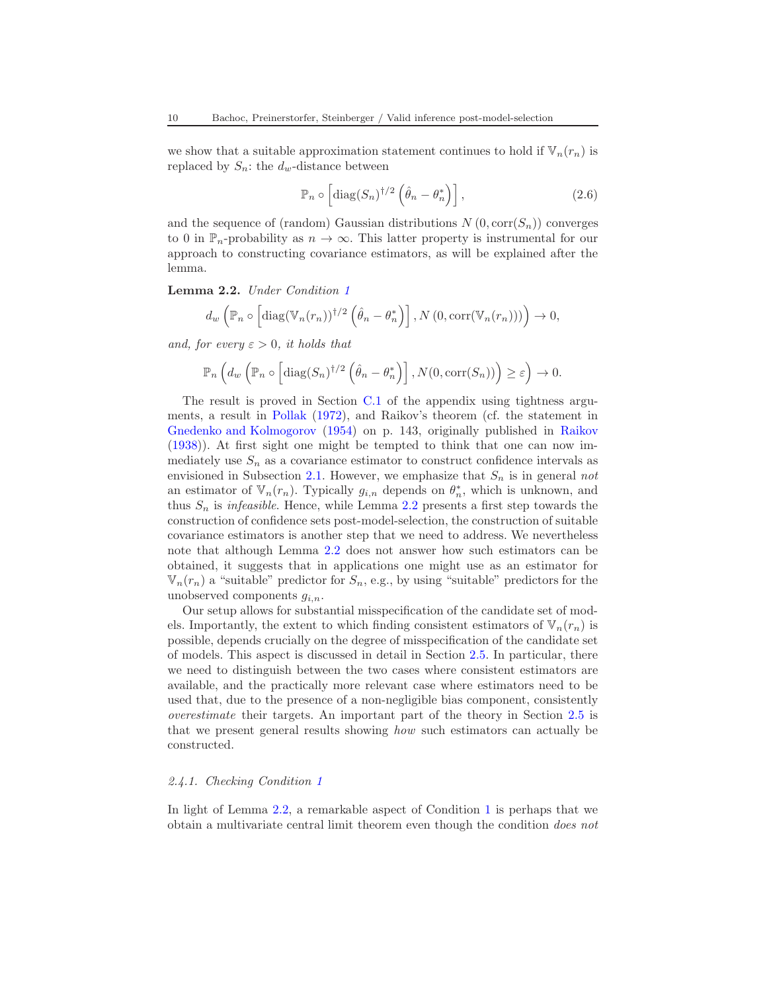we show that a suitable approximation statement continues to hold if  $\mathbb{V}_n(r_n)$  is replaced by  $S_n$ : the  $d_w$ -distance between

$$
\mathbb{P}_n \circ \left[ \text{diag}(S_n)^{\dagger/2} \left( \hat{\theta}_n - \theta_n^* \right) \right], \tag{2.6}
$$

and the sequence of (random) Gaussian distributions  $N(0, \text{corr}(S_n))$  converges to 0 in  $\mathbb{P}_n$ -probability as  $n \to \infty$ . This latter property is instrumental for our approach to constructing covariance estimators, as will be explained after the lemma.

<span id="page-9-0"></span>Lemma 2.2. Under Condition [1](#page-7-1)

$$
d_w\left(\mathbb{P}_n\circ\left[\text{diag}(\mathbb{V}_n(r_n))^{1/2}\left(\hat{\theta}_n-\theta_n^*\right)\right],N\left(0,\text{corr}(\mathbb{V}_n(r_n))\right)\right)\to 0,
$$

and, for every  $\varepsilon > 0$ , it holds that

$$
\mathbb{P}_n\left(d_w\left(\mathbb{P}_n\circ\left[\mathrm{diag}(S_n)^{\dagger/2}\left(\hat{\theta}_n-\theta_n^*\right)\right],N(0,\mathrm{corr}(S_n))\right)\geq\varepsilon\right)\to 0.
$$

The result is proved in Section [C.1](#page-46-1) of the appendix using tightness arguments, a result in [Pollak](#page-68-13) [\(1972\)](#page-68-13), and Raikov's theorem (cf. the statement in [Gnedenko and Kolmogorov](#page-67-9) [\(1954](#page-67-9)) on p. 143, originally published in [Raikov](#page-68-14) [\(1938\)](#page-68-14)). At first sight one might be tempted to think that one can now immediately use  $S_n$  as a covariance estimator to construct confidence intervals as envisioned in Subsection [2.1.](#page-4-1) However, we emphasize that  $S_n$  is in general not an estimator of  $\mathbb{V}_n(r_n)$ . Typically  $g_{i,n}$  depends on  $\theta_n^*$ , which is unknown, and thus  $S_n$  is *infeasible*. Hence, while Lemma [2.2](#page-9-0) presents a first step towards the construction of confidence sets post-model-selection, the construction of suitable covariance estimators is another step that we need to address. We nevertheless note that although Lemma [2.2](#page-9-0) does not answer how such estimators can be obtained, it suggests that in applications one might use as an estimator for  $\mathbb{V}_n(r_n)$  a "suitable" predictor for  $S_n$ , e.g., by using "suitable" predictors for the unobserved components  $g_{i,n}$ .

Our setup allows for substantial misspecification of the candidate set of models. Importantly, the extent to which finding consistent estimators of  $\mathbb{V}_n(r_n)$  is possible, depends crucially on the degree of misspecification of the candidate set of models. This aspect is discussed in detail in Section [2.5.](#page-10-0) In particular, there we need to distinguish between the two cases where consistent estimators are available, and the practically more relevant case where estimators need to be used that, due to the presence of a non-negligible bias component, consistently overestimate their targets. An important part of the theory in Section [2.5](#page-10-0) is that we present general results showing how such estimators can actually be constructed.

### 2.4.1. Checking Condition [1](#page-7-1)

In light of Lemma [2.2,](#page-9-0) a remarkable aspect of Condition [1](#page-7-1) is perhaps that we obtain a multivariate central limit theorem even though the condition does not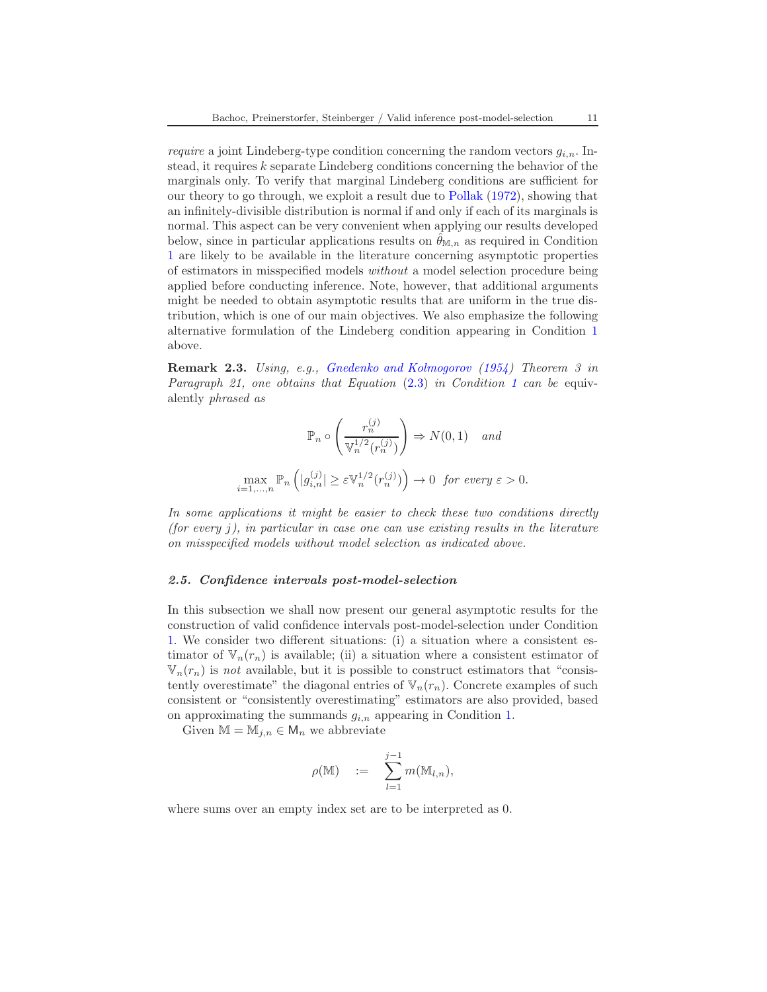require a joint Lindeberg-type condition concerning the random vectors  $g_{i,n}$ . Instead, it requires  $k$  separate Lindeberg conditions concerning the behavior of the marginals only. To verify that marginal Lindeberg conditions are sufficient for our theory to go through, we exploit a result due to [Pollak](#page-68-13) [\(1972](#page-68-13)), showing that an infinitely-divisible distribution is normal if and only if each of its marginals is normal. This aspect can be very convenient when applying our results developed below, since in particular applications results on  $\hat{\theta}_{M,n}$  as required in Condition [1](#page-7-1) are likely to be available in the literature concerning asymptotic properties of estimators in misspecified models without a model selection procedure being applied before conducting inference. Note, however, that additional arguments might be needed to obtain asymptotic results that are uniform in the true distribution, which is one of our main objectives. We also emphasize the following alternative formulation of the Lindeberg condition appearing in Condition [1](#page-7-1) above.

<span id="page-10-1"></span>Remark 2.3. Using, e.g., [Gnedenko and Kolmogorov](#page-67-9) [\(1954](#page-67-9)) Theorem 3 in Paragraph 2[1](#page-7-1), one obtains that Equation  $(2.3)$  in Condition 1 can be equivalently phrased as

$$
\mathbb{P}_n \circ \left( \frac{r_n^{(j)}}{\mathbb{V}_n^{1/2}(r_n^{(j)})} \right) \Rightarrow N(0, 1) \quad and
$$
  

$$
\max_{i=1,...,n} \mathbb{P}_n \left( |g_{i,n}^{(j)}| \ge \varepsilon \mathbb{V}_n^{1/2}(r_n^{(j)}) \right) \to 0 \quad \text{for every } \varepsilon > 0.
$$

In some applications it might be easier to check these two conditions directly (for every  $i$ ), in particular in case one can use existing results in the literature on misspecified models without model selection as indicated above.

#### <span id="page-10-0"></span>2.5. Confidence intervals post-model-selection

In this subsection we shall now present our general asymptotic results for the construction of valid confidence intervals post-model-selection under Condition [1.](#page-7-1) We consider two different situations: (i) a situation where a consistent estimator of  $\mathbb{V}_n(r_n)$  is available; (ii) a situation where a consistent estimator of  $\mathbb{V}_n(r_n)$  is not available, but it is possible to construct estimators that "consistently overestimate" the diagonal entries of  $\mathbb{V}_n(r_n)$ . Concrete examples of such consistent or "consistently overestimating" estimators are also provided, based on approximating the summands  $g_{i,n}$  appearing in Condition [1.](#page-7-1)

Given  $\mathbb{M} = \mathbb{M}_{i,n} \in \mathsf{M}_n$  we abbreviate

$$
\rho(\mathbb{M}) \quad := \quad \sum_{l=1}^{j-1} m(\mathbb{M}_{l,n}),
$$

where sums over an empty index set are to be interpreted as 0.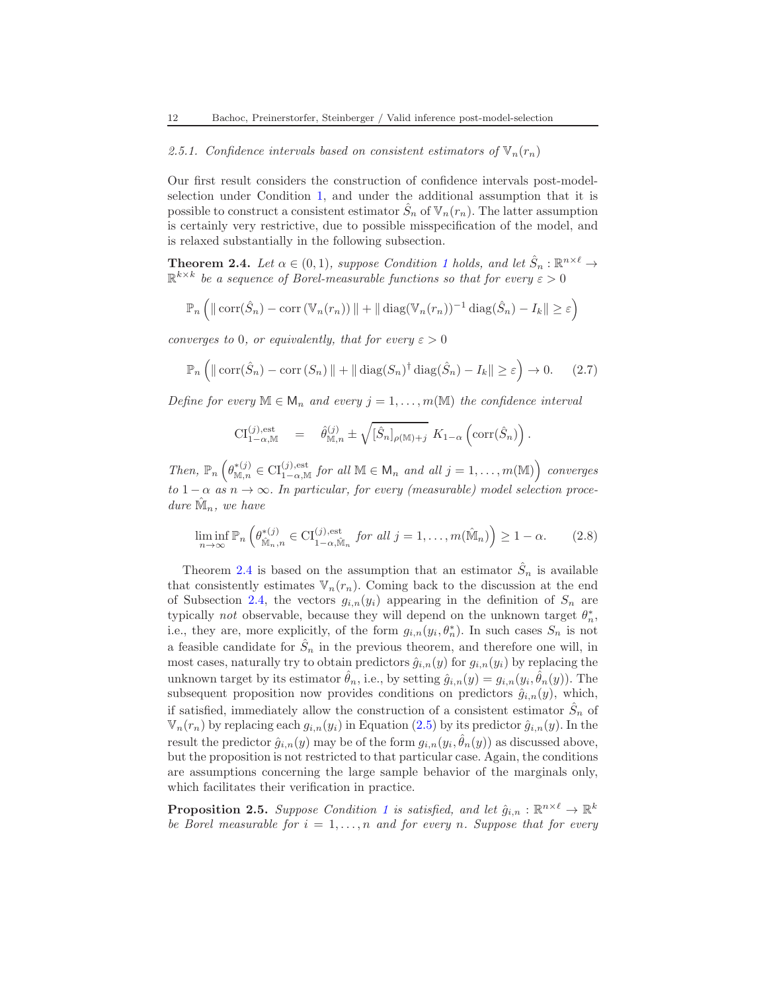### 2.5.1. Confidence intervals based on consistent estimators of  $\mathbb{V}_n(r_n)$

Our first result considers the construction of confidence intervals post-modelselection under Condition [1,](#page-7-1) and under the additional assumption that it is possible to construct a consistent estimator  $\hat{S}_n$  of  $\mathbb{V}_n(r_n)$ . The latter assumption is certainly very restrictive, due to possible misspecification of the model, and is relaxed substantially in the following subsection.

<span id="page-11-0"></span>**Theorem 2.4.** Let  $\alpha \in (0,1)$  $\alpha \in (0,1)$  $\alpha \in (0,1)$ , suppose Condition 1 holds, and let  $\hat{S}_n : \mathbb{R}^{n \times \ell} \to$  $\mathbb{R}^{k \times k}$  be a sequence of Borel-measurable functions so that for every  $\varepsilon > 0$ 

$$
\mathbb{P}_n\left(\left\|\operatorname{corr}(\hat{S}_n) - \operatorname{corr}\left(\mathbb{V}_n(r_n)\right)\right\| + \left\|\operatorname{diag}(\mathbb{V}_n(r_n))^{-1}\operatorname{diag}(\hat{S}_n) - I_k\right\| \geq \varepsilon\right)
$$

converges to 0, or equivalently, that for every  $\varepsilon > 0$ 

<span id="page-11-1"></span>
$$
\mathbb{P}_n\left(\|\operatorname{corr}(\hat{S}_n) - \operatorname{corr}(S_n)\| + \|\operatorname{diag}(S_n)^{\dagger}\operatorname{diag}(\hat{S}_n) - I_k\| \ge \varepsilon\right) \to 0. \tag{2.7}
$$

Define for every  $\mathbb{M} \in \mathsf{M}_n$  and every  $j = 1, \ldots, m(\mathbb{M})$  the confidence interval

$$
\mathrm{CI}_{1-\alpha,\mathbb{M}}^{(j),\mathrm{est}} = \hat{\theta}_{\mathbb{M},n}^{(j)} \pm \sqrt{[\hat{S}_n]_{\rho(\mathbb{M})+j}} K_{1-\alpha} \left( \mathrm{corr}(\hat{S}_n) \right).
$$

Then,  $\mathbb{P}_n\left(\theta_{\mathbb{M},n}^{*(j)} \in \mathrm{CI}_{1-\alpha,\mathbb{M}}^{(j),\mathrm{est}} \text{ for all } \mathbb{M} \in \mathsf{M}_n \text{ and all } j=1,\ldots,m(\mathbb{M})\right)$  converges to  $1 - \alpha$  as  $n \to \infty$ . In particular, for every (measurable) model selection procedure  $\hat{\mathbb{M}}_n$ , we have

$$
\liminf_{n \to \infty} \mathbb{P}_n \left( \theta_{\widehat{\mathbb{M}}_n, n}^{*(j)} \in \mathrm{CI}_{1-\alpha, \widehat{\mathbb{M}}_n}^{(j), \mathrm{est}} \text{ for all } j = 1, \dots, m(\widehat{\mathbb{M}}_n) \right) \ge 1 - \alpha. \tag{2.8}
$$

Theorem [2.4](#page-11-0) is based on the assumption that an estimator  $\hat{S}_n$  is available that consistently estimates  $\mathbb{V}_n(r_n)$ . Coming back to the discussion at the end of Subsection [2.4,](#page-7-3) the vectors  $g_{i,n}(y_i)$  appearing in the definition of  $S_n$  are typically *not* observable, because they will depend on the unknown target  $\theta_n^*$ , i.e., they are, more explicitly, of the form  $g_{i,n}(y_i, \theta_n^*)$ . In such cases  $S_n$  is not a feasible candidate for  $\hat{S}_n$  in the previous theorem, and therefore one will, in most cases, naturally try to obtain predictors  $\hat{g}_{i,n}(y)$  for  $g_{i,n}(y_i)$  by replacing the unknown target by its estimator  $\hat{\theta}_n$ , i.e., by setting  $\hat{g}_{i,n}(y) = g_{i,n}(y_i, \hat{\theta}_n(y))$ . The subsequent proposition now provides conditions on predictors  $\hat{g}_{i,n}(y)$ , which, if satisfied, immediately allow the construction of a consistent estimator  $\hat{S}_n$  of  $\mathbb{V}_n(r_n)$  by replacing each  $g_{i,n}(y_i)$  in Equation [\(2.5\)](#page-8-0) by its predictor  $\hat{g}_{i,n}(y)$ . In the result the predictor  $\hat{g}_{i,n}(y)$  may be of the form  $g_{i,n}(y_i, \hat{\theta}_n(y))$  as discussed above, but the proposition is not restricted to that particular case. Again, the conditions are assumptions concerning the large sample behavior of the marginals only, which facilitates their verification in practice.

<span id="page-11-2"></span>**Proposition 2.5.** Suppose Condition [1](#page-7-1) is satisfied, and let  $\hat{g}_{i,n} : \mathbb{R}^{n \times \ell} \to \mathbb{R}^k$ be Borel measurable for  $i = 1, \ldots, n$  and for every n. Suppose that for every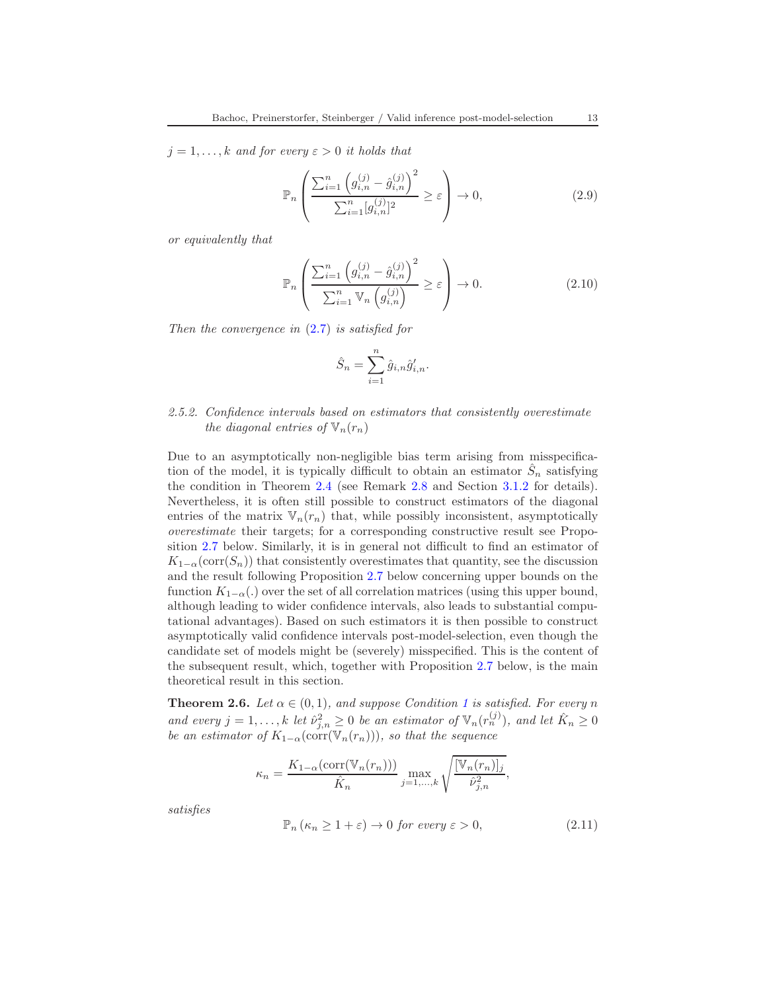$j = 1, \ldots, k$  and for every  $\varepsilon > 0$  it holds that

<span id="page-12-2"></span>
$$
\mathbb{P}_n\left(\frac{\sum_{i=1}^n \left(g_{i,n}^{(j)} - \hat{g}_{i,n}^{(j)}\right)^2}{\sum_{i=1}^n [g_{i,n}^{(j)}]^2} \ge \varepsilon\right) \to 0,
$$
\n(2.9)

or equivalently that

<span id="page-12-3"></span>
$$
\mathbb{P}_n\left(\frac{\sum_{i=1}^n \left(g_{i,n}^{(j)} - \hat{g}_{i,n}^{(j)}\right)^2}{\sum_{i=1}^n \mathbb{V}_n\left(g_{i,n}^{(j)}\right)} \geq \varepsilon\right) \to 0.
$$
\n(2.10)

Then the convergence in  $(2.7)$  is satisfied for

$$
\hat{S}_n = \sum_{i=1}^n \hat{g}_{i,n} \hat{g}'_{i,n}.
$$

# <span id="page-12-4"></span>2.5.2. Confidence intervals based on estimators that consistently overestimate the diagonal entries of  $\mathbb{V}_n(r_n)$

Due to an asymptotically non-negligible bias term arising from misspecification of the model, it is typically difficult to obtain an estimator  $\hat{S}_n$  satisfying the condition in Theorem [2.4](#page-11-0) (see Remark [2.8](#page-14-0) and Section [3.1.2](#page-20-0) for details). Nevertheless, it is often still possible to construct estimators of the diagonal entries of the matrix  $\mathbb{V}_n(r_n)$  that, while possibly inconsistent, asymptotically overestimate their targets; for a corresponding constructive result see Proposition [2.7](#page-13-0) below. Similarly, it is in general not difficult to find an estimator of  $K_{1-\alpha}(\text{corr}(S_n))$  that consistently overestimates that quantity, see the discussion and the result following Proposition [2.7](#page-13-0) below concerning upper bounds on the function  $K_{1-\alpha}$ .) over the set of all correlation matrices (using this upper bound, although leading to wider confidence intervals, also leads to substantial computational advantages). Based on such estimators it is then possible to construct asymptotically valid confidence intervals post-model-selection, even though the candidate set of models might be (severely) misspecified. This is the content of the subsequent result, which, together with Proposition [2.7](#page-13-0) below, is the main theoretical result in this section.

<span id="page-12-1"></span>**Theorem 2.6.** Let  $\alpha \in (0,1)$  $\alpha \in (0,1)$  $\alpha \in (0,1)$ , and suppose Condition 1 is satisfied. For every n and every  $j = 1, ..., k$  let  $\hat{\nu}_{j,n}^2 \geq 0$  be an estimator of  $\mathbb{V}_n(r_n^{(j)})$ , and let  $\hat{K}_n \geq 0$ be an estimator of  $K_{1-\alpha}(\text{corr}(\mathbb{V}_n(r_n)))$ , so that the sequence

$$
\kappa_n = \frac{K_{1-\alpha}(\text{corr}(\mathbb{V}_n(r_n)))}{\hat{K}_n} \max_{j=1,\dots,k} \sqrt{\frac{[\mathbb{V}_n(r_n)]_j}{\hat{\nu}_{j,n}^2}},
$$

satisfies

<span id="page-12-0"></span>
$$
\mathbb{P}_n\left(\kappa_n \ge 1 + \varepsilon\right) \to 0 \text{ for every } \varepsilon > 0,\tag{2.11}
$$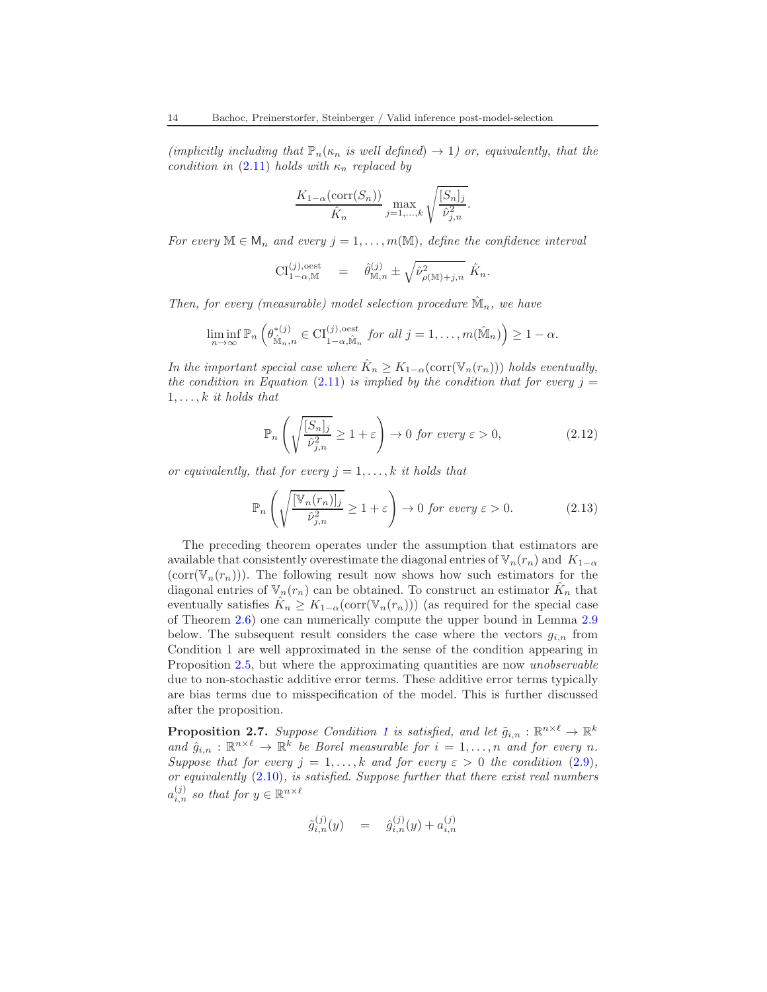(implicitly including that  $\mathbb{P}_n(\kappa_n$  is well defined)  $\rightarrow$  1) or, equivalently, that the condition in  $(2.11)$  holds with  $\kappa_n$  replaced by

$$
\frac{K_{1-\alpha}(\operatorname{corr}(S_n))}{\hat{K}_n} \max_{j=1,\ldots,k} \sqrt{\frac{[S_n]_j}{\hat{\nu}_{j,n}^2}}.
$$

For every  $\mathbb{M} \in \mathsf{M}_n$  and every  $j = 1, \ldots, m(\mathbb{M})$ , define the confidence interval

$$
\mathrm{CI}_{1-\alpha,\mathbb{M}}^{(j),\mathrm{oest}} = \hat{\theta}_{\mathbb{M},n}^{(j)} \pm \sqrt{\hat{\nu}_{\rho(\mathbb{M})+j,n}^2} \hat{K}_n.
$$

Then, for every (measurable) model selection procedure  $\hat{M}_n$ , we have

$$
\liminf_{n\to\infty} \mathbb{P}_n\left(\theta_{\hat{\mathbb{M}}_n,n}^{*(j)} \in \mathrm{CI}_{1-\alpha,\hat{\mathbb{M}}_n}^{(j),\text{oest}} \text{ for all } j=1,\ldots,m(\hat{\mathbb{M}}_n)\right) \geq 1-\alpha.
$$

In the important special case where  $\hat{K}_n \geq K_{1-\alpha}(\text{corr}(\mathbb{V}_n(r_n)))$  holds eventually, the condition in Equation [\(2.11\)](#page-12-0) is implied by the condition that for every  $j =$  $1, \ldots, k$  it holds that

$$
\mathbb{P}_n\left(\sqrt{\frac{[S_n]_j}{\hat{\nu}_{j,n}^2}} \ge 1 + \varepsilon\right) \to 0 \text{ for every } \varepsilon > 0,
$$
\n(2.12)

or equivalently, that for every  $j = 1, \ldots, k$  it holds that

<span id="page-13-1"></span>
$$
\mathbb{P}_n\left(\sqrt{\frac{[\mathbb{V}_n(r_n)]_j}{\hat{\nu}_{j,n}^2}} \ge 1 + \varepsilon\right) \to 0 \text{ for every } \varepsilon > 0. \tag{2.13}
$$

The preceding theorem operates under the assumption that estimators are available that consistently overestimate the diagonal entries of  $\mathbb{V}_n(r_n)$  and  $K_{1-\alpha}$  $(\text{corr}(\mathbb{V}_n(r_n)))$ . The following result now shows how such estimators for the diagonal entries of  $\mathbb{V}_n(r_n)$  can be obtained. To construct an estimator  $\hat{K}_n$  that eventually satisfies  $\hat{K}_n \geq K_{1-\alpha}(\text{corr}(\mathbb{V}_n(r_n)))$  (as required for the special case of Theorem [2.6\)](#page-12-1) one can numerically compute the upper bound in Lemma [2.9](#page-15-1) below. The subsequent result considers the case where the vectors  $g_{i,n}$  from Condition [1](#page-7-1) are well approximated in the sense of the condition appearing in Proposition [2.5,](#page-11-2) but where the approximating quantities are now *unobservable* due to non-stochastic additive error terms. These additive error terms typically are bias terms due to misspecification of the model. This is further discussed after the proposition.

<span id="page-13-0"></span>**Proposition 2.7.** Suppose Condition [1](#page-7-1) is satisfied, and let  $\tilde{g}_{i,n} : \mathbb{R}^{n \times \ell} \to \mathbb{R}^k$ and  $\hat{g}_{i,n} : \mathbb{R}^{n \times \ell} \to \mathbb{R}^k$  be Borel measurable for  $i = 1, ..., n$  and for every n. Suppose that for every  $j = 1, ..., k$  and for every  $\varepsilon > 0$  the condition  $(2.9)$ , or equivalently  $(2.10)$ , is satisfied. Suppose further that there exist real numbers  $a_{i,n}^{(j)}$  so that for  $y \in \mathbb{R}^{n \times \ell}$ 

$$
\tilde{g}_{i,n}^{(j)}(y) \quad = \quad \hat{g}_{i,n}^{(j)}(y) + a_{i,n}^{(j)}
$$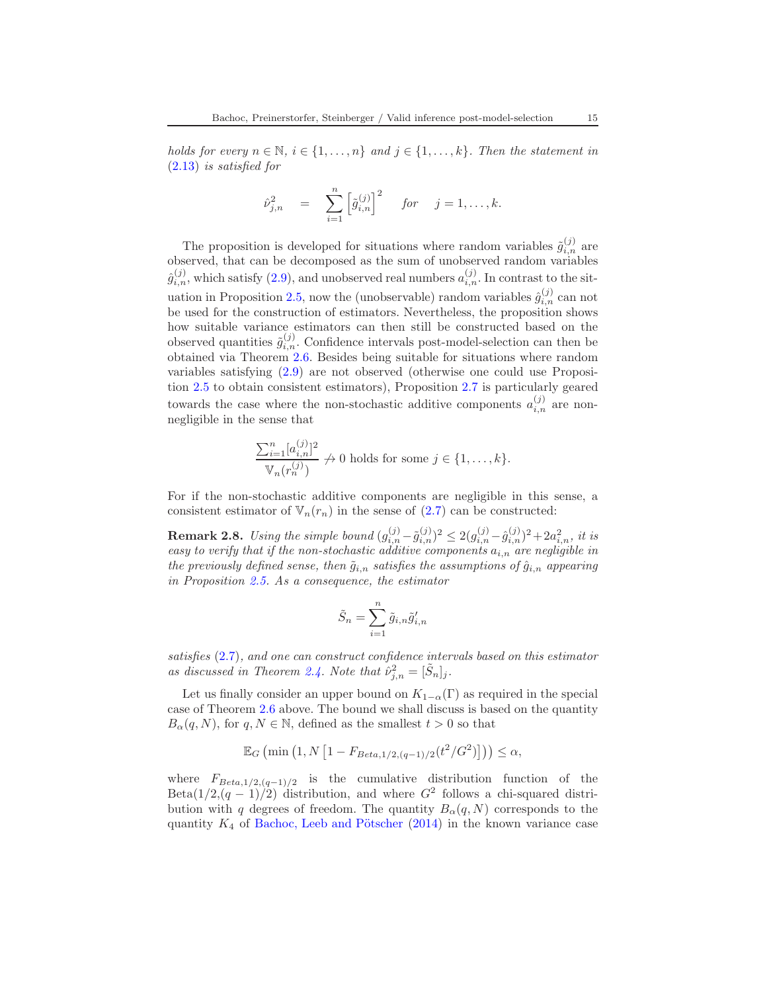holds for every  $n \in \mathbb{N}$ ,  $i \in \{1, ..., n\}$  and  $j \in \{1, ..., k\}$ . Then the statement in [\(2.13\)](#page-13-1) is satisfied for

$$
\hat{\nu}_{j,n}^2 = \sum_{i=1}^n \left[ \tilde{g}_{i,n}^{(j)} \right]^2
$$
 for  $j = 1, ..., k$ .

The proposition is developed for situations where random variables  $\tilde{g}_{i,n}^{(j)}$  are observed, that can be decomposed as the sum of unobserved random variables  $\hat{g}_{i,n}^{(j)}$ , which satisfy [\(2.9\)](#page-12-2), and unobserved real numbers  $a_{i,n}^{(j)}$ . In contrast to the sit-uation in Proposition [2.5,](#page-11-2) now the (unobservable) random variables  $\hat{g}_{i,n}^{(j)}$  can not be used for the construction of estimators. Nevertheless, the proposition shows how suitable variance estimators can then still be constructed based on the observed quantities  $\tilde{g}_{i,n}^{(j)}$ . Confidence intervals post-model-selection can then be obtained via Theorem [2.6.](#page-12-1) Besides being suitable for situations where random variables satisfying [\(2.9\)](#page-12-2) are not observed (otherwise one could use Proposition [2.5](#page-11-2) to obtain consistent estimators), Proposition [2.7](#page-13-0) is particularly geared towards the case where the non-stochastic additive components  $a_{i,n}^{(j)}$  are nonnegligible in the sense that

$$
\frac{\sum_{i=1}^{n} [a_{i,n}^{(j)}]^{2}}{\mathbb{V}_n(r_n^{(j)})} \nrightarrow 0 \text{ holds for some } j \in \{1, \ldots, k\}.
$$

For if the non-stochastic additive components are negligible in this sense, a consistent estimator of  $\nabla_n(r_n)$  in the sense of [\(2.7\)](#page-11-1) can be constructed:

<span id="page-14-0"></span>**Remark 2.8.** Using the simple bound  $(g_{i,n}^{(j)} - \tilde{g}_{i,n}^{(j)})^2 \leq 2(g_{i,n}^{(j)} - \hat{g}_{i,n}^{(j)})^2 + 2a_{i,n}^2$ , it is easy to verify that if the non-stochastic additive components  $a_{i,n}$  are negligible in the previously defined sense, then  $\tilde{g}_{i,n}$  satisfies the assumptions of  $\hat{g}_{i,n}$  appearing in Proposition [2.5.](#page-11-2) As a consequence, the estimator

$$
\tilde{S}_n = \sum_{i=1}^n \tilde{g}_{i,n} \tilde{g}'_{i,n}
$$

satisfies [\(2.7\)](#page-11-1), and one can construct confidence intervals based on this estimator as discussed in Theorem [2.4.](#page-11-0) Note that  $\hat{\nu}_{j,n}^2 = [\tilde{S}_n]_j$ .

Let us finally consider an upper bound on  $K_{1-\alpha}(\Gamma)$  as required in the special case of Theorem [2.6](#page-12-1) above. The bound we shall discuss is based on the quantity  $B_{\alpha}(q, N)$ , for  $q, N \in \mathbb{N}$ , defined as the smallest  $t > 0$  so that

$$
\mathbb{E}_G \left( \min \left( 1, N \left[ 1 - F_{Beta, 1/2, (q-1)/2}(t^2 / G^2) \right] \right) \right) \le \alpha,
$$

where  $F_{Beta,1/2,(q-1)/2}$  is the cumulative distribution function of the Beta $(1/2,(q-1)/2)$  distribution, and where  $G^2$  follows a chi-squared distribution with q degrees of freedom. The quantity  $B_{\alpha}(q, N)$  corresponds to the quantity  $K_4$  of Bachoc, Leeb and Pötscher [\(2014\)](#page-67-2) in the known variance case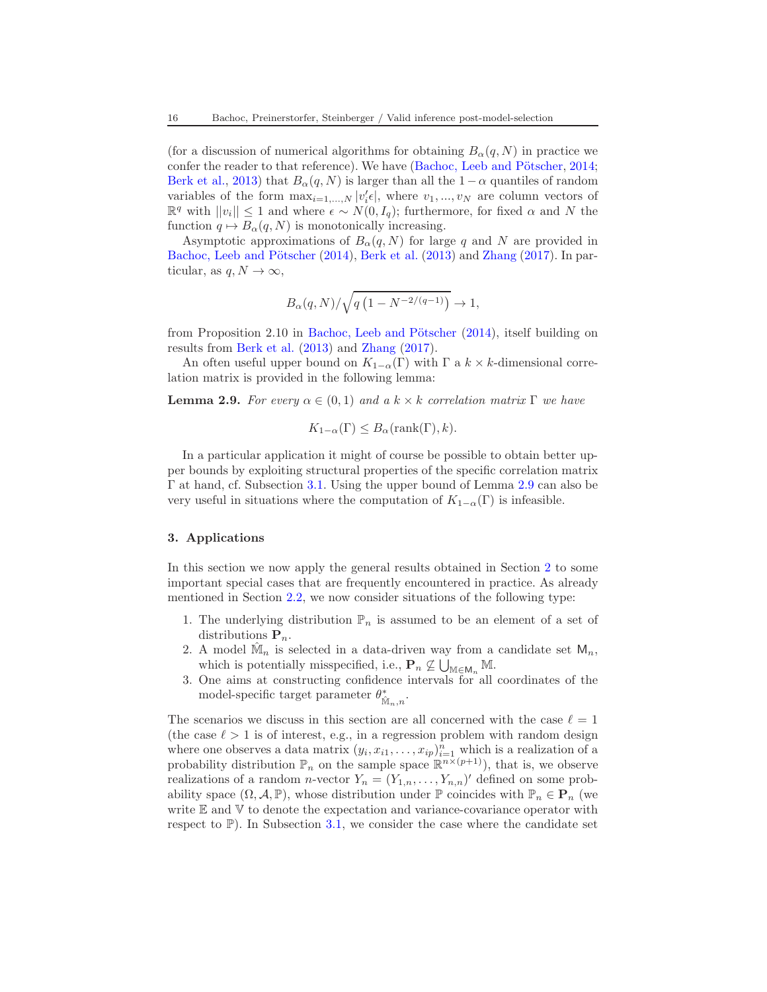(for a discussion of numerical algorithms for obtaining  $B_{\alpha}(q, N)$ ) in practice we confer the reader to that reference). We have (Bachoc, Leeb and Pötscher, [2014;](#page-67-2) [Berk et al.,](#page-67-0) [2013\)](#page-67-0) that  $B_{\alpha}(q, N)$  is larger than all the 1 –  $\alpha$  quantiles of random variables of the form  $\max_{i=1,\dots,N} |v'_i \epsilon|$ , where  $v_1, \dots, v_N$  are column vectors of  $\mathbb{R}^q$  with  $||v_i||$  ≤ 1 and where  $\epsilon \sim N(0, I_q)$ ; furthermore, for fixed α and N the function  $q \mapsto B_\alpha(q, N)$  is monotonically increasing.

Asymptotic approximations of  $B_{\alpha}(q, N)$  for large q and N are provided in Bachoc, Leeb and Pötscher [\(2014\)](#page-67-2), [Berk et al.](#page-67-0) [\(2013](#page-67-0)) and [Zhang](#page-69-2) [\(2017\)](#page-69-2). In particular, as  $q, N \to \infty$ ,

$$
B_{\alpha}(q,N)/\sqrt{q\left(1-N^{-2/(q-1)}\right)} \to 1,
$$

from Proposition 2.10 in Bachoc, Leeb and Pötscher  $(2014)$  $(2014)$ , itself building on results from [Berk et al.](#page-67-0) [\(2013](#page-67-0)) and [Zhang](#page-69-2) [\(2017](#page-69-2)).

An often useful upper bound on  $K_{1-\alpha}(\Gamma)$  with  $\Gamma$  a  $k \times k$ -dimensional correlation matrix is provided in the following lemma:

<span id="page-15-1"></span>**Lemma 2.9.** For every  $\alpha \in (0,1)$  and a  $k \times k$  correlation matrix  $\Gamma$  we have

$$
K_{1-\alpha}(\Gamma) \leq B_{\alpha}(\text{rank}(\Gamma), k).
$$

In a particular application it might of course be possible to obtain better upper bounds by exploiting structural properties of the specific correlation matrix Γ at hand, cf. Subsection [3.1.](#page-16-0) Using the upper bound of Lemma [2.9](#page-15-1) can also be very useful in situations where the computation of  $K_{1-\alpha}(\Gamma)$  is infeasible.

#### <span id="page-15-0"></span>3. Applications

In this section we now apply the general results obtained in Section [2](#page-4-0) to some important special cases that are frequently encountered in practice. As already mentioned in Section [2.2,](#page-5-0) we now consider situations of the following type:

- 1. The underlying distribution  $\mathbb{P}_n$  is assumed to be an element of a set of distributions  $P_n$ .
- 2. A model  $\hat{M}_n$  is selected in a data-driven way from a candidate set  $M_n$ , which is potentially misspecified, i.e.,  $\mathbf{P}_n \not\subseteq \bigcup_{\mathbb{M} \in \mathsf{M}_n} \mathbb{M}$ .
- 3. One aims at constructing confidence intervals for all coordinates of the model-specific target parameter  $\theta_{\hat{M}_n,n}^*$ .

The scenarios we discuss in this section are all concerned with the case  $\ell = 1$ (the case  $\ell > 1$  is of interest, e.g., in a regression problem with random design where one observes a data matrix  $(y_i, x_{i1}, \ldots, x_{ip})_{i=1}^n$  which is a realization of a probability distribution  $\mathbb{P}_n$  on the sample space  $\mathbb{R}^{n \times (p+1)}$ , that is, we observe realizations of a random *n*-vector  $Y_n = (Y_{1,n}, \ldots, Y_{n,n})'$  defined on some probability space  $(\Omega, \mathcal{A}, \mathbb{P})$ , whose distribution under  $\mathbb{P}$  coincides with  $\mathbb{P}_n \in \mathbf{P}_n$  (we write  $E$  and  $V$  to denote the expectation and variance-covariance operator with respect to  $\mathbb{P}$ ). In Subsection [3.1,](#page-16-0) we consider the case where the candidate set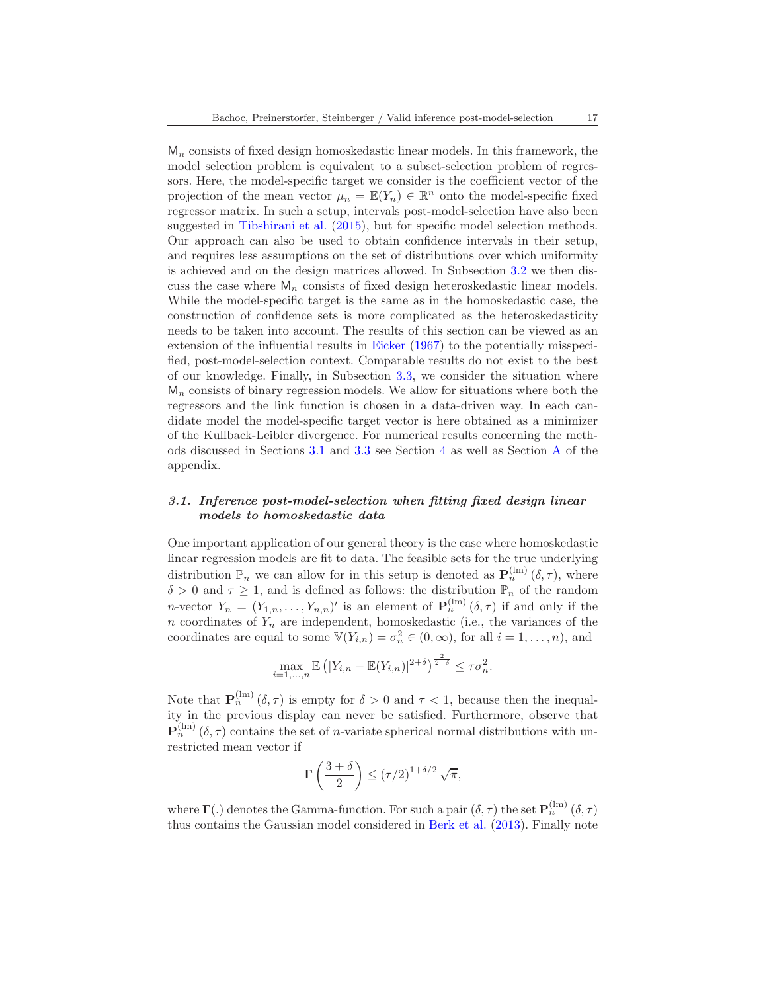$M_n$  consists of fixed design homoskedastic linear models. In this framework, the model selection problem is equivalent to a subset-selection problem of regressors. Here, the model-specific target we consider is the coefficient vector of the projection of the mean vector  $\mu_n = \mathbb{E}(Y_n) \in \mathbb{R}^n$  onto the model-specific fixed regressor matrix. In such a setup, intervals post-model-selection have also been suggested in [Tibshirani et al.](#page-68-6) [\(2015\)](#page-68-6), but for specific model selection methods. Our approach can also be used to obtain confidence intervals in their setup, and requires less assumptions on the set of distributions over which uniformity is achieved and on the design matrices allowed. In Subsection [3.2](#page-21-0) we then discuss the case where  $M_n$  consists of fixed design heteroskedastic linear models. While the model-specific target is the same as in the homoskedastic case, the construction of confidence sets is more complicated as the heteroskedasticity needs to be taken into account. The results of this section can be viewed as an extension of the influential results in [Eicker](#page-67-3) [\(1967](#page-67-3)) to the potentially misspecified, post-model-selection context. Comparable results do not exist to the best of our knowledge. Finally, in Subsection [3.3,](#page-23-0) we consider the situation where  $M_n$  consists of binary regression models. We allow for situations where both the regressors and the link function is chosen in a data-driven way. In each candidate model the model-specific target vector is here obtained as a minimizer of the Kullback-Leibler divergence. For numerical results concerning the methods discussed in Sections [3.1](#page-16-0) and [3.3](#page-23-0) see Section [4](#page-27-0) as well as Section [A](#page-31-0) of the appendix.

# <span id="page-16-0"></span>3.1. Inference post-model-selection when fitting fixed design linear models to homoskedastic data

One important application of our general theory is the case where homoskedastic linear regression models are fit to data. The feasible sets for the true underlying distribution  $\mathbb{P}_n$  we can allow for in this setup is denoted as  $\mathbf{P}_n^{(\text{lm})}(\delta,\tau)$ , where  $\delta > 0$  and  $\tau \geq 1$ , and is defined as follows: the distribution  $\mathbb{P}_n$  of the random *n*-vector  $Y_n = (Y_{1,n},...,Y_{n,n})'$  is an element of  $\mathbf{P}_n^{(\text{lm})}(\delta,\tau)$  if and only if the n coordinates of  $Y_n$  are independent, homoskedastic (i.e., the variances of the coordinates are equal to some  $\mathbb{V}(Y_{i,n}) = \sigma_n^2 \in (0,\infty)$ , for all  $i = 1,\ldots,n$ , and

$$
\max_{i=1,\ldots,n} \mathbb{E}\left( |Y_{i,n} - \mathbb{E}(Y_{i,n})|^{2+\delta}\right)^{\frac{2}{2+\delta}} \leq \tau \sigma_n^2.
$$

Note that  $\mathbf{P}_n^{(\text{lm})}(\delta, \tau)$  is empty for  $\delta > 0$  and  $\tau < 1$ , because then the inequality in the previous display can never be satisfied. Furthermore, observe that  $\mathbf{P}_n^{(\text{lm})}(\delta, \tau)$  contains the set of *n*-variate spherical normal distributions with unrestricted mean vector if

$$
\Gamma\left(\frac{3+\delta}{2}\right) \le \left(\tau/2\right)^{1+\delta/2} \sqrt{\pi},
$$

where  $\Gamma(.)$  denotes the Gamma-function. For such a pair  $(\delta, \tau)$  the set  $\mathbf{P}_n^{(\text{lm})}(\delta, \tau)$ thus contains the Gaussian model considered in [Berk et al.](#page-67-0) [\(2013\)](#page-67-0). Finally note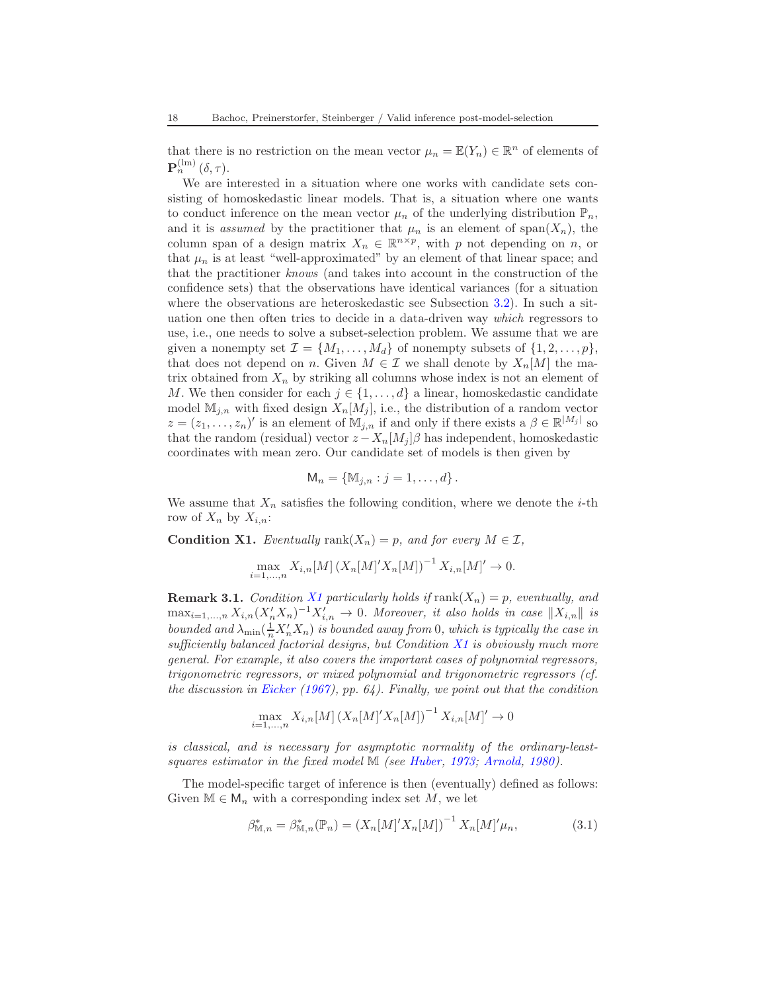that there is no restriction on the mean vector  $\mu_n = \mathbb{E}(Y_n) \in \mathbb{R}^n$  of elements of  $\mathbf{P}_n^{\text{(lm)}}\left( \delta,\tau \right)$ .

We are interested in a situation where one works with candidate sets consisting of homoskedastic linear models. That is, a situation where one wants to conduct inference on the mean vector  $\mu_n$  of the underlying distribution  $\mathbb{P}_n$ , and it is *assumed* by the practitioner that  $\mu_n$  is an element of span $(X_n)$ , the column span of a design matrix  $X_n \in \mathbb{R}^{n \times p}$ , with p not depending on n, or that  $\mu_n$  is at least "well-approximated" by an element of that linear space; and that the practitioner knows (and takes into account in the construction of the confidence sets) that the observations have identical variances (for a situation where the observations are heteroskedastic see Subsection [3.2\)](#page-21-0). In such a situation one then often tries to decide in a data-driven way which regressors to use, i.e., one needs to solve a subset-selection problem. We assume that we are given a nonempty set  $\mathcal{I} = \{M_1, \ldots, M_d\}$  of nonempty subsets of  $\{1, 2, \ldots, p\}$ , that does not depend on n. Given  $M \in \mathcal{I}$  we shall denote by  $X_n[M]$  the matrix obtained from  $X_n$  by striking all columns whose index is not an element of M. We then consider for each  $j \in \{1, \ldots, d\}$  a linear, homoskedastic candidate model  $\mathbb{M}_{i,n}$  with fixed design  $X_n[M_i]$ , i.e., the distribution of a random vector  $z = (z_1, \ldots, z_n)'$  is an element of  $\mathbb{M}_{j,n}$  if and only if there exists a  $\beta \in \mathbb{R}^{|M_j|}$  so that the random (residual) vector  $z - X_n[M_i]\beta$  has independent, homoskedastic coordinates with mean zero. Our candidate set of models is then given by

$$
\mathsf{M}_n = \{ \mathbb{M}_{j,n} : j = 1, \ldots, d \}.
$$

We assume that  $X_n$  satisfies the following condition, where we denote the *i*-th row of  $X_n$  by  $X_{i,n}$ :

<span id="page-17-0"></span>**Condition X1.** Eventually rank $(X_n) = p$ , and for every  $M \in \mathcal{I}$ ,

$$
\max_{i=1,...,n} X_{i,n}[M] (X_n[M]' X_n[M])^{-1} X_{i,n}[M]' \to 0.
$$

**Remark 3.1.** Condition [X1](#page-17-0) particularly holds if  $\text{rank}(X_n) = p$ , eventually, and  $\max_{i=1,\ldots,n} X_{i,n} (X_n' X_n)^{-1} X_{i,n}' \to 0$ . Moreover, it also holds in case  $||X_{i,n}||$  is bounded and  $\lambda_{\min}(\frac{1}{n}X'_nX_n)$  is bounded away from 0, which is typically the case in sufficiently balanced factorial designs, but Condition [X1](#page-17-0) is obviously much more general. For example, it also covers the important cases of polynomial regressors, trigonometric regressors, or mixed polynomial and trigonometric regressors (cf. the discussion in [Eicker](#page-67-3) [\(1967](#page-67-3)), pp. 64). Finally, we point out that the condition

$$
\max_{i=1,\dots,n} X_{i,n}[M] (X_n[M]' X_n[M])^{-1} X_{i,n}[M]' \to 0
$$

is classical, and is necessary for asymptotic normality of the ordinary-least-squares estimator in the fixed model M (see [Huber](#page-67-10), [1973](#page-67-10); [Arnold,](#page-67-11) [1980](#page-67-11)).

The model-specific target of inference is then (eventually) defined as follows: Given  $\mathbb{M} \in \mathsf{M}_n$  with a corresponding index set M, we let

<span id="page-17-1"></span>
$$
\beta_{\mathbb{M},n}^* = \beta_{\mathbb{M},n}^*(\mathbb{P}_n) = (X_n[M]'X_n[M])^{-1} X_n[M]'\mu_n,\tag{3.1}
$$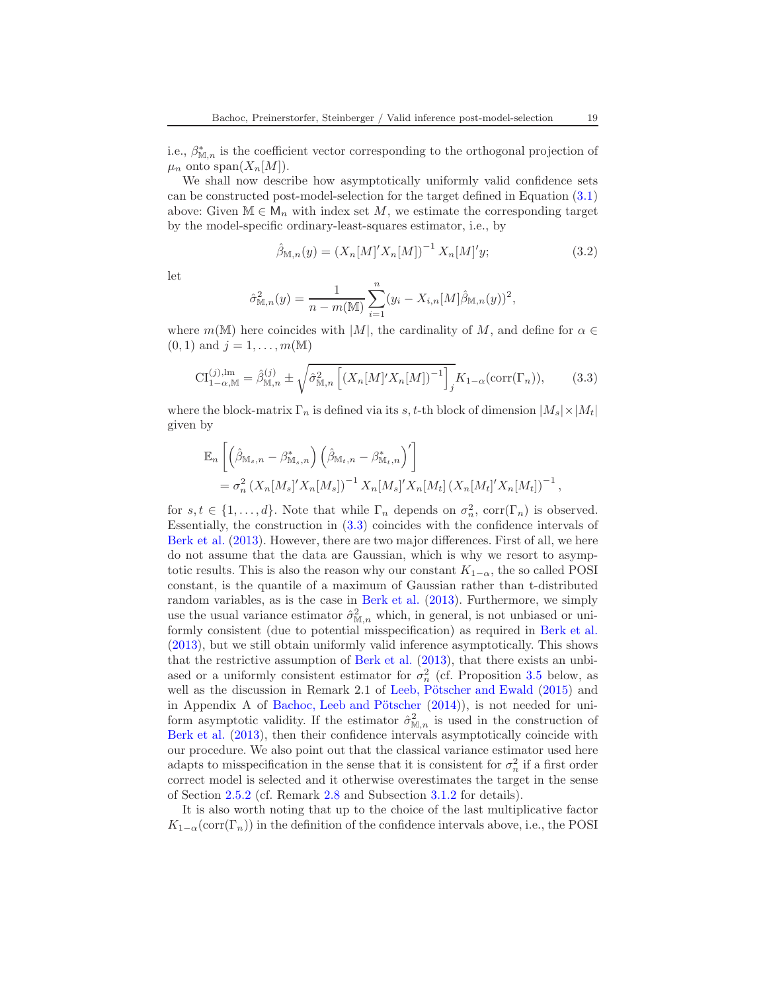i.e.,  $\beta_{\mathbb{M},n}^*$  is the coefficient vector corresponding to the orthogonal projection of  $\mu_n$  onto span $(X_n[M])$ .

We shall now describe how asymptotically uniformly valid confidence sets can be constructed post-model-selection for the target defined in Equation [\(3.1\)](#page-17-1) above: Given  $\mathbb{M} \in \mathsf{M}_n$  with index set M, we estimate the corresponding target by the model-specific ordinary-least-squares estimator, i.e., by

<span id="page-18-1"></span>
$$
\hat{\beta}_{\mathbb{M},n}(y) = (X_n[M]'X_n[M])^{-1} X_n[M]'y; \qquad (3.2)
$$

let

$$
\hat{\sigma}_{\mathbb{M},n}^2(y) = \frac{1}{n - m(\mathbb{M})} \sum_{i=1}^n (y_i - X_{i,n}[M]\hat{\beta}_{\mathbb{M},n}(y))^2,
$$

where  $m(\mathbb{M})$  here coincides with |M|, the cardinality of M, and define for  $\alpha \in$  $(0, 1)$  and  $j = 1, ..., m(M)$ 

<span id="page-18-0"></span>
$$
\mathrm{CI}_{1-\alpha,\mathbb{M}}^{(j),\mathrm{lm}} = \hat{\beta}_{\mathbb{M},n}^{(j)} \pm \sqrt{\hat{\sigma}_{\mathbb{M},n}^2 \left[ \left( X_n [M]' X_n [M] \right)^{-1} \right]_j} K_{1-\alpha}(\mathrm{corr}(\Gamma_n)),\tag{3.3}
$$

where the block-matrix  $\Gamma_n$  is defined via its s, t-th block of dimension  $|M_s| \times |M_t|$ given by

$$
\mathbb{E}_{n} \left[ \left( \hat{\beta}_{\mathbb{M}_{s},n} - \beta_{\mathbb{M}_{s},n}^{*} \right) \left( \hat{\beta}_{\mathbb{M}_{t},n} - \beta_{\mathbb{M}_{t},n}^{*} \right)' \right] \n= \sigma_{n}^{2} \left( X_{n} [M_{s}]' X_{n} [M_{s}] \right)^{-1} X_{n} [M_{s}]' X_{n} [M_{t}] \left( X_{n} [M_{t}]' X_{n} [M_{t}] \right)^{-1},
$$

for  $s, t \in \{1, ..., d\}$ . Note that while  $\Gamma_n$  depends on  $\sigma_n^2$ ,  $\text{corr}(\Gamma_n)$  is observed. Essentially, the construction in [\(3.3\)](#page-18-0) coincides with the confidence intervals of [Berk et al.](#page-67-0) [\(2013](#page-67-0)). However, there are two major differences. First of all, we here do not assume that the data are Gaussian, which is why we resort to asymptotic results. This is also the reason why our constant  $K_{1-\alpha}$ , the so called POSI constant, is the quantile of a maximum of Gaussian rather than t-distributed random variables, as is the case in [Berk et al.](#page-67-0) [\(2013\)](#page-67-0). Furthermore, we simply use the usual variance estimator  $\hat{\sigma}^2_{\mathbb{M},n}$  which, in general, is not unbiased or uniformly consistent (due to potential misspecification) as required in [Berk et al.](#page-67-0) [\(2013\)](#page-67-0), but we still obtain uniformly valid inference asymptotically. This shows that the restrictive assumption of [Berk et al.](#page-67-0) [\(2013\)](#page-67-0), that there exists an unbiased or a uniformly consistent estimator for  $\sigma_n^2$  (cf. Proposition [3.5](#page-21-1) below, as well as the discussion in Remark 2.1 of Leeb, Pötscher and Ewald  $(2015)$  and in Appendix A of Bachoc, Leeb and Pötscher  $(2014)$ ), is not needed for uniform asymptotic validity. If the estimator  $\hat{\sigma}_{\mathbb{M},n}^2$  is used in the construction of [Berk et al.](#page-67-0) [\(2013](#page-67-0)), then their confidence intervals asymptotically coincide with our procedure. We also point out that the classical variance estimator used here adapts to misspecification in the sense that it is consistent for  $\sigma_n^2$  if a first order correct model is selected and it otherwise overestimates the target in the sense of Section [2.5.2](#page-12-4) (cf. Remark [2.8](#page-14-0) and Subsection [3.1.2](#page-20-0) for details).

It is also worth noting that up to the choice of the last multiplicative factor  $K_{1-\alpha}(\text{corr}(\Gamma_n))$  in the definition of the confidence intervals above, i.e., the POSI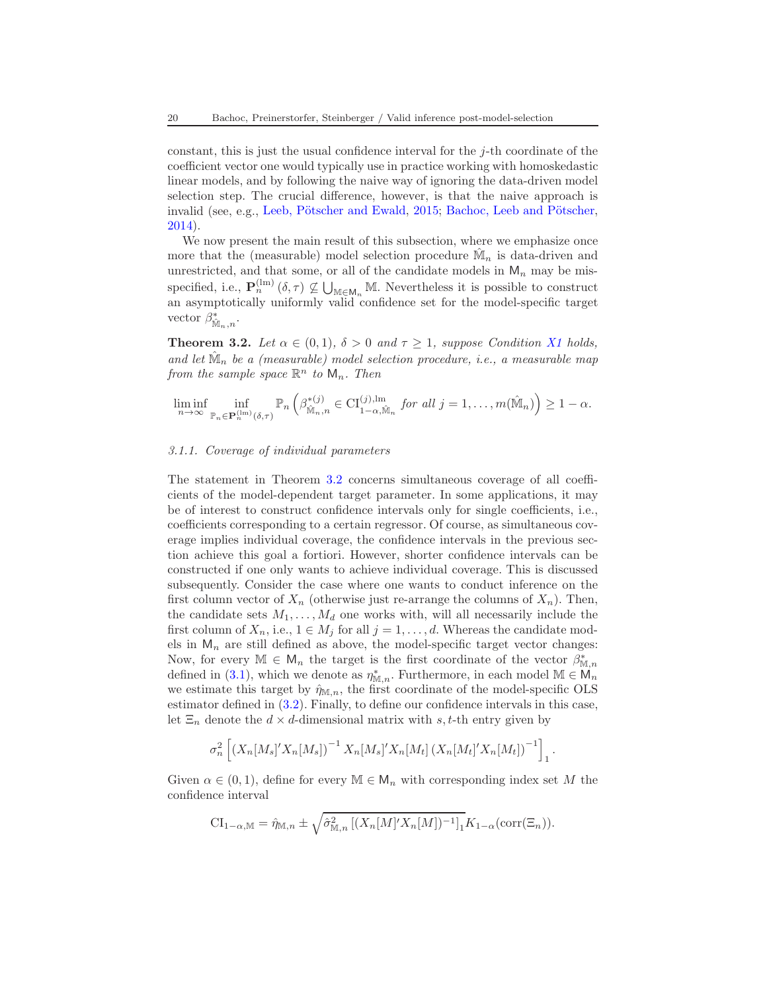constant, this is just the usual confidence interval for the j-th coordinate of the coefficient vector one would typically use in practice working with homoskedastic linear models, and by following the naive way of ignoring the data-driven model selection step. The crucial difference, however, is that the naive approach is invalid (see, e.g., Leeb, Pötscher and Ewald, [2015](#page-68-4); Bachoc, Leeb and Pötscher, [2014\)](#page-67-2).

We now present the main result of this subsection, where we emphasize once more that the (measurable) model selection procedure  $\hat{M}_n$  is data-driven and unrestricted, and that some, or all of the candidate models in  $M_n$  may be misspecified, i.e.,  $\mathbf{P}_n^{(\text{lm})}(\delta,\tau) \nsubseteq \bigcup_{\mathbb{M} \in \mathsf{M}_n} \mathbb{M}$ . Nevertheless it is possible to construct an asymptotically uniformly valid confidence set for the model-specific target vector  $\beta_{\hat{\mathbb{M}}_n,n}^*$ .

<span id="page-19-0"></span>**Theorem 3.2.** Let  $\alpha \in (0,1)$ ,  $\delta > 0$  and  $\tau \geq 1$ , suppose Condition [X1](#page-17-0) holds, and let  $\hat{\mathbb{M}}_n$  be a (measurable) model selection procedure, i.e., a measurable map from the sample space  $\mathbb{R}^n$  to  $\mathsf{M}_n$ . Then

$$
\liminf_{n\to\infty}\inf_{\mathbb{P}_n\in\mathbf{P}_n^{(\text{lm})}(\delta,\tau)}\mathbb{P}_n\left(\beta_{\hat{\mathbb{M}}_n,n}^{*(j)}\in\mathrm{CI}_{1-\alpha,\hat{\mathbb{M}}_n}^{(j),\text{lm}} \text{ for all } j=1,\ldots,m(\hat{\mathbb{M}}_n)\right)\geq 1-\alpha.
$$

### 3.1.1. Coverage of individual parameters

The statement in Theorem [3.2](#page-19-0) concerns simultaneous coverage of all coefficients of the model-dependent target parameter. In some applications, it may be of interest to construct confidence intervals only for single coefficients, i.e., coefficients corresponding to a certain regressor. Of course, as simultaneous coverage implies individual coverage, the confidence intervals in the previous section achieve this goal a fortiori. However, shorter confidence intervals can be constructed if one only wants to achieve individual coverage. This is discussed subsequently. Consider the case where one wants to conduct inference on the first column vector of  $X_n$  (otherwise just re-arrange the columns of  $X_n$ ). Then, the candidate sets  $M_1, \ldots, M_d$  one works with, will all necessarily include the first column of  $X_n$ , i.e.,  $1 \in M_j$  for all  $j = 1, \ldots, d$ . Whereas the candidate models in  $M_n$  are still defined as above, the model-specific target vector changes: Now, for every  $\mathbb{M} \in \mathsf{M}_n$  the target is the first coordinate of the vector  $\beta^*_{\mathbb{M},n}$ defined in [\(3.1\)](#page-17-1), which we denote as  $\eta_{\mathbb{M},n}^*$ . Furthermore, in each model  $\mathbb{M} \in \mathcal{M}_n$ we estimate this target by  $\hat{\eta}_{M,n}$ , the first coordinate of the model-specific OLS estimator defined in [\(3.2\)](#page-18-1). Finally, to define our confidence intervals in this case, let  $\Xi_n$  denote the  $d \times d$ -dimensional matrix with s, t-th entry given by

$$
\sigma_n^2 \left[ (X_n[M_s]' X_n[M_s])^{-1} X_n[M_s]' X_n[M_t] (X_n[M_t]' X_n[M_t])^{-1} \right]_1.
$$

Given  $\alpha \in (0,1)$ , define for every  $\mathbb{M} \in \mathsf{M}_n$  with corresponding index set M the confidence interval

$$
\mathrm{CI}_{1-\alpha,\mathbb{M}} = \hat{\eta}_{\mathbb{M},n} \pm \sqrt{\hat{\sigma}_{\mathbb{M},n}^2 \left[ (X_n[M]'X_n[M])^{-1} \right]_1} K_{1-\alpha}(\mathrm{corr}(\Xi_n)).
$$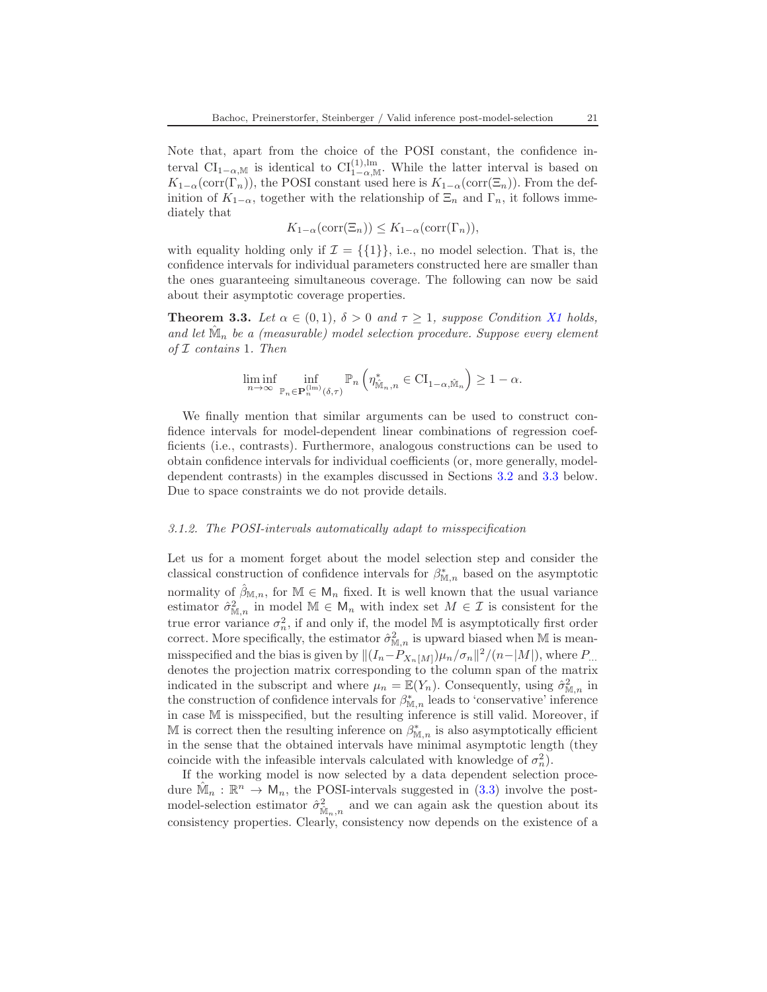Note that, apart from the choice of the POSI constant, the confidence interval CI<sub>1−α,M</sub> is identical to CI<sub>1−α,M</sub>. While the latter interval is based on  $K_{1-\alpha}(\text{corr}(\Gamma_n))$ , the POSI constant used here is  $K_{1-\alpha}(\text{corr}(\Xi_n))$ . From the definition of  $K_{1-\alpha}$ , together with the relationship of  $\Xi_n$  and  $\Gamma_n$ , it follows immediately that

$$
K_{1-\alpha}(\operatorname{corr}(\Xi_n)) \leq K_{1-\alpha}(\operatorname{corr}(\Gamma_n)),
$$

with equality holding only if  $\mathcal{I} = \{\{1\}\}\$ , i.e., no model selection. That is, the confidence intervals for individual parameters constructed here are smaller than the ones guaranteeing simultaneous coverage. The following can now be said about their asymptotic coverage properties.

<span id="page-20-1"></span>**Theorem 3.3.** Let  $\alpha \in (0,1)$ ,  $\delta > 0$  and  $\tau \geq 1$ , suppose Condition [X1](#page-17-0) holds, and let  $\hat{M}_n$  be a (measurable) model selection procedure. Suppose every element of  $I$  contains 1. Then

$$
\liminf_{n\to\infty}\inf_{\mathbb{P}_n\in\mathbf{P}_n^{(\mathrm{Im})}(\delta,\tau)}\mathbb{P}_n\left(\eta^*_{\hat{\mathbb{M}}_n,n}\in\mathrm{CI}_{1-\alpha,\hat{\mathbb{M}}_n}\right)\geq 1-\alpha.
$$

We finally mention that similar arguments can be used to construct confidence intervals for model-dependent linear combinations of regression coefficients (i.e., contrasts). Furthermore, analogous constructions can be used to obtain confidence intervals for individual coefficients (or, more generally, modeldependent contrasts) in the examples discussed in Sections [3.2](#page-21-0) and [3.3](#page-23-0) below. Due to space constraints we do not provide details.

### <span id="page-20-0"></span>3.1.2. The POSI-intervals automatically adapt to misspecification

Let us for a moment forget about the model selection step and consider the classical construction of confidence intervals for  $\beta_{\mathbb{M},n}^*$  based on the asymptotic normality of  $\hat{\beta}_{\mathbb{M},n}$ , for  $\mathbb{M} \in \mathsf{M}_n$  fixed. It is well known that the usual variance estimator  $\hat{\sigma}_{\mathbb{M},n}^2$  in model  $\mathbb{M} \in \mathbb{M}_n$  with index set  $M \in \mathcal{I}$  is consistent for the true error variance  $\sigma_n^2$ , if and only if, the model M is asymptotically first order correct. More specifically, the estimator  $\hat{\sigma}_{\mathbb{M},n}^2$  is upward biased when M is meanmisspecified and the bias is given by  $||(I_n-P_{X_n[M]})\mu_n/\sigma_n||^2/(n-|M|)$ , where  $P_{\dots}$ denotes the projection matrix corresponding to the column span of the matrix indicated in the subscript and where  $\mu_n = \mathbb{E}(Y_n)$ . Consequently, using  $\hat{\sigma}_{\mathbb{M},n}^2$  in the construction of confidence intervals for  $\beta_{\mathbb{M},n}^*$  leads to 'conservative' inference in case M is misspecified, but the resulting inference is still valid. Moreover, if M is correct then the resulting inference on  $\beta_{\mathbb{M},n}^*$  is also asymptotically efficient in the sense that the obtained intervals have minimal asymptotic length (they coincide with the infeasible intervals calculated with knowledge of  $\sigma_n^2$ ).

If the working model is now selected by a data dependent selection procedure  $\hat{\mathbb{M}}_n : \mathbb{R}^n \to \mathsf{M}_n$ , the POSI-intervals suggested in [\(3.3\)](#page-18-0) involve the postmodel-selection estimator  $\hat{\sigma}^2_{\hat{\mathbb{M}}_n,n}$  and we can again ask the question about its consistency properties. Clearly, consistency now depends on the existence of a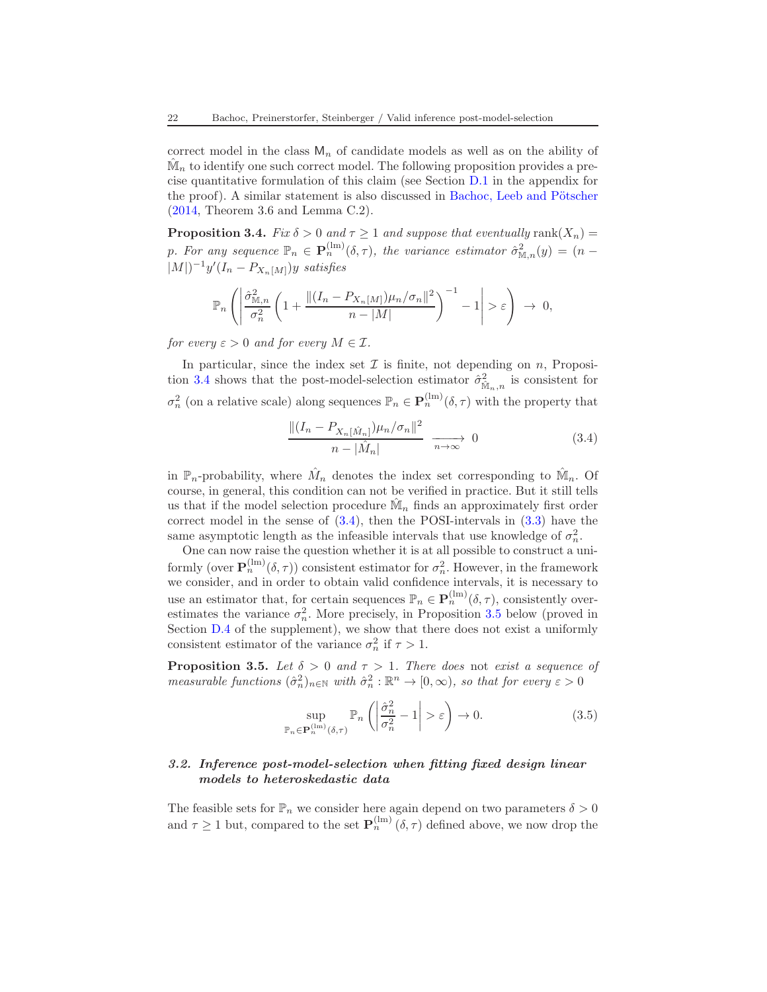correct model in the class  $M_n$  of candidate models as well as on the ability of  $\hat{\mathbb{M}}_n$  to identify one such correct model. The following proposition provides a precise quantitative formulation of this claim (see Section [D.1](#page-50-1) in the appendix for the proof). A similar statement is also discussed in Bachoc, Leeb and Pötscher [\(2014,](#page-67-2) Theorem 3.6 and Lemma C.2).

<span id="page-21-2"></span>**Proposition 3.4.** Fix  $\delta > 0$  and  $\tau \geq 1$  and suppose that eventually rank $(X_n)$ p. For any sequence  $\mathbb{P}_n \in \mathbf{P}_n^{(\text{lm})}(\delta, \tau)$ , the variance estimator  $\hat{\sigma}_{\mathbb{M},n}^2(y) = (n - \tau)^2$  $|M|$  $-1$ y' $(I_n - P_{X_n[M]})y$  satisfies

$$
\mathbb{P}_n\left(\left|\frac{\hat{\sigma}_{\mathbb{M},n}^2}{\sigma_n^2}\left(1+\frac{\|(I_n-P_{X_n[M]})\mu_n/\sigma_n\|^2}{n-|M|}\right)^{-1}-1\right|>\varepsilon\right) \to 0,
$$

for every  $\varepsilon > 0$  and for every  $M \in \mathcal{I}$ .

In particular, since the index set  $\mathcal I$  is finite, not depending on  $n$ , Proposi-tion [3.4](#page-21-2) shows that the post-model-selection estimator  $\hat{\sigma}^2_{\hat{\mathbb{M}}_n,n}$  is consistent for  $\sigma_n^2$  (on a relative scale) along sequences  $\mathbb{P}_n \in \mathbf{P}_n^{(\text{lm})}(\delta, \tau)$  with the property that

<span id="page-21-3"></span>
$$
\frac{\|(I_n - P_{X_n[\hat{M}_n]})\mu_n/\sigma_n\|^2}{n - |\hat{M}_n|} \xrightarrow[n \to \infty]{} 0 \tag{3.4}
$$

in  $\mathbb{P}_n$ -probability, where  $\hat{M}_n$  denotes the index set corresponding to  $\hat{M}_n$ . Of course, in general, this condition can not be verified in practice. But it still tells us that if the model selection procedure  $\hat{\mathbb{M}}_n$  finds an approximately first order correct model in the sense of [\(3.4\)](#page-21-3), then the POSI-intervals in [\(3.3\)](#page-18-0) have the same asymptotic length as the infeasible intervals that use knowledge of  $\sigma_n^2$ .

One can now raise the question whether it is at all possible to construct a uniformly (over  $\mathbf{P}_n^{(lm)}(\delta, \tau)$ ) consistent estimator for  $\sigma_n^2$ . However, in the framework we consider, and in order to obtain valid confidence intervals, it is necessary to use an estimator that, for certain sequences  $\mathbb{P}_n \in \mathbf{P}_n^{(\text{lm})}(\delta, \tau)$ , consistently overestimates the variance  $\sigma_n^2$ . More precisely, in Proposition [3.5](#page-21-1) below (proved in Section  $D.4$  of the supplement), we show that there does not exist a uniformly consistent estimator of the variance  $\sigma_n^2$  if  $\tau > 1$ .

<span id="page-21-1"></span>**Proposition 3.5.** Let  $\delta > 0$  and  $\tau > 1$ . There does not exist a sequence of measurable functions  $(\hat{\sigma}_n^2)_{n \in \mathbb{N}}$  with  $\hat{\sigma}_n^2 : \mathbb{R}^n \to [0, \infty)$ , so that for every  $\varepsilon > 0$ 

<span id="page-21-4"></span>
$$
\sup_{\mathbb{P}_n \in \mathbf{P}_n^{(1m)}(\delta,\tau)} \mathbb{P}_n \left( \left| \frac{\hat{\sigma}_n^2}{\sigma_n^2} - 1 \right| > \varepsilon \right) \to 0. \tag{3.5}
$$

## <span id="page-21-0"></span>3.2. Inference post-model-selection when fitting fixed design linear models to heteroskedastic data

The feasible sets for  $\mathbb{P}_n$  we consider here again depend on two parameters  $\delta > 0$ and  $\tau \geq 1$  but, compared to the set  $\mathbf{P}_n^{(\text{lm})}(\delta, \tau)$  defined above, we now drop the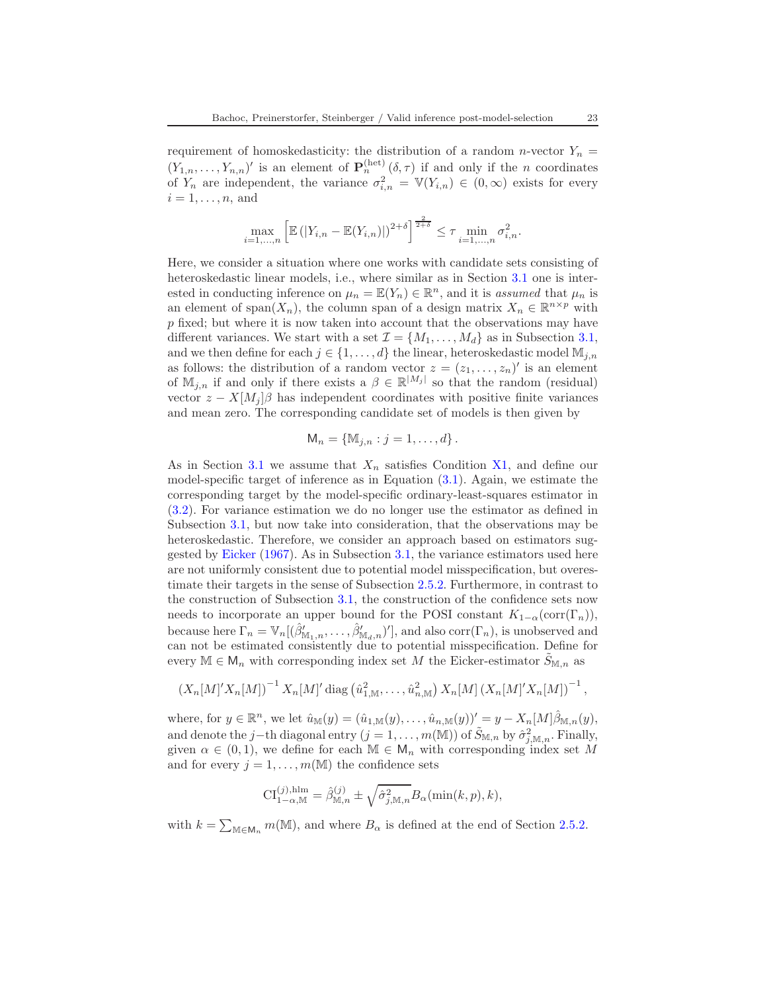requirement of homoskedasticity: the distribution of a random n-vector  $Y_n$  =  $(Y_{1,n},\ldots,Y_{n,n})'$  is an element of  $\mathbf{P}_n^{(\text{het})}(\delta,\tau)$  if and only if the *n* coordinates of  $Y_n$  are independent, the variance  $\sigma_{i,n}^2 = \mathbb{V}(Y_{i,n}) \in (0,\infty)$  exists for every  $i = 1, \ldots, n$ , and

$$
\max_{i=1,\ldots,n} \left[ \mathbb{E} \left( |Y_{i,n} - \mathbb{E}(Y_{i,n})| \right)^{2+\delta} \right]^{\frac{2}{2+\delta}} \leq \tau \min_{i=1,\ldots,n} \sigma_{i,n}^2.
$$

Here, we consider a situation where one works with candidate sets consisting of heteroskedastic linear models, i.e., where similar as in Section [3.1](#page-16-0) one is interested in conducting inference on  $\mu_n = \mathbb{E}(Y_n) \in \mathbb{R}^n$ , and it is assumed that  $\mu_n$  is an element of span $(X_n)$ , the column span of a design matrix  $X_n \in \mathbb{R}^{n \times p}$  with p fixed; but where it is now taken into account that the observations may have different variances. We start with a set  $\mathcal{I} = \{M_1, \ldots, M_d\}$  as in Subsection [3.1,](#page-16-0) and we then define for each  $j \in \{1, ..., d\}$  the linear, heteroskedastic model  $\mathbb{M}_{j,n}$ as follows: the distribution of a random vector  $z = (z_1, \ldots, z_n)'$  is an element of  $\mathbb{M}_{j,n}$  if and only if there exists a  $\beta \in \mathbb{R}^{|M_j|}$  so that the random (residual) vector  $z - X[M_j]\beta$  has independent coordinates with positive finite variances and mean zero. The corresponding candidate set of models is then given by

$$
\mathsf{M}_n = \{ \mathbb{M}_{j,n} : j = 1, \ldots, d \}.
$$

As in Section [3.1](#page-16-0) we assume that  $X_n$  satisfies Condition [X1,](#page-17-0) and define our model-specific target of inference as in Equation [\(3.1\)](#page-17-1). Again, we estimate the corresponding target by the model-specific ordinary-least-squares estimator in [\(3.2\)](#page-18-1). For variance estimation we do no longer use the estimator as defined in Subsection [3.1,](#page-16-0) but now take into consideration, that the observations may be heteroskedastic. Therefore, we consider an approach based on estimators suggested by [Eicker](#page-67-3) [\(1967\)](#page-67-3). As in Subsection [3.1,](#page-16-0) the variance estimators used here are not uniformly consistent due to potential model misspecification, but overestimate their targets in the sense of Subsection [2.5.2.](#page-12-4) Furthermore, in contrast to the construction of Subsection [3.1,](#page-16-0) the construction of the confidence sets now needs to incorporate an upper bound for the POSI constant  $K_{1-\alpha}(\text{corr}(\Gamma_n)),$ because here  $\Gamma_n = \mathbb{V}_n[(\hat{\beta}'_{\mathbb{M}_1,n},\ldots,\hat{\beta}'_{\mathbb{M}_d,n})']$ , and also  $\text{corr}(\Gamma_n)$ , is unobserved and can not be estimated consistently due to potential misspecification. Define for every  $\mathbb{M} \in \mathsf{M}_n$  with corresponding index set M the Eicker-estimator  $S_{\mathbb{M},n}$  as

$$
(X_n[M]'X_n[M])^{-1} X_n[M]'
$$
diag  $(\hat{u}_{1,\mathbb{M}}^2,\ldots,\hat{u}_{n,\mathbb{M}}^2) X_n[M] (X_n[M]'X_n[M])^{-1}$ ,

where, for  $y \in \mathbb{R}^n$ , we let  $\hat{u}_{\mathbb{M}}(y) = (\hat{u}_{1,\mathbb{M}}(y), \dots, \hat{u}_{n,\mathbb{M}}(y))' = y - X_n[M]\hat{\beta}_{\mathbb{M},n}(y)$ , and denote the j−th diagonal entry  $(j = 1, ..., m(\mathbb{M}))$  of  $\tilde{S}_{\mathbb{M},n}$  by  $\hat{\sigma}_{j,\mathbb{M},n}^2$ . Finally, given  $\alpha \in (0,1)$ , we define for each  $\mathbb{M} \in \mathsf{M}_n$  with corresponding index set M and for every  $j = 1, \ldots, m(M)$  the confidence sets

$$
\mathrm{CI}_{1-\alpha,\mathbb{M}}^{(j),\mathrm{hlm}} = \hat{\beta}_{\mathbb{M},n}^{(j)} \pm \sqrt{\hat{\sigma}_{j,\mathbb{M},n}^2} B_{\alpha}(\min(k,p),k),
$$

with  $k = \sum_{\mathbb{M} \in \mathsf{M}_n} m(\mathbb{M})$ , and where  $B_\alpha$  is defined at the end of Section [2.5.2.](#page-12-4)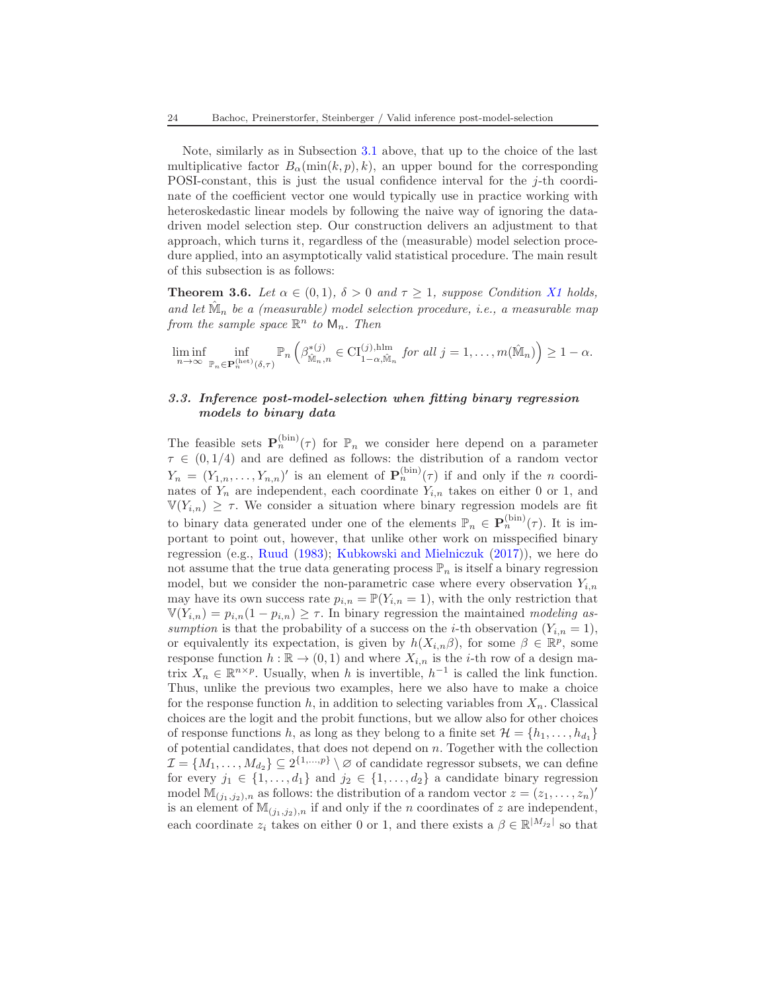Note, similarly as in Subsection [3.1](#page-16-0) above, that up to the choice of the last multiplicative factor  $B_{\alpha}(\min(k, p), k)$ , an upper bound for the corresponding POSI-constant, this is just the usual confidence interval for the  $j$ -th coordinate of the coefficient vector one would typically use in practice working with heteroskedastic linear models by following the naive way of ignoring the datadriven model selection step. Our construction delivers an adjustment to that approach, which turns it, regardless of the (measurable) model selection procedure applied, into an asymptotically valid statistical procedure. The main result of this subsection is as follows:

<span id="page-23-1"></span>**Theorem 3.6.** Let  $\alpha \in (0,1)$ ,  $\delta > 0$  and  $\tau \geq 1$ , suppose Condition [X1](#page-17-0) holds, and let  $\hat{M}_n$  be a (measurable) model selection procedure, i.e., a measurable map from the sample space  $\mathbb{R}^n$  to  $\mathsf{M}_n$ . Then

 $\liminf_{n\to\infty} \inf_{p\in\mathbf{P}^{\text{(het)}}}$  $\mathbb{P}_n \!\in\! \mathbf{P}_n^{(\mathrm{het})}(\delta, \tau)$  $\mathbb{P}_n\left(\beta^{*(j)}_{\hat{\mathbb{M}}}\right)$  $\mathbb{M}_{n,n}^{*(j)} \in \mathrm{CI}_{1-\alpha,\hat{\mathbb{M}}_n}^{(j),\text{nlm}}$  for all  $j=1,\ldots,m(\hat{\mathbb{M}}_n)\bigg) \geq 1-\alpha.$ 

# <span id="page-23-0"></span>3.3. Inference post-model-selection when fitting binary regression models to binary data

The feasible sets  $\mathbf{P}_n^{\text{(bin)}}(\tau)$  for  $\mathbb{P}_n$  we consider here depend on a parameter  $\tau \in (0, 1/4)$  and are defined as follows: the distribution of a random vector  $Y_n = (Y_{1,n}, \ldots, Y_{n,n})'$  is an element of  $\mathbf{P}_n^{(\text{bin})}(\tau)$  if and only if the *n* coordinates of  $Y_n$  are independent, each coordinate  $Y_{i,n}$  takes on either 0 or 1, and  $\mathbb{V}(Y_{i,n}) \geq \tau$ . We consider a situation where binary regression models are fit to binary data generated under one of the elements  $\mathbb{P}_n \in \mathbf{P}_n^{(\text{bin})}(\tau)$ . It is important to point out, however, that unlike other work on misspecified binary regression (e.g., [Ruud](#page-68-15) [\(1983](#page-68-15)); [Kubkowski and Mielniczuk](#page-68-16) [\(2017\)](#page-68-16)), we here do not assume that the true data generating process  $\mathbb{P}_n$  is itself a binary regression model, but we consider the non-parametric case where every observation  $Y_{i,n}$ may have its own success rate  $p_{i,n} = \mathbb{P}(Y_{i,n} = 1)$ , with the only restriction that  $V(Y_{i,n}) = p_{i,n}(1-p_{i,n}) \geq \tau$ . In binary regression the maintained modeling assumption is that the probability of a success on the *i*-th observation  $(Y_{i,n} = 1)$ , or equivalently its expectation, is given by  $h(X_{i,n}\beta)$ , for some  $\beta \in \mathbb{R}^p$ , some response function  $h : \mathbb{R} \to (0,1)$  and where  $X_{i,n}$  is the *i*-th row of a design matrix  $X_n \in \mathbb{R}^{n \times p}$ . Usually, when h is invertible,  $h^{-1}$  is called the link function. Thus, unlike the previous two examples, here we also have to make a choice for the response function h, in addition to selecting variables from  $X_n$ . Classical choices are the logit and the probit functions, but we allow also for other choices of response functions h, as long as they belong to a finite set  $\mathcal{H} = \{h_1, \ldots, h_{d_1}\}\$ of potential candidates, that does not depend on  $n$ . Together with the collection  $\mathcal{I} = \{M_1, \ldots, M_{d_2}\} \subseteq 2^{\{1, \ldots, p\}} \setminus \varnothing$  of candidate regressor subsets, we can define for every  $j_1 \in \{1, \ldots, d_1\}$  and  $j_2 \in \{1, \ldots, d_2\}$  a candidate binary regression model  $\mathbb{M}_{(j_1,j_2),n}$  as follows: the distribution of a random vector  $z = (z_1, \ldots, z_n)'$ is an element of  $\mathbb{M}_{(j_1,j_2),n}$  if and only if the *n* coordinates of *z* are independent, each coordinate  $z_i$  takes on either 0 or 1, and there exists a  $\beta \in \mathbb{R}^{|M_{j_2}|}$  so that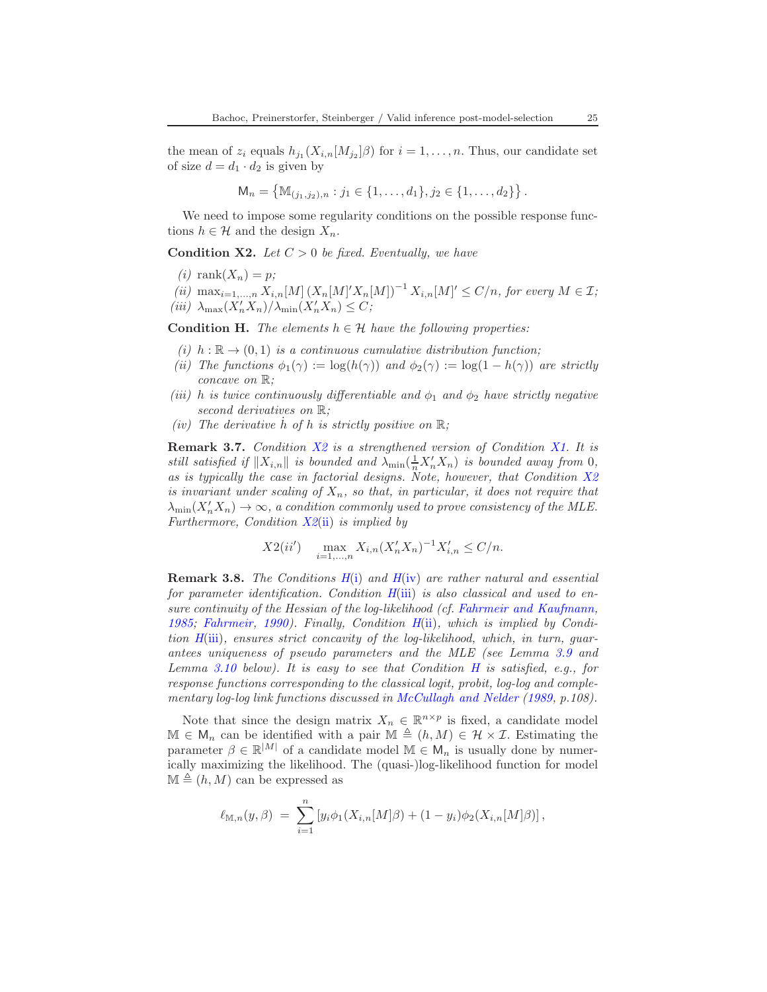the mean of  $z_i$  equals  $h_{j_1}(X_{i,n}[M_{j_2}]\beta)$  for  $i=1,\ldots,n$ . Thus, our candidate set of size  $d = d_1 \cdot d_2$  is given by

$$
\mathsf{M}_n = \left\{ \mathbb{M}_{(j_1, j_2), n} : j_1 \in \{1, \ldots, d_1\}, j_2 \in \{1, \ldots, d_2\} \right\}.
$$

We need to impose some regularity conditions on the possible response functions  $h \in \mathcal{H}$  and the design  $X_n$ .

<span id="page-24-7"></span><span id="page-24-0"></span>**Condition X2.** Let  $C > 0$  be fixed. Eventually, we have

- <span id="page-24-1"></span> $(i)$  rank $(X_n) = p$ ;
- <span id="page-24-8"></span>(ii)  $\max_{i=1,\dots,n} X_{i,n}[M] (X_n[M]' X_n[M])^{-1} X_{i,n}[M]' \le C/n$ , for every  $M \in \mathcal{I}$ ; (iii)  $\lambda_{\max}(X'_n X_n)/\lambda_{\min}(X'_n X_n) \leq C;$

<span id="page-24-3"></span><span id="page-24-2"></span>**Condition H.** The elements  $h \in \mathcal{H}$  have the following properties:

- <span id="page-24-6"></span>(i)  $h : \mathbb{R} \to (0,1)$  is a continuous cumulative distribution function;
- (ii) The functions  $\phi_1(\gamma) := \log(h(\gamma))$  and  $\phi_2(\gamma) := \log(1 h(\gamma))$  are strictly concave on R;
- <span id="page-24-5"></span>(iii) h is twice continuously differentiable and  $\phi_1$  and  $\phi_2$  have strictly negative second derivatives on  $\mathbb{R}$ ;
- <span id="page-24-4"></span>(iv) The derivative h of h is strictly positive on  $\mathbb{R}$ ;

**Remark 3.7.** Condition  $X2$  is a strengthened version of Condition [X1.](#page-17-0) It is still satisfied if  $||X_{i,n}||$  is bounded and  $\lambda_{\min}(\frac{1}{n}X'_nX_n)$  is bounded away from 0, as is typically the case in factorial designs. Note, however, that Condition  $X2$ is invariant under scaling of  $X_n$ , so that, in particular, it does not require that  $\lambda_{\min}(X'_nX_n)\to\infty$ , a condition commonly used to prove consistency of the MLE. Furthermore, Condition  $X2(i)$  $X2(i)$  is implied by

$$
X2(ii')
$$
  $\max_{i=1,...,n} X_{i,n}(X'_n X_n)^{-1} X'_{i,n} \le C/n.$ 

**Remark 3.8.** The Conditions  $H(i)$  $H(i)$  and  $H(iy)$  are rather natural and essential for parameter identification. Condition  $H(iii)$  $H(iii)$  is also classical and used to ensure continuity of the Hessian of the log-likelihood (cf. [Fahrmeir and Kaufmann](#page-67-12), [1985](#page-67-12); [Fahrmeir](#page-67-13), [1990](#page-67-13)). Finally, Condition [H](#page-24-2)[\(ii\)](#page-24-6), which is implied by Condition [H](#page-24-2)[\(iii\)](#page-24-5), ensures strict concavity of the log-likelihood, which, in turn, guarantees uniqueness of pseudo parameters and the MLE (see Lemma [3.9](#page-25-0) and Lemma [3.10](#page-25-1) below). It is easy to see that Condition  $H$  is satisfied, e.g., for response functions corresponding to the classical logit, probit, log-log and comple-mentary log-log link functions discussed in [McCullagh and Nelder](#page-68-17) [\(1989](#page-68-17), p.108).

Note that since the design matrix  $X_n \in \mathbb{R}^{n \times p}$  is fixed, a candidate model  $\mathbb{M} \in \mathsf{M}_n$  can be identified with a pair  $\mathbb{M} \triangleq (h, M) \in \mathcal{H} \times \mathcal{I}$ . Estimating the parameter  $\beta \in \mathbb{R}^{|M|}$  of a candidate model  $\mathbb{M} \in \mathsf{M}_n$  is usually done by numerically maximizing the likelihood. The (quasi-)log-likelihood function for model  $\mathbb{M} \triangleq (h, M)$  can be expressed as

$$
\ell_{\mathbb{M},n}(y,\beta) = \sum_{i=1}^n \left[ y_i \phi_1(X_{i,n}[M]\beta) + (1-y_i)\phi_2(X_{i,n}[M]\beta) \right],
$$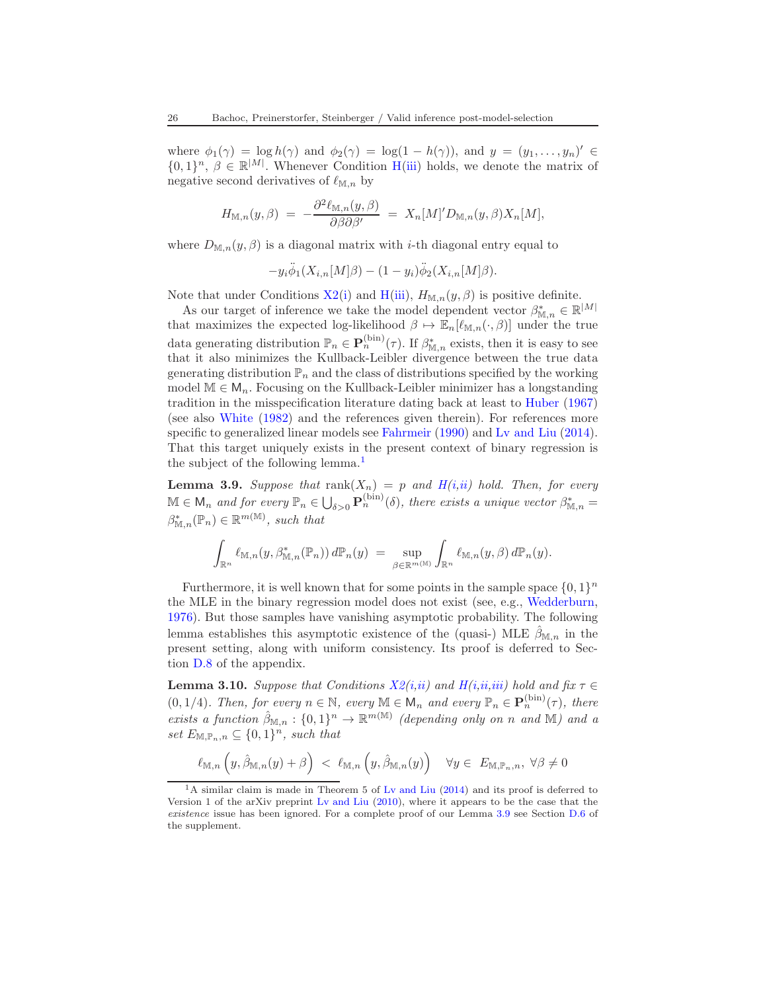where  $\phi_1(\gamma) = \log h(\gamma)$  and  $\phi_2(\gamma) = \log(1 - h(\gamma))$ , and  $y = (y_1, \ldots, y_n)' \in$  $\{0,1\}^n$ ,  $\beta \in \mathbb{R}^{|M|}$ . Whenever Condition [H\(](#page-24-2)[iii\)](#page-24-5) holds, we denote the matrix of negative second derivatives of  $\ell_{M,n}$  by

$$
H_{\mathbb{M},n}(y,\beta) = -\frac{\partial^2 \ell_{\mathbb{M},n}(y,\beta)}{\partial \beta \partial \beta'} = X_n[M]' D_{\mathbb{M},n}(y,\beta) X_n[M],
$$

where  $D_{\mathbb{M},n}(y,\beta)$  is a diagonal matrix with *i*-th diagonal entry equal to

$$
-y_i\ddot{\phi}_1(X_{i,n}[M]\beta) - (1-y_i)\ddot{\phi}_2(X_{i,n}[M]\beta).
$$

Note that under Conditions  $X2(i)$  $X2(i)$  and  $H(iii)$  $H(iii)$ ,  $H_{M,n}(y, \beta)$  is positive definite.

As our target of inference we take the model dependent vector  $\beta_{\mathbb{M},n}^* \in \mathbb{R}^{|M|}$ that maximizes the expected log-likelihood  $\beta \mapsto \mathbb{E}_n[\ell_{\mathbb{M},n}(\cdot,\beta)]$  under the true data generating distribution  $\mathbb{P}_n \in \mathbf{P}_n^{(\text{bin})}(\tau)$ . If  $\beta_{\mathbb{M},n}^*$  exists, then it is easy to see that it also minimizes the Kullback-Leibler divergence between the true data generating distribution  $\mathbb{P}_n$  and the class of distributions specified by the working model  $M \in M_n$ . Focusing on the Kullback-Leibler minimizer has a longstanding tradition in the misspecification literature dating back at least to [Huber](#page-67-7) [\(1967\)](#page-67-7) (see also [White](#page-69-3) [\(1982](#page-69-3)) and the references given therein). For references more specific to generalized linear models see [Fahrmeir](#page-67-13) [\(1990\)](#page-67-13) and Ly and Liu [\(2014\)](#page-68-12). That this target uniquely exists in the present context of binary regression is the subject of the following lemma.<sup>[1](#page-25-2)</sup>

<span id="page-25-0"></span>**Lemma 3.9.** Suppose that  $rank(X_n) = p$  and  $H(i,ii)$  $H(i,ii)$  $H(i,ii)$  hold. Then, for every  $\mathbb{M} \in \mathsf{M}_n$  and for every  $\mathbb{P}_n \in \bigcup_{\delta > 0} \mathbf{P}_n^{(\text{bin})}(\delta)$ , there exists a unique vector  $\beta_{\mathbb{M},n}^* =$  $\beta_{\mathbb{M},n}^*(\mathbb{P}_n) \in \mathbb{R}^{m(\mathbb{M})}$ , such that

$$
\int_{\mathbb{R}^n} \ell_{\mathbb{M},n}(y,\beta_{\mathbb{M},n}^*(\mathbb{P}_n))\,d\mathbb{P}_n(y) \;=\; \sup_{\beta\in\mathbb{R}^{m(\mathbb{M})}} \int_{\mathbb{R}^n} \ell_{\mathbb{M},n}(y,\beta)\,d\mathbb{P}_n(y).
$$

Furthermore, it is well known that for some points in the sample space  $\{0,1\}^n$ the MLE in the binary regression model does not exist (see, e.g., [Wedderburn,](#page-69-4) [1976\)](#page-69-4). But those samples have vanishing asymptotic probability. The following lemma establishes this asymptotic existence of the (quasi-) MLE  $\hat{\beta}_{\mathbb{M},n}$  in the present setting, along with uniform consistency. Its proof is deferred to Section [D.8](#page-59-0) of the appendix.

<span id="page-25-1"></span>**Lemma 3.10.** Suppose that Cond[i](#page-24-7)tions  $X2(i,ii)$  $X2(i,ii)$  $X2(i,ii)$  and  $H(i,ii,iii)$  $H(i,ii,iii)$  $H(i,ii,iii)$  $H(i,ii,iii)$  hold and fix  $\tau \in$  $(0, 1/4)$ . Then, for every  $n \in \mathbb{N}$ , every  $\mathbb{M} \in \mathsf{M}_n$  and every  $\mathbb{P}_n \in \mathbf{P}_n^{(\text{bin})}(\tau)$ , there exists a function  $\hat{\beta}_{\mathbb{M},n} : \{0,1\}^n \to \mathbb{R}^{m(\mathbb{M})}$  (depending only on n and M) and a set  $E_{\mathbb{M},\mathbb{P}_n,n} \subseteq \{0,1\}^n$ , such that

$$
\ell_{\mathbb{M},n}\left(y,\hat{\beta}_{\mathbb{M},n}(y)+\beta\right) < \ell_{\mathbb{M},n}\left(y,\hat{\beta}_{\mathbb{M},n}(y)\right) \quad \forall y \in E_{\mathbb{M},\mathbb{P}_n,n}, \ \forall \beta \neq 0
$$

<span id="page-25-2"></span><sup>&</sup>lt;sup>1</sup>A similar claim is made in Theorem 5 of Ly and Liu [\(2014](#page-68-12)) and its proof is deferred to Version 1 of the arXiv preprint [Lv and Liu](#page-68-18) [\(2010\)](#page-68-18), where it appears to be the case that the *existence* issue has been ignored. For a complete proof of our Lemma [3.9](#page-25-0) see Section [D.6](#page-56-0) of the supplement.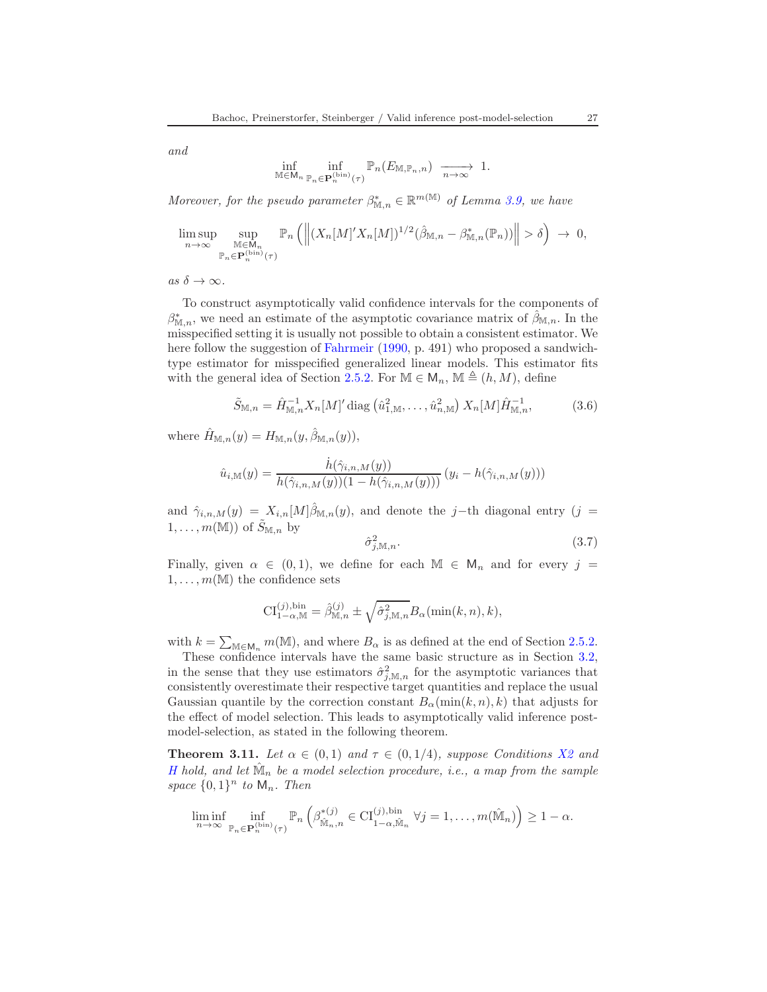and

$$
\inf_{\mathbb{M}\in \mathsf{M}_n}\inf_{\mathbb{P}_n\in \mathbf{P}_n^{(\text{bin})}(\tau)}\mathbb{P}_n(E_{\mathbb{M},\mathbb{P}_n,n})\xrightarrow[n\to\infty]{}1.
$$

Moreover, for the pseudo parameter  $\beta_{\mathbb{M},n}^* \in \mathbb{R}^{m(\mathbb{M})}$  of Lemma [3.9,](#page-25-0) we have

$$
\limsup_{n \to \infty} \sup_{\substack{\mathbb{M} \in \mathsf{M}_n \\ \mathbb{P}_n \in \mathbf{P}_n^{\text{(bin)}}(\tau)}} \mathbb{P}_n \left( \left\| (X_n[M]'X_n[M])^{1/2} (\hat{\beta}_{\mathbb{M},n} - \beta_{\mathbb{M},n}^*(\mathbb{P}_n)) \right\| > \delta \right) \to 0,
$$

as  $\delta \to \infty$ .

To construct asymptotically valid confidence intervals for the components of  $\beta_{\mathbb{M},n}^*$ , we need an estimate of the asymptotic covariance matrix of  $\hat{\beta}_{\mathbb{M},n}$ . In the misspecified setting it is usually not possible to obtain a consistent estimator. We here follow the suggestion of [Fahrmeir](#page-67-13) [\(1990](#page-67-13), p. 491) who proposed a sandwichtype estimator for misspecified generalized linear models. This estimator fits with the general idea of Section [2.5.2.](#page-12-4) For  $M \in M_n$ ,  $M \triangleq (h, M)$ , define

$$
\tilde{S}_{\mathbb{M},n} = \hat{H}_{\mathbb{M},n}^{-1} X_n [M]' \text{diag} \left( \hat{u}_{1,\mathbb{M}}^2, \dots, \hat{u}_{n,\mathbb{M}}^2 \right) X_n [M] \hat{H}_{\mathbb{M},n}^{-1}, \tag{3.6}
$$

where  $\hat{H}_{\mathbb{M},n}(y) = H_{\mathbb{M},n}(y,\hat{\beta}_{\mathbb{M},n}(y)),$ 

$$
\hat{u}_{i,M}(y) = \frac{\dot{h}(\hat{\gamma}_{i,n,M}(y))}{h(\hat{\gamma}_{i,n,M}(y))(1 - h(\hat{\gamma}_{i,n,M}(y)))} (y_i - h(\hat{\gamma}_{i,n,M}(y)))
$$

and  $\hat{\gamma}_{i,n,M}(y) = X_{i,n}[M]\hat{\beta}_{\mathbb{M},n}(y)$ , and denote the j–th diagonal entry  $(j =$  $1, \ldots, m(\mathbb{M}))$  of  $\tilde{S}_{\mathbb{M}, n}$  by

<span id="page-26-2"></span><span id="page-26-1"></span>
$$
\hat{\sigma}_{j,\mathbb{M},n}^2.\tag{3.7}
$$

Finally, given  $\alpha \in (0,1)$ , we define for each  $\mathbb{M} \in \mathsf{M}_n$  and for every  $j =$  $1, \ldots, m(M)$  the confidence sets

$$
\mathrm{CI}^{(j),\text{bin}}_{1-\alpha,\mathbb{M}}=\hat{\beta}^{(j)}_{\mathbb{M},n}\pm\sqrt{\hat{\sigma}^2_{j,\mathbb{M},n}}B_\alpha(\min(k,n),k),
$$

with  $k = \sum_{\mathbb{M} \in \mathbb{M}_n} m(\mathbb{M})$ , and where  $B_\alpha$  is as defined at the end of Section [2.5.2.](#page-12-4)

These confidence intervals have the same basic structure as in Section [3.2,](#page-21-0) in the sense that they use estimators  $\hat{\sigma}_{j,\mathbb{M},n}^2$  for the asymptotic variances that consistently overestimate their respective target quantities and replace the usual Gaussian quantile by the correction constant  $B_\alpha(\min(k,n), k)$  that adjusts for the effect of model selection. This leads to asymptotically valid inference postmodel-selection, as stated in the following theorem.

<span id="page-26-0"></span>**Theorem 3.11.** Let  $\alpha \in (0,1)$  and  $\tau \in (0,1/4)$ , suppose Conditions [X2](#page-24-0) and [H](#page-24-2) hold, and let  $\hat{M}_n$  be a model selection procedure, i.e., a map from the sample space  $\{0,1\}^n$  to  $\mathsf{M}_n$ . Then

$$
\liminf_{n\to\infty}\inf_{\mathbb{P}_n\in\mathbf{P}_n^{(\text{bin})}(\tau)}\mathbb{P}_n\left(\beta_{\hat{\mathbb{M}}_n,n}^{*(j)}\in\mathrm{CI}_{1-\alpha,\hat{\mathbb{M}}_n}^{(j),\text{bin}}\ \forall j=1,\ldots,m(\hat{\mathbb{M}}_n)\right)\geq 1-\alpha.
$$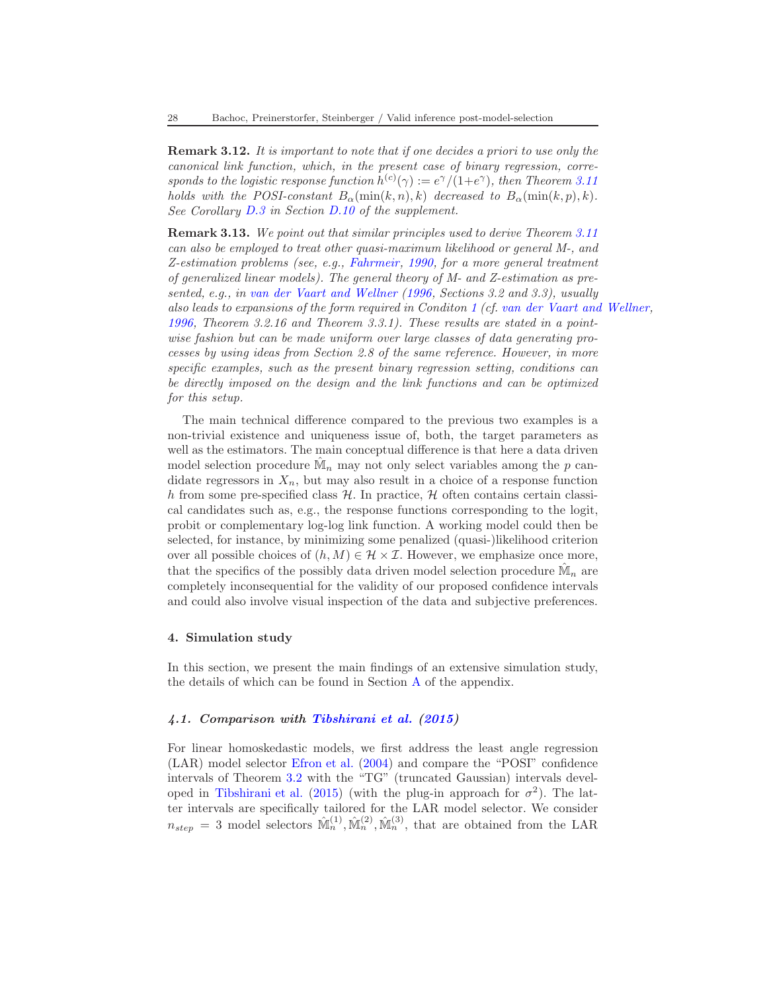<span id="page-27-2"></span>Remark 3.12. It is important to note that if one decides a priori to use only the canonical link function, which, in the present case of binary regression, corresponds to the logistic response function  $h^{(c)}(\gamma) := e^{\gamma}/(1+e^{\gamma})$ , then Theorem [3.11](#page-26-0) holds with the POSI-constant  $B_\alpha(\min(k,n), k)$  decreased to  $B_\alpha(\min(k, p), k)$ . See Corollary [D.3](#page-66-0) in Section [D.10](#page-66-1) of the supplement.

Remark 3.13. We point out that similar principles used to derive Theorem [3.11](#page-26-0) can also be employed to treat other quasi-maximum likelihood or general M-, and Z-estimation problems (see, e.g., [Fahrmeir](#page-67-13), [1990,](#page-67-13) for a more general treatment of generalized linear models). The general theory of M- and Z-estimation as presented, e.g., in [van der Vaart and Wellner](#page-69-5) [\(1996,](#page-69-5) Sections 3.2 and 3.3), usually also leads to expansions of the form required in Conditon [1](#page-7-1) (cf. [van der Vaart and Wellner,](#page-69-5) [1996](#page-69-5), Theorem 3.2.16 and Theorem 3.3.1). These results are stated in a pointwise fashion but can be made uniform over large classes of data generating processes by using ideas from Section 2.8 of the same reference. However, in more specific examples, such as the present binary regression setting, conditions can be directly imposed on the design and the link functions and can be optimized for this setup.

The main technical difference compared to the previous two examples is a non-trivial existence and uniqueness issue of, both, the target parameters as well as the estimators. The main conceptual difference is that here a data driven model selection procedure  $\hat{M}_n$  may not only select variables among the p candidate regressors in  $X_n$ , but may also result in a choice of a response function h from some pre-specified class  $H$ . In practice,  $H$  often contains certain classical candidates such as, e.g., the response functions corresponding to the logit, probit or complementary log-log link function. A working model could then be selected, for instance, by minimizing some penalized (quasi-)likelihood criterion over all possible choices of  $(h, M) \in \mathcal{H} \times \mathcal{I}$ . However, we emphasize once more, that the specifics of the possibly data driven model selection procedure  $\hat{\mathbb{M}}_n$  are completely inconsequential for the validity of our proposed confidence intervals and could also involve visual inspection of the data and subjective preferences.

#### <span id="page-27-0"></span>4. Simulation study

In this section, we present the main findings of an extensive simulation study, the details of which can be found in Section [A](#page-31-0) of the appendix.

# <span id="page-27-1"></span>4.1. Comparison with [Tibshirani et al.](#page-68-6) [\(2015\)](#page-68-6)

For linear homoskedastic models, we first address the least angle regression (LAR) model selector [Efron et al.](#page-67-14) [\(2004](#page-67-14)) and compare the "POSI" confidence intervals of Theorem [3.2](#page-19-0) with the "TG" (truncated Gaussian) intervals devel-oped in [Tibshirani et al.](#page-68-6) [\(2015](#page-68-6)) (with the plug-in approach for  $\sigma^2$ ). The latter intervals are specifically tailored for the LAR model selector. We consider  $n_{step} = 3$  model selectors  $\hat{M}_n^{(1)}, \hat{M}_n^{(2)}, \hat{M}_n^{(3)}$ , that are obtained from the LAR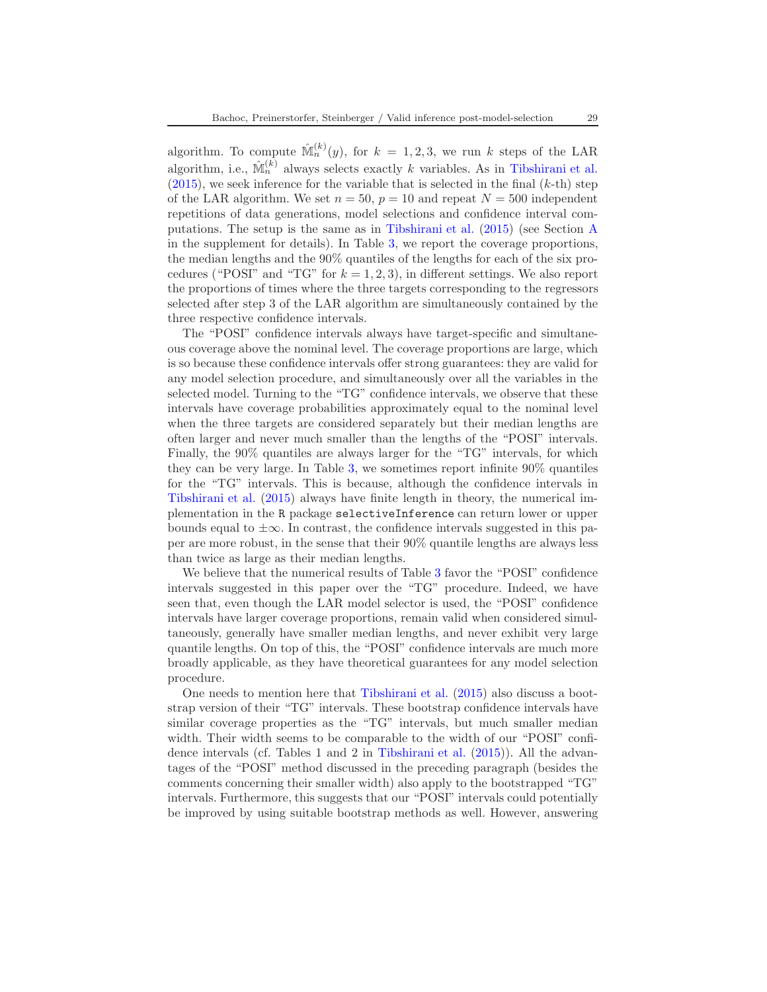algorithm. To compute  $\mathbb{M}_n^{(k)}(y)$ , for  $k = 1, 2, 3$ , we run k steps of the LAR algorithm, i.e.,  $\mathbb{M}_n^{(k)}$  always selects exactly k variables. As in [Tibshirani et al.](#page-68-6)  $(2015)$ , we seek inference for the variable that is selected in the final  $(k-th)$  step of the LAR algorithm. We set  $n = 50$ ,  $p = 10$  and repeat  $N = 500$  independent repetitions of data generations, model selections and confidence interval computations. The setup is the same as in [Tibshirani et al.](#page-68-6) [\(2015\)](#page-68-6) (see Section [A](#page-31-0) in the supplement for details). In Table [3,](#page-35-0) we report the coverage proportions, the median lengths and the 90% quantiles of the lengths for each of the six procedures ("POSI" and "TG" for  $k = 1, 2, 3$ ), in different settings. We also report the proportions of times where the three targets corresponding to the regressors selected after step 3 of the LAR algorithm are simultaneously contained by the three respective confidence intervals.

The "POSI" confidence intervals always have target-specific and simultaneous coverage above the nominal level. The coverage proportions are large, which is so because these confidence intervals offer strong guarantees: they are valid for any model selection procedure, and simultaneously over all the variables in the selected model. Turning to the "TG" confidence intervals, we observe that these intervals have coverage probabilities approximately equal to the nominal level when the three targets are considered separately but their median lengths are often larger and never much smaller than the lengths of the "POSI" intervals. Finally, the 90% quantiles are always larger for the "TG" intervals, for which they can be very large. In Table [3,](#page-35-0) we sometimes report infinite 90% quantiles for the "TG" intervals. This is because, although the confidence intervals in [Tibshirani et al.](#page-68-6) [\(2015\)](#page-68-6) always have finite length in theory, the numerical implementation in the R package selectiveInference can return lower or upper bounds equal to  $\pm\infty$ . In contrast, the confidence intervals suggested in this paper are more robust, in the sense that their 90% quantile lengths are always less than twice as large as their median lengths.

We believe that the numerical results of Table [3](#page-35-0) favor the "POSI" confidence intervals suggested in this paper over the "TG" procedure. Indeed, we have seen that, even though the LAR model selector is used, the "POSI" confidence intervals have larger coverage proportions, remain valid when considered simultaneously, generally have smaller median lengths, and never exhibit very large quantile lengths. On top of this, the "POSI" confidence intervals are much more broadly applicable, as they have theoretical guarantees for any model selection procedure.

One needs to mention here that [Tibshirani et al.](#page-68-6) [\(2015\)](#page-68-6) also discuss a bootstrap version of their "TG" intervals. These bootstrap confidence intervals have similar coverage properties as the "TG" intervals, but much smaller median width. Their width seems to be comparable to the width of our "POSI" confidence intervals (cf. Tables 1 and 2 in [Tibshirani et al.](#page-68-6) [\(2015\)](#page-68-6)). All the advantages of the "POSI" method discussed in the preceding paragraph (besides the comments concerning their smaller width) also apply to the bootstrapped "TG" intervals. Furthermore, this suggests that our "POSI" intervals could potentially be improved by using suitable bootstrap methods as well. However, answering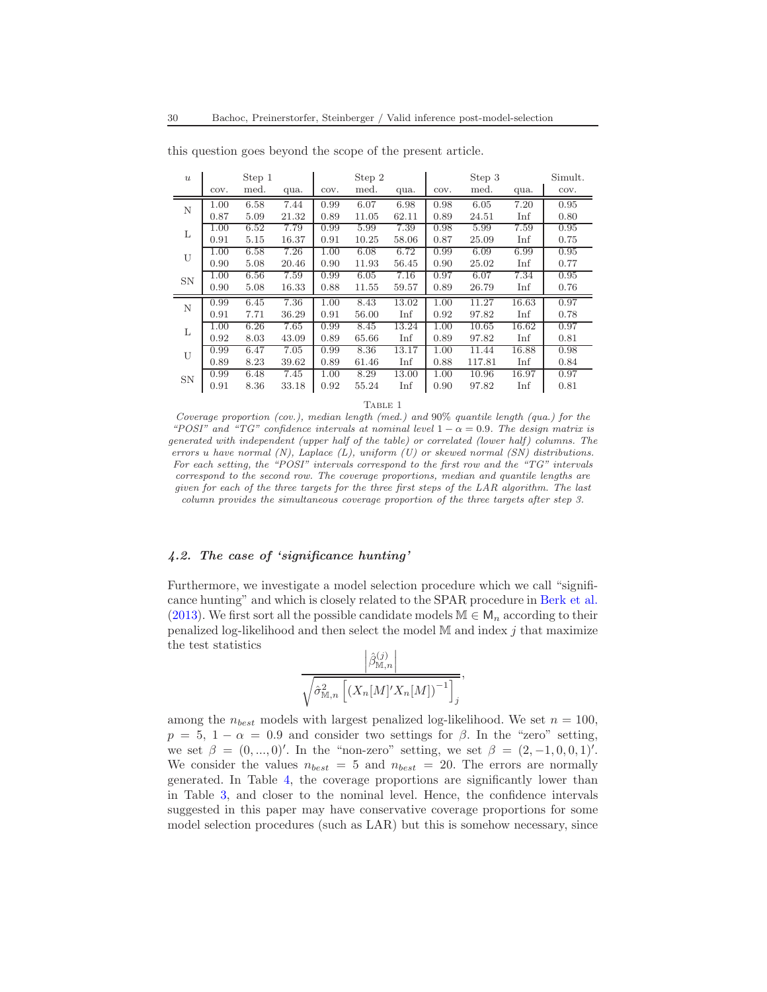| $\boldsymbol{u}$ |          | Step 1 |       |      | Step 2 |       |      | Step 3 |       | Simult. |
|------------------|----------|--------|-------|------|--------|-------|------|--------|-------|---------|
|                  | COV.     | med.   | qua.  | COV. | med.   | qua.  | COV. | med.   | qua.  | COV.    |
| N                | 1.00     | 6.58   | 7.44  | 0.99 | 6.07   | 6.98  | 0.98 | 6.05   | 7.20  | 0.95    |
|                  | 0.87     | 5.09   | 21.32 | 0.89 | 11.05  | 62.11 | 0.89 | 24.51  | Inf   | 0.80    |
| L                | $1.00\,$ | 6.52   | 7.79  | 0.99 | 5.99   | 7.39  | 0.98 | 5.99   | 7.59  | 0.95    |
|                  | 0.91     | 5.15   | 16.37 | 0.91 | 10.25  | 58.06 | 0.87 | 25.09  | Inf   | 0.75    |
| U                | 1.00     | 6.58   | 7.26  | 1.00 | 6.08   | 6.72  | 0.99 | 6.09   | 6.99  | 0.95    |
|                  | 0.90     | 5.08   | 20.46 | 0.90 | 11.93  | 56.45 | 0.90 | 25.02  | Inf   | 0.77    |
| <b>SN</b>        | 1.00     | 6.56   | 7.59  | 0.99 | 6.05   | 7.16  | 0.97 | 6.07   | 7.34  | 0.95    |
|                  | 0.90     | 5.08   | 16.33 | 0.88 | 11.55  | 59.57 | 0.89 | 26.79  | Inf   | 0.76    |
| N                | 0.99     | 6.45   | 7.36  | 1.00 | 8.43   | 13.02 | 1.00 | 11.27  | 16.63 | 0.97    |
|                  | 0.91     | 7.71   | 36.29 | 0.91 | 56.00  | Inf   | 0.92 | 97.82  | Inf   | 0.78    |
| L                | $1.00\,$ | 6.26   | 7.65  | 0.99 | 8.45   | 13.24 | 1.00 | 10.65  | 16.62 | 0.97    |
|                  | 0.92     | 8.03   | 43.09 | 0.89 | 65.66  | Inf   | 0.89 | 97.82  | Inf   | 0.81    |
| U                | 0.99     | 6.47   | 7.05  | 0.99 | 8.36   | 13.17 | 1.00 | 11.44  | 16.88 | 0.98    |
|                  | 0.89     | 8.23   | 39.62 | 0.89 | 61.46  | Inf   | 0.88 | 117.81 | Inf   | 0.84    |
| <b>SN</b>        | 0.99     | 6.48   | 7.45  | 1.00 | 8.29   | 13.00 | 1.00 | 10.96  | 16.97 | 0.97    |
|                  | 0.91     | 8.36   | 33.18 | 0.92 | 55.24  | Inf   | 0.90 | 97.82  | Inf   | 0.81    |

this question goes beyond the scope of the present article.

TABLE 1

*Coverage proportion (cov.), median length (med.) and* 90% *quantile length (qua.) for the "POSI" and "TG" confidence intervals at nominal level*  $1 - \alpha = 0.9$ *. The design matrix is generated with independent (upper half of the table) or correlated (lower half) columns. The errors* u *have normal (N), Laplace (L), uniform (U) or skewed normal (SN) distributions. For each setting, the "POSI" intervals correspond to the first row and the "TG" intervals correspond to the second row. The coverage proportions, median and quantile lengths are given for each of the three targets for the three first steps of the LAR algorithm. The last column provides the simultaneous coverage proportion of the three targets after step 3.*

### 4.2. The case of 'significance hunting'

Furthermore, we investigate a model selection procedure which we call "significance hunting" and which is closely related to the SPAR procedure in [Berk et al.](#page-67-0) [\(2013\)](#page-67-0). We first sort all the possible candidate models  $\mathbb{M} \in \mathsf{M}_n$  according to their penalized log-likelihood and then select the model  $M$  and index  $j$  that maximize the test statistics

$$
\frac{\left|\hat{\beta}_{\mathbb{M},n}^{(j)}\right|}{\sqrt{\hat{\sigma}_{\mathbb{M},n}^2\left[ (X_n[M]'X_n[M])^{-1} \right]_j}},
$$

among the  $n_{best}$  models with largest penalized log-likelihood. We set  $n = 100$ ,  $p = 5, 1 - \alpha = 0.9$  and consider two settings for  $\beta$ . In the "zero" setting, we set  $\beta = (0, ..., 0)'$ . In the "non-zero" setting, we set  $\beta = (2, -1, 0, 0, 1)'$ . We consider the values  $n_{best} = 5$  and  $n_{best} = 20$ . The errors are normally generated. In Table [4,](#page-36-0) the coverage proportions are significantly lower than in Table [3,](#page-35-0) and closer to the nominal level. Hence, the confidence intervals suggested in this paper may have conservative coverage proportions for some model selection procedures (such as LAR) but this is somehow necessary, since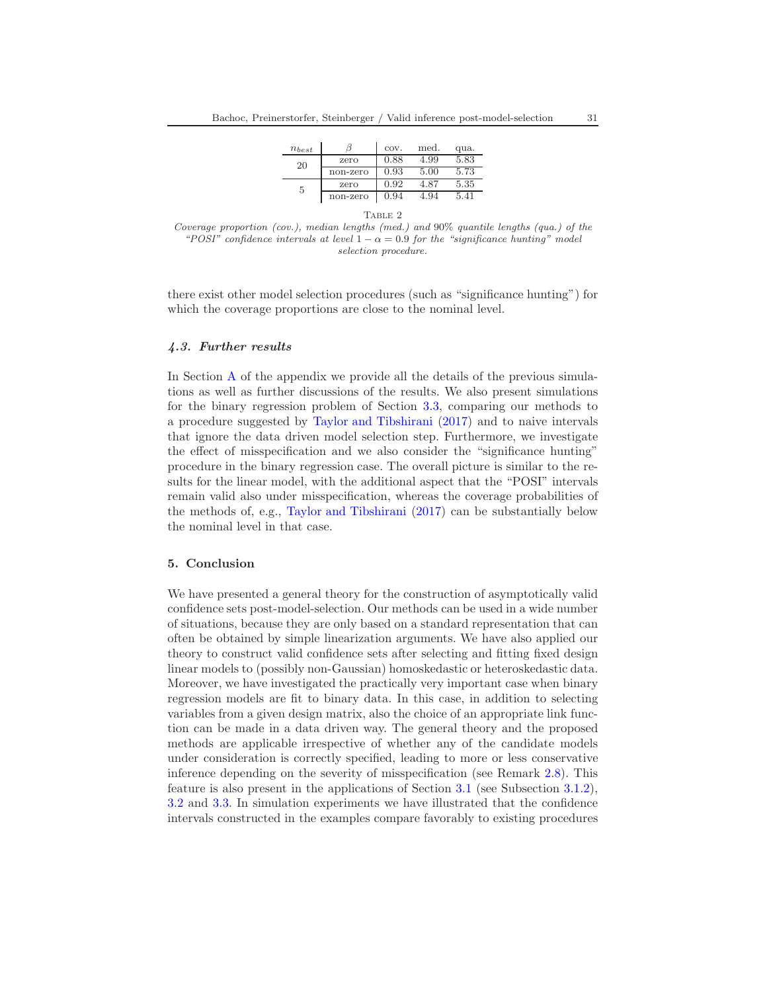| $n_{best}$ |          | COV. | med. | qua. |  |  |  |  |
|------------|----------|------|------|------|--|--|--|--|
| 20         | zero     | 0.88 | 4.99 | 5.83 |  |  |  |  |
|            | non-zero | 0.93 | 5.00 | 5.73 |  |  |  |  |
| 5          | zero     | 0.92 | 4.87 | 5.35 |  |  |  |  |
|            | non-zero | 0.94 | 4.94 | 5.41 |  |  |  |  |
| TABLE 2    |          |      |      |      |  |  |  |  |

*Coverage proportion (cov.), median lengths (med.) and* 90% *quantile lengths (qua.) of the "POSI" confidence intervals at level*  $1 - \alpha = 0.9$  *for the "significance hunting" model selection procedure.*

there exist other model selection procedures (such as "significance hunting") for which the coverage proportions are close to the nominal level.

#### 4.3. Further results

In Section [A](#page-31-0) of the appendix we provide all the details of the previous simulations as well as further discussions of the results. We also present simulations for the binary regression problem of Section [3.3,](#page-23-0) comparing our methods to a procedure suggested by [Taylor and Tibshirani](#page-68-7) [\(2017\)](#page-68-7) and to naive intervals that ignore the data driven model selection step. Furthermore, we investigate the effect of misspecification and we also consider the "significance hunting" procedure in the binary regression case. The overall picture is similar to the results for the linear model, with the additional aspect that the "POSI" intervals remain valid also under misspecification, whereas the coverage probabilities of the methods of, e.g., [Taylor and Tibshirani](#page-68-7) [\(2017](#page-68-7)) can be substantially below the nominal level in that case.

### <span id="page-30-0"></span>5. Conclusion

We have presented a general theory for the construction of asymptotically valid confidence sets post-model-selection. Our methods can be used in a wide number of situations, because they are only based on a standard representation that can often be obtained by simple linearization arguments. We have also applied our theory to construct valid confidence sets after selecting and fitting fixed design linear models to (possibly non-Gaussian) homoskedastic or heteroskedastic data. Moreover, we have investigated the practically very important case when binary regression models are fit to binary data. In this case, in addition to selecting variables from a given design matrix, also the choice of an appropriate link function can be made in a data driven way. The general theory and the proposed methods are applicable irrespective of whether any of the candidate models under consideration is correctly specified, leading to more or less conservative inference depending on the severity of misspecification (see Remark [2.8\)](#page-14-0). This feature is also present in the applications of Section [3.1](#page-16-0) (see Subsection [3.1.2\)](#page-20-0), [3.2](#page-21-0) and [3.3.](#page-23-0) In simulation experiments we have illustrated that the confidence intervals constructed in the examples compare favorably to existing procedures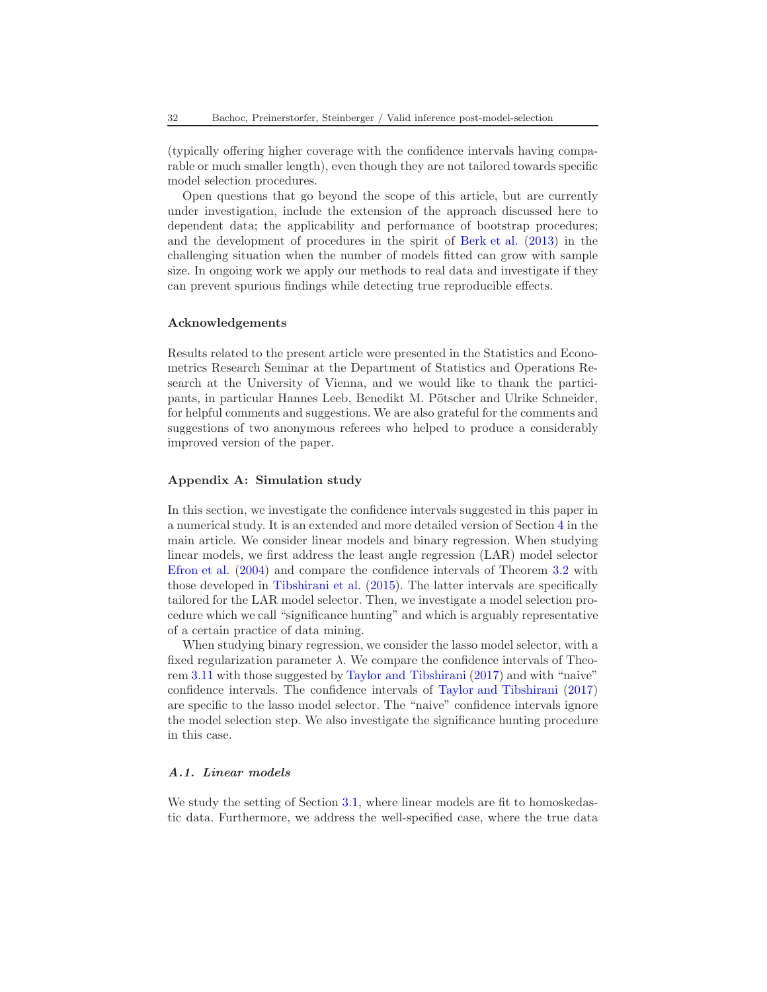(typically offering higher coverage with the confidence intervals having comparable or much smaller length), even though they are not tailored towards specific model selection procedures.

Open questions that go beyond the scope of this article, but are currently under investigation, include the extension of the approach discussed here to dependent data; the applicability and performance of bootstrap procedures; and the development of procedures in the spirit of [Berk et al.](#page-67-0) [\(2013](#page-67-0)) in the challenging situation when the number of models fitted can grow with sample size. In ongoing work we apply our methods to real data and investigate if they can prevent spurious findings while detecting true reproducible effects.

### Acknowledgements

Results related to the present article were presented in the Statistics and Econometrics Research Seminar at the Department of Statistics and Operations Research at the University of Vienna, and we would like to thank the participants, in particular Hannes Leeb, Benedikt M. Pötscher and Ulrike Schneider, for helpful comments and suggestions. We are also grateful for the comments and suggestions of two anonymous referees who helped to produce a considerably improved version of the paper.

### <span id="page-31-0"></span>Appendix A: Simulation study

In this section, we investigate the confidence intervals suggested in this paper in a numerical study. It is an extended and more detailed version of Section [4](#page-27-0) in the main article. We consider linear models and binary regression. When studying linear models, we first address the least angle regression (LAR) model selector [Efron et al.](#page-67-14) [\(2004](#page-67-14)) and compare the confidence intervals of Theorem [3.2](#page-19-0) with those developed in [Tibshirani et al.](#page-68-6) [\(2015\)](#page-68-6). The latter intervals are specifically tailored for the LAR model selector. Then, we investigate a model selection procedure which we call "significance hunting" and which is arguably representative of a certain practice of data mining.

When studying binary regression, we consider the lasso model selector, with a fixed regularization parameter  $\lambda$ . We compare the confidence intervals of Theorem [3.11](#page-26-0) with those suggested by [Taylor and Tibshirani](#page-68-7) [\(2017\)](#page-68-7) and with "naive" confidence intervals. The confidence intervals of [Taylor and Tibshirani](#page-68-7) [\(2017\)](#page-68-7) are specific to the lasso model selector. The "naive" confidence intervals ignore the model selection step. We also investigate the significance hunting procedure in this case.

# A.1. Linear models

We study the setting of Section [3.1,](#page-16-0) where linear models are fit to homoskedastic data. Furthermore, we address the well-specified case, where the true data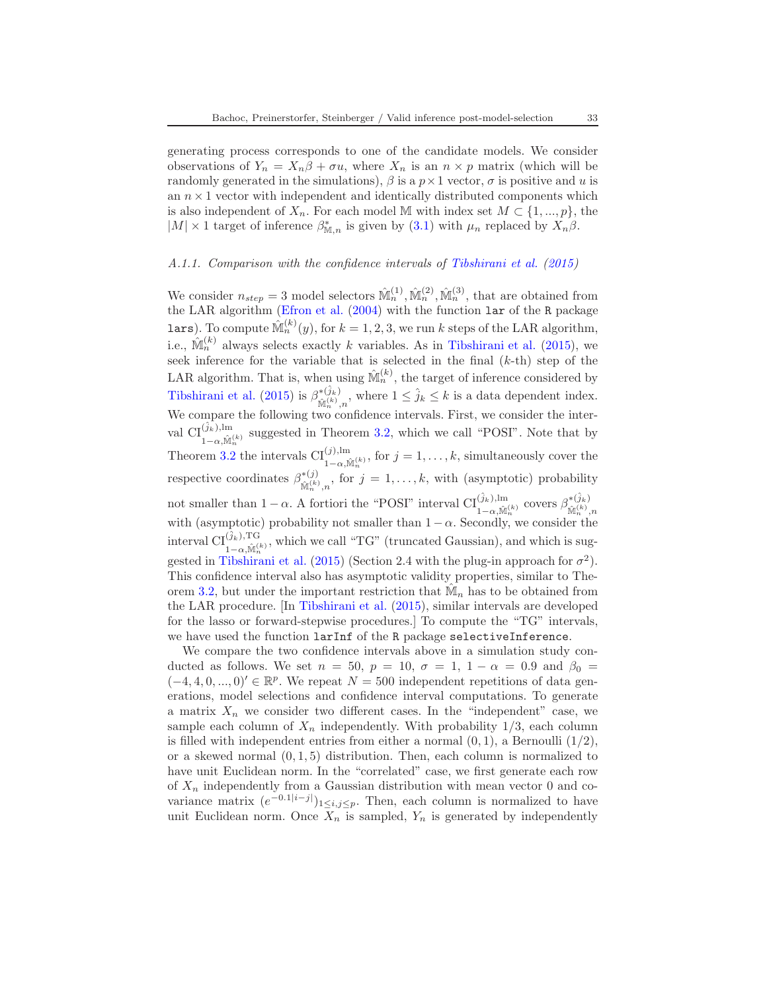generating process corresponds to one of the candidate models. We consider observations of  $Y_n = X_n \beta + \sigma u$ , where  $X_n$  is an  $n \times p$  matrix (which will be randomly generated in the simulations),  $\beta$  is a  $p \times 1$  vector,  $\sigma$  is positive and u is an  $n \times 1$  vector with independent and identically distributed components which is also independent of  $X_n$ . For each model M with index set  $M \subset \{1, ..., p\}$ , the  $|M| \times 1$  target of inference  $\beta_{\mathbb{M},n}^*$  is given by  $(3.1)$  with  $\mu_n$  replaced by  $X_n\beta$ .

#### A.1.1. Comparison with the confidence intervals of [Tibshirani et al.](#page-68-6) [\(2015\)](#page-68-6)

We consider  $n_{step} = 3$  model selectors  $\hat{\mathbb{M}}_n^{(1)}, \hat{\mathbb{M}}_n^{(2)}, \hat{\mathbb{M}}_n^{(3)}$ , that are obtained from the LAR algorithm [\(Efron et al.](#page-67-14) [\(2004\)](#page-67-14) with the function lar of the R package **lars**). To compute  $\hat{\mathbb{M}}_n^{(k)}(y)$ , for  $k = 1, 2, 3$ , we run k steps of the LAR algorithm, i.e.,  $\hat{M}_n^{(k)}$  always selects exactly k variables. As in [Tibshirani et al.](#page-68-6) [\(2015\)](#page-68-6), we seek inference for the variable that is selected in the final  $(k-th)$  step of the LAR algorithm. That is, when using  $\mathbb{M}_n^{(k)}$ , the target of inference considered by [Tibshirani et al.](#page-68-6) [\(2015](#page-68-6)) is  $\beta^{*(\hat{j}_k)}_{\hat{g}_k(k)}$  $\hat{\mathbb{M}}_n^{(k)}, n$ , where  $1 \leq \hat{j}_k \leq k$  is a data dependent index. We compare the following two confidence intervals. First, we consider the interval  $\text{CI}^{(\hat{j}_k),\text{lm}}_{1-\alpha,\hat{\mathbb{M}}_n^{(k)}}$  suggested in Theorem [3.2,](#page-19-0) which we call "POSI". Note that by Theorem [3.2](#page-19-0) the intervals  $\text{CI}_{1-\alpha,\hat{\mathbb{M}}_n^{(k)}}^{(j),\text{lm}}$ , for  $j=1,\ldots,k$ , simultaneously cover the respective coordinates  $\beta^{*(j)}_{\hat{\mathbf{k}}^{(k)}}$  $\mathbb{M}_{n}^{(k)},$  for  $j = 1, ..., k$ , with (asymptotic) probability not smaller than  $1 - \alpha$ . A fortiori the "POSI" interval  $\text{CI}_{1-\alpha,\hat{\mathbb{M}}_n^{(k)}}^{(\hat{j}_k),\text{lm}}$  covers  $\beta_{\hat{\mathbb{M}}_n^{(k)}}^{*(\hat{j}_k)}$ with (asymptotic) probability not smaller than  $1 - \alpha$ . Secondly, we consider the interval  $\text{CI}^{(\hat{j}_k), \text{TG}}_{1-\alpha, \hat{\mathbb{M}}_n^{(k)}}$ , which we call "TG" (truncated Gaussian), and which is sug-gested in [Tibshirani et al.](#page-68-6) [\(2015\)](#page-68-6) (Section 2.4 with the plug-in approach for  $\sigma^2$ ). This confidence interval also has asymptotic validity properties, similar to The-orem [3.2,](#page-19-0) but under the important restriction that  $\hat{M}_n$  has to be obtained from the LAR procedure. [In [Tibshirani et al.](#page-68-6) [\(2015](#page-68-6)), similar intervals are developed for the lasso or forward-stepwise procedures.] To compute the "TG" intervals, we have used the function larInf of the R package selectiveInference.

We compare the two confidence intervals above in a simulation study conducted as follows. We set  $n = 50$ ,  $p = 10$ ,  $\sigma = 1$ ,  $1 - \alpha = 0.9$  and  $\beta_0 =$  $(-4, 4, 0, \ldots, 0)' \in \mathbb{R}^p$ . We repeat  $N = 500$  independent repetitions of data generations, model selections and confidence interval computations. To generate a matrix  $X_n$  we consider two different cases. In the "independent" case, we sample each column of  $X_n$  independently. With probability 1/3, each column is filled with independent entries from either a normal  $(0, 1)$ , a Bernoulli  $(1/2)$ , or a skewed normal  $(0, 1, 5)$  distribution. Then, each column is normalized to have unit Euclidean norm. In the "correlated" case, we first generate each row of  $X_n$  independently from a Gaussian distribution with mean vector 0 and covariance matrix  $(e^{-0.1|i-j|})_{1\leq i,j\leq p}$ . Then, each column is normalized to have unit Euclidean norm. Once  $X_n$  is sampled,  $Y_n$  is generated by independently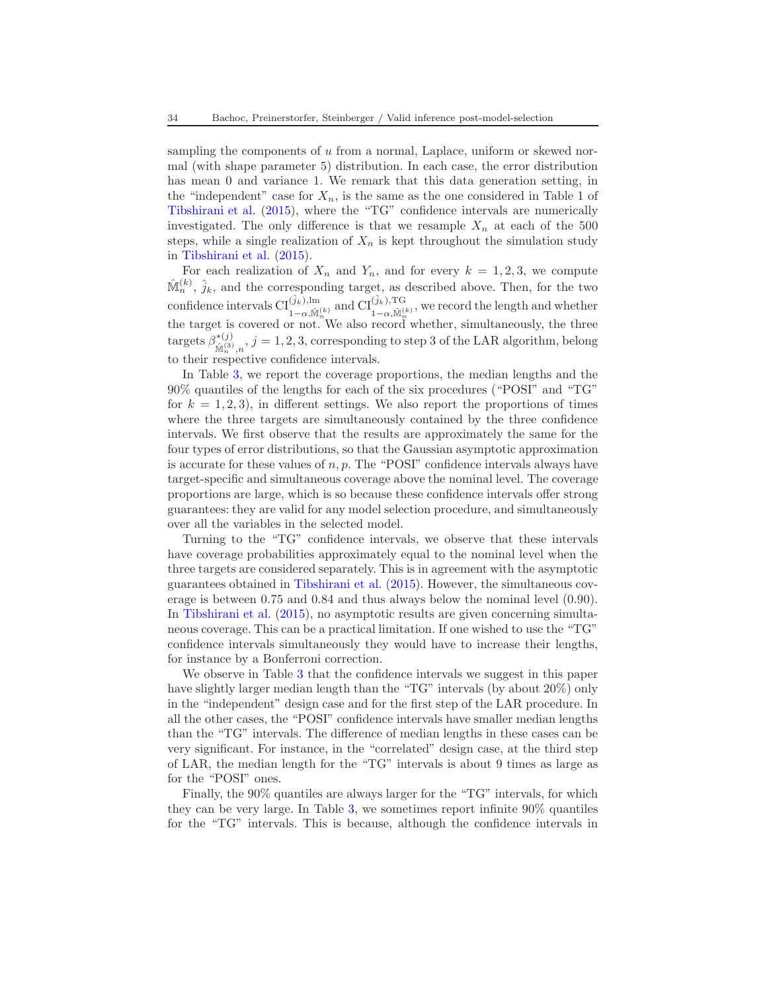sampling the components of u from a normal, Laplace, uniform or skewed normal (with shape parameter 5) distribution. In each case, the error distribution has mean 0 and variance 1. We remark that this data generation setting, in the "independent" case for  $X_n$ , is the same as the one considered in Table 1 of [Tibshirani et al.](#page-68-6) [\(2015](#page-68-6)), where the "TG" confidence intervals are numerically investigated. The only difference is that we resample  $X_n$  at each of the 500 steps, while a single realization of  $X_n$  is kept throughout the simulation study in [Tibshirani et al.](#page-68-6) [\(2015\)](#page-68-6).

For each realization of  $X_n$  and  $Y_n$ , and for every  $k = 1, 2, 3$ , we compute  $\hat{\mathbb{M}}_n^{(k)}$ ,  $\hat{j}_k$ , and the corresponding target, as described above. Then, for the two confidence intervals  $\text{CI}^{(\hat{j}_k),\text{lm}}_{1-\alpha,\hat{\mathbb{M}}^{(k)}_n}$  and  $\text{CI}^{(\hat{j}_k),\text{TG}}_{1-\alpha,\hat{\mathbb{M}}^{(k)}_n}$ , we record the length and whether the target is covered or not. We also record whether, simultaneously, the three targets  $\beta^{*(j)}_{\hat{\mathbf{x}}(\alpha)}$  $\mathbb{M}_{n}^{(3)}, n, j = 1, 2, 3$ , corresponding to step 3 of the LAR algorithm, belong to their respective confidence intervals.

In Table [3,](#page-35-0) we report the coverage proportions, the median lengths and the 90% quantiles of the lengths for each of the six procedures ("POSI" and "TG" for  $k = 1, 2, 3$ , in different settings. We also report the proportions of times where the three targets are simultaneously contained by the three confidence intervals. We first observe that the results are approximately the same for the four types of error distributions, so that the Gaussian asymptotic approximation is accurate for these values of  $n, p$ . The "POSI" confidence intervals always have target-specific and simultaneous coverage above the nominal level. The coverage proportions are large, which is so because these confidence intervals offer strong guarantees: they are valid for any model selection procedure, and simultaneously over all the variables in the selected model.

Turning to the "TG" confidence intervals, we observe that these intervals have coverage probabilities approximately equal to the nominal level when the three targets are considered separately. This is in agreement with the asymptotic guarantees obtained in [Tibshirani et al.](#page-68-6) [\(2015\)](#page-68-6). However, the simultaneous coverage is between 0.75 and 0.84 and thus always below the nominal level (0.90). In [Tibshirani et al.](#page-68-6) [\(2015\)](#page-68-6), no asymptotic results are given concerning simultaneous coverage. This can be a practical limitation. If one wished to use the "TG" confidence intervals simultaneously they would have to increase their lengths, for instance by a Bonferroni correction.

We observe in Table [3](#page-35-0) that the confidence intervals we suggest in this paper have slightly larger median length than the "TG" intervals (by about  $20\%$ ) only in the "independent" design case and for the first step of the LAR procedure. In all the other cases, the "POSI" confidence intervals have smaller median lengths than the "TG" intervals. The difference of median lengths in these cases can be very significant. For instance, in the "correlated" design case, at the third step of LAR, the median length for the "TG" intervals is about 9 times as large as for the "POSI" ones.

Finally, the 90% quantiles are always larger for the "TG" intervals, for which they can be very large. In Table [3,](#page-35-0) we sometimes report infinite 90% quantiles for the "TG" intervals. This is because, although the confidence intervals in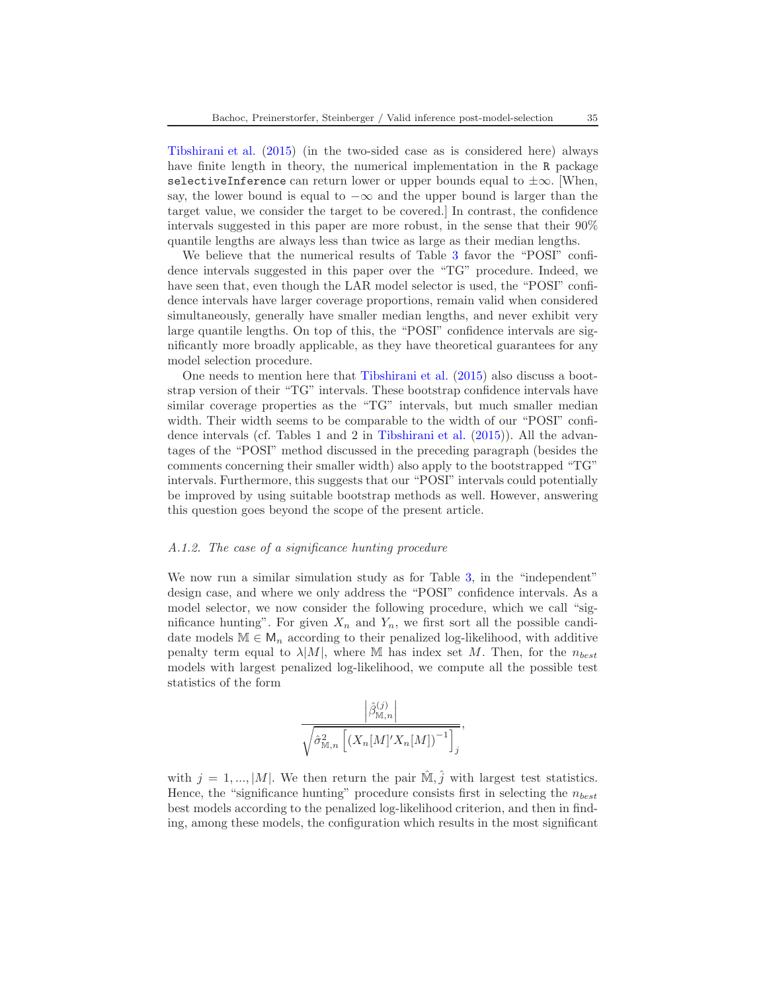[Tibshirani et al.](#page-68-6) [\(2015\)](#page-68-6) (in the two-sided case as is considered here) always have finite length in theory, the numerical implementation in the R package selectiveInference can return lower or upper bounds equal to  $\pm\infty$ . [When, say, the lower bound is equal to  $-\infty$  and the upper bound is larger than the target value, we consider the target to be covered.] In contrast, the confidence intervals suggested in this paper are more robust, in the sense that their 90% quantile lengths are always less than twice as large as their median lengths.

We believe that the numerical results of Table [3](#page-35-0) favor the "POSI" confidence intervals suggested in this paper over the "TG" procedure. Indeed, we have seen that, even though the LAR model selector is used, the "POSI" confidence intervals have larger coverage proportions, remain valid when considered simultaneously, generally have smaller median lengths, and never exhibit very large quantile lengths. On top of this, the "POSI" confidence intervals are significantly more broadly applicable, as they have theoretical guarantees for any model selection procedure.

One needs to mention here that [Tibshirani et al.](#page-68-6) [\(2015\)](#page-68-6) also discuss a bootstrap version of their "TG" intervals. These bootstrap confidence intervals have similar coverage properties as the "TG" intervals, but much smaller median width. Their width seems to be comparable to the width of our "POSI" confidence intervals (cf. Tables 1 and 2 in [Tibshirani et al.](#page-68-6) [\(2015\)](#page-68-6)). All the advantages of the "POSI" method discussed in the preceding paragraph (besides the comments concerning their smaller width) also apply to the bootstrapped "TG" intervals. Furthermore, this suggests that our "POSI" intervals could potentially be improved by using suitable bootstrap methods as well. However, answering this question goes beyond the scope of the present article.

#### <span id="page-34-0"></span>A.1.2. The case of a significance hunting procedure

We now run a similar simulation study as for Table [3,](#page-35-0) in the "independent" design case, and where we only address the "POSI" confidence intervals. As a model selector, we now consider the following procedure, which we call "significance hunting". For given  $X_n$  and  $Y_n$ , we first sort all the possible candidate models  $\mathbb{M} \in \mathsf{M}_n$  according to their penalized log-likelihood, with additive penalty term equal to  $\lambda |M|$ , where M has index set M. Then, for the  $n_{best}$ models with largest penalized log-likelihood, we compute all the possible test statistics of the form

$$
\frac{\left|\hat{\beta}_{\mathbb{M},n}^{(j)}\right|}{\sqrt{\hat{\sigma}_{\mathbb{M},n}^2\left[\left(X_n[M]^\prime X_n[M]\right)^{-1}\right]_j}},
$$

with  $j = 1, ..., |M|$ . We then return the pair  $\hat{M}, \hat{j}$  with largest test statistics. Hence, the "significance hunting" procedure consists first in selecting the  $n_{best}$ best models according to the penalized log-likelihood criterion, and then in finding, among these models, the configuration which results in the most significant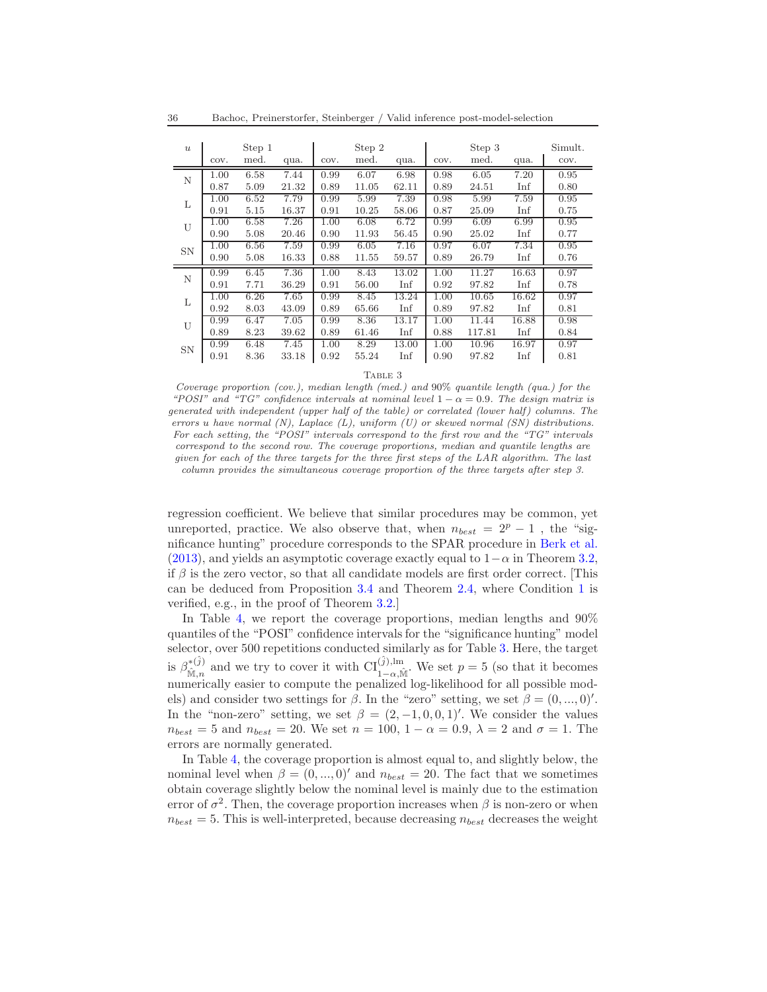| $\boldsymbol{u}$ |      | Step 1 |       |          | Step 2 |       |      | Step 3 |       | Simult. |
|------------------|------|--------|-------|----------|--------|-------|------|--------|-------|---------|
|                  | COV. | med.   | qua.  | COV.     | med.   | qua.  | COV. | med.   | qua.  | COV.    |
| N                | 1.00 | 6.58   | 7.44  | 0.99     | 6.07   | 6.98  | 0.98 | 6.05   | 7.20  | 0.95    |
|                  | 0.87 | 5.09   | 21.32 | 0.89     | 11.05  | 62.11 | 0.89 | 24.51  | Inf   | 0.80    |
| L                | 1.00 | 6.52   | 7.79  | 0.99     | 5.99   | 7.39  | 0.98 | 5.99   | 7.59  | 0.95    |
|                  | 0.91 | 5.15   | 16.37 | 0.91     | 10.25  | 58.06 | 0.87 | 25.09  | Inf   | 0.75    |
| U                | 1.00 | 6.58   | 7.26  | 1.00     | 6.08   | 6.72  | 0.99 | 6.09   | 6.99  | 0.95    |
|                  | 0.90 | 5.08   | 20.46 | 0.90     | 11.93  | 56.45 | 0.90 | 25.02  | Inf   | 0.77    |
| <b>SN</b>        | 1.00 | 6.56   | 7.59  | 0.99     | 6.05   | 7.16  | 0.97 | 6.07   | 7.34  | 0.95    |
|                  | 0.90 | 5.08   | 16.33 | 0.88     | 11.55  | 59.57 | 0.89 | 26.79  | Inf   | 0.76    |
| N                | 0.99 | 6.45   | 7.36  | 1.00     | 8.43   | 13.02 | 1.00 | 11.27  | 16.63 | 0.97    |
|                  | 0.91 | 7.71   | 36.29 | 0.91     | 56.00  | Inf   | 0.92 | 97.82  | Inf   | 0.78    |
| L                | 1.00 | 6.26   | 7.65  | 0.99     | 8.45   | 13.24 | 1.00 | 10.65  | 16.62 | 0.97    |
|                  | 0.92 | 8.03   | 43.09 | 0.89     | 65.66  | Inf   | 0.89 | 97.82  | Inf   | 0.81    |
| U                | 0.99 | 6.47   | 7.05  | 0.99     | 8.36   | 13.17 | 1.00 | 11.44  | 16.88 | 0.98    |
|                  | 0.89 | 8.23   | 39.62 | 0.89     | 61.46  | Inf   | 0.88 | 117.81 | Inf   | 0.84    |
| <b>SN</b>        | 0.99 | 6.48   | 7.45  | $1.00\,$ | 8.29   | 13.00 | 1.00 | 10.96  | 16.97 | 0.97    |
|                  | 0.91 | 8.36   | 33.18 | 0.92     | 55.24  | Inf   | 0.90 | 97.82  | Inf   | 0.81    |

Table 3

<span id="page-35-0"></span>*Coverage proportion (cov.), median length (med.) and* 90% *quantile length (qua.) for the*  $POSI''$  and "TG" confidence intervals at nominal level  $1 - \alpha = 0.9$ . The design matrix is *generated with independent (upper half of the table) or correlated (lower half) columns. The errors* u *have normal (N), Laplace (L), uniform (U) or skewed normal (SN) distributions. For each setting, the "POSI" intervals correspond to the first row and the "TG" intervals correspond to the second row. The coverage proportions, median and quantile lengths are given for each of the three targets for the three first steps of the LAR algorithm. The last column provides the simultaneous coverage proportion of the three targets after step 3.*

regression coefficient. We believe that similar procedures may be common, yet unreported, practice. We also observe that, when  $n_{best} = 2^p - 1$ , the "significance hunting" procedure corresponds to the SPAR procedure in [Berk et al.](#page-67-0) [\(2013\)](#page-67-0), and yields an asymptotic coverage exactly equal to  $1-\alpha$  in Theorem [3.2,](#page-19-0) if  $\beta$  is the zero vector, so that all candidate models are first order correct. [This can be deduced from Proposition [3.4](#page-21-2) and Theorem [2.4,](#page-11-0) where Condition [1](#page-7-1) is verified, e.g., in the proof of Theorem [3.2.](#page-19-0)]

In Table [4,](#page-36-0) we report the coverage proportions, median lengths and 90% quantiles of the "POSI" confidence intervals for the "significance hunting" model selector, over 500 repetitions conducted similarly as for Table [3.](#page-35-0) Here, the target is  $\beta_{\hat{M}}^{*(\hat{j})}$ <sup>\*( $\hat{j}$ )</sub> and we try to cover it with  $\text{CI}_{1-\alpha,\hat{\mathbb{M}}}^{(\hat{j}),\text{lm}}$ . We set  $p=5$  (so that it becomes</sup> numerically easier to compute the penalized log-likelihood for all possible models) and consider two settings for  $\beta$ . In the "zero" setting, we set  $\beta = (0, ..., 0)$ '. In the "non-zero" setting, we set  $\beta = (2, -1, 0, 0, 1)'$ . We consider the values  $n_{best} = 5$  and  $n_{best} = 20$ . We set  $n = 100$ ,  $1 - \alpha = 0.9$ ,  $\lambda = 2$  and  $\sigma = 1$ . The errors are normally generated.

In Table [4,](#page-36-0) the coverage proportion is almost equal to, and slightly below, the nominal level when  $\beta = (0, ..., 0)'$  and  $n_{best} = 20$ . The fact that we sometimes obtain coverage slightly below the nominal level is mainly due to the estimation error of  $\sigma^2$ . Then, the coverage proportion increases when  $\beta$  is non-zero or when  $n_{best} = 5$ . This is well-interpreted, because decreasing  $n_{best}$  decreases the weight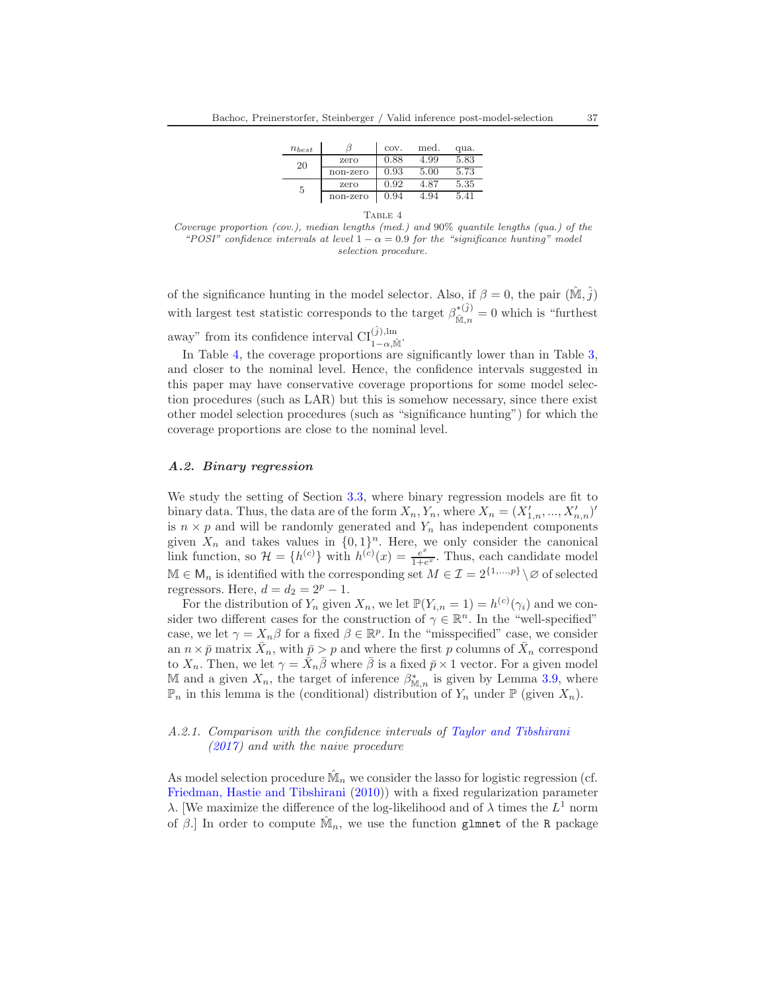| $n_{best}$ |          | COV. | med. | qua. |  |  |  |  |  |
|------------|----------|------|------|------|--|--|--|--|--|
| 20         | zero     | 0.88 | 4.99 | 5.83 |  |  |  |  |  |
|            | non-zero | 0.93 | 5.00 | 5.73 |  |  |  |  |  |
| 5          | zero     | 0.92 | 4.87 | 5.35 |  |  |  |  |  |
|            | non-zero | 0.94 | 4.94 | 5.41 |  |  |  |  |  |
| TABLE 4    |          |      |      |      |  |  |  |  |  |

<span id="page-36-0"></span>*Coverage proportion (cov.), median lengths (med.) and* 90% *quantile lengths (qua.) of the "POSI" confidence intervals at level*  $1 - \alpha = 0.9$  *for the "significance hunting" model selection procedure.*

of the significance hunting in the model selector. Also, if  $\beta = 0$ , the pair  $(\tilde{M}, \tilde{j})$ with largest test statistic corresponds to the target  $\beta_{\hat{\mathbf{x}}_n}^{*(\hat{j})}$  $\mathcal{M}_{\hat{M},n}^{*(J)}=0$  which is "furthest" away" from its confidence interval  $\text{CI}_{1-\alpha,\hat{\mathbb{M}}}^{(\hat{j}),\text{lm}}$ .

In Table [4,](#page-36-0) the coverage proportions are significantly lower than in Table [3,](#page-35-0) and closer to the nominal level. Hence, the confidence intervals suggested in this paper may have conservative coverage proportions for some model selection procedures (such as LAR) but this is somehow necessary, since there exist other model selection procedures (such as "significance hunting") for which the coverage proportions are close to the nominal level.

### A.2. Binary regression

We study the setting of Section [3.3,](#page-23-0) where binary regression models are fit to binary data. Thus, the data are of the form  $X_n, Y_n$ , where  $X_n = (X'_{1,n}, ..., X'_{n,n})'$ is  $n \times p$  and will be randomly generated and  $Y_n$  has independent components given  $X_n$  and takes values in  $\{0, 1\}^n$ . Here, we only consider the canonical link function, so  $\mathcal{H} = \{h^{(c)}\}\$  with  $h^{(c)}(x) = \frac{e^x}{1+e^x}$ . Thus, each candidate model  $\mathbb{M} \in \mathsf{M}_n$  is identified with the corresponding set  $M \in \mathcal{I} = 2^{\{1,\dots,p\}} \setminus \varnothing$  of selected regressors. Here,  $d = d_2 = 2^p - 1$ .

For the distribution of  $Y_n$  given  $X_n$ , we let  $\mathbb{P}(Y_{i,n} = 1) = h^{(c)}(\gamma_i)$  and we consider two different cases for the construction of  $\gamma \in \mathbb{R}^n$ . In the "well-specified" case, we let  $\gamma = X_n \beta$  for a fixed  $\beta \in \mathbb{R}^p$ . In the "misspecified" case, we consider an  $n \times \bar{p}$  matrix  $\bar{X}_n$ , with  $\bar{p} > p$  and where the first p columns of  $\bar{X}_n$  correspond to  $X_n$ . Then, we let  $\gamma = \bar{X}_n \bar{\beta}$  where  $\bar{\beta}$  is a fixed  $\bar{p} \times 1$  vector. For a given model M and a given  $X_n$ , the target of inference  $\beta_{\mathbb{M},n}^*$  is given by Lemma [3.9,](#page-25-0) where  $\mathbb{P}_n$  in this lemma is the (conditional) distribution of  $Y_n$  under  $\mathbb{P}$  (given  $X_n$ ).

### A.2.1. Comparison with the confidence intervals of [Taylor and Tibshirani](#page-68-7) [\(2017](#page-68-7)) and with the naive procedure

As model selection procedure  $\hat{M}_n$  we consider the lasso for logistic regression (cf. [Friedman, Hastie and Tibshirani](#page-67-15) [\(2010](#page-67-15))) with a fixed regularization parameter  $\lambda$ . [We maximize the difference of the log-likelihood and of  $\lambda$  times the  $L^1$  norm of  $\beta$ . In order to compute  $\hat{M}_n$ , we use the function glmnet of the R package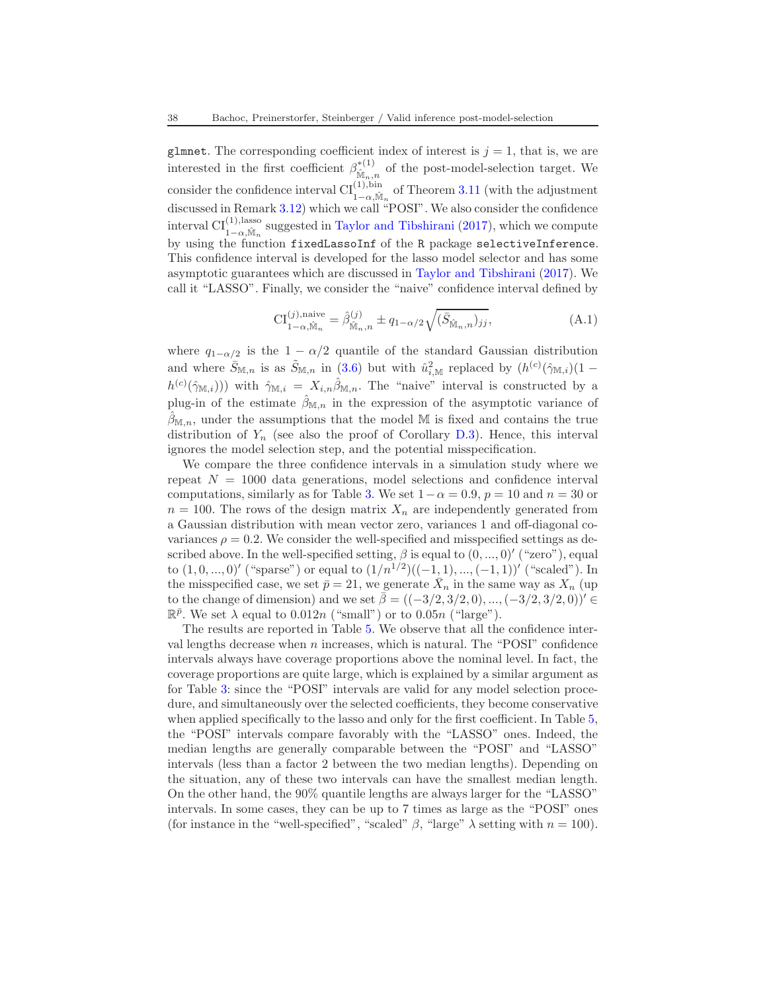glmnet. The corresponding coefficient index of interest is  $j = 1$ , that is, we are interested in the first coefficient  $\beta_{\hat{\mathbf{k}}\hat{\mathbf{z}}}^{*(1)}$  $\mathbb{M}_{n,n}^{(1)}$  of the post-model-selection target. We consider the confidence interval  $Cl_{1-\alpha,\hat{\mathbb{M}}_n}^{(1),\text{bin}}$  of Theorem [3.11](#page-26-0) (with the adjustment discussed in Remark [3.12\)](#page-27-2) which we call "POSI". We also consider the confidence interval  $CI^{(1),lasso}_{1-\alpha,\hat{M}_n}$  suggested in [Taylor and Tibshirani](#page-68-7) [\(2017\)](#page-68-7), which we compute by using the function fixedLassoInf of the R package selectiveInference. This confidence interval is developed for the lasso model selector and has some asymptotic guarantees which are discussed in [Taylor and Tibshirani](#page-68-7) [\(2017](#page-68-7)). We call it "LASSO". Finally, we consider the "naive" confidence interval defined by

<span id="page-37-0"></span>
$$
CI_{1-\alpha,\hat{\mathbb{M}}_n}^{(j),\text{naive}} = \hat{\beta}_{\hat{\mathbb{M}}_n,n}^{(j)} \pm q_{1-\alpha/2} \sqrt{(\bar{S}_{\hat{\mathbb{M}}_n,n})_{jj}},
$$
(A.1)

where  $q_{1-\alpha/2}$  is the  $1-\alpha/2$  quantile of the standard Gaussian distribution and where  $\bar{S}_{\mathbb{M},n}$  is as  $\tilde{S}_{\mathbb{M},n}$  in [\(3.6\)](#page-26-1) but with  $\hat{u}_{i,\mathbb{M}}^2$  replaced by  $(h^{(c)}(\hat{\gamma}_{\mathbb{M},i})(1-\hat{\gamma}_{\mathbb{M},i}))$  $h^{(c)}(\hat{\gamma}_{\mathbb{M},i}))$  with  $\hat{\gamma}_{\mathbb{M},i} = X_{i,n} \hat{\beta}_{\mathbb{M},n}$ . The "naive" interval is constructed by a plug-in of the estimate  $\hat{\beta}_{M,n}$  in the expression of the asymptotic variance of  $\hat{\beta}_{\mathbb{M},n}$ , under the assumptions that the model M is fixed and contains the true distribution of  $Y_n$  (see also the proof of Corollary [D.3\)](#page-66-0). Hence, this interval ignores the model selection step, and the potential misspecification.

We compare the three confidence intervals in a simulation study where we repeat  $N = 1000$  data generations, model selections and confidence interval computations, similarly as for Table [3.](#page-35-0) We set  $1-\alpha = 0.9$ ,  $p = 10$  and  $n = 30$  or  $n = 100$ . The rows of the design matrix  $X_n$  are independently generated from a Gaussian distribution with mean vector zero, variances 1 and off-diagonal covariances  $\rho = 0.2$ . We consider the well-specified and misspecified settings as described above. In the well-specified setting,  $\beta$  is equal to  $(0, ..., 0)'$  ("zero"), equal to  $(1,0,...,0)'$  ("sparse") or equal to  $(1/n^{1/2})((-1,1),...,(-1,1))'$  ("scaled"). In the misspecified case, we set  $\bar{p} = 21$ , we generate  $\bar{X}_n$  in the same way as  $X_n$  (up to the change of dimension) and we set  $\bar{\beta} = ((-3/2, 3/2, 0), ..., (-3/2, 3/2, 0))' \in$  $\mathbb{R}^{\bar{p}}$ . We set  $\lambda$  equal to  $0.012n$  ("small") or to  $0.05n$  ("large").

The results are reported in Table [5.](#page-38-0) We observe that all the confidence interval lengths decrease when n increases, which is natural. The "POSI" confidence intervals always have coverage proportions above the nominal level. In fact, the coverage proportions are quite large, which is explained by a similar argument as for Table [3:](#page-35-0) since the "POSI" intervals are valid for any model selection procedure, and simultaneously over the selected coefficients, they become conservative when applied specifically to the lasso and only for the first coefficient. In Table [5,](#page-38-0) the "POSI" intervals compare favorably with the "LASSO" ones. Indeed, the median lengths are generally comparable between the "POSI" and "LASSO" intervals (less than a factor 2 between the two median lengths). Depending on the situation, any of these two intervals can have the smallest median length. On the other hand, the 90% quantile lengths are always larger for the "LASSO" intervals. In some cases, they can be up to 7 times as large as the "POSI" ones (for instance in the "well-specified", "scaled"  $\beta$ , "large"  $\lambda$  setting with  $n = 100$ ).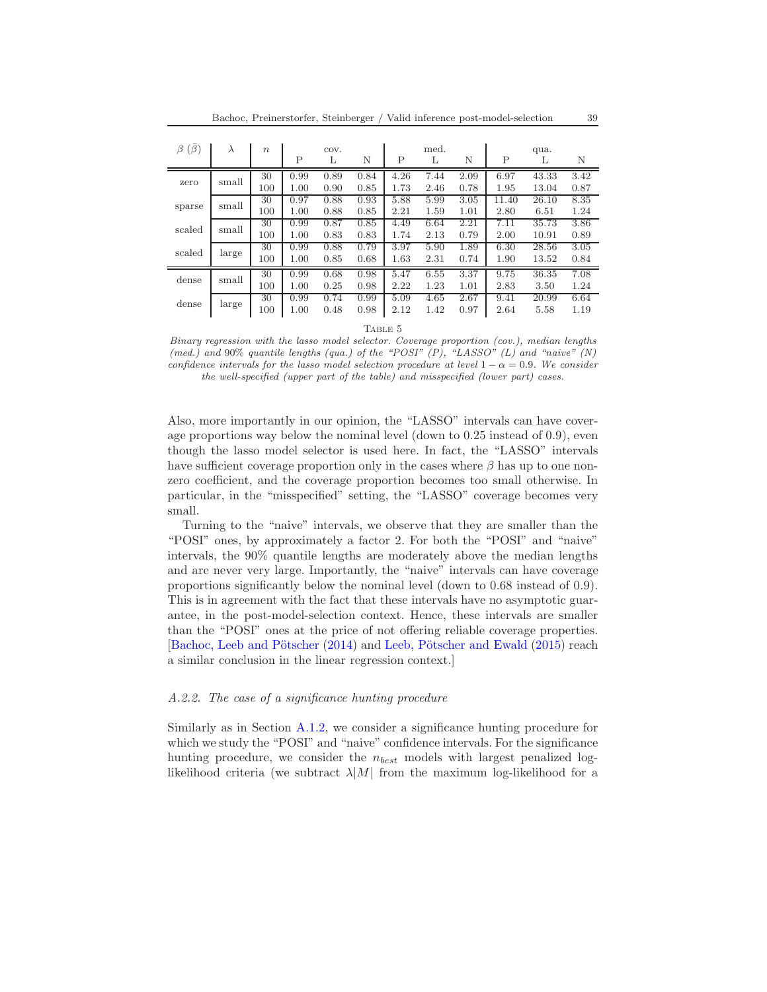| $(\beta)$<br>β | $\lambda$ | $\boldsymbol{n}$ | COV. |      |      | med. |      |      | qua.         |       |      |
|----------------|-----------|------------------|------|------|------|------|------|------|--------------|-------|------|
|                |           |                  | P    | L    | N    | P    | L    | N    | $\mathsf{P}$ | L     | N    |
|                | small     | 30               | 0.99 | 0.89 | 0.84 | 4.26 | 7.44 | 2.09 | 6.97         | 43.33 | 3.42 |
| zero           |           | 100              | 1.00 | 0.90 | 0.85 | 1.73 | 2.46 | 0.78 | 1.95         | 13.04 | 0.87 |
| sparse         | small     | 30               | 0.97 | 0.88 | 0.93 | 5.88 | 5.99 | 3.05 | 11.40        | 26.10 | 8.35 |
|                |           | 100              | 1.00 | 0.88 | 0.85 | 2.21 | 1.59 | 1.01 | 2.80         | 6.51  | 1.24 |
| scaled         | small     | 30               | 0.99 | 0.87 | 0.85 | 4.49 | 6.64 | 2.21 | 7.11         | 35.73 | 3.86 |
|                |           | 100              | 1.00 | 0.83 | 0.83 | 1.74 | 2.13 | 0.79 | 2.00         | 10.91 | 0.89 |
| scaled         | large     | 30               | 0.99 | 0.88 | 0.79 | 3.97 | 5.90 | 1.89 | 6.30         | 28.56 | 3.05 |
|                |           | 100              | 1.00 | 0.85 | 0.68 | 1.63 | 2.31 | 0.74 | 1.90         | 13.52 | 0.84 |
| dense          | small     | 30               | 0.99 | 0.68 | 0.98 | 5.47 | 6.55 | 3.37 | 9.75         | 36.35 | 7.08 |
|                |           | 100              | 1.00 | 0.25 | 0.98 | 2.22 | 1.23 | 1.01 | 2.83         | 3.50  | 1.24 |
| dense          | large     | 30               | 0.99 | 0.74 | 0.99 | 5.09 | 4.65 | 2.67 | 9.41         | 20.99 | 6.64 |
|                |           | 100              | 1.00 | 0.48 | 0.98 | 2.12 | 1.42 | 0.97 | 2.64         | 5.58  | 1.19 |
|                |           |                  |      |      |      |      |      |      |              |       |      |

TABLE 5

<span id="page-38-0"></span>*Binary regression with the lasso model selector. Coverage proportion (cov.), median lengths (med.) and* 90% *quantile lengths (qua.) of the "POSI" (P), "LASSO" (L) and "naive" (N) confidence intervals for the lasso model selection procedure at level*  $1 - \alpha = 0.9$ *. We consider the well-specified (upper part of the table) and misspecified (lower part) cases.*

Also, more importantly in our opinion, the "LASSO" intervals can have coverage proportions way below the nominal level (down to 0.25 instead of 0.9), even though the lasso model selector is used here. In fact, the "LASSO" intervals have sufficient coverage proportion only in the cases where  $\beta$  has up to one nonzero coefficient, and the coverage proportion becomes too small otherwise. In particular, in the "misspecified" setting, the "LASSO" coverage becomes very small.

Turning to the "naive" intervals, we observe that they are smaller than the "POSI" ones, by approximately a factor 2. For both the "POSI" and "naive" intervals, the 90% quantile lengths are moderately above the median lengths and are never very large. Importantly, the "naive" intervals can have coverage proportions significantly below the nominal level (down to 0.68 instead of 0.9). This is in agreement with the fact that these intervals have no asymptotic guarantee, in the post-model-selection context. Hence, these intervals are smaller than the "POSI" ones at the price of not offering reliable coverage properties. [Bachoc, Leeb and Pötscher [\(2014\)](#page-67-2) and Leeb, Pötscher and Ewald [\(2015\)](#page-68-4) reach a similar conclusion in the linear regression context.]

#### A.2.2. The case of a significance hunting procedure

Similarly as in Section [A.1.2,](#page-34-0) we consider a significance hunting procedure for which we study the "POSI" and "naive" confidence intervals. For the significance hunting procedure, we consider the  $n_{best}$  models with largest penalized loglikelihood criteria (we subtract  $\lambda |M|$  from the maximum log-likelihood for a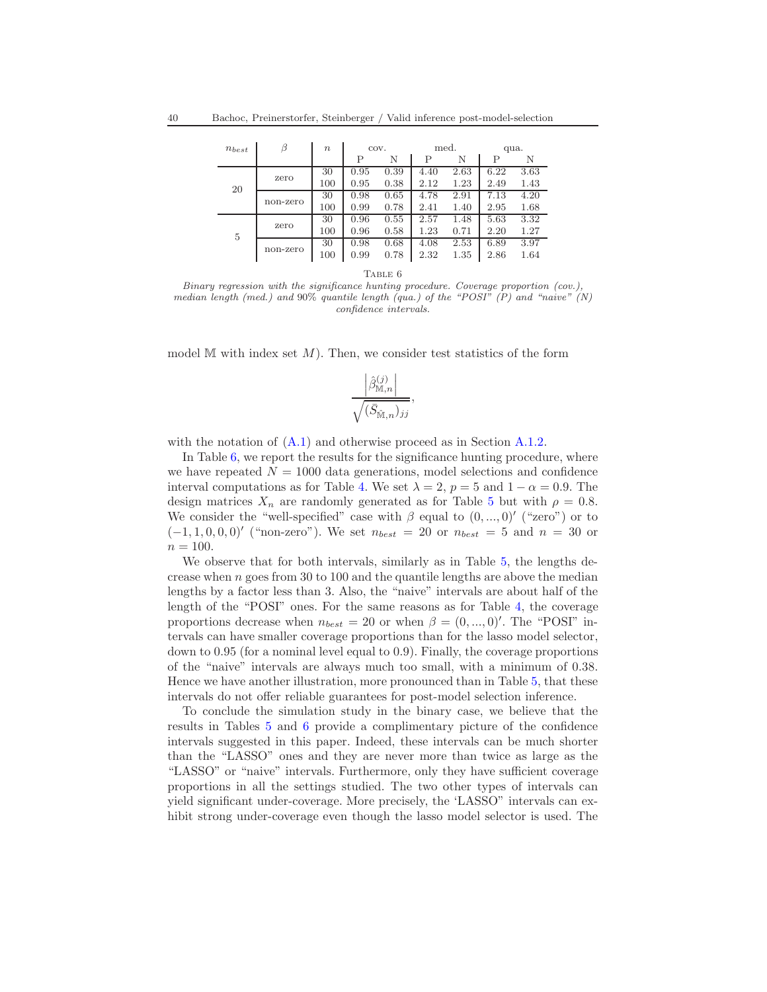| $n_{best}$ | β        | $\boldsymbol{n}$ | COV. |      | med. |      | qua. |      |
|------------|----------|------------------|------|------|------|------|------|------|
|            |          |                  | P    | N    | Р    | N    | P    | N    |
| 20         | zero     | 30               | 0.95 | 0.39 | 4.40 | 2.63 | 6.22 | 3.63 |
|            |          | 100              | 0.95 | 0.38 | 2.12 | 1.23 | 2.49 | 1.43 |
|            | non-zero | 30               | 0.98 | 0.65 | 4.78 | 2.91 | 7.13 | 4.20 |
|            |          | 100              | 0.99 | 0.78 | 2.41 | 1.40 | 2.95 | 1.68 |
| 5          | zero     | 30               | 0.96 | 0.55 | 2.57 | 1.48 | 5.63 | 3.32 |
|            |          | 100              | 0.96 | 0.58 | 1.23 | 0.71 | 2.20 | 1.27 |
|            | non-zero | 30               | 0.98 | 0.68 | 4.08 | 2.53 | 6.89 | 3.97 |
|            |          | 100              | 0.99 | 0.78 | 2.32 | 1.35 | 2.86 | 1.64 |

TABLE  $6$ 

<span id="page-39-0"></span>*Binary regression with the significance hunting procedure. Coverage proportion (cov.), median length (med.) and* 90% *quantile length (qua.) of the "POSI" (P) and "naive" (N) confidence intervals.*

model M with index set  $M$ ). Then, we consider test statistics of the form

$$
\frac{\left|\widehat{\beta}_{\mathbb{M},n}^{(j)}\right|}{\sqrt{(\bar{S}_{\mathbb{\hat{M}},n})_{jj}}},
$$

with the notation of  $(A.1)$  and otherwise proceed as in Section  $A.1.2$ .

In Table [6,](#page-39-0) we report the results for the significance hunting procedure, where we have repeated  $N = 1000$  data generations, model selections and confidence interval computations as for Table [4.](#page-36-0) We set  $\lambda = 2$ ,  $p = 5$  and  $1 - \alpha = 0.9$ . The design matrices  $X_n$  are randomly generated as for Table [5](#page-38-0) but with  $\rho = 0.8$ . We consider the "well-specified" case with  $\beta$  equal to  $(0, ..., 0)'$  ("zero") or to  $(-1, 1, 0, 0, 0)'$  ("non-zero"). We set  $n_{best} = 20$  or  $n_{best} = 5$  and  $n = 30$  or  $n = 100$ .

We observe that for both intervals, similarly as in Table [5,](#page-38-0) the lengths decrease when  $n$  goes from 30 to 100 and the quantile lengths are above the median lengths by a factor less than 3. Also, the "naive" intervals are about half of the length of the "POSI" ones. For the same reasons as for Table [4,](#page-36-0) the coverage proportions decrease when  $n_{best} = 20$  or when  $\beta = (0, ..., 0)'$ . The "POSI" intervals can have smaller coverage proportions than for the lasso model selector, down to 0.95 (for a nominal level equal to 0.9). Finally, the coverage proportions of the "naive" intervals are always much too small, with a minimum of 0.38. Hence we have another illustration, more pronounced than in Table [5,](#page-38-0) that these intervals do not offer reliable guarantees for post-model selection inference.

To conclude the simulation study in the binary case, we believe that the results in Tables [5](#page-38-0) and [6](#page-39-0) provide a complimentary picture of the confidence intervals suggested in this paper. Indeed, these intervals can be much shorter than the "LASSO" ones and they are never more than twice as large as the "LASSO" or "naive" intervals. Furthermore, only they have sufficient coverage proportions in all the settings studied. The two other types of intervals can yield significant under-coverage. More precisely, the 'LASSO" intervals can exhibit strong under-coverage even though the lasso model selector is used. The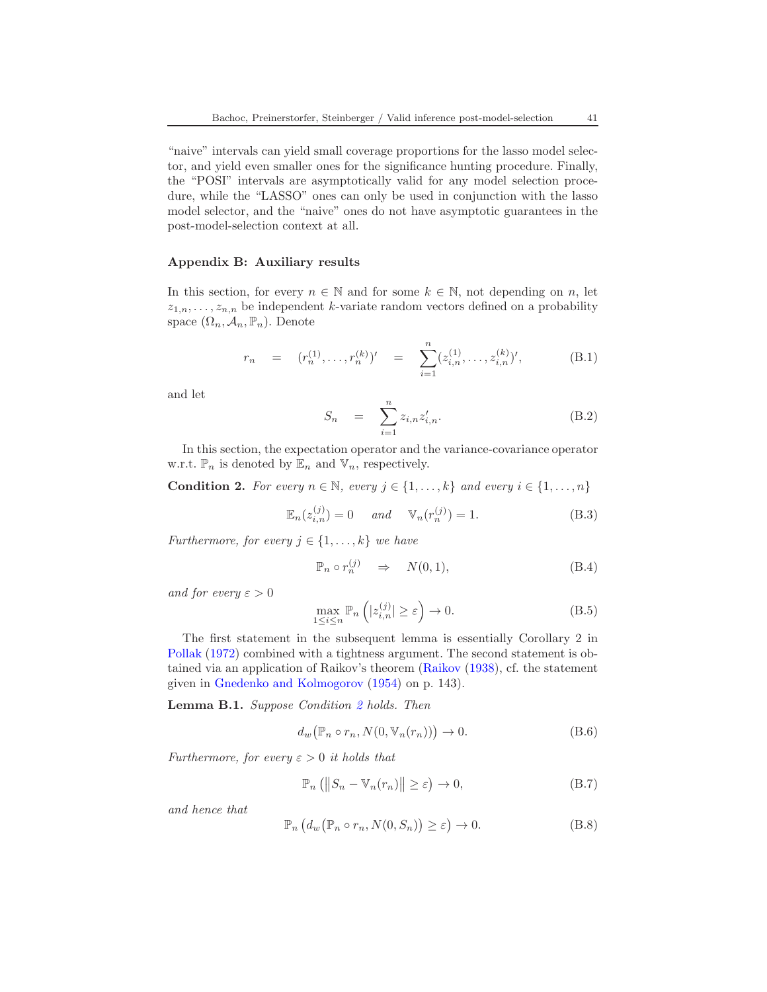"naive" intervals can yield small coverage proportions for the lasso model selector, and yield even smaller ones for the significance hunting procedure. Finally, the "POSI" intervals are asymptotically valid for any model selection procedure, while the "LASSO" ones can only be used in conjunction with the lasso model selector, and the "naive" ones do not have asymptotic guarantees in the post-model-selection context at all.

### <span id="page-40-0"></span>Appendix B: Auxiliary results

In this section, for every  $n \in \mathbb{N}$  and for some  $k \in \mathbb{N}$ , not depending on n, let  $z_{1,n},\ldots,z_{n,n}$  be independent k-variate random vectors defined on a probability space  $(\Omega_n, \mathcal{A}_n, \mathbb{P}_n)$ . Denote

$$
r_n = (r_n^{(1)}, \dots, r_n^{(k)})' = \sum_{i=1}^n (z_{i,n}^{(1)}, \dots, z_{i,n}^{(k)})',
$$
 (B.1)

and let

$$
S_n = \sum_{i=1}^n z_{i,n} z'_{i,n}.
$$
 (B.2)

In this section, the expectation operator and the variance-covariance operator w.r.t.  $\mathbb{P}_n$  is denoted by  $\mathbb{E}_n$  and  $\mathbb{V}_n$ , respectively.

<span id="page-40-1"></span>**Condition 2.** For every  $n \in \mathbb{N}$ , every  $j \in \{1, ..., k\}$  and every  $i \in \{1, ..., n\}$ 

<span id="page-40-2"></span>
$$
\mathbb{E}_n(z_{i,n}^{(j)}) = 0 \quad \text{and} \quad \mathbb{V}_n(r_n^{(j)}) = 1. \tag{B.3}
$$

Furthermore, for every  $j \in \{1, \ldots, k\}$  we have

<span id="page-40-3"></span>
$$
\mathbb{P}_n \circ r_n^{(j)} \quad \Rightarrow \quad N(0, 1), \tag{B.4}
$$

and for every  $\varepsilon > 0$ 

<span id="page-40-4"></span>
$$
\max_{1 \le i \le n} \mathbb{P}_n \left( |z_{i,n}^{(j)}| \ge \varepsilon \right) \to 0. \tag{B.5}
$$

The first statement in the subsequent lemma is essentially Corollary 2 in [Pollak](#page-68-13) [\(1972\)](#page-68-13) combined with a tightness argument. The second statement is obtained via an application of Raikov's theorem [\(Raikov](#page-68-14) [\(1938\)](#page-68-14), cf. the statement given in [Gnedenko and Kolmogorov](#page-67-9) [\(1954](#page-67-9)) on p. 143).

<span id="page-40-6"></span>Lemma B.1. Suppose Condition [2](#page-40-1) holds. Then

$$
d_w(\mathbb{P}_n \circ r_n, N(0, \mathbb{V}_n(r_n))) \to 0. \tag{B.6}
$$

Furthermore, for every  $\varepsilon > 0$  it holds that

$$
\mathbb{P}_n\left(\left\|S_n - \mathbb{V}_n(r_n)\right\| \geq \varepsilon\right) \to 0,\tag{B.7}
$$

and hence that

<span id="page-40-5"></span>
$$
\mathbb{P}_n\left(d_w\big(\mathbb{P}_n\circ r_n, N(0, S_n)\big)\geq \varepsilon\right)\to 0.\tag{B.8}
$$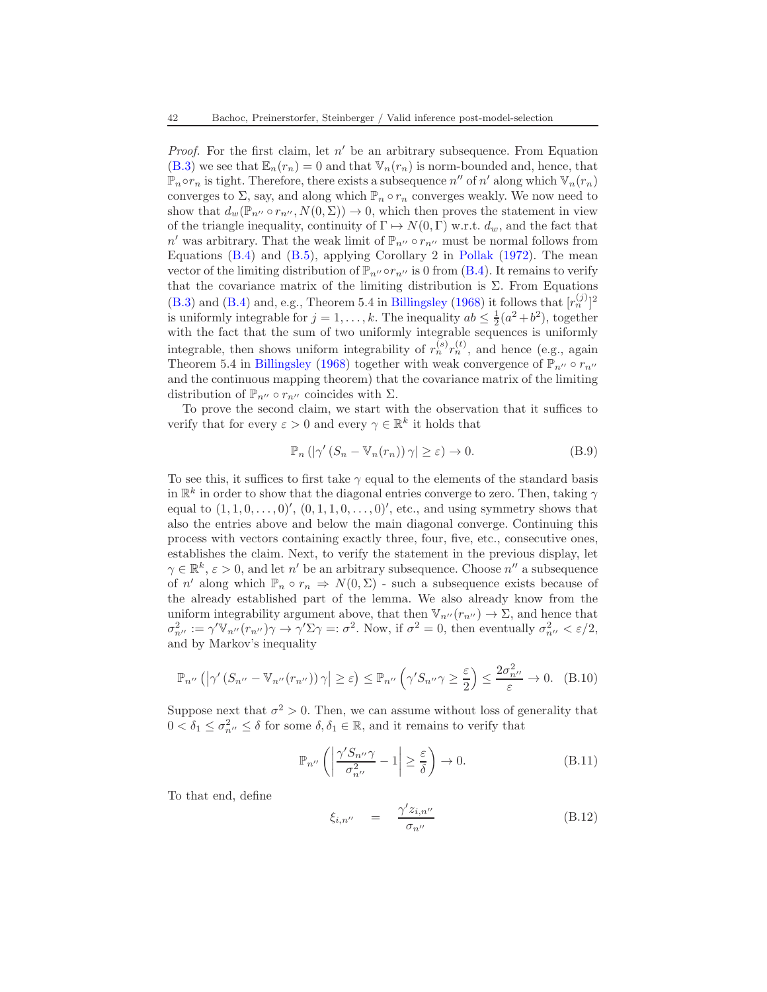*Proof.* For the first claim, let  $n'$  be an arbitrary subsequence. From Equation [\(B.3\)](#page-40-2) we see that  $\mathbb{E}_n(r_n) = 0$  and that  $\mathbb{V}_n(r_n)$  is norm-bounded and, hence, that  $\mathbb{P}_n \circ r_n$  is tight. Therefore, there exists a subsequence  $n''$  of  $n'$  along which  $\mathbb{V}_n(r_n)$ converges to  $\Sigma$ , say, and along which  $\mathbb{P}_n \circ r_n$  converges weakly. We now need to show that  $d_w(\mathbb{P}_{n''} \circ r_{n''}, N(0,\Sigma)) \to 0$ , which then proves the statement in view of the triangle inequality, continuity of  $\Gamma \mapsto N(0, \Gamma)$  w.r.t.  $d_w$ , and the fact that  $n'$  was arbitrary. That the weak limit of  $\mathbb{P}_{n''} \circ r_{n''}$  must be normal follows from Equations [\(B.4\)](#page-40-3) and [\(B.5\)](#page-40-4), applying Corollary 2 in [Pollak](#page-68-13) [\(1972\)](#page-68-13). The mean vector of the limiting distribution of  $\mathbb{P}_{n''}$  or  $r_{n''}$  is 0 from [\(B.4\)](#page-40-3). It remains to verify that the covariance matrix of the limiting distribution is  $\Sigma$ . From Equations [\(B.3\)](#page-40-2) and [\(B.4\)](#page-40-3) and, e.g., Theorem 5.4 in [Billingsley](#page-67-16) [\(1968\)](#page-67-16) it follows that  $[r_n^{(j)}]^2$ is uniformly integrable for  $j = 1, ..., k$ . The inequality  $ab \leq \frac{1}{2}(a^2 + b^2)$ , together with the fact that the sum of two uniformly integrable sequences is uniformly integrable, then shows uniform integrability of  $r_n^{(s)} r_n^{(t)}$ , and hence (e.g., again Theorem 5.4 in [Billingsley](#page-67-16) [\(1968\)](#page-67-16) together with weak convergence of  $\mathbb{P}_{n''} \circ r_{n''}$ and the continuous mapping theorem) that the covariance matrix of the limiting distribution of  $\mathbb{P}_{n''} \circ r_{n''}$  coincides with  $\Sigma$ .

To prove the second claim, we start with the observation that it suffices to verify that for every  $\varepsilon > 0$  and every  $\gamma \in \mathbb{R}^k$  it holds that

$$
\mathbb{P}_n\left(|\gamma'(S_n - \mathbb{V}_n(r_n))\,\gamma\right| \geq \varepsilon\right) \to 0. \tag{B.9}
$$

To see this, it suffices to first take  $\gamma$  equal to the elements of the standard basis in  $\mathbb{R}^k$  in order to show that the diagonal entries converge to zero. Then, taking  $\gamma$ equal to  $(1, 1, 0, \ldots, 0)$ <sup>'</sup>,  $(0, 1, 1, 0, \ldots, 0)$ <sup>'</sup>, etc., and using symmetry shows that also the entries above and below the main diagonal converge. Continuing this process with vectors containing exactly three, four, five, etc., consecutive ones, establishes the claim. Next, to verify the statement in the previous display, let  $\gamma \in \mathbb{R}^k$ ,  $\varepsilon > 0$ , and let n' be an arbitrary subsequence. Choose n'' a subsequence of n' along which  $\mathbb{P}_n \circ r_n \Rightarrow N(0, \Sigma)$  - such a subsequence exists because of the already established part of the lemma. We also already know from the uniform integrability argument above, that then  $\mathbb{V}_{n''}(r_{n''}) \to \Sigma$ , and hence that  $\sigma_{n''}^2 := \gamma' \mathbb{V}_{n''}(r_{n''}) \gamma \to \gamma' \Sigma \gamma =: \sigma^2$ . Now, if  $\sigma^2 = 0$ , then eventually  $\sigma_{n''}^2 < \varepsilon/2$ , and by Markov's inequality

$$
\mathbb{P}_{n^{\prime\prime}}\left(\left|\gamma'\left(S_{n^{\prime\prime}}-\mathbb{V}_{n^{\prime\prime}}(r_{n^{\prime\prime}})\right)\gamma\right|\geq\varepsilon\right)\leq\mathbb{P}_{n^{\prime\prime}}\left(\gamma'S_{n^{\prime\prime}}\gamma\geq\frac{\varepsilon}{2}\right)\leq\frac{2\sigma_{n^{\prime\prime}}^2}{\varepsilon}\to 0.\quad(B.10)
$$

Suppose next that  $\sigma^2 > 0$ . Then, we can assume without loss of generality that  $0 < \delta_1 \leq \sigma_{n''}^2 \leq \delta$  for some  $\delta, \delta_1 \in \mathbb{R}$ , and it remains to verify that

<span id="page-41-0"></span>
$$
\mathbb{P}_{n^{\prime\prime}}\left(\left|\frac{\gamma^{\prime}S_{n^{\prime\prime}}\gamma}{\sigma_{n^{\prime\prime}}^2} - 1\right| \geq \frac{\varepsilon}{\delta}\right) \to 0. \tag{B.11}
$$

To that end, define

$$
\xi_{i,n''} = \frac{\gamma' z_{i,n''}}{\sigma_{n''}}
$$
\n(B.12)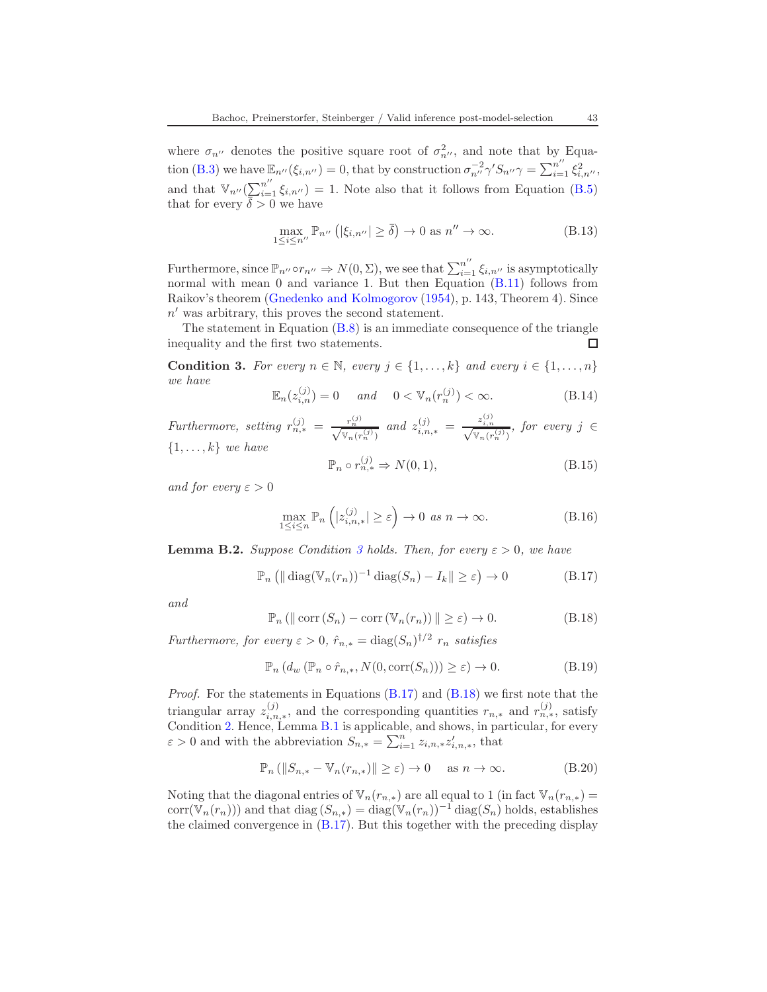where  $\sigma_{n''}$  denotes the positive square root of  $\sigma_{n''}^2$ , and note that by Equa-tion [\(B.3\)](#page-40-2) we have  $\mathbb{E}_{n''}(\xi_{i,n''})=0$ , that by construction  $\sigma_{n''}^{-2}\gamma'S_{n''}\gamma=\sum_{i=1}^{n''}\xi_{i,n''}^2$ , and that  $\mathbb{V}_{n''}(\sum_{i=1}^{n''}\xi_{i,n''})=1$ . Note also that it follows from Equation [\(B.5\)](#page-40-4) that for every  $\overline{\delta} > 0$  we have

$$
\max_{1 \le i \le n^{\prime\prime}} \mathbb{P}_{n^{\prime\prime}} \left( |\xi_{i,n^{\prime\prime}}| \ge \bar{\delta} \right) \to 0 \text{ as } n^{\prime\prime} \to \infty. \tag{B.13}
$$

Furthermore, since  $\mathbb{P}_{n''}\circ r_{n''}\Rightarrow N(0,\Sigma)$ , we see that  $\sum_{i=1}^{n''}\xi_{i,n''}$  is asymptotically normal with mean 0 and variance 1. But then Equation  $(B.11)$  follows from Raikov's theorem [\(Gnedenko and Kolmogorov](#page-67-9) [\(1954\)](#page-67-9), p. 143, Theorem 4). Since  $n'$  was arbitrary, this proves the second statement.

The statement in Equation  $(B.8)$  is an immediate consequence of the triangle inequality and the first two statements.  $\Box$ 

<span id="page-42-0"></span>**Condition 3.** For every  $n \in \mathbb{N}$ , every  $j \in \{1, ..., k\}$  and every  $i \in \{1, ..., n\}$ we have

$$
\mathbb{E}_n(z_{i,n}^{(j)}) = 0 \quad \text{and} \quad 0 < \mathbb{V}_n(r_n^{(j)}) < \infty. \tag{B.14}
$$

Furthermore, setting  $r_{n,*}^{(j)} = \frac{r_n^{(j)}}{\sqrt{\mathbb{V}_n(r_n^{(j)})}}$  and  $z_{i,n,*}^{(j)} = \frac{z_{i,n}^{(j)}}{\sqrt{\mathbb{V}_n(r_n^{(j)})}}$ , for every  $j \in$  $\{1, \ldots, k\}$  we have

$$
\mathbb{P}_n \circ r_{n,*}^{(j)} \Rightarrow N(0,1),\tag{B.15}
$$

and for every  $\varepsilon > 0$ 

$$
\max_{1 \le i \le n} \mathbb{P}_n\left(|z_{i,n,*}^{(j)}| \ge \varepsilon\right) \to 0 \text{ as } n \to \infty. \tag{B.16}
$$

<span id="page-42-3"></span>**Lemma B.2.** Suppose Condition [3](#page-42-0) holds. Then, for every  $\varepsilon > 0$ , we have

<span id="page-42-1"></span>
$$
\mathbb{P}_n \left( \|\operatorname{diag}(\mathbb{V}_n(r_n))^{-1} \operatorname{diag}(S_n) - I_k \| \ge \varepsilon \right) \to 0 \tag{B.17}
$$

and

<span id="page-42-2"></span>
$$
\mathbb{P}_n\left(\|\operatorname{corr}\left(S_n\right) - \operatorname{corr}\left(\mathbb{V}_n(r_n)\right)\|\geq \varepsilon\right) \to 0. \tag{B.18}
$$

Furthermore, for every  $\varepsilon > 0$ ,  $\hat{r}_{n,*} = \text{diag}(S_n)^{\dagger/2} r_n$  satisfies

$$
\mathbb{P}_n\left(d_w\left(\mathbb{P}_n\circ\hat{r}_{n,*}, N(0,\text{corr}(S_n))\right) \geq \varepsilon\right) \to 0. \tag{B.19}
$$

*Proof.* For the statements in Equations  $(B.17)$  and  $(B.18)$  we first note that the triangular array  $z_{i,n}^{(j)}$  $\hat{r}_{i,n,*}^{(j)}$ , and the corresponding quantities  $r_{n,*}$  and  $r_{n,*}^{(j)}$ , satisfy Condition [2.](#page-40-1) Hence, Lemma [B.1](#page-40-6) is applicable, and shows, in particular, for every  $\varepsilon > 0$  and with the abbreviation  $S_{n,*} = \sum_{i=1}^{n} z_{i,n,*} z'_{i,n,*}$ , that

$$
\mathbb{P}_n\left(\|S_{n,*} - \mathbb{V}_n(r_{n,*})\| \ge \varepsilon\right) \to 0 \quad \text{ as } n \to \infty. \tag{B.20}
$$

Noting that the diagonal entries of  $\mathbb{V}_n(r_{n,*})$  are all equal to 1 (in fact  $\mathbb{V}_n(r_{n,*})$  = corr( $\mathbb{V}_n(r_n)$ )) and that diag  $(S_{n,*}) = \text{diag}(\mathbb{V}_n(r_n))^{-1}$  diag $(S_n)$  holds, establishes the claimed convergence in [\(B.17\)](#page-42-1). But this together with the preceding display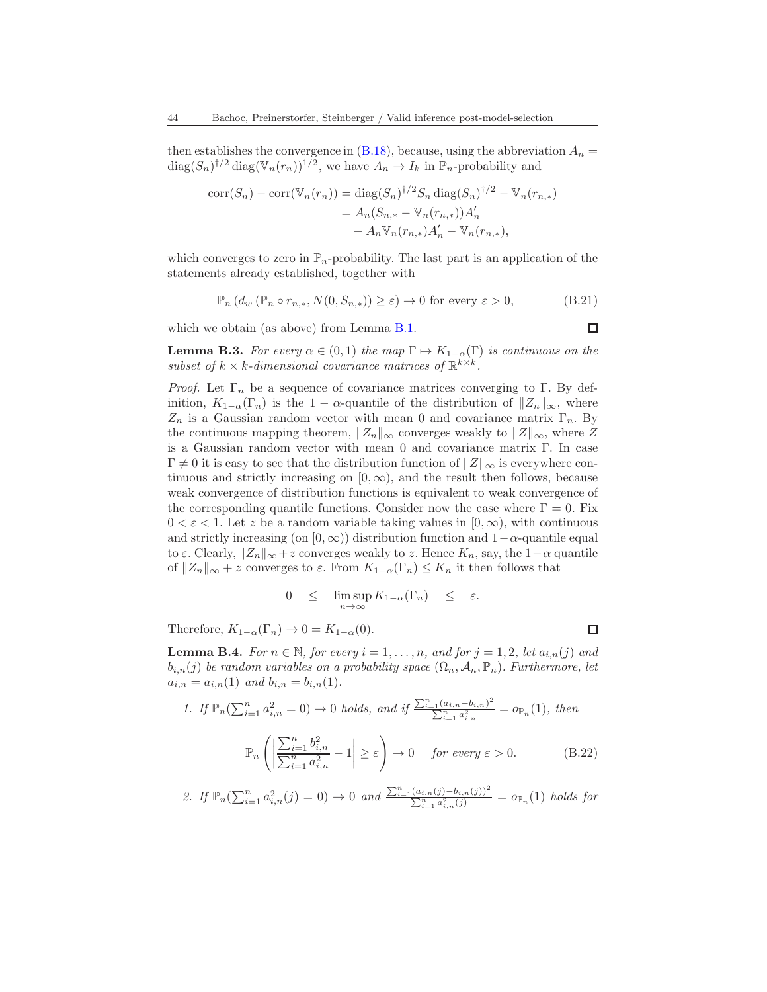then establishes the convergence in  $(B.18)$ , because, using the abbreviation  $A_n =$  $\text{diag}(S_n)^{\dagger/2} \text{diag}(\mathbb{V}_n(r_n))^{1/2}$ , we have  $A_n \to I_k$  in  $\mathbb{P}_n$ -probability and

$$
corr(S_n) - corr(\mathbb{V}_n(r_n)) = diag(S_n)^{\dagger/2} S_n diag(S_n)^{\dagger/2} - \mathbb{V}_n(r_{n,*})
$$
  
=  $A_n(S_{n,*} - \mathbb{V}_n(r_{n,*}))A'_n$   
+  $A_n \mathbb{V}_n(r_{n,*})A'_n - \mathbb{V}_n(r_{n,*}),$ 

which converges to zero in  $\mathbb{P}_n$ -probability. The last part is an application of the statements already established, together with

$$
\mathbb{P}_n\left(d_w\left(\mathbb{P}_n \circ r_{n,*}, N(0, S_{n,*})\right) \geq \varepsilon\right) \to 0 \text{ for every } \varepsilon > 0,
$$
\n(B.21)

which we obtain (as above) from Lemma [B.1.](#page-40-6)

<span id="page-43-0"></span>**Lemma B.3.** For every  $\alpha \in (0,1)$  the map  $\Gamma \mapsto K_{1-\alpha}(\Gamma)$  is continuous on the subset of  $k \times k$ -dimensional covariance matrices of  $\mathbb{R}^{k \times k}$ .

*Proof.* Let  $\Gamma_n$  be a sequence of covariance matrices converging to  $\Gamma$ . By definition,  $K_{1-\alpha}(\Gamma_n)$  is the 1 –  $\alpha$ -quantile of the distribution of  $||Z_n||_{\infty}$ , where  $Z_n$  is a Gaussian random vector with mean 0 and covariance matrix  $\Gamma_n$ . By the continuous mapping theorem,  $||Z_n||_{\infty}$  converges weakly to  $||Z||_{\infty}$ , where Z is a Gaussian random vector with mean 0 and covariance matrix Γ. In case  $\Gamma \neq 0$  it is easy to see that the distribution function of  $||Z||_{\infty}$  is everywhere continuous and strictly increasing on  $[0, \infty)$ , and the result then follows, because weak convergence of distribution functions is equivalent to weak convergence of the corresponding quantile functions. Consider now the case where  $\Gamma = 0$ . Fix  $0 < \varepsilon < 1$ . Let z be a random variable taking values in  $[0, \infty)$ , with continuous and strictly increasing (on [0, ∞)) distribution function and  $1-\alpha$ -quantile equal to  $\varepsilon$ . Clearly,  $||Z_n||_{\infty}+z$  converges weakly to z. Hence  $K_n$ , say, the  $1-\alpha$  quantile of  $||Z_n||_{\infty} + z$  converges to  $\varepsilon$ . From  $K_{1-\alpha}(\Gamma_n) \leq K_n$  it then follows that

$$
0 \leq \limsup_{n \to \infty} K_{1-\alpha}(\Gamma_n) \leq \varepsilon.
$$

Therefore,  $K_{1-\alpha}(\Gamma_n) \to 0 = K_{1-\alpha}(0)$ .

<span id="page-43-1"></span>**Lemma B.4.** For  $n \in \mathbb{N}$ , for every  $i = 1, \ldots, n$ , and for  $j = 1, 2$ , let  $a_{i,n}(j)$  and  $b_{i,n}(j)$  be random variables on a probability space  $(\Omega_n, \mathcal{A}_n, \mathbb{P}_n)$ . Furthermore, let  $a_{i,n} = a_{i,n}(1)$  and  $b_{i,n} = b_{i,n}(1)$ .

1. If 
$$
\mathbb{P}_n(\sum_{i=1}^n a_{i,n}^2 = 0) \to 0
$$
 holds, and if  $\frac{\sum_{i=1}^n (a_{i,n} - b_{i,n})^2}{\sum_{i=1}^n a_{i,n}^2} = o_{\mathbb{P}_n}(1)$ , then  

$$
\mathbb{P}_n\left(\left|\frac{\sum_{i=1}^n b_{i,n}^2}{\sum_{i=1}^n a_{i,n}^2} - 1\right| \geq \varepsilon\right) \to 0 \quad \text{for every } \varepsilon > 0.
$$
 (B.22)

$$
\mathbb{P}_n\left(\left|\frac{\sum_{i=1}^{n} \alpha_{i,n}^2}{\sum_{i=1}^{n} a_{i,n}^2} - 1\right| \ge \varepsilon\right) \to 0 \quad \text{for every } \varepsilon > 0. \tag{B.22}
$$

2. If 
$$
\mathbb{P}_n(\sum_{i=1}^n a_{i,n}^2(j) = 0) \to 0
$$
 and  $\frac{\sum_{i=1}^n (a_{i,n}(j) - b_{i,n}(j))^2}{\sum_{i=1}^n a_{i,n}^2(j)} = o_{\mathbb{P}_n}(1)$  holds for

 $\Box$ 

 $\Box$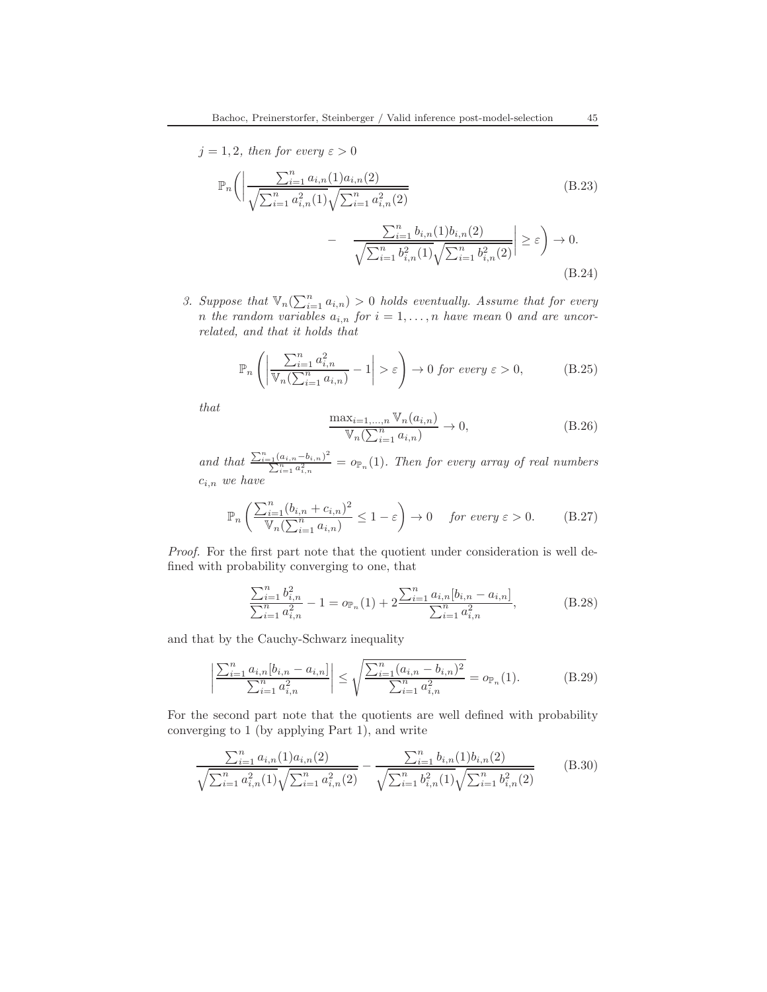$$
j = 1, 2, then for every  $\varepsilon > 0$   

$$
\mathbb{P}_n \Big( \Big| \frac{\sum_{i=1}^n a_{i,n}(1) a_{i,n}(2)}{\sqrt{\sum_{i=1}^n a_{i,n}^2(1)} \sqrt{\sum_{i=1}^n a_{i,n}^2(2)}} - \frac{\sum_{i=1}^n b_{i,n}(1) b_{i,n}(2)}{\sqrt{\sum_{i=1}^n b_{i,n}^2(1)} \sqrt{\sum_{i=1}^n b_{i,n}^2(2)}} \Big| \ge \varepsilon \Big) \to 0.
$$
(B.24)
$$

3. Suppose that  $\mathbb{V}_n(\sum_{i=1}^n a_{i,n}) > 0$  holds eventually. Assume that for every n the random variables  $a_{i,n}$  for  $i = 1, \ldots, n$  have mean 0 and are uncorrelated, and that it holds that

<span id="page-44-0"></span>
$$
\mathbb{P}_n\left(\left|\frac{\sum_{i=1}^n a_{i,n}^2}{\mathbb{V}_n(\sum_{i=1}^n a_{i,n})}-1\right|>\varepsilon\right) \to 0 \text{ for every } \varepsilon > 0,
$$
\n(B.25)

that

<span id="page-44-1"></span>
$$
\frac{\max_{i=1,...,n} \mathbb{V}_n(a_{i,n})}{\mathbb{V}_n(\sum_{i=1}^n a_{i,n})} \to 0,
$$
\n(B.26)

and that  $\frac{\sum_{i=1}^{n}(a_{i,n}-b_{i,n})^2}{\sum_{i=1}^{n}(a_i)^2}$  $\frac{\sum_{i=1}^{n} (u_{i,n}-v_{i,n})}{\sum_{i=1}^{n} a_{i,n}^2} = o_{\mathbb{P}_n}(1)$ . Then for every array of real numbers  $c_{i,n}$  we have

$$
\mathbb{P}_n\left(\frac{\sum_{i=1}^n (b_{i,n} + c_{i,n})^2}{\mathbb{V}_n(\sum_{i=1}^n a_{i,n})} \le 1 - \varepsilon\right) \to 0 \quad \text{for every } \varepsilon > 0. \tag{B.27}
$$

Proof. For the first part note that the quotient under consideration is well defined with probability converging to one, that

$$
\frac{\sum_{i=1}^{n} b_{i,n}^{2}}{\sum_{i=1}^{n} a_{i,n}^{2}} - 1 = o_{\mathbb{P}_n}(1) + 2 \frac{\sum_{i=1}^{n} a_{i,n} [b_{i,n} - a_{i,n}]}{\sum_{i=1}^{n} a_{i,n}^{2}},
$$
\n(B.28)

and that by the Cauchy-Schwarz inequality

$$
\left| \frac{\sum_{i=1}^{n} a_{i,n} [b_{i,n} - a_{i,n}]}{\sum_{i=1}^{n} a_{i,n}^2} \right| \leq \sqrt{\frac{\sum_{i=1}^{n} (a_{i,n} - b_{i,n})^2}{\sum_{i=1}^{n} a_{i,n}^2}} = o_{\mathbb{P}_n}(1).
$$
 (B.29)

For the second part note that the quotients are well defined with probability converging to 1 (by applying Part 1), and write

$$
\frac{\sum_{i=1}^{n} a_{i,n}(1) a_{i,n}(2)}{\sqrt{\sum_{i=1}^{n} a_{i,n}^2(1)} \sqrt{\sum_{i=1}^{n} a_{i,n}^2(2)}} - \frac{\sum_{i=1}^{n} b_{i,n}(1) b_{i,n}(2)}{\sqrt{\sum_{i=1}^{n} b_{i,n}^2(1)} \sqrt{\sum_{i=1}^{n} b_{i,n}^2(2)}} \tag{B.30}
$$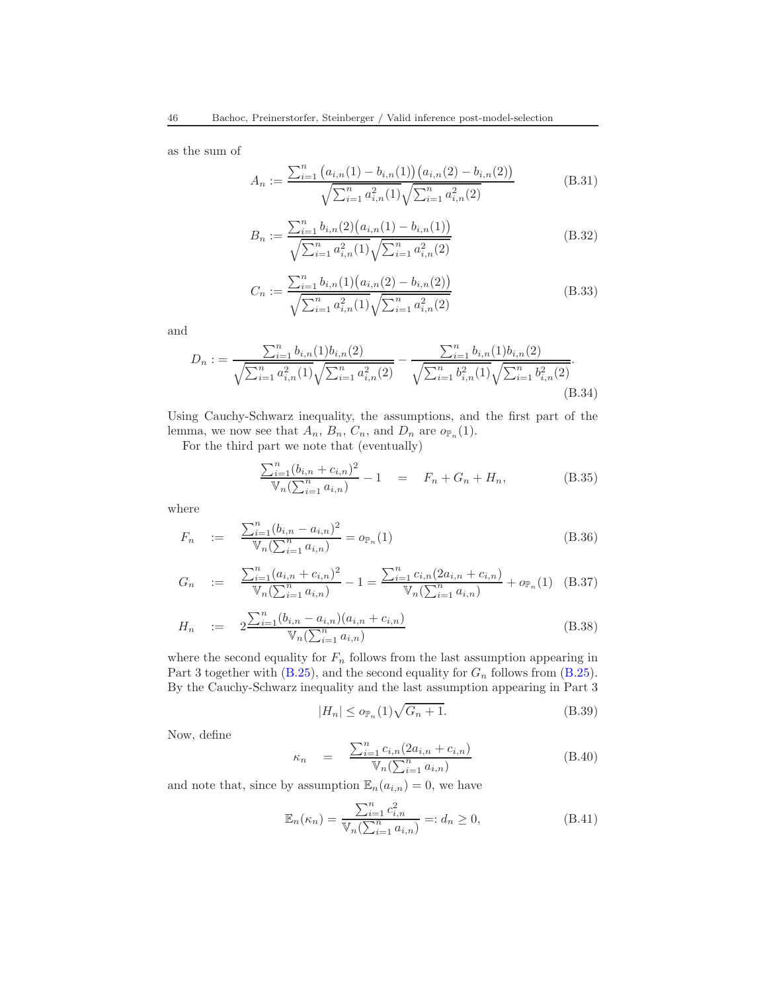as the sum of

$$
A_n := \frac{\sum_{i=1}^n (a_{i,n}(1) - b_{i,n}(1)) (a_{i,n}(2) - b_{i,n}(2))}{\sqrt{\sum_{i=1}^n a_{i,n}^2(1)} \sqrt{\sum_{i=1}^n a_{i,n}^2(2)}}
$$
(B.31)

$$
B_n := \frac{\sum_{i=1}^n b_{i,n}(2) (a_{i,n}(1) - b_{i,n}(1))}{\sqrt{\sum_{i=1}^n a_{i,n}^2(1)} \sqrt{\sum_{i=1}^n a_{i,n}^2(2)}}
$$
(B.32)

$$
C_n := \frac{\sum_{i=1}^n b_{i,n}(1) (a_{i,n}(2) - b_{i,n}(2))}{\sqrt{\sum_{i=1}^n a_{i,n}^2(1)} \sqrt{\sum_{i=1}^n a_{i,n}^2(2)}}
$$
(B.33)

and

$$
D_n := \frac{\sum_{i=1}^n b_{i,n}(1)b_{i,n}(2)}{\sqrt{\sum_{i=1}^n a_{i,n}^2(1)}\sqrt{\sum_{i=1}^n a_{i,n}^2(2)}} - \frac{\sum_{i=1}^n b_{i,n}(1)b_{i,n}(2)}{\sqrt{\sum_{i=1}^n b_{i,n}^2(1)}\sqrt{\sum_{i=1}^n b_{i,n}^2(2)}}.
$$
\n(B.34)

Using Cauchy-Schwarz inequality, the assumptions, and the first part of the lemma, we now see that  $A_n$ ,  $B_n$ ,  $C_n$ , and  $D_n$  are  $o_{\mathbb{P}_n}(1)$ .

For the third part we note that (eventually)

$$
\frac{\sum_{i=1}^{n} (b_{i,n} + c_{i,n})^2}{\mathbb{V}_n(\sum_{i=1}^{n} a_{i,n})} - 1 = F_n + G_n + H_n,
$$
\n(B.35)

where

$$
F_n := \frac{\sum_{i=1}^n (b_{i,n} - a_{i,n})^2}{\mathbb{V}_n(\sum_{i=1}^n a_{i,n})} = o_{\mathbb{P}_n}(1)
$$
\n(B.36)

$$
G_n := \frac{\sum_{i=1}^n (a_{i,n} + c_{i,n})^2}{\mathbb{V}_n(\sum_{i=1}^n a_{i,n})} - 1 = \frac{\sum_{i=1}^n c_{i,n} (2a_{i,n} + c_{i,n})}{\mathbb{V}_n(\sum_{i=1}^n a_{i,n})} + o_{\mathbb{P}_n}(1)
$$
 (B.37)

$$
H_n := 2 \frac{\sum_{i=1}^{n} (b_{i,n} - a_{i,n})(a_{i,n} + c_{i,n})}{\mathbb{V}_n(\sum_{i=1}^{n} a_{i,n})}
$$
(B.38)

where the second equality for  $F_n$  follows from the last assumption appearing in Part 3 together with [\(B.25\)](#page-44-0), and the second equality for  $G_n$  follows from (B.25). By the Cauchy-Schwarz inequality and the last assumption appearing in Part 3

<span id="page-45-0"></span>
$$
|H_n| \le o_{\mathbb{P}_n}(1)\sqrt{G_n + 1}.\tag{B.39}
$$

Now, define

$$
\kappa_n = \frac{\sum_{i=1}^n c_{i,n} (2a_{i,n} + c_{i,n})}{\mathbb{V}_n(\sum_{i=1}^n a_{i,n})}
$$
(B.40)

and note that, since by assumption  $\mathbb{E}_n(a_{i,n}) = 0$ , we have

$$
\mathbb{E}_n(\kappa_n) = \frac{\sum_{i=1}^n c_{i,n}^2}{\mathbb{V}_n(\sum_{i=1}^n a_{i,n})} =: d_n \ge 0,
$$
\n(B.41)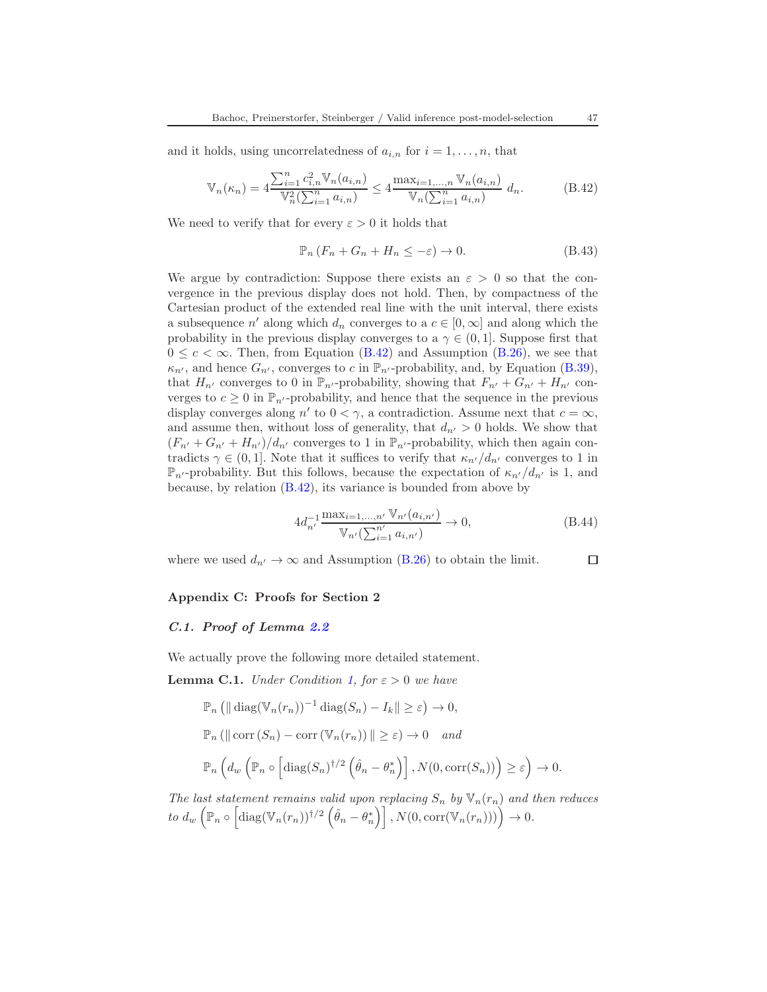and it holds, using uncorrelatedness of  $a_{i,n}$  for  $i = 1, \ldots, n$ , that

<span id="page-46-2"></span>
$$
\mathbb{V}_{n}(\kappa_{n}) = 4 \frac{\sum_{i=1}^{n} c_{i,n}^{2} \mathbb{V}_{n}(a_{i,n})}{\mathbb{V}_{n}^{2}(\sum_{i=1}^{n} a_{i,n})} \le 4 \frac{\max_{i=1,...,n} \mathbb{V}_{n}(a_{i,n})}{\mathbb{V}_{n}(\sum_{i=1}^{n} a_{i,n})} d_{n}.
$$
 (B.42)

We need to verify that for every  $\varepsilon > 0$  it holds that

$$
\mathbb{P}_n \left( F_n + G_n + H_n \le -\varepsilon \right) \to 0. \tag{B.43}
$$

We argue by contradiction: Suppose there exists an  $\varepsilon > 0$  so that the convergence in the previous display does not hold. Then, by compactness of the Cartesian product of the extended real line with the unit interval, there exists a subsequence  $n'$  along which  $d_n$  converges to a  $c \in [0, \infty]$  and along which the probability in the previous display converges to a  $\gamma \in (0,1]$ . Suppose first that  $0 \leq c \leq \infty$ . Then, from Equation [\(B.42\)](#page-46-2) and Assumption [\(B.26\)](#page-44-1), we see that  $\kappa_{n'}$ , and hence  $G_{n'}$ , converges to c in  $\mathbb{P}_{n'}$ -probability, and, by Equation [\(B.39\)](#page-45-0), that  $H_{n'}$  converges to 0 in  $\mathbb{P}_{n'}$ -probability, showing that  $F_{n'} + G_{n'} + H_{n'}$  converges to  $c \geq 0$  in  $\mathbb{P}_{n'}$ -probability, and hence that the sequence in the previous display converges along  $n'$  to  $0 < \gamma$ , a contradiction. Assume next that  $c = \infty$ , and assume then, without loss of generality, that  $d_{n'} > 0$  holds. We show that  $(F_{n'} + G_{n'} + H_{n'})/d_{n'}$  converges to 1 in  $\mathbb{P}_{n'}$ -probability, which then again contradicts  $\gamma \in (0,1]$ . Note that it suffices to verify that  $\kappa_{n'}/d_{n'}$  converges to 1 in  $\mathbb{P}_{n'}$ -probability. But this follows, because the expectation of  $\kappa_{n'}/d_{n'}$  is 1, and because, by relation [\(B.42\)](#page-46-2), its variance is bounded from above by

$$
4d_{n'}^{-1} \frac{\max_{i=1,...,n'} \mathbb{V}_{n'}(a_{i,n'})}{\mathbb{V}_{n'}(\sum_{i=1}^{n'} a_{i,n'})} \to 0,
$$
 (B.44)

where we used  $d_{n'} \to \infty$  and Assumption [\(B.26\)](#page-44-1) to obtain the limit.

### <span id="page-46-0"></span>Appendix C: Proofs for Section 2

### <span id="page-46-1"></span>C.1. Proof of Lemma [2.2](#page-9-0)

We actually prove the following more detailed statement.

<span id="page-46-3"></span>**Lemma C.1.** Under Condition [1,](#page-7-1) for  $\varepsilon > 0$  we have

$$
\mathbb{P}_n \left( \|\operatorname{diag}(\mathbb{V}_n(r_n))^{-1} \operatorname{diag}(S_n) - I_k \| \ge \varepsilon \right) \to 0,
$$
  

$$
\mathbb{P}_n \left( \|\operatorname{corr}(S_n) - \operatorname{corr}(\mathbb{V}_n(r_n)) \| \ge \varepsilon \right) \to 0 \quad and
$$
  

$$
\mathbb{P}_n \left( d_w \left( \mathbb{P}_n \circ \left[ \operatorname{diag}(S_n)^{\dagger/2} \left( \hat{\theta}_n - \theta_n^* \right) \right], N(0, \operatorname{corr}(S_n)) \right) \ge \varepsilon \right) \to 0.
$$

The last statement remains valid upon replacing  $S_n$  by  $\mathbb{V}_n(r_n)$  and then reduces to  $d_w\left(\mathbb{P}_n\circ\left[\text{diag}(\mathbb{V}_n(r_n))\dagger/2\left(\hat{\theta}_n-\theta_n^*\right)\right],N(0,\text{corr}(\mathbb{V}_n(r_n)))\right)\to 0.$ 

□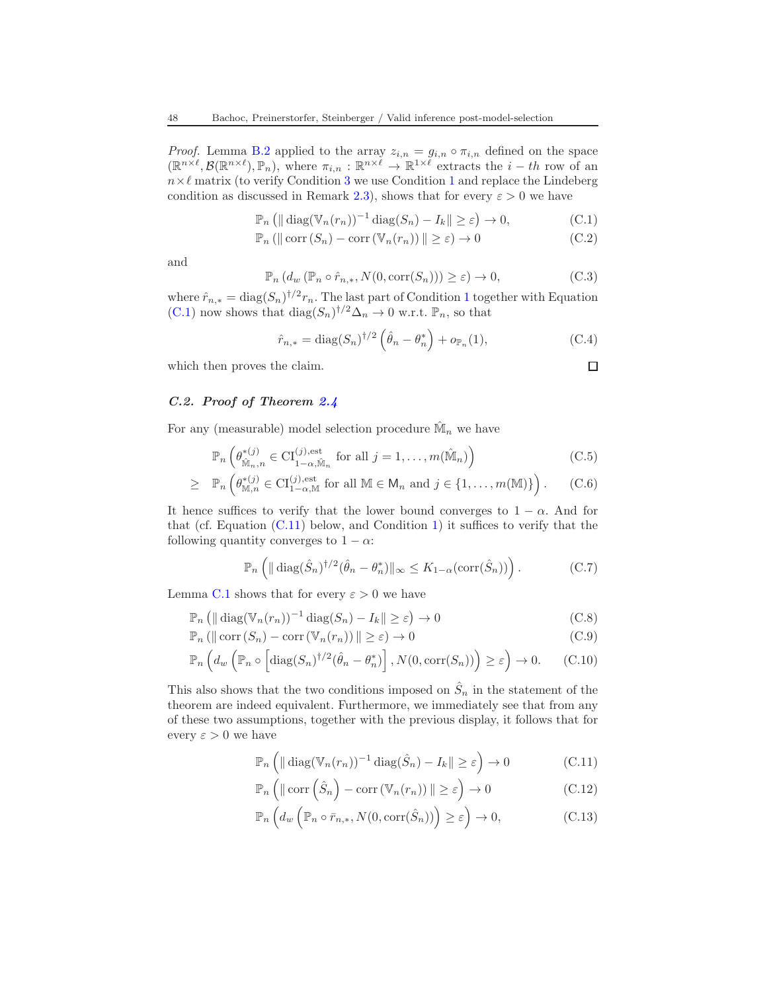*Proof.* Lemma [B.2](#page-42-3) applied to the array  $z_{i,n} = g_{i,n} \circ \pi_{i,n}$  defined on the space  $(\mathbb{R}^{n\times\ell},\mathcal{B}(\mathbb{R}^{n\times\ell}),\mathbb{P}_n)$ , where  $\pi_{i,n}:\mathbb{R}^{n\times\ell}\to\mathbb{R}^{1\times\ell}$  extracts the  $i-th$  row of an  $n \times \ell$  matrix (to verify Condition [3](#page-42-0) we use Condition [1](#page-7-1) and replace the Lindeberg condition as discussed in Remark [2.3\)](#page-10-1), shows that for every  $\varepsilon > 0$  we have

$$
\mathbb{P}_n \left( \|\operatorname{diag}(\mathbb{V}_n(r_n))^{-1} \operatorname{diag}(S_n) - I_k \| \ge \varepsilon \right) \to 0,
$$
 (C.1)

$$
\mathbb{P}_n\left(\left\|\operatorname{corr}\left(S_n\right) - \operatorname{corr}\left(\mathbb{V}_n(r_n)\right)\right\| \geq \varepsilon\right) \to 0\tag{C.2}
$$

and

$$
\mathbb{P}_n\left(d_w\left(\mathbb{P}_n\circ\hat{r}_{n,*}, N(0, \text{corr}(S_n))\right) \geq \varepsilon\right) \to 0,\tag{C.3}
$$

where  $\hat{r}_{n,*} = \text{diag}(S_n)^{\dagger/2} r_n$ . The last part of Condition [1](#page-7-1) together with Equation [\(C.1\)](#page-47-0) now shows that  $\text{diag}(S_n)^{\dagger/2} \Delta_n \to 0$  w.r.t.  $\mathbb{P}_n$ , so that

$$
\hat{r}_{n,*} = \text{diag}(S_n)^{\dagger/2} \left( \hat{\theta}_n - \theta_n^* \right) + o_{\mathbb{P}_n}(1), \tag{C.4}
$$

<span id="page-47-0"></span> $\Box$ 

which then proves the claim.

### C.2. Proof of Theorem [2.4](#page-11-0)

For any (measurable) model selection procedure  $\hat{M}_n$  we have

$$
\mathbb{P}_n\left(\theta_{\hat{\mathbb{M}}_n,n}^{*(j)} \in \mathrm{CI}_{1-\alpha,\hat{\mathbb{M}}_n}^{(j),\text{est}} \text{ for all } j=1,\ldots,m(\hat{\mathbb{M}}_n)\right)
$$
(C.5)

$$
\geq \mathbb{P}_n\left(\theta_{\mathbb{M},n}^{*(j)} \in \mathrm{CI}_{1-\alpha,\mathbb{M}}^{(j),\mathrm{est}} \text{ for all } \mathbb{M} \in \mathsf{M}_n \text{ and } j \in \{1,\ldots,m(\mathbb{M})\}\right). \tag{C.6}
$$

It hence suffices to verify that the lower bound converges to  $1 - \alpha$ . And for that (cf. Equation  $(C.11)$  $(C.11)$  below, and Condition 1) it suffices to verify that the following quantity converges to  $1 - \alpha$ :

$$
\mathbb{P}_n\left(\|\operatorname{diag}(\hat{S}_n)^{\dagger/2}(\hat{\theta}_n - \theta_n^*)\|_{\infty} \le K_{1-\alpha}(\operatorname{corr}(\hat{S}_n))\right). \tag{C.7}
$$

Lemma [C.1](#page-46-3) shows that for every  $\varepsilon > 0$  we have

$$
\mathbb{P}_n \left( \|\operatorname{diag}(\mathbb{V}_n(r_n))^{-1} \operatorname{diag}(S_n) - I_k \| \ge \varepsilon \right) \to 0 \tag{C.8}
$$

$$
\mathbb{P}_n\left(\|\operatorname{corr}\left(S_n\right) - \operatorname{corr}\left(\mathbb{V}_n(r_n)\right)\|\geq \varepsilon\right) \to 0\tag{C.9}
$$

$$
\mathbb{P}_n\left(d_w\left(\mathbb{P}_n \circ \left[\text{diag}(S_n)^{\dagger/2}(\hat{\theta}_n - \theta_n^*)\right], N(0, \text{corr}(S_n))\right) \ge \varepsilon\right) \to 0. \tag{C.10}
$$

This also shows that the two conditions imposed on  $\hat{S}_n$  in the statement of the theorem are indeed equivalent. Furthermore, we immediately see that from any of these two assumptions, together with the previous display, it follows that for every  $\varepsilon > 0$  we have

<span id="page-47-2"></span><span id="page-47-1"></span>
$$
\mathbb{P}_n\left(\|\operatorname{diag}(\mathbb{V}_n(r_n))^{-1}\operatorname{diag}(\hat{S}_n) - I_k\| \ge \varepsilon\right) \to 0\tag{C.11}
$$

$$
\mathbb{P}_n\left(\|\operatorname{corr}\left(\hat{S}_n\right) - \operatorname{corr}\left(\mathbb{V}_n(r_n)\right)\| \ge \varepsilon\right) \to 0\tag{C.12}
$$

$$
\mathbb{P}_n\left(d_w\left(\mathbb{P}_n \circ \bar{r}_{n,*}, N(0, \text{corr}(\hat{S}_n))\right) \geq \varepsilon\right) \to 0,
$$
\n(C.13)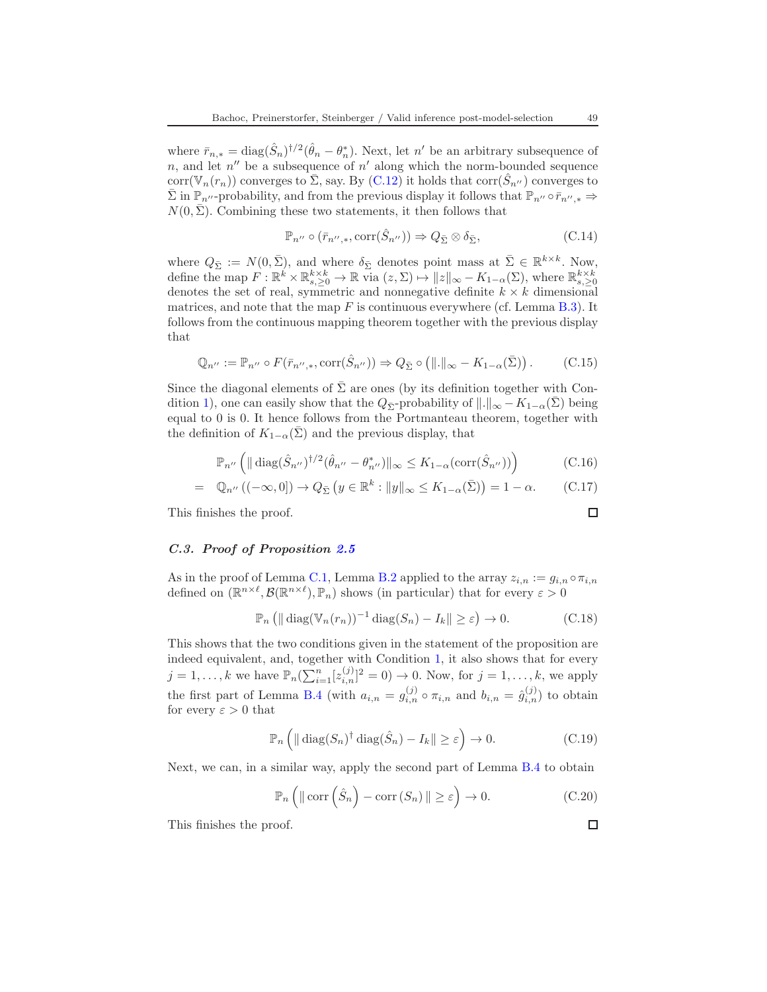where  $\bar{r}_{n,*} = \text{diag}(\hat{S}_n)^{\dagger/2}(\hat{\theta}_n - \theta_n^*)$ . Next, let n' be an arbitrary subsequence of n, and let  $n''$  be a subsequence of  $n'$  along which the norm-bounded sequence corr $(\mathbb{V}_n(r_n))$  converges to  $\overline{\Sigma}$ , say. By  $(C.12)$  $(C.12)$  it holds that corr $(\hat{S}_{n''})$  converges to  $\overline{\Sigma}$  in  $\mathbb{P}_{n''}$ -probability, and from the previous display it follows that  $\mathbb{P}_{n''} \circ \overline{r}_{n'',*} \Rightarrow$  $N(0, \Sigma)$ . Combining these two statements, it then follows that

$$
\mathbb{P}_{n''} \circ (\bar{r}_{n'',*}, \text{corr}(\hat{S}_{n''})) \Rightarrow Q_{\bar{\Sigma}} \otimes \delta_{\bar{\Sigma}}, \tag{C.14}
$$

where  $Q_{\bar{\Sigma}} := N(0, \bar{\Sigma})$ , and where  $\delta_{\bar{\Sigma}}$  denotes point mass at  $\bar{\Sigma} \in \mathbb{R}^{k \times k}$ . Now, define the map  $F: \mathbb{R}^k \times \mathbb{R}^{k \times k}_{s, \geq 0} \to \mathbb{R}$  via  $(z, \Sigma) \mapsto ||z||_{\infty} - K_{1-\alpha}(\Sigma)$ , where  $\mathbb{R}^{k \times k}_{s, \geq 0}$ denotes the set of real, symmetric and nonnegative definite  $k \times k$  dimensional matrices, and note that the map  $F$  is continuous everywhere (cf. Lemma [B.3\)](#page-43-0). It follows from the continuous mapping theorem together with the previous display that

$$
\mathbb{Q}_{n''} := \mathbb{P}_{n''} \circ F(\bar{r}_{n'',*}, \text{corr}(\hat{S}_{n''})) \Rightarrow Q_{\bar{\Sigma}} \circ (||.||_{\infty} - K_{1-\alpha}(\bar{\Sigma})).
$$
 (C.15)

Since the diagonal elements of  $\bar{\Sigma}$  are ones (by its definition together with Con-dition [1\)](#page-7-1), one can easily show that the  $Q_{\bar{\Sigma}}$ -probability of  $\|.\|_{\infty} - K_{1-\alpha}(\Sigma)$  being equal to 0 is 0. It hence follows from the Portmanteau theorem, together with the definition of  $K_{1-\alpha}(\bar{\Sigma})$  and the previous display, that

$$
\mathbb{P}_{n''}\left(\|\operatorname{diag}(\hat{S}_{n''})^{\dagger/2}(\hat{\theta}_{n''}-\theta_{n''}^*)\|_{\infty}\leq K_{1-\alpha}(\operatorname{corr}(\hat{S}_{n''}))\right) \tag{C.16}
$$

$$
= \mathbb{Q}_{n''} ((-\infty, 0]) \to Q_{\bar{\Sigma}} (y \in \mathbb{R}^k : ||y||_{\infty} \le K_{1-\alpha}(\bar{\Sigma})) = 1 - \alpha.
$$
 (C.17)

This finishes the proof.

### C.3. Proof of Proposition [2.5](#page-11-2)

As in the proof of Lemma [C.1,](#page-46-3) Lemma [B.2](#page-42-3) applied to the array  $z_{i,n} := g_{i,n} \circ \pi_{i,n}$ defined on  $(\mathbb{R}^{n\times\ell},\mathcal{B}(\mathbb{R}^{n\times\ell}),\mathbb{P}_n)$  shows (in particular) that for every  $\varepsilon>0$ 

$$
\mathbb{P}_n \left( \|\operatorname{diag}(\mathbb{V}_n(r_n))^{-1} \operatorname{diag}(S_n) - I_k \| \ge \varepsilon \right) \to 0. \tag{C.18}
$$

This shows that the two conditions given in the statement of the proposition are indeed equivalent, and, together with Condition [1,](#page-7-1) it also shows that for every  $j = 1, \ldots, k$  we have  $\mathbb{P}_n(\sum_{i=1}^n [z_{i,n}^{(j)}]^2 = 0) \to 0$ . Now, for  $j = 1, \ldots, k$ , we apply the first part of Lemma [B.4](#page-43-1) (with  $a_{i,n} = g_{i,n}^{(j)} \circ \pi_{i,n}$  and  $b_{i,n} = \hat{g}_{i,n}^{(j)}$ ) to obtain for every  $\varepsilon > 0$  that

$$
\mathbb{P}_n\left(\|\operatorname{diag}(S_n)^{\dagger}\operatorname{diag}(\hat{S}_n) - I_k\| \ge \varepsilon\right) \to 0. \tag{C.19}
$$

Next, we can, in a similar way, apply the second part of Lemma [B.4](#page-43-1) to obtain

$$
\mathbb{P}_n\left(\|\operatorname{corr}\left(\hat{S}_n\right) - \operatorname{corr}\left(S_n\right)\| \ge \varepsilon\right) \to 0. \tag{C.20}
$$

This finishes the proof.

 $\Box$ 

 $\Box$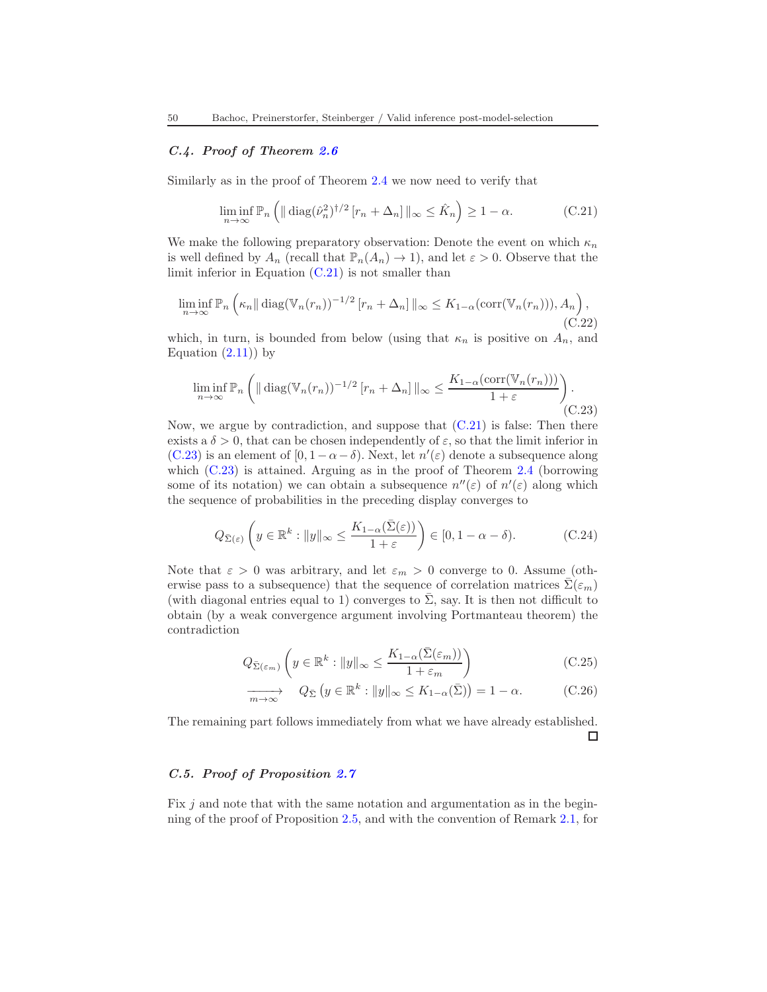# C.4. Proof of Theorem [2.6](#page-12-1)

Similarly as in the proof of Theorem [2.4](#page-11-0) we now need to verify that

<span id="page-49-0"></span>
$$
\liminf_{n \to \infty} \mathbb{P}_n \left( \| \operatorname{diag}(\hat{\nu}_n^2)^{\dagger/2} \left[ r_n + \Delta_n \right] \|_{\infty} \le \hat{K}_n \right) \ge 1 - \alpha. \tag{C.21}
$$

We make the following preparatory observation: Denote the event on which  $\kappa_n$ is well defined by  $A_n$  (recall that  $\mathbb{P}_n(A_n) \to 1$ ), and let  $\varepsilon > 0$ . Observe that the limit inferior in Equation  $(C.21)$  is not smaller than

$$
\liminf_{n \to \infty} \mathbb{P}_n \left( \kappa_n \|\operatorname{diag}(\mathbb{V}_n(r_n))^{-1/2} [r_n + \Delta_n] \|_{\infty} \le K_{1-\alpha}(\operatorname{corr}(\mathbb{V}_n(r_n))), A_n \right),\tag{C.22}
$$

which, in turn, is bounded from below (using that  $\kappa_n$  is positive on  $A_n$ , and Equation  $(2.11)$  by

<span id="page-49-1"></span>
$$
\liminf_{n \to \infty} \mathbb{P}_n \left( \| \operatorname{diag}(\mathbb{V}_n(r_n))^{-1/2} \left[ r_n + \Delta_n \right] \|_{\infty} \le \frac{K_{1-\alpha}(\operatorname{corr}(\mathbb{V}_n(r_n)))}{1+\varepsilon} \right).
$$
\n(C.23)

Now, we argue by contradiction, and suppose that  $(C.21)$  is false: Then there exists a  $\delta > 0$ , that can be chosen independently of  $\varepsilon$ , so that the limit inferior in [\(C.23\)](#page-49-1) is an element of  $[0, 1 - \alpha - \delta)$ . Next, let  $n'(\varepsilon)$  denote a subsequence along which  $(C.23)$  is attained. Arguing as in the proof of Theorem [2.4](#page-11-0) (borrowing some of its notation) we can obtain a subsequence  $n''(\varepsilon)$  of  $n'(\varepsilon)$  along which the sequence of probabilities in the preceding display converges to

$$
Q_{\bar{\Sigma}(\varepsilon)}\left(y \in \mathbb{R}^k : \|y\|_{\infty} \le \frac{K_{1-\alpha}(\bar{\Sigma}(\varepsilon))}{1+\varepsilon}\right) \in [0, 1-\alpha-\delta). \tag{C.24}
$$

Note that  $\varepsilon > 0$  was arbitrary, and let  $\varepsilon_m > 0$  converge to 0. Assume (otherwise pass to a subsequence) that the sequence of correlation matrices  $\Sigma(\varepsilon_m)$ (with diagonal entries equal to 1) converges to  $\bar{\Sigma}$ , say. It is then not difficult to obtain (by a weak convergence argument involving Portmanteau theorem) the contradiction

$$
Q_{\bar{\Sigma}(\varepsilon_m)}\left(y \in \mathbb{R}^k : \|y\|_{\infty} \le \frac{K_{1-\alpha}(\bar{\Sigma}(\varepsilon_m))}{1+\varepsilon_m}\right) \tag{C.25}
$$

$$
\overrightarrow{m \to \infty} \quad Q_{\bar{\Sigma}} \left( y \in \mathbb{R}^k : \|y\|_{\infty} \le K_{1-\alpha}(\bar{\Sigma}) \right) = 1 - \alpha. \tag{C.26}
$$

The remaining part follows immediately from what we have already established.  $\Box$ 

### C.5. Proof of Proposition [2.7](#page-13-0)

Fix  $j$  and note that with the same notation and argumentation as in the beginning of the proof of Proposition [2.5,](#page-11-2) and with the convention of Remark [2.1,](#page-8-1) for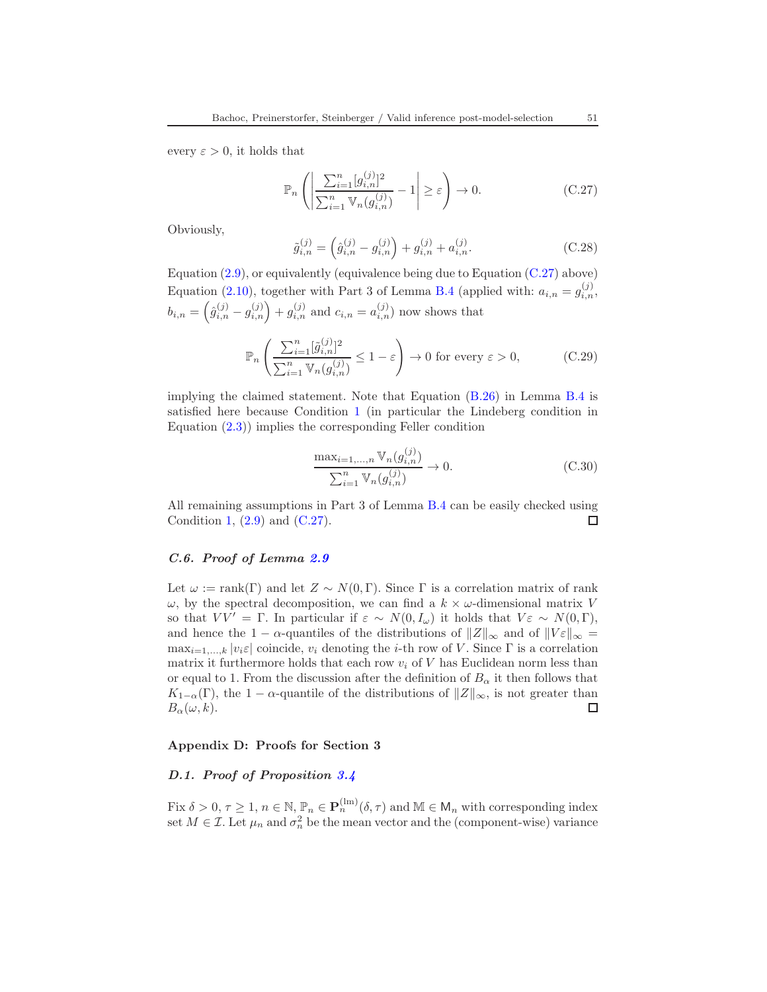every  $\varepsilon > 0$ , it holds that

<span id="page-50-2"></span>
$$
\mathbb{P}_n\left(\left|\frac{\sum_{i=1}^n [g_{i,n}^{(j)}]^2}{\sum_{i=1}^n \mathbb{V}_n(g_{i,n}^{(j)})} - 1\right| \ge \varepsilon\right) \to 0. \tag{C.27}
$$

Obviously,

$$
\tilde{g}_{i,n}^{(j)} = \left(\hat{g}_{i,n}^{(j)} - g_{i,n}^{(j)}\right) + g_{i,n}^{(j)} + a_{i,n}^{(j)}.
$$
\n(C.28)

Equation  $(2.9)$ , or equivalently (equivalence being due to Equation  $(C.27)$  above) Equation [\(2.10\)](#page-12-3), together with Part 3 of Lemma [B.4](#page-43-1) (applied with:  $a_{i,n} = g_{i,n}^{(j)}$ ,  $b_{i,n} = \left(\hat{g}_{i,n}^{(j)} - g_{i,n}^{(j)}\right) + g_{i,n}^{(j)}$  and  $c_{i,n} = a_{i,n}^{(j)}$  now shows that

$$
\mathbb{P}_n\left(\frac{\sum_{i=1}^n [\tilde{g}_{i,n}^{(j)}]^2}{\sum_{i=1}^n \mathbb{V}_n(g_{i,n}^{(j)})} \le 1 - \varepsilon\right) \to 0 \text{ for every } \varepsilon > 0,
$$
 (C.29)

implying the claimed statement. Note that Equation [\(B.26\)](#page-44-1) in Lemma [B.4](#page-43-1) is satisfied here because Condition [1](#page-7-1) (in particular the Lindeberg condition in Equation [\(2.3\)](#page-7-2)) implies the corresponding Feller condition

$$
\frac{\max_{i=1,...,n} \mathbb{V}_n(g_{i,n}^{(j)})}{\sum_{i=1}^n \mathbb{V}_n(g_{i,n}^{(j)})} \to 0.
$$
\n(C.30)

All remaining assumptions in Part 3 of Lemma [B.4](#page-43-1) can be easily checked using Condition [1,](#page-7-1)  $(2.9)$  and  $(C.27)$ .  $\Box$ 

### C.6. Proof of Lemma [2.9](#page-15-1)

Let  $\omega := \text{rank}(\Gamma)$  and let  $Z \sim N(0, \Gamma)$ . Since  $\Gamma$  is a correlation matrix of rank  $\omega$ , by the spectral decomposition, we can find a  $k \times \omega$ -dimensional matrix V so that  $VV' = \Gamma$ . In particular if  $\varepsilon \sim N(0, I_{\omega})$  it holds that  $V \varepsilon \sim N(0, \Gamma)$ , and hence the 1 –  $\alpha$ -quantiles of the distributions of  $||Z||_{\infty}$  and of  $||V_{\varepsilon}||_{\infty} =$  $\max_{i=1,\ldots,k} |v_i \varepsilon|$  coincide,  $v_i$  denoting the *i*-th row of V. Since  $\Gamma$  is a correlation matrix it furthermore holds that each row  $v_i$  of V has Euclidean norm less than or equal to 1. From the discussion after the definition of  $B_{\alpha}$  it then follows that  $K_{1-\alpha}(\Gamma)$ , the  $1-\alpha$ -quantile of the distributions of  $||Z||_{\infty}$ , is not greater than  $B_{\alpha}(\omega, k)$ .  $B_{\alpha}(\omega, k).$ 

#### <span id="page-50-0"></span>Appendix D: Proofs for Section 3

#### <span id="page-50-1"></span>D.1. Proof of Proposition [3.4](#page-21-2)

Fix  $\delta > 0, \tau \geq 1, n \in \mathbb{N}, \mathbb{P}_n \in \mathbf{P}_n^{(lm)}(\delta, \tau)$  and  $\mathbb{M} \in \mathsf{M}_n$  with corresponding index set  $M \in \mathcal{I}$ . Let  $\mu_n$  and  $\sigma_n^2$  be the mean vector and the (component-wise) variance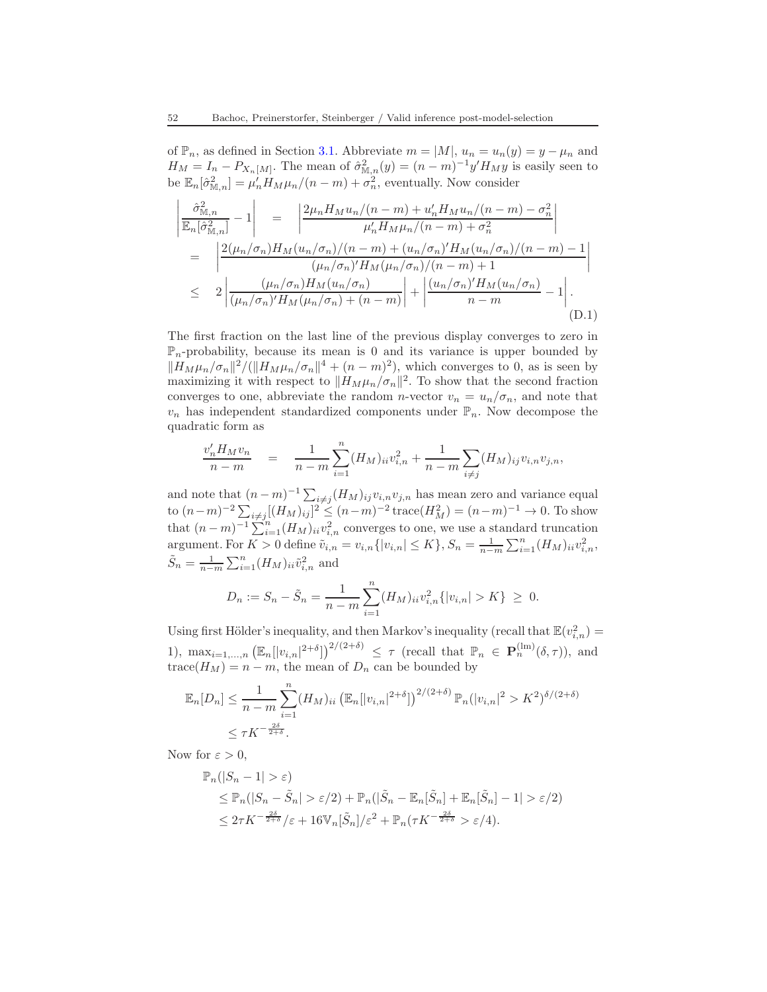of  $\mathbb{P}_n$ , as defined in Section [3.1.](#page-16-0) Abbreviate  $m = |M|$ ,  $u_n = u_n(y) = y - \mu_n$  and  $H_M = I_n - P_{X_n[M]}$ . The mean of  $\hat{\sigma}_{\mathbb{M},n}^2(y) = (n-m)^{-1}y'H_My$  is easily seen to be  $\mathbb{E}_n[\hat{\sigma}_{\mathbb{M},n}^2] = \mu'_n H_M \mu_n/(n-m) + \sigma_n^2$ , eventually. Now consider

$$
\begin{split}\n\left| \frac{\hat{\sigma}_{\mathbb{M},n}^{2}}{\mathbb{E}_{n}[\hat{\sigma}_{\mathbb{M},n}^{2}]} - 1 \right| &= \left| \frac{2\mu_{n}H_{M}u_{n}/(n-m) + u_{n}'H_{M}u_{n}/(n-m) - \sigma_{n}^{2}}{\mu_{n}'H_{M}\mu_{n}/(n-m) + \sigma_{n}^{2}} \right| \\
&= \left| \frac{2(\mu_{n}/\sigma_{n})H_{M}(u_{n}/\sigma_{n})/(n-m) + (u_{n}/\sigma_{n})'H_{M}(u_{n}/\sigma_{n})/(n-m) - 1}{(\mu_{n}/\sigma_{n})'H_{M}(\mu_{n}/\sigma_{n})/(n-m) + 1} \right| \\
&\leq 2 \left| \frac{(\mu_{n}/\sigma_{n})H_{M}(u_{n}/\sigma_{n})}{(\mu_{n}/\sigma_{n})'H_{M}(\mu_{n}/\sigma_{n}) + (n-m)} \right| + \left| \frac{(u_{n}/\sigma_{n})'H_{M}(u_{n}/\sigma_{n})}{n-m} - 1 \right| .\n\end{split} \tag{D.1}
$$

The first fraction on the last line of the previous display converges to zero in  $\mathbb{P}_n$ -probability, because its mean is 0 and its variance is upper bounded by  $\|H_M\mu_n/\sigma_n\|^2/(\|H_M\mu_n/\sigma_n\|^4 + (n-m)^2)$ , which converges to 0, as is seen by maximizing it with respect to  $||H_M\mu_n/\sigma_n||^2$ . To show that the second fraction converges to one, abbreviate the random *n*-vector  $v_n = u_n / \sigma_n$ , and note that  $v_n$  has independent standardized components under  $\mathbb{P}_n$ . Now decompose the quadratic form as

$$
\frac{v_n' H_M v_n}{n-m} = \frac{1}{n-m} \sum_{i=1}^n (H_M)_{ii} v_{i,n}^2 + \frac{1}{n-m} \sum_{i \neq j} (H_M)_{ij} v_{i,n} v_{j,n},
$$

and note that  $(n-m)^{-1} \sum_{i \neq j} (H_M)_{ij} v_{i,n} v_{j,n}$  has mean zero and variance equal to  $(n-m)^{-2} \sum_{i \neq j} [(H_M)_{ij}]^2 \le (n-m)^{-2} \operatorname{trace}(H_M^2) = (n-m)^{-1} \to 0$ . To show that  $(n-m)^{-1} \sum_{i=1}^{n} (H_M)_{ii} v_{i,n}^2$  converges to one, we use a standard truncation argument. For  $K > 0$  define  $\tilde{v}_{i,n} = v_{i,n} \{ |v_{i,n}| \le K \}$ ,  $S_n = \frac{1}{n-m} \sum_{i=1}^n (H_M)_{ii} v_{i,n}^2$ ,  $\tilde{S}_n = \frac{1}{n-m} \sum_{i=1}^n (H_M)_{ii} \tilde{v}_{i,n}^2$  and

$$
D_n := S_n - \tilde{S}_n = \frac{1}{n-m} \sum_{i=1}^n (H_M)_{ii} v_{i,n}^2 \{ |v_{i,n}| > K \} \ge 0.
$$

Using first Hölder's inequality, and then Markov's inequality (recall that  $\mathbb{E}(v_{i,n}^2)$  = 1),  $\max_{i=1,\dots,n} \left( \mathbb{E}_n[|v_{i,n}|^{2+\delta}] \right)^{2/(2+\delta)} \leq \tau$  (recall that  $\mathbb{P}_n \in \mathbf{P}_n^{(\text{lm})}(\delta,\tau)$ ), and trace( $H_M$ ) = n – m, the mean of  $D_n$  can be bounded by

$$
\mathbb{E}_n[D_n] \le \frac{1}{n-m} \sum_{i=1}^n (H_M)_{ii} \left( \mathbb{E}_n[|v_{i,n}|^{2+\delta}] \right)^{2/(2+\delta)} \mathbb{P}_n(|v_{i,n}|^2 > K^2)^{\delta/(2+\delta)}
$$
  

$$
\le \tau K^{-\frac{2\delta}{2+\delta}}.
$$

Now for  $\varepsilon > 0$ ,

$$
\mathbb{P}_n(|S_n - 1| > \varepsilon)
$$
  
\n
$$
\leq \mathbb{P}_n(|S_n - \tilde{S}_n| > \varepsilon/2) + \mathbb{P}_n(|\tilde{S}_n - \mathbb{E}_n[\tilde{S}_n] + \mathbb{E}_n[\tilde{S}_n] - 1| > \varepsilon/2)
$$
  
\n
$$
\leq 2\tau K^{-\frac{2\delta}{2+\delta}}/\varepsilon + 16\mathbb{V}_n[\tilde{S}_n]/\varepsilon^2 + \mathbb{P}_n(\tau K^{-\frac{2\delta}{2+\delta}} > \varepsilon/4).
$$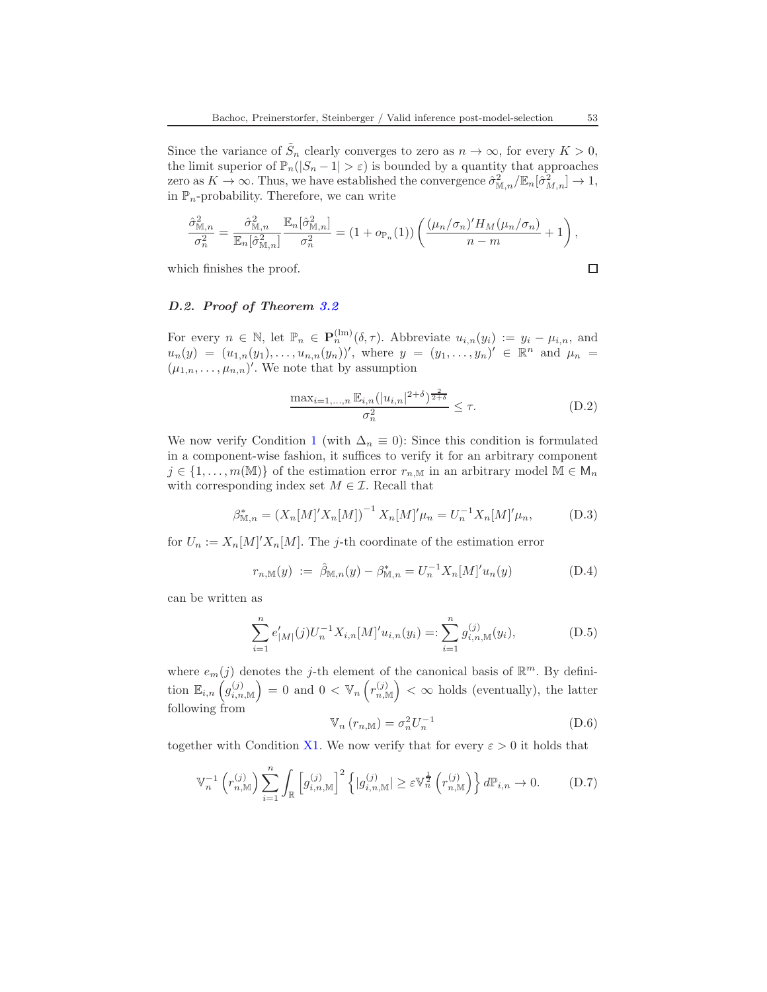Since the variance of  $\tilde{S}_n$  clearly converges to zero as  $n \to \infty$ , for every  $K > 0$ , the limit superior of  $\mathbb{P}_n(|S_n - 1| > \varepsilon)$  is bounded by a quantity that approaches zero as  $K \to \infty$ . Thus, we have established the convergence  $\hat{\sigma}_{\mathbb{M},n}^2/\mathbb{E}_n[\hat{\sigma}_{M,n}^2] \to 1$ , in  $\mathbb{P}_n$ -probability. Therefore, we can write

$$
\frac{\hat{\sigma}_{\mathbb{M},n}^2}{\sigma_n^2} = \frac{\hat{\sigma}_{\mathbb{M},n}^2}{\mathbb{E}_n[\hat{\sigma}_{\mathbb{M},n}^2]} \frac{\mathbb{E}_n[\hat{\sigma}_{\mathbb{M},n}^2]}{\sigma_n^2} = (1 + o_{\mathbb{P}_n}(1)) \left( \frac{(\mu_n/\sigma_n)' H_M(\mu_n/\sigma_n)}{n-m} + 1 \right),
$$

which finishes the proof.

$$
\Box
$$

# D.2. Proof of Theorem [3.2](#page-19-0)

For every  $n \in \mathbb{N}$ , let  $\mathbb{P}_n \in \mathbf{P}_n^{(\text{lm})}(\delta, \tau)$ . Abbreviate  $u_{i,n}(y_i) := y_i - \mu_{i,n}$ , and  $u_n(y) = (u_{1,n}(y_1), \ldots, u_{n,n}(y_n))'$ , where  $y = (y_1, \ldots, y_n)' \in \mathbb{R}^n$  and  $\mu_n =$  $(\mu_{1,n},\ldots,\mu_{n,n})'$ . We note that by assumption

<span id="page-52-0"></span>
$$
\frac{\max_{i=1,...,n} \mathbb{E}_{i,n}(|u_{i,n}|^{2+\delta})^{\frac{2}{2+\delta}}}{\sigma_n^2} \le \tau.
$$
 (D.2)

We now verify Condition [1](#page-7-1) (with  $\Delta_n \equiv 0$ ): Since this condition is formulated in a component-wise fashion, it suffices to verify it for an arbitrary component  $j \in \{1, \ldots, m(\mathbb{M})\}$  of the estimation error  $r_{n,\mathbb{M}}$  in an arbitrary model  $\mathbb{M} \in \mathsf{M}_n$ with corresponding index set  $M \in \mathcal{I}$ . Recall that

$$
\beta_{\mathbb{M},n}^* = (X_n[M]'X_n[M])^{-1} X_n[M]'\mu_n = U_n^{-1} X_n[M]'\mu_n,\tag{D.3}
$$

for  $U_n := X_n[M]'X_n[M]$ . The *j*-th coordinate of the estimation error

$$
r_{n,\mathbb{M}}(y) := \hat{\beta}_{\mathbb{M},n}(y) - \beta_{\mathbb{M},n}^* = U_n^{-1} X_n[M]' u_n(y)
$$
 (D.4)

can be written as

$$
\sum_{i=1}^{n} e'_{|M|}(j) U_n^{-1} X_{i,n}[M]' u_{i,n}(y_i) =: \sum_{i=1}^{n} g_{i,n,\mathbb{M}}^{(j)}(y_i), \tag{D.5}
$$

where  $e_m(j)$  denotes the j-th element of the canonical basis of  $\mathbb{R}^m$ . By definition  $\mathbb{E}_{i,n}\left(g_{i,n,\mathbb{M}}^{(j)}\right) = 0$  and  $0 < \mathbb{V}_n\left(r_{n,\mathbb{M}}^{(j)}\right) < \infty$  holds (eventually), the latter following from

<span id="page-52-2"></span>
$$
\mathbb{V}_n(r_{n,\mathbb{M}}) = \sigma_n^2 U_n^{-1}
$$
\n(D.6)

together with Condition [X1.](#page-17-0) We now verify that for every  $\varepsilon > 0$  it holds that

<span id="page-52-1"></span>
$$
\mathbb{V}_n^{-1}\left(r_{n,\mathbb{M}}^{(j)}\right)\sum_{i=1}^n\int_{\mathbb{R}}\left[g_{i,n,\mathbb{M}}^{(j)}\right]^2\left\{|g_{i,n,\mathbb{M}}^{(j)}|\geq\varepsilon\mathbb{V}_n^{\frac{1}{2}}\left(r_{n,\mathbb{M}}^{(j)}\right)\right\}d\mathbb{P}_{i,n}\to 0.\tag{D.7}
$$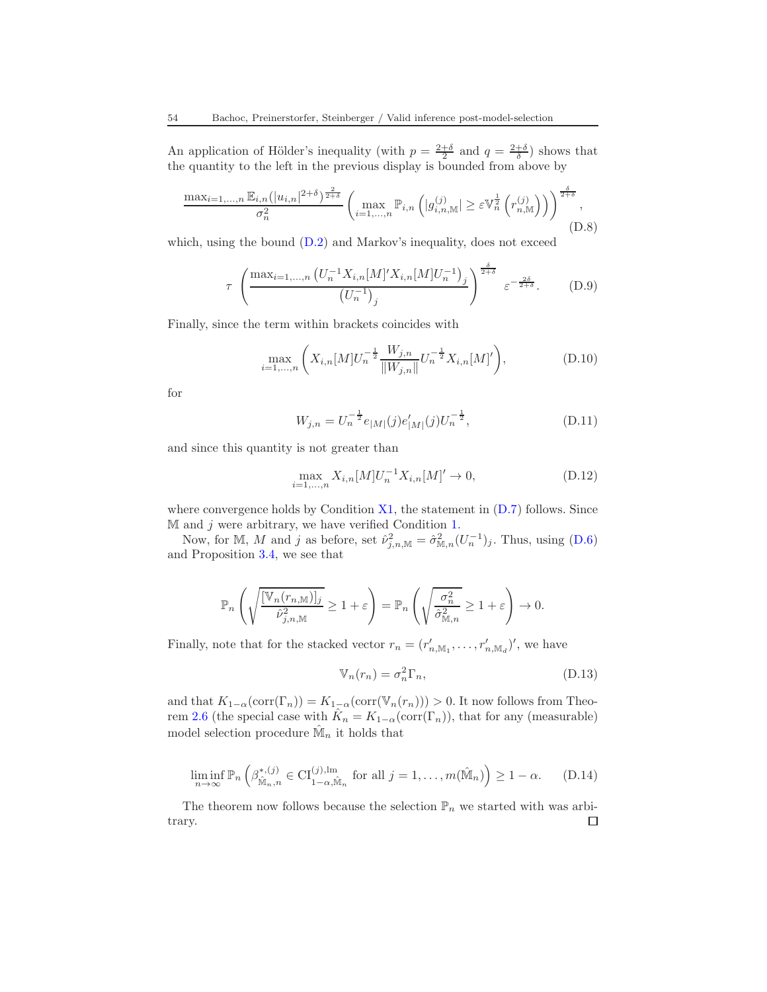An application of Hölder's inequality (with  $p = \frac{2+\delta}{2}$  and  $q = \frac{2+\delta}{\delta}$ ) shows that the quantity to the left in the previous display is bounded from above by

$$
\frac{\max_{i=1,\dots,n} \mathbb{E}_{i,n}(|u_{i,n}|^{2+\delta})^{\frac{2}{2+\delta}}}{\sigma_n^2} \left( \max_{i=1,\dots,n} \mathbb{P}_{i,n} \left( |g_{i,n,\mathbb{M}}^{(j)}| \geq \varepsilon \mathbb{V}_n^{\frac{1}{2}} \left( r_{n,\mathbb{M}}^{(j)} \right) \right) \right)^{\frac{\delta}{2+\delta}},
$$
\n(D.8)

which, using the bound  $(D.2)$  and Markov's inequality, does not exceed

$$
\tau \left( \frac{\max_{i=1,\dots,n} \left( U_n^{-1} X_{i,n} [M]' X_{i,n} [M] U_n^{-1} \right)_j}{\left( U_n^{-1} \right)_j} \right)^{\frac{\delta}{2+\delta}} \varepsilon^{-\frac{2\delta}{2+\delta}}. \tag{D.9}
$$

Finally, since the term within brackets coincides with

$$
\max_{i=1,\dots,n} \left( X_{i,n}[M]U_n^{-\frac{1}{2}} \frac{W_{j,n}}{\|W_{j,n}\|} U_n^{-\frac{1}{2}} X_{i,n}[M]'\right),\tag{D.10}
$$

for

$$
W_{j,n} = U_n^{-\frac{1}{2}} e_{|M|}(j) e'_{|M|}(j) U_n^{-\frac{1}{2}}, \tag{D.11}
$$

and since this quantity is not greater than

$$
\max_{i=1,\dots,n} X_{i,n}[M]U_n^{-1}X_{i,n}[M] \to 0,
$$
\n(D.12)

where convergence holds by Condition  $X1$ , the statement in  $(D.7)$  follows. Since  $M$  and  $j$  were arbitrary, we have verified Condition [1.](#page-7-1)

Now, for M, M and j as before, set  $\hat{\nu}_{j,n,\mathbb{M}}^2 = \hat{\sigma}_{\mathbb{M},n}^2 (U_n^{-1})_j$ . Thus, using  $(D.6)$ and Proposition [3.4,](#page-21-2) we see that

$$
\mathbb{P}_n\left(\sqrt{\frac{[\mathbb{V}_n(r_{n,\mathbb{M}})]_j}{\hat{\nu}_{j,n,\mathbb{M}}^2}} \ge 1+\varepsilon\right) = \mathbb{P}_n\left(\sqrt{\frac{\sigma_n^2}{\hat{\sigma}_{\mathbb{M},n}^2}} \ge 1+\varepsilon\right) \to 0.
$$

Finally, note that for the stacked vector  $r_n = (r'_{n,M_1}, \ldots, r'_{n,M_d})'$ , we have

$$
\mathbb{V}_n(r_n) = \sigma_n^2 \Gamma_n,\tag{D.13}
$$

and that  $K_{1-\alpha}(\text{corr}(\Gamma_n)) = K_{1-\alpha}(\text{corr}(\mathbb{V}_n(r_n))) > 0$ . It now follows from Theo-rem [2.6](#page-12-1) (the special case with  $\hat{K}_n = K_{1-\alpha}(\text{corr}(\Gamma_n))$ , that for any (measurable) model selection procedure  $\hat{M}_n$  it holds that

$$
\liminf_{n \to \infty} \mathbb{P}_n \left( \beta^{*,(j)}_{\hat{\mathbb{M}}_n,n} \in \mathrm{CI}_{1-\alpha,\hat{\mathbb{M}}_n}^{(j),\mathrm{lm}} \text{ for all } j = 1,\ldots,m(\hat{\mathbb{M}}_n) \right) \ge 1-\alpha. \tag{D.14}
$$

The theorem now follows because the selection  $\mathbb{P}_n$  we started with was arbitrary. $\Box$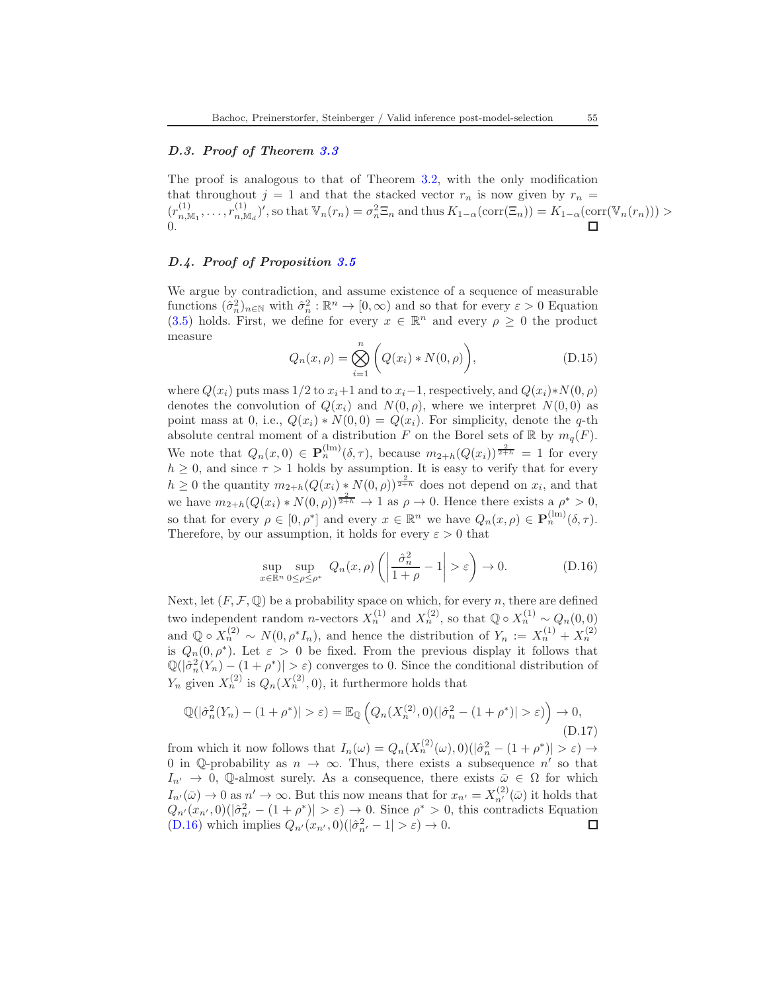### D.3. Proof of Theorem [3.3](#page-20-1)

The proof is analogous to that of Theorem [3.2,](#page-19-0) with the only modification that throughout  $j = 1$  and that the stacked vector  $r_n$  is now given by  $r_n =$  $(r_{n,\mathbb{M}_1}^{(1)},\ldots,r_{n,\mathbb{M}_d}^{(1)})'$ , so that  $\mathbb{V}_n(r_n) = \sigma_n^2 \Xi_n$  and thus  $K_{1-\alpha}(\text{corr}(\Xi_n)) = K_{1-\alpha}(\text{corr}(\mathbb{V}_n(r_n))) >$ 0.

# <span id="page-54-0"></span>D.4. Proof of Proposition [3.5](#page-21-1)

We argue by contradiction, and assume existence of a sequence of measurable functions  $(\hat{\sigma}_n^2)_{n \in \mathbb{N}}$  with  $\hat{\sigma}_n^2 : \mathbb{R}^n \to [0, \infty)$  and so that for every  $\varepsilon > 0$  Equation [\(3.5\)](#page-21-4) holds. First, we define for every  $x \in \mathbb{R}^n$  and every  $\rho \geq 0$  the product measure

$$
Q_n(x,\rho) = \bigotimes_{i=1}^n \left( Q(x_i) * N(0,\rho) \right),
$$
 (D.15)

where  $Q(x_i)$  puts mass 1/2 to  $x_i+1$  and to  $x_i-1$ , respectively, and  $Q(x_i)*N(0,\rho)$ denotes the convolution of  $Q(x_i)$  and  $N(0, \rho)$ , where we interpret  $N(0, 0)$  as point mass at 0, i.e.,  $Q(x_i) * N(0,0) = Q(x_i)$ . For simplicity, denote the q-th absolute central moment of a distribution F on the Borel sets of  $\mathbb R$  by  $m_q(F)$ . We note that  $Q_n(x,0) \in \mathbf{P}_n^{(\text{lm})}(\delta,\tau)$ , because  $m_{2+h}(Q(x_i))^\frac{2}{2+h} = 1$  for every  $h \geq 0$ , and since  $\tau > 1$  holds by assumption. It is easy to verify that for every  $h \geq 0$  the quantity  $m_{2+h}(Q(x_i), N(0, \rho))^\frac{2}{2+h}$  does not depend on  $x_i$ , and that we have  $m_{2+h}(Q(x_i) * N(0, \rho))^{\frac{2}{2+h}} \to 1$  as  $\rho \to 0$ . Hence there exists  $a, \rho^* > 0$ , so that for every  $\rho \in [0, \rho^*]$  and every  $x \in \mathbb{R}^n$  we have  $Q_n(x, \rho) \in \mathbf{P}_n^{(\text{lm})}(\delta, \tau)$ . Therefore, by our assumption, it holds for every  $\varepsilon > 0$  that

<span id="page-54-1"></span>
$$
\sup_{x \in \mathbb{R}^n} \sup_{0 \le \rho \le \rho^*} Q_n(x,\rho) \left( \left| \frac{\hat{\sigma}_n^2}{1+\rho} - 1 \right| > \varepsilon \right) \to 0. \tag{D.16}
$$

Next, let  $(F, \mathcal{F}, \mathbb{Q})$  be a probability space on which, for every n, there are defined two independent random *n*-vectors  $X_n^{(1)}$  and  $X_n^{(2)}$ , so that  $\mathbb{Q} \circ X_n^{(1)} \sim Q_n(0,0)$ and  $\mathbb{Q} \circ X_n^{(2)} \sim N(0, \rho^* I_n)$ , and hence the distribution of  $Y_n := X_n^{(1)} + X_n^{(2)}$ is  $Q_n(0, \rho^*)$ . Let  $\varepsilon > 0$  be fixed. From the previous display it follows that  $\mathbb{Q}(|\hat{\sigma}_n^2(Y_n) - (1+\rho^*)| > \varepsilon)$  converges to 0. Since the conditional distribution of  $Y_n$  given  $X_n^{(2)}$  is  $Q_n(X_n^{(2)}, 0)$ , it furthermore holds that

$$
\mathbb{Q}(|\hat{\sigma}_n^2(Y_n) - (1+\rho^*)| > \varepsilon) = \mathbb{E}_{\mathbb{Q}}\left(Q_n(X_n^{(2)}, 0)(|\hat{\sigma}_n^2 - (1+\rho^*)| > \varepsilon)\right) \to 0,
$$
\n(D.17)

from which it now follows that  $I_n(\omega) = Q_n(X_n^{(2)}(\omega), 0)(\left|\hat{\sigma}_n^2 - (1 + \rho^*)\right| > \varepsilon) \to$ 0 in Q-probability as  $n \to \infty$ . Thus, there exists a subsequence n' so that  $I_{n'} \to 0$ , Q-almost surely. As a consequence, there exists  $\bar{\omega} \in \Omega$  for which  $I_{n'}(\bar{\omega}) \to 0$  as  $n' \to \infty$ . But this now means that for  $x_{n'} = X_{n'}^{(2)}(\bar{\omega})$  it holds that  $Q_{n'}(x_{n'},0)(|\hat{\sigma}_{n'}^2-(1+\rho^*)|>\varepsilon)\to 0$ . Since  $\rho^*>0$ , this contradicts Equation [\(D.16\)](#page-54-1) which implies  $Q_{n'}(x_{n'},0)(|\hat{\sigma}_{n'}^2-1|>\varepsilon) \to 0$ . □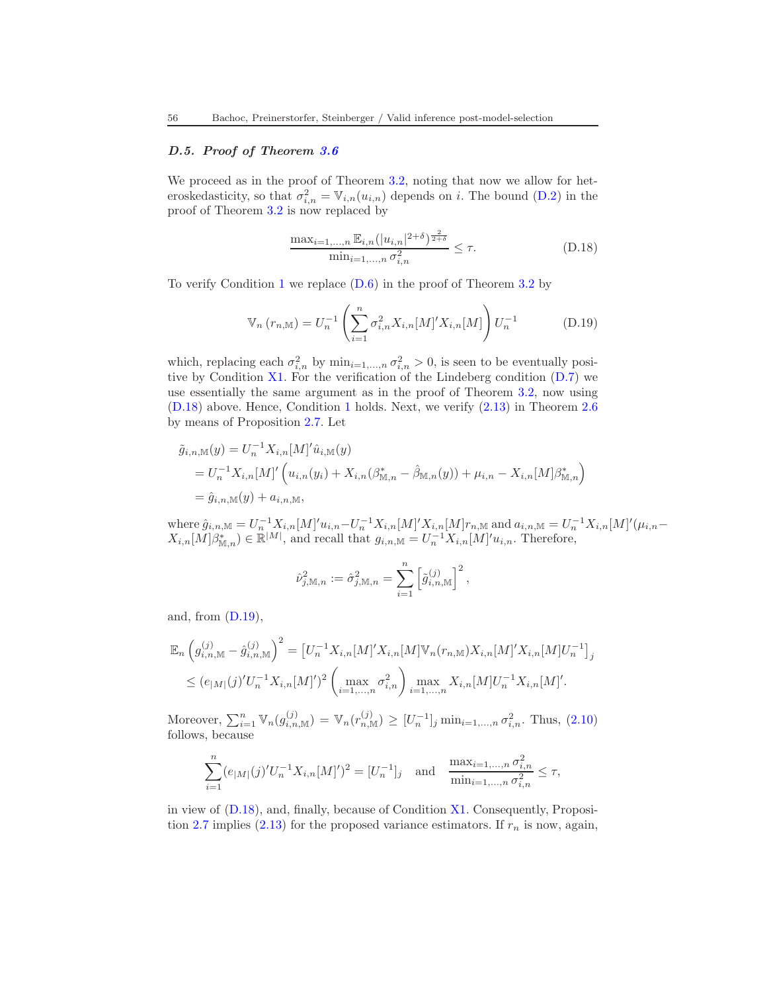# D.5. Proof of Theorem [3.6](#page-23-1)

We proceed as in the proof of Theorem [3.2,](#page-19-0) noting that now we allow for heteroskedasticity, so that  $\sigma_{i,n}^2 = \mathbb{V}_{i,n}(u_{i,n})$  depends on i. The bound [\(D.2\)](#page-52-0) in the proof of Theorem [3.2](#page-19-0) is now replaced by

<span id="page-55-1"></span><span id="page-55-0"></span>
$$
\frac{\max_{i=1,\dots,n} \mathbb{E}_{i,n}(|u_{i,n}|^{2+\delta})^{\frac{2}{2+\delta}}}{\min_{i=1,\dots,n} \sigma_{i,n}^2} \le \tau.
$$
\n(D.18)

To verify Condition [1](#page-7-1) we replace [\(D.6\)](#page-52-2) in the proof of Theorem [3.2](#page-19-0) by

$$
\mathbb{V}_n(r_{n,\mathbb{M}}) = U_n^{-1} \left( \sum_{i=1}^n \sigma_{i,n}^2 X_{i,n}[M]' X_{i,n}[M] \right) U_n^{-1}
$$
 (D.19)

which, replacing each  $\sigma_{i,n}^2$  by  $\min_{i=1,\dots,n} \sigma_{i,n}^2 > 0$ , is seen to be eventually positive by Condition  $X1$ . For the verification of the Lindeberg condition  $(D.7)$  we use essentially the same argument as in the proof of Theorem [3.2,](#page-19-0) now using [\(D.18\)](#page-55-0) above. Hence, Condition [1](#page-7-1) holds. Next, we verify [\(2.13\)](#page-13-1) in Theorem [2.6](#page-12-1) by means of Proposition [2.7.](#page-13-0) Let

$$
\tilde{g}_{i,n,\mathbb{M}}(y) = U_n^{-1} X_{i,n}[M]' \hat{u}_{i,\mathbb{M}}(y)
$$
  
=  $U_n^{-1} X_{i,n}[M]' \left( u_{i,n}(y_i) + X_{i,n}(\beta_{\mathbb{M},n}^* - \hat{\beta}_{\mathbb{M},n}(y)) + \mu_{i,n} - X_{i,n}[M] \beta_{\mathbb{M},n}^* \right)$   
=  $\hat{g}_{i,n,\mathbb{M}}(y) + a_{i,n,\mathbb{M}},$ 

where  $\hat{g}_{i,n,\mathbb{M}} = U_{n}^{-1} X_{i,n} [M]' u_{i,n} - U_{n}^{-1} X_{i,n} [M]' X_{i,n} [M] r_{n,\mathbb{M}}$  and  $a_{i,n,\mathbb{M}} = U_{n}^{-1} X_{i,n} [M]' (\mu_{i,n} X_{i,n}[M]\beta_{\mathbb{M},n}^{*}) \in \mathbb{R}^{|M|}$ , and recall that  $g_{i,n,\mathbb{M}} = U_n^{-1}X_{i,n}[M]'u_{i,n}$ . Therefore,

$$
\hat{\nu}_{j,\mathbb{M},n}^2 := \hat{\sigma}_{j,\mathbb{M},n}^2 = \sum_{i=1}^n \left[ \tilde{g}_{i,n,\mathbb{M}}^{(j)} \right]^2,
$$

and, from  $(D.19)$ ,

$$
\mathbb{E}_n \left( g_{i,n,\mathbb{M}}^{(j)} - \hat{g}_{i,n,\mathbb{M}}^{(j)} \right)^2 = \left[ U_n^{-1} X_{i,n} [M]' X_{i,n} [M] \mathbb{V}_n(r_{n,\mathbb{M}}) X_{i,n} [M]' X_{i,n} [M] U_n^{-1} \right]_j
$$
  
\n
$$
\leq (e_{|M|}(j)' U_n^{-1} X_{i,n} [M]')^2 \left( \max_{i=1,\dots,n} \sigma_{i,n}^2 \right) \max_{i=1,\dots,n} X_{i,n} [M] U_n^{-1} X_{i,n} [M]'
$$

Moreover,  $\sum_{i=1}^{n} \mathbb{V}_n(g_{i,n,\mathbb{M}}^{(j)}) = \mathbb{V}_n(r_{n,\mathbb{M}}^{(j)}) \ge [U_n^{-1}]_j \min_{i=1,\dots,n} \sigma_{i,n}^2$ . Thus, [\(2.10\)](#page-12-3) follows, because

$$
\sum_{i=1}^{n} (e_{|M|}(j)'U_n^{-1}X_{i,n}[M]')^2 = [U_n^{-1}]_j \text{ and } \frac{\max_{i=1,...,n} \sigma_{i,n}^2}{\min_{i=1,...,n} \sigma_{i,n}^2} \le \tau,
$$

in view of [\(D.18\)](#page-55-0), and, finally, because of Condition [X1.](#page-17-0) Consequently, Proposi-tion [2.7](#page-13-0) implies [\(2.13\)](#page-13-1) for the proposed variance estimators. If  $r_n$  is now, again,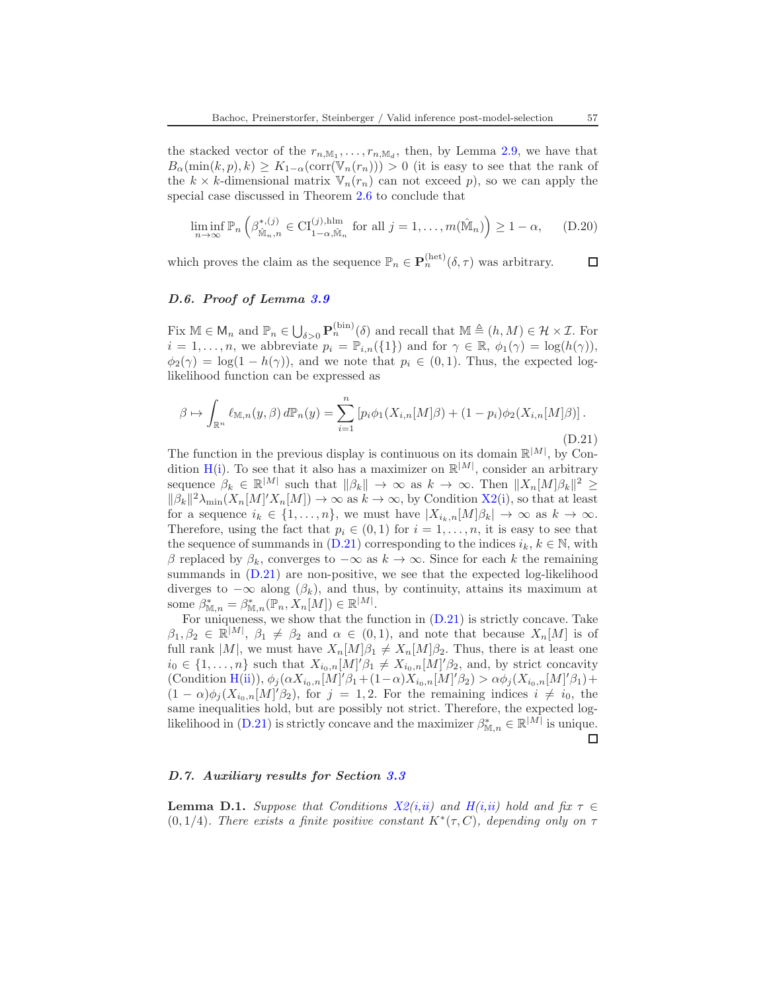the stacked vector of the  $r_{n,\mathbb{M}_1},\ldots,r_{n,\mathbb{M}_d}$ , then, by Lemma [2.9,](#page-15-1) we have that  $B_{\alpha}(\min(k, p), k) \geq K_{1-\alpha}(\text{corr}(\mathbb{V}_n(r_n))) > 0$  (it is easy to see that the rank of the  $k \times k$ -dimensional matrix  $\mathbb{V}_n(r_n)$  can not exceed p), so we can apply the special case discussed in Theorem [2.6](#page-12-1) to conclude that

$$
\liminf_{n \to \infty} \mathbb{P}_n \left( \beta^{*,(j)}_{\hat{\mathbb{M}}_n,n} \in \mathrm{CI}_{1-\alpha,\hat{\mathbb{M}}_n}^{(j),\mathrm{hlm}} \text{ for all } j = 1,\ldots,m(\hat{\mathbb{M}}_n) \right) \ge 1-\alpha, \quad \text{(D.20)}
$$

which proves the claim as the sequence  $\mathbb{P}_n \in \mathbf{P}_n^{(\text{het})}(\delta, \tau)$  was arbitrary.  $\Box$ 

### <span id="page-56-0"></span>D.6. Proof of Lemma [3.9](#page-25-0)

Fix  $M \in \mathsf{M}_n$  and  $\mathbb{P}_n \in \bigcup_{\delta>0} \mathbf{P}_n^{(\text{bin})}(\delta)$  and recall that  $M \triangleq (h, M) \in \mathcal{H} \times \mathcal{I}$ . For  $i = 1, \ldots, n$ , we abbreviate  $p_i = \mathbb{P}_{i,n}(\{1\})$  and for  $\gamma \in \mathbb{R}$ ,  $\phi_1(\gamma) = \log(h(\gamma))$ ,  $\phi_2(\gamma) = \log(1 - h(\gamma))$ , and we note that  $p_i \in (0, 1)$ . Thus, the expected loglikelihood function can be expressed as

<span id="page-56-1"></span>
$$
\beta \mapsto \int_{\mathbb{R}^n} \ell_{\mathbb{M},n}(y,\beta) d\mathbb{P}_n(y) = \sum_{i=1}^n \left[ p_i \phi_1(X_{i,n}[M]\beta) + (1-p_i)\phi_2(X_{i,n}[M]\beta) \right].
$$
\n(D.21)

The function in the previous display is continuous on its domain  $\mathbb{R}^{|M|}$ , by Con-dition [H](#page-24-2)[\(i\)](#page-24-3). To see that it also has a maximizer on  $\mathbb{R}^{|M|}$ , consider an arbitrary sequence  $\beta_k \in \mathbb{R}^{|M|}$  such that  $\|\beta_k\| \to \infty$  as  $k \to \infty$ . Then  $\|X_n[M]\beta_k\|^2 \ge$  $\|\beta_k\|^2 \lambda_{\min}(X_n[M]/X_n[M]) \to \infty$  as  $k \to \infty$ , by Condition [X2\(](#page-24-0)[i\)](#page-24-7), so that at least for a sequence  $i_k \in \{1, ..., n\}$ , we must have  $|X_{i_k,n}[M]\beta_k| \to \infty$  as  $k \to \infty$ . Therefore, using the fact that  $p_i \in (0,1)$  for  $i = 1, \ldots, n$ , it is easy to see that the sequence of summands in  $(D.21)$  corresponding to the indices  $i_k, k \in \mathbb{N}$ , with β replaced by  $\beta_k$ , converges to  $-\infty$  as  $k \to \infty$ . Since for each k the remaining summands in  $(D.21)$  are non-positive, we see that the expected log-likelihood diverges to  $-\infty$  along  $(\beta_k)$ , and thus, by continuity, attains its maximum at some  $\beta_{\mathbb{M},n}^* = \beta_{\mathbb{M},n}^*(\mathbb{P}_n, X_n[M]) \in \mathbb{R}^{|M|}.$ 

For uniqueness, we show that the function in [\(D.21\)](#page-56-1) is strictly concave. Take  $\beta_1, \beta_2 \in \mathbb{R}^{|M|}, \ \beta_1 \neq \beta_2$  and  $\alpha \in (0, 1)$ , and note that because  $X_n[M]$  is of full rank  $|M|$ , we must have  $X_n[M]\beta_1 \neq X_n[M]\beta_2$ . Thus, there is at least one  $i_0 \in \{1, \ldots, n\}$  such that  $X_{i_0,n}[M]'\beta_1 \neq X_{i_0,n}[M]'\beta_2$ , and, by strict concavity  $(\text{Condition H(ii)}), \phi_j(\alpha X_{i_0,n}[M]'\beta_1 + (1-\alpha)X_{i_0,n}[M]'\beta_2) > \alpha \phi_j(X_{i_0,n}[M]'\beta_1) +$  $(\text{Condition H(ii)}), \phi_j(\alpha X_{i_0,n}[M]'\beta_1 + (1-\alpha)X_{i_0,n}[M]'\beta_2) > \alpha \phi_j(X_{i_0,n}[M]'\beta_1) +$  $(\text{Condition H(ii)}), \phi_j(\alpha X_{i_0,n}[M]'\beta_1 + (1-\alpha)X_{i_0,n}[M]'\beta_2) > \alpha \phi_j(X_{i_0,n}[M]'\beta_1) +$  $(\text{Condition H(ii)}), \phi_j(\alpha X_{i_0,n}[M]'\beta_1 + (1-\alpha)X_{i_0,n}[M]'\beta_2) > \alpha \phi_j(X_{i_0,n}[M]'\beta_1) +$  $(1 - \alpha)\phi_j(X_{i_0,n}[M]'\beta_2)$ , for  $j = 1, 2$ . For the remaining indices  $i \neq i_0$ , the same inequalities hold, but are possibly not strict. Therefore, the expected log-likelihood in [\(D.21\)](#page-56-1) is strictly concave and the maximizer  $\beta_{\mathbb{M},n}^* \in \mathbb{R}^{|M|}$  is unique.  $\Box$ 

### D.7. Auxiliary results for Section [3.3](#page-23-0)

<span id="page-56-2"></span>**Lemma D.1.** Suppose that Conditions  $X2(i,ii)$  $X2(i,ii)$  $X2(i,ii)$  and  $H(i,ii)$  $H(i,ii)$  $H(i,ii)$  hold and fix  $\tau \in$ (0, 1/4). There exists a finite positive constant  $K^*(\tau, C)$ , depending only on  $\tau$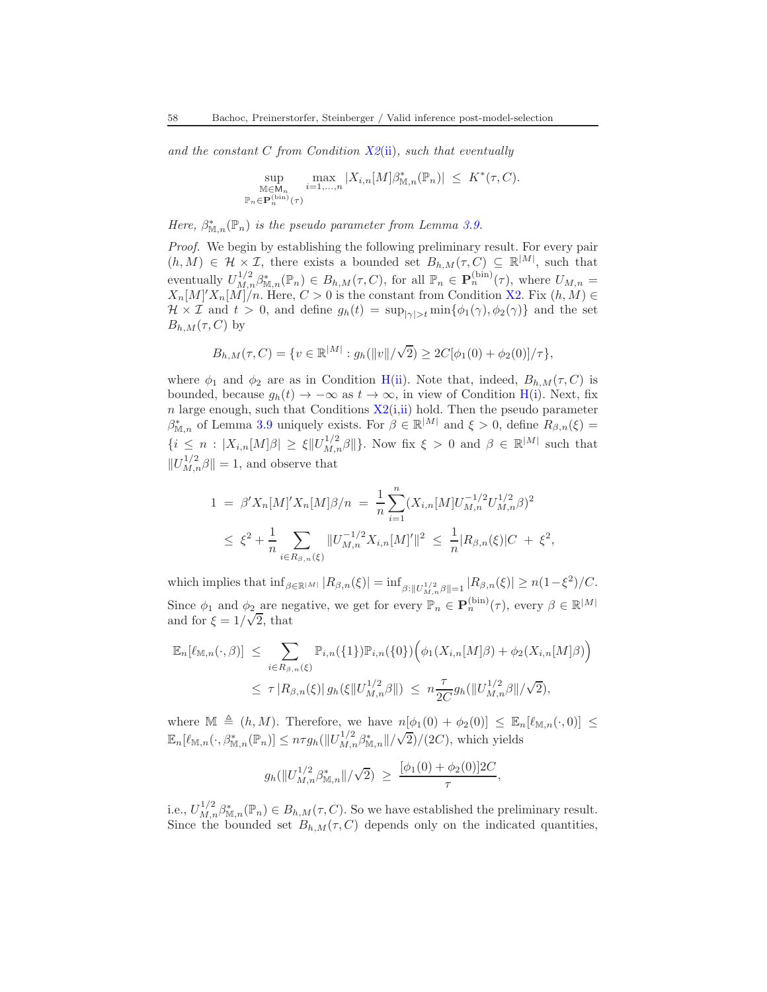and the constant C from Condition  $X_0^2(i)$ , such that eventually

$$
\sup_{\substack{\mathbb{M}\in \mathbb{M}_n \\ \mathbb{P}_n\in \mathbf{P}_n^{(\mathrm{bin})}(\tau)}} \max_{i=1,\ldots,n} |X_{i,n}[M] \beta_{\mathbb{M},n}^*(\mathbb{P}_n)| \leq K^*(\tau,C).
$$

Here,  $\beta_{\mathbb{M},n}^*(\mathbb{P}_n)$  is the pseudo parameter from Lemma [3.9.](#page-25-0)

Proof. We begin by establishing the following preliminary result. For every pair  $(h, M) \in \mathcal{H} \times \mathcal{I}$ , there exists a bounded set  $B_{h,M}(\tau, C) \subseteq \mathbb{R}^{|M|}$ , such that eventually  $U_{M,n}^{1/2} \beta_{\mathbb{M},n}^*(\mathbb{P}_n) \in B_{h,M}(\tau, C)$ , for all  $\mathbb{P}_n \in \mathbf{P}_n^{(\text{bin})}(\tau)$ , where  $U_{M,n} =$  $X_n[M]/X_n[M]/n$ . Here,  $C > 0$  is the constant from Condition [X2.](#page-24-0) Fix  $(h, M) \in$  $\mathcal{H} \times \mathcal{I}$  and  $t > 0$ , and define  $g_h(t) = \sup_{|\gamma| > t} \min\{\phi_1(\gamma), \phi_2(\gamma)\}\$  and the set  $B_{h,M}(\tau, C)$  by

$$
B_{h,M}(\tau,C)=\{v\in\mathbb{R}^{|M|}: g_h(\|v\|/\sqrt{2})\geq 2C[\phi_1(0)+\phi_2(0)]/\tau\},
$$

where  $\phi_1$  and  $\phi_2$  are as in Condition [H\(](#page-24-2)[ii\)](#page-24-6). Note that, indeed,  $B_{h,M}(\tau, C)$  is bounded, because  $g_h(t) \to -\infty$  as  $t \to \infty$ , in view of Condition [H\(](#page-24-2)[i\)](#page-24-3). Next, fix n large enough, such that Conditions  $X2(i,i)$  $X2(i,i)$  $X2(i,i)$  hold. Then the pseudo parameter  $\beta_{\mathbb{M},n}^*$  of Lemma [3.9](#page-25-0) uniquely exists. For  $\beta \in \mathbb{R}^{|M|}$  and  $\xi > 0$ , define  $R_{\beta,n}(\xi) =$  $\{i \leq n : |X_{i,n}[M]\beta| \geq \xi \|U_{M,n}^{1/2}\beta\|\}.$  Now fix  $\xi > 0$  and  $\beta \in \mathbb{R}^{|M|}$  such that  $||U_{M,n}^{1/2}\beta||=1$ , and observe that

$$
1 = \beta' X_n[M]' X_n[M]\beta/n = \frac{1}{n} \sum_{i=1}^n (X_{i,n}[M]U_{M,n}^{-1/2}U_{M,n}^{1/2}\beta)^2
$$
  

$$
\leq \xi^2 + \frac{1}{n} \sum_{i \in R_{\beta,n}(\xi)} \|U_{M,n}^{-1/2}X_{i,n}[M]'\|^2 \leq \frac{1}{n} |R_{\beta,n}(\xi)|C + \xi^2,
$$

which implies that  $\inf_{\beta \in \mathbb{R}^{|M|}} |R_{\beta,n}(\xi)| = \inf_{\beta: ||U_{M,n}^{1/2}\beta||=1} |R_{\beta,n}(\xi)| \ge n(1-\xi^2)/C$ . Since  $\phi_1$  and  $\phi_2$  are negative, we get for every  $\mathbb{P}_n \in \mathbf{P}_n^{(\text{bin})}(\tau)$ , every  $\beta \in \mathbb{R}^{|M|}$ and for  $\xi = 1/\sqrt{2}$ , that

$$
\mathbb{E}_{n}[\ell_{\mathbb{M},n}(\cdot,\beta)] \leq \sum_{i \in R_{\beta,n}(\xi)} \mathbb{P}_{i,n}(\{1\}) \mathbb{P}_{i,n}(\{0\}) \Big( \phi_1(X_{i,n}[M]\beta) + \phi_2(X_{i,n}[M]\beta) \Big)
$$
  

$$
\leq \tau |R_{\beta,n}(\xi)| g_n(\xi \| U_{M,n}^{1/2} \beta \|) \leq n \frac{\tau}{2C} g_n(\| U_{M,n}^{1/2} \beta \| / \sqrt{2}),
$$

where  $\mathbb{M} \triangleq (h, M)$ . Therefore, we have  $n[\phi_1(0) + \phi_2(0)] \leq \mathbb{E}_n[\ell_{\mathbb{M},n}(\cdot, 0)] \leq$  $\mathbb{E}_n[\ell_{\mathbb{M},n}(\cdot,\beta_{\mathbb{M},n}^*(\mathbb{P}_n)] \leq n\tau g_h(||U_{M,n}^{1/2}\beta_{\mathbb{M},n}^*||/\sqrt{2})/(2C)$ , which yields

$$
g_h(||U_{M,n}^{1/2}\beta_{\mathbb{M},n}^*||/\sqrt{2}) \geq \frac{[\phi_1(0) + \phi_2(0)]2C}{\tau},
$$

i.e.,  $U_{M,n}^{1/2} \beta_{\mathbb{M},n}^*(\mathbb{P}_n) \in B_{h,M}(\tau,C)$ . So we have established the preliminary result. Since the bounded set  $B_{h,M}(\tau, C)$  depends only on the indicated quantities,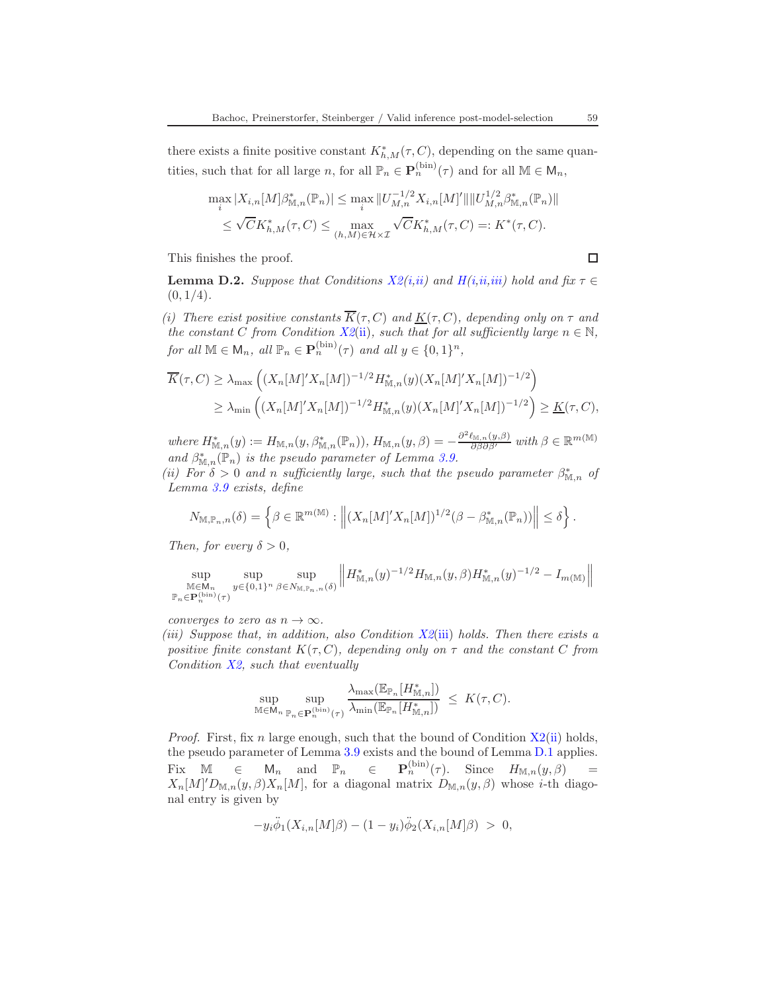there exists a finite positive constant  $K^*_{h,M}(\tau, C)$ , depending on the same quantities, such that for all large n, for all  $\mathbb{P}_n \in \mathbf{P}_n^{(\text{bin})}(\tau)$  and for all  $\mathbb{M} \in \mathsf{M}_n$ ,

$$
\max_{i} |X_{i,n}[M]\beta_{\mathbb{M},n}^{*}(\mathbb{P}_{n})| \leq \max_{i} ||U_{M,n}^{-1/2}X_{i,n}[M]'||||U_{M,n}^{1/2}\beta_{\mathbb{M},n}^{*}(\mathbb{P}_{n})||
$$
  

$$
\leq \sqrt{C}K_{h,M}^{*}(\tau, C) \leq \max_{(h,M)\in\mathcal{H}\times\mathcal{I}} \sqrt{C}K_{h,M}^{*}(\tau, C) =: K^{*}(\tau, C).
$$

This finishes the proof.

 $\Box$ 

<span id="page-58-3"></span>**Lemma D.2.** Suppose that Conditions  $X2(i,ii)$  $X2(i,ii)$  $X2(i,ii)$  and  $H(i,ii,iii)$  $H(i,ii,iii)$  $H(i,ii,iii)$  $H(i,ii,iii)$  hold and fix  $\tau \in$  $(0, 1/4)$ .

<span id="page-58-0"></span>(i) There exist positive constants  $\overline{K}(\tau, C)$  and  $\underline{K}(\tau, C)$ , depending only on  $\tau$  and the constant C from Condition  $X_0$ <sup>2</sup>[\(ii\)](#page-24-1), such that for all sufficiently large  $n \in \mathbb{N}$ , for all  $\mathbb{M} \in \mathsf{M}_n$ , all  $\mathbb{P}_n \in \mathbf{P}_n^{(\text{bin})}(\tau)$  and all  $y \in \{0,1\}^n$ ,

$$
\overline{K}(\tau, C) \ge \lambda_{\max} \left( (X_n[M]'X_n[M])^{-1/2} H_{\mathbb{M},n}^*(y) (X_n[M]'X_n[M])^{-1/2} \right)
$$
  
\n
$$
\ge \lambda_{\min} \left( (X_n[M]'X_n[M])^{-1/2} H_{\mathbb{M},n}^*(y) (X_n[M]'X_n[M])^{-1/2} \right) \ge \underline{K}(\tau, C),
$$

where  $H^*_{\mathbb{M},n}(y) := H_{\mathbb{M},n}(y,\beta_{\mathbb{M},n}^*(\mathbb{P}_n)), H_{\mathbb{M},n}(y,\beta) = -\frac{\partial^2 \ell_{\mathbb{M},n}(y,\beta)}{\partial \beta \partial \beta'}$  with  $\beta \in \mathbb{R}^{m(\mathbb{M})}$ and  $\beta_{\mathbb{M},n}^*(\mathbb{P}_n)$  is the pseudo parameter of Lemma [3.9.](#page-25-0)

<span id="page-58-1"></span>(ii) For  $\delta > 0$  and n sufficiently large, such that the pseudo parameter  $\beta^*_{M,n}$  of Lemma [3.9](#page-25-0) exists, define

$$
N_{\mathbb{M},\mathbb{P}_n,n}(\delta) = \left\{\beta \in \mathbb{R}^{m(\mathbb{M})}: \left\| (X_n[M]'X_n[M])^{1/2}(\beta - \beta_{\mathbb{M},n}^*(\mathbb{P}_n)) \right\| \le \delta \right\}.
$$

Then, for every  $\delta > 0$ ,

$$
\sup_{\substack{\mathbb{M}\in \mathbb{M}_n \\ \mathbb{P}_n\in \mathbf{P}_n^{\text{(bin)}}(\tau)}} \sup_{y\in\{0,1\}^n} \sup_{\beta\in N_{\mathbb{M},\mathbb{P}_n,n}(\delta)} \left\| H_{\mathbb{M},n}^*(y)^{-1/2} H_{\mathbb{M},n}(y,\beta) H_{\mathbb{M},n}^*(y)^{-1/2} - I_{m(\mathbb{M})} \right\|
$$

<span id="page-58-2"></span>converges to zero as  $n \to \infty$ .

[\(iii\)](#page-24-8) Suppose that, in addition, also Condition  $X2(iii)$  $X2(iii)$  holds. Then there exists a positive finite constant  $K(\tau, C)$ , depending only on  $\tau$  and the constant C from Condition  $X2$ , such that eventually

$$
\sup_{\mathbb{M}\in \mathsf{M}_n}\sup_{\mathbb{P}_n\in \mathbf{P}_n^{(\min)}(\tau)}\frac{\lambda_{\max}(\mathbb{E}_{\mathbb{P}_n}[H_{\mathbb{M},n}^*])}{\lambda_{\min}(\mathbb{E}_{\mathbb{P}_n}[H_{\mathbb{M},n}^*])} \ \leq \ K(\tau,C).
$$

*Proof.* First, fix n large enough, such that the bound of Condition  $X2(ii)$  $X2(ii)$  holds, the pseudo parameter of Lemma [3.9](#page-25-0) exists and the bound of Lemma [D.1](#page-56-2) applies. Fix  $\mathbb{M} \in \mathbb{M}_n$  and  $\mathbb{P}_n \in \mathbf{P}_n^{(\text{bin})}(\tau)$ . Since  $H_{\mathbb{M},n}(y,\beta) =$  $X_n[M]'D_{\mathbb{M},n}(y,\beta)X_n[M]$ , for a diagonal matrix  $D_{\mathbb{M},n}(y,\beta)$  whose *i*-th diagonal entry is given by

$$
-y_i \ddot{\phi}_1(X_{i,n}[M]\beta) - (1-y_i)\ddot{\phi}_2(X_{i,n}[M]\beta) > 0,
$$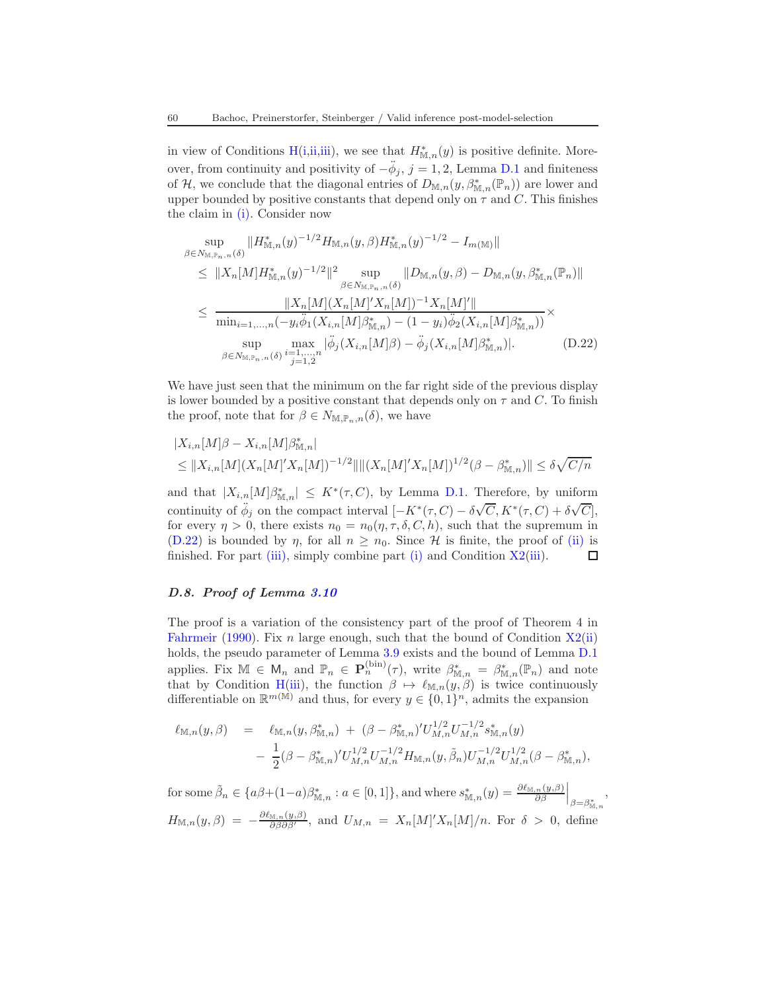in view of Conditions [H](#page-24-2)[\(i,](#page-24-3)[ii,](#page-24-6)[iii\)](#page-24-5), we see that  $H^*_{\mathbb{M},n}(y)$  is positive definite. Moreover, from continuity and positivity of  $-\ddot{\phi}_j$ , j = 1, 2, Lemma [D.1](#page-56-2) and finiteness of H, we conclude that the diagonal entries of  $D_{\mathbb{M},n}(y,\beta_{\mathbb{M},n}^*(\mathbb{P}_n))$  are lower and upper bounded by positive constants that depend only on  $\tau$  and C. This finishes the claim in [\(i\).](#page-58-0) Consider now

<span id="page-59-1"></span>
$$
\sup_{\beta \in N_{\mathbb{M},\mathbb{P}_n,n}(\delta)} \|H_{\mathbb{M},n}^*(y)^{-1/2} H_{\mathbb{M},n}(y,\beta) H_{\mathbb{M},n}^*(y)^{-1/2} - I_{m(\mathbb{M})} \|
$$
\n
$$
\leq \|X_n[M] H_{\mathbb{M},n}^*(y)^{-1/2} \|^2 \sup_{\beta \in N_{\mathbb{M},\mathbb{P}_n,n}(\delta)} \|D_{\mathbb{M},n}(y,\beta) - D_{\mathbb{M},n}(y,\beta_{\mathbb{M},n}^*(\mathbb{P}_n) \|
$$
\n
$$
\leq \frac{\|X_n[M](X_n[M]' X_n[M])^{-1} X_n[M]'' \|}{\min_{i=1,\dots,n} (-y_i \ddot{\phi}_1(X_{i,n}[M]\beta_{\mathbb{M},n}^*) - (1-y_i) \ddot{\phi}_2(X_{i,n}[M]\beta_{\mathbb{M},n}^*)} \times \sup_{\beta \in N_{\mathbb{M},\mathbb{P}_n,n}(\delta)} \max_{i=1,\dots,n} |\ddot{\phi}_j(X_{i,n}[M]\beta) - \ddot{\phi}_j(X_{i,n}[M]\beta_{\mathbb{M},n}^*)|.
$$
\n(D.22)

We have just seen that the minimum on the far right side of the previous display is lower bounded by a positive constant that depends only on  $\tau$  and C. To finish the proof, note that for  $\beta \in N_{\mathbb{M},\mathbb{P}_n,n}(\delta)$ , we have

$$
|X_{i,n}[M]\beta - X_{i,n}[M]\beta_{\mathbb{M},n}^*
$$
  
\n
$$
\leq ||X_{i,n}[M](X_n[M]')X_n[M])^{-1/2}||((X_n[M]')X_n[M])^{1/2}(\beta - \beta_{\mathbb{M},n}^*)|| \leq \delta\sqrt{C/n}
$$

and that  $|X_{i,n}[M]\beta_{\mathbb{M},n}^*| \leq K^*(\tau, C)$ , by Lemma [D.1.](#page-56-2) Therefore, by uniform continuity of  $\phi_j$  on the compact interval  $[-K^*(\tau, C) - \delta \sqrt{C}, K^*(\tau, C) + \delta \sqrt{C}],$ for every  $\eta > 0$ , there exists  $n_0 = n_0(\eta, \tau, \delta, C, h)$ , such that the supremum in [\(D.22\)](#page-59-1) is bounded by  $\eta$ , for all  $n \geq n_0$ . Since  $\mathcal H$  is finite, the proof of [\(ii\)](#page-58-1) is finished. For part (iii), simply combine part (i) and Condition X2(iii). finished. For part [\(iii\),](#page-58-2) simply combine part [\(i\)](#page-58-0) and Condition  $X2(iii)$  $X2(iii)$ .

### <span id="page-59-0"></span>D.8. Proof of Lemma [3.10](#page-25-1)

The proof is a variation of the consistency part of the proof of Theorem 4 in [Fahrmeir](#page-67-13) [\(1990\)](#page-67-13). Fix n large enough, such that the bound of Condition  $X2(ii)$  $X2(ii)$ holds, the pseudo parameter of Lemma [3.9](#page-25-0) exists and the bound of Lemma [D.1](#page-56-2) applies. Fix  $\mathbb{M} \in \mathsf{M}_n$  and  $\mathbb{P}_n \in \mathbf{P}_n^{(\text{bin})}(\tau)$ , write  $\beta_{\mathbb{M},n}^* = \beta_{\mathbb{M},n}^*(\mathbb{P}_n)$  and note that by Condition [H](#page-24-2)[\(iii\)](#page-24-5), the function  $\beta \mapsto \ell_{\mathbb{M},n}(y,\beta)$  is twice continuously differentiable on  $\mathbb{R}^{m(\mathbb{M})}$  and thus, for every  $y \in \{0,1\}^n$ , admits the expansion

$$
\ell_{\mathbb{M},n}(y,\beta) = \ell_{\mathbb{M},n}(y,\beta_{\mathbb{M},n}^*) + (\beta - \beta_{\mathbb{M},n}^*)'U_{M,n}^{1/2}U_{M,n}^{-1/2}s_{\mathbb{M},n}^*(y) -\frac{1}{2}(\beta - \beta_{\mathbb{M},n}^*)'U_{M,n}^{1/2}U_{M,n}^{-1/2}H_{\mathbb{M},n}(y,\tilde{\beta}_n)U_{M,n}^{-1/2}U_{M,n}^{1/2}(\beta - \beta_{\mathbb{M},n}^*),
$$

for some  $\tilde{\beta}_n \in \{a\beta + (1-a)\beta^*_{\mathbb{M},n} : a \in [0,1]\}$ , and where  $s^*_{\mathbb{M},n}(y) = \frac{\partial \ell_{\mathbb{M},n}(y,\beta)}{\partial \beta}\Big|_{\beta=\beta^*_{\mathbb{M},n}}$ ,  $H_{\mathbb{M},n}(y,\beta) = -\frac{\partial \ell_{\mathbb{M},n}(y,\beta)}{\partial \beta \partial \beta}, \text{ and } U_{M,n} = X_n[M]/X_n[M]/n. \text{ For } \delta > 0, \text{ define }$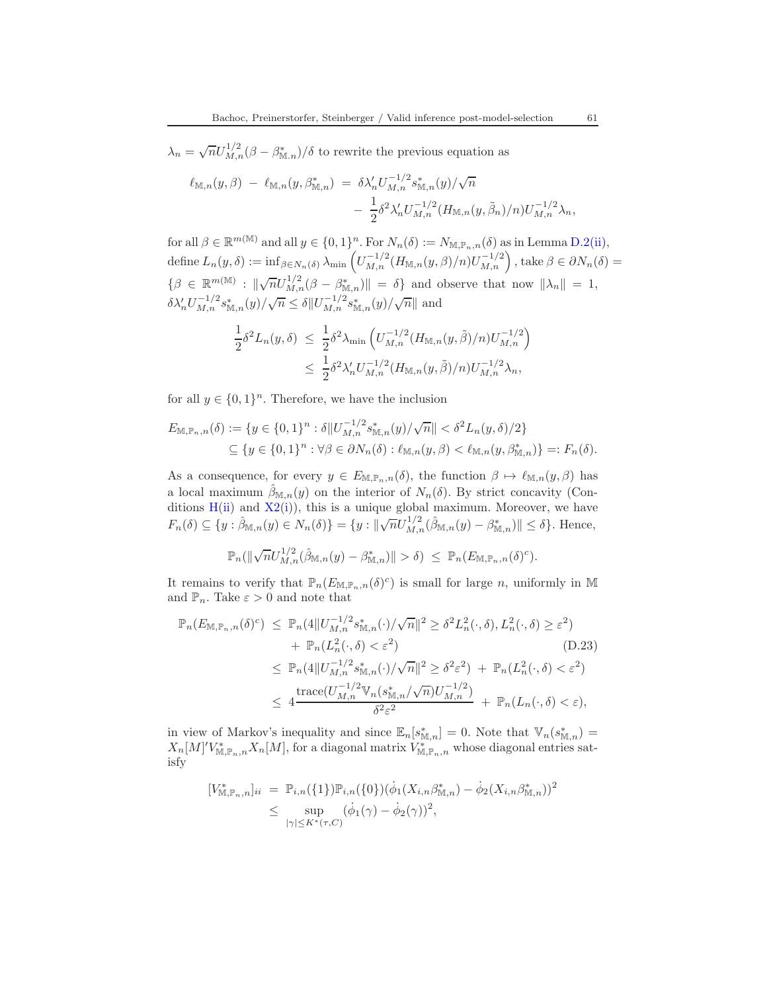$\lambda_n = \sqrt{n} U_{M,n}^{1/2} (\beta - \beta_{\mathbb{M},n}^*)/\delta$  to rewrite the previous equation as

$$
\ell_{\mathbb{M},n}(y,\beta) - \ell_{\mathbb{M},n}(y,\beta_{\mathbb{M},n}^*) = \delta \lambda_n' U_{M,n}^{-1/2} s_{\mathbb{M},n}^*(y) / \sqrt{n} - \frac{1}{2} \delta^2 \lambda_n' U_{M,n}^{-1/2} (H_{\mathbb{M},n}(y,\tilde{\beta}_n)/n) U_{M,n}^{-1/2} \lambda_n,
$$

for all  $\beta \in \mathbb{R}^{m(\mathbb{M})}$  and all  $y \in \{0,1\}^n$ . For  $N_n(\delta) := N_{\mathbb{M}, \mathbb{P}_n, n}(\delta)$  as in Lemma [D.2](#page-58-3)[\(ii\),](#page-58-1) define  $L_n(y, \delta) := \inf_{\beta \in N_n(\delta)} \lambda_{\min} \left( U_{M,n}^{-1/2} (H_{\mathbb{M},n}(y,\beta)/n) U_{M,n}^{-1/2} \right)$ , take  $\beta \in \partial N_n(\delta) =$  $\{\beta \in \mathbb{R}^{m(\mathbb{M})}: \|\sqrt{n}U_{M,n}^{1/2}(\beta-\beta_{\mathbb{M},n}^*)\| = \delta\}$  and observe that now  $\|\lambda_n\| = 1$ ,  $\delta \lambda'_{n} U_{M,n}^{-1/2} s_{\mathbb{M},n}^{*}(y) / \sqrt{n} \leq \delta \| U_{M,n}^{-1/2} s_{\mathbb{M},n}^{*}(y) / \sqrt{n} \|$  and

$$
\frac{1}{2}\delta^2 L_n(y,\delta) \leq \frac{1}{2}\delta^2 \lambda_{\min} \left( U_{M,n}^{-1/2} (H_{\mathbb{M},n}(y,\tilde{\beta})/n) U_{M,n}^{-1/2} \right) \leq \frac{1}{2}\delta^2 \lambda'_n U_{M,n}^{-1/2} (H_{\mathbb{M},n}(y,\tilde{\beta})/n) U_{M,n}^{-1/2} \lambda_n,
$$

for all  $y \in \{0,1\}^n$ . Therefore, we have the inclusion

$$
E_{\mathbb{M},\mathbb{P}_n,n}(\delta) := \{ y \in \{0,1\}^n : \delta \| U_{M,n}^{-1/2} s_{\mathbb{M},n}^*(y) / \sqrt{n} \| < \delta^2 L_n(y,\delta) / 2 \} \\
\subseteq \{ y \in \{0,1\}^n : \forall \beta \in \partial N_n(\delta) : \ell_{\mathbb{M},n}(y,\beta) < \ell_{\mathbb{M},n}(y,\beta_{\mathbb{M},n}^*) \} =: F_n(\delta).
$$

As a consequence, for every  $y \in E_{\mathbb{M}, \mathbb{P}_n, n}(\delta)$ , the function  $\beta \mapsto \ell_{\mathbb{M}, n}(y, \beta)$  has a local maximum  $\hat{\beta}_{\mathbb{M},n}(y)$  on the interior of  $N_n(\delta)$ . By strict concavity (Conditions  $H(ii)$  $H(ii)$  and  $X2(i)$  $X2(i)$ , this is a unique global maximum. Moreover, we have  $F_n(\delta) \subseteq \{y : \hat{\beta}_{\mathbb{M},n}(y) \in N_n(\delta)\} = \{y : ||\sqrt{n}U_{M,n}^{1/2}(\hat{\beta}_{\mathbb{M},n}(y) - \beta_{\mathbb{M},n}^*)|| \leq \delta\}.$  Hence,

<span id="page-60-0"></span>
$$
\mathbb{P}_n(\|\sqrt{n}U_{M,n}^{1/2}(\hat{\beta}_{\mathbb{M},n}(y)-\beta_{\mathbb{M},n}^*)\|>\delta) \leq \mathbb{P}_n(E_{\mathbb{M},\mathbb{P}_n,n}(\delta)^c).
$$

It remains to verify that  $\mathbb{P}_n(E_{\mathbb{M},\mathbb{P}_n,n}(\delta)^c)$  is small for large n, uniformly in M and  $\mathbb{P}_n$ . Take  $\varepsilon > 0$  and note that

$$
\mathbb{P}_n(E_{\mathbb{M}, \mathbb{P}_n, n}(\delta)^c) \leq \mathbb{P}_n(4||U_{M,n}^{-1/2} s_{\mathbb{M}, n}^*(\cdot)/\sqrt{n}||^2 \geq \delta^2 L_n^2(\cdot, \delta), L_n^2(\cdot, \delta) \geq \varepsilon^2) + \mathbb{P}_n(L_n^2(\cdot, \delta) < \varepsilon^2) \tag{D.23}\leq \mathbb{P}_n(4||U_{M,n}^{-1/2} s_{\mathbb{M}, n}^*(\cdot)/\sqrt{n}||^2 \geq \delta^2 \varepsilon^2) + \mathbb{P}_n(L_n^2(\cdot, \delta) < \varepsilon^2) \leq 4 \frac{\text{trace}(U_{M,n}^{-1/2} \mathbb{V}_n(s_{\mathbb{M}, n}^*/\sqrt{n}) U_{M,n}^{-1/2})}{\delta^2 \varepsilon^2} + \mathbb{P}_n(L_n(\cdot, \delta) < \varepsilon),
$$

in view of Markov's inequality and since  $\mathbb{E}_n[s_{\mathbb{M},n}^*]=0$ . Note that  $\mathbb{V}_n(s_{\mathbb{M},n}^*)=$  $X_n[M]'V^*_{\mathbb{M},\mathbb{P}_n,n}X_n[M]$ , for a diagonal matrix  $V^*_{\mathbb{M},\mathbb{P}_n,n}$  whose diagonal entries satisfy

$$
[V^*_{\mathbb{M}, \mathbb{P}_n, n}]_{ii} = \mathbb{P}_{i,n}(\{1\})\mathbb{P}_{i,n}(\{0\})(\dot{\phi}_1(X_{i,n}\beta^*_{\mathbb{M},n}) - \dot{\phi}_2(X_{i,n}\beta^*_{\mathbb{M},n}))^2
$$
  

$$
\leq \sup_{|\gamma| \leq K^*(\tau, C)} (\dot{\phi}_1(\gamma) - \dot{\phi}_2(\gamma))^2,
$$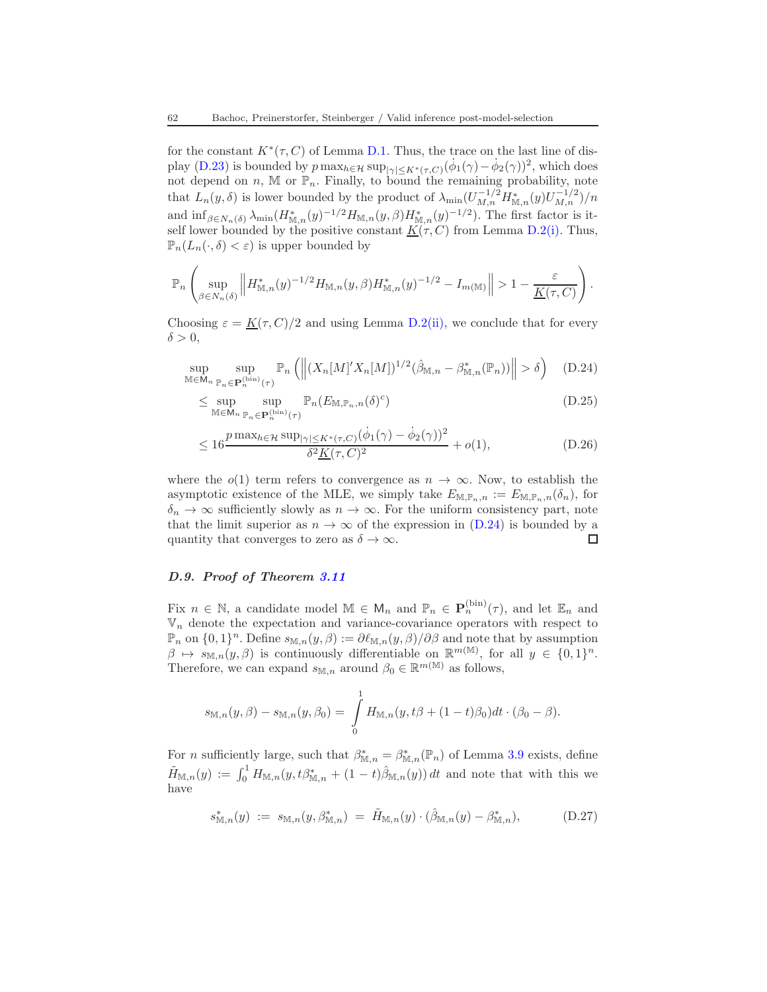for the constant  $K^*(\tau, C)$  of Lemma [D.1.](#page-56-2) Thus, the trace on the last line of dis-play [\(D.23\)](#page-60-0) is bounded by  $p \max_{h \in \mathcal{H}} \sup_{|\gamma| \le K^*(\tau, C)} (\dot{\phi}_1(\gamma) - \dot{\phi}_2(\gamma))^2$ , which does not depend on n, M or  $\mathbb{P}_n$ . Finally, to bound the remaining probability, note that  $L_n(y, \delta)$  is lower bounded by the product of  $\lambda_{\min}(U_{M,n}^{-1/2} H_{\mathbb{M},n}^*(y) U_{M,n}^{-1/2})/n$ and  $\inf_{\beta \in N_n(\delta)} \lambda_{\min}(H_{\mathbb{M},n}^*(y)^{-1/2} H_{\mathbb{M},n}(y,\beta) H_{\mathbb{M},n}^*(y)^{-1/2})$ . The first factor is itself lower bounded by the positive constant  $K(\tau, C)$  from Lemma [D.2](#page-58-3)[\(i\).](#page-58-0) Thus,  $\mathbb{P}_n(L_n(\cdot,\delta) < \varepsilon)$  is upper bounded by

$$
\mathbb{P}_n\left(\sup_{\beta\in N_n(\delta)}\left\|H^*_{\mathbb{M},n}(y)^{-1/2}H_{\mathbb{M},n}(y,\beta)H^*_{\mathbb{M},n}(y)^{-1/2}-I_{m(\mathbb{M})}\right\|>1-\frac{\varepsilon}{\underline{K}(\tau,C)}\right).
$$

Choosing  $\varepsilon = K(\tau, C)/2$  and using Lemma [D.2](#page-58-3)[\(ii\),](#page-58-1) we conclude that for every  $\delta > 0$ ,

$$
\sup_{\mathbb{M}\in\mathsf{M}_n}\sup_{\mathbb{P}_n\in\mathbf{P}_n^{(\text{bin})}(\tau)}\mathbb{P}_n\left(\left\|(X_n[M]'X_n[M])^{1/2}(\hat{\beta}_{\mathbb{M},n}-\beta_{\mathbb{M},n}^*(\mathbb{P}_n))\right\|>\delta\right) \quad \text{(D.24)}
$$

<span id="page-61-0"></span>
$$
\leq \sup_{\mathbb{M}\in\mathsf{M}_n} \sup_{\mathbb{P}_n\in\mathbf{P}_n^{(\text{bin})}(\tau)} \mathbb{P}_n(E_{\mathbb{M},\mathbb{P}_n,n}(\delta)^c)
$$
(D.25)

$$
\leq 16 \frac{p \max_{h \in \mathcal{H}} \sup_{|\gamma| \leq K^*(\tau, C)} (\dot{\phi}_1(\gamma) - \dot{\phi}_2(\gamma))^2}{\delta^2 \underline{K}(\tau, C)^2} + o(1),
$$
\n(D.26)

where the  $o(1)$  term refers to convergence as  $n \to \infty$ . Now, to establish the asymptotic existence of the MLE, we simply take  $E_{\mathbb{M},\mathbb{P}_n,n} := E_{\mathbb{M},\mathbb{P}_n,n}(\delta_n)$ , for  $\delta_n \to \infty$  sufficiently slowly as  $n \to \infty$ . For the uniform consistency part, note that the limit superior as  $n \to \infty$  of the expression in [\(D.24\)](#page-61-0) is bounded by a quantity that converges to zero as  $\delta \to \infty$ . quantity that converges to zero as  $\delta \to \infty$ .

### D.9. Proof of Theorem [3.11](#page-26-0)

Fix  $n \in \mathbb{N}$ , a candidate model  $\mathbb{M} \in \mathsf{M}_n$  and  $\mathbb{P}_n \in \mathbf{P}_n^{(\text{bin})}(\tau)$ , and let  $\mathbb{E}_n$  and  $\mathbb{V}_n$  denote the expectation and variance-covariance operators with respect to  $\mathbb{P}_n$  on  $\{0,1\}^n$ . Define  $s_{\mathbb{M},n}(y,\beta) := \partial \ell_{\mathbb{M},n}(y,\beta)/\partial \beta$  and note that by assumption  $\beta \mapsto s_{\mathbb{M},n}(y,\beta)$  is continuously differentiable on  $\mathbb{R}^{m(\mathbb{M})}$ , for all  $y \in \{0,1\}^n$ . Therefore, we can expand  $s_{\mathbb{M},n}$  around  $\beta_0 \in \mathbb{R}^{m(\mathbb{M})}$  as follows,

$$
s_{\mathbb{M},n}(y,\beta) - s_{\mathbb{M},n}(y,\beta_0) = \int_{0}^{1} H_{\mathbb{M},n}(y,t\beta + (1-t)\beta_0)dt \cdot (\beta_0 - \beta).
$$

For *n* sufficiently large, such that  $\beta_{\mathbb{M},n}^* = \beta_{\mathbb{M},n}^*(\mathbb{P}_n)$  of Lemma [3.9](#page-25-0) exists, define  $\tilde{H}_{\mathbb{M},n}(y) := \int_0^1 H_{\mathbb{M},n}(y, t\beta_{\mathbb{M},n}^* + (1-t)\hat{\beta}_{\mathbb{M},n}(y)) dt$  and note that with this we have

<span id="page-61-1"></span>
$$
s_{\mathbb{M},n}^*(y) := s_{\mathbb{M},n}(y,\beta_{\mathbb{M},n}^*) = \tilde{H}_{\mathbb{M},n}(y) \cdot (\hat{\beta}_{\mathbb{M},n}(y) - \beta_{\mathbb{M},n}^*), \tag{D.27}
$$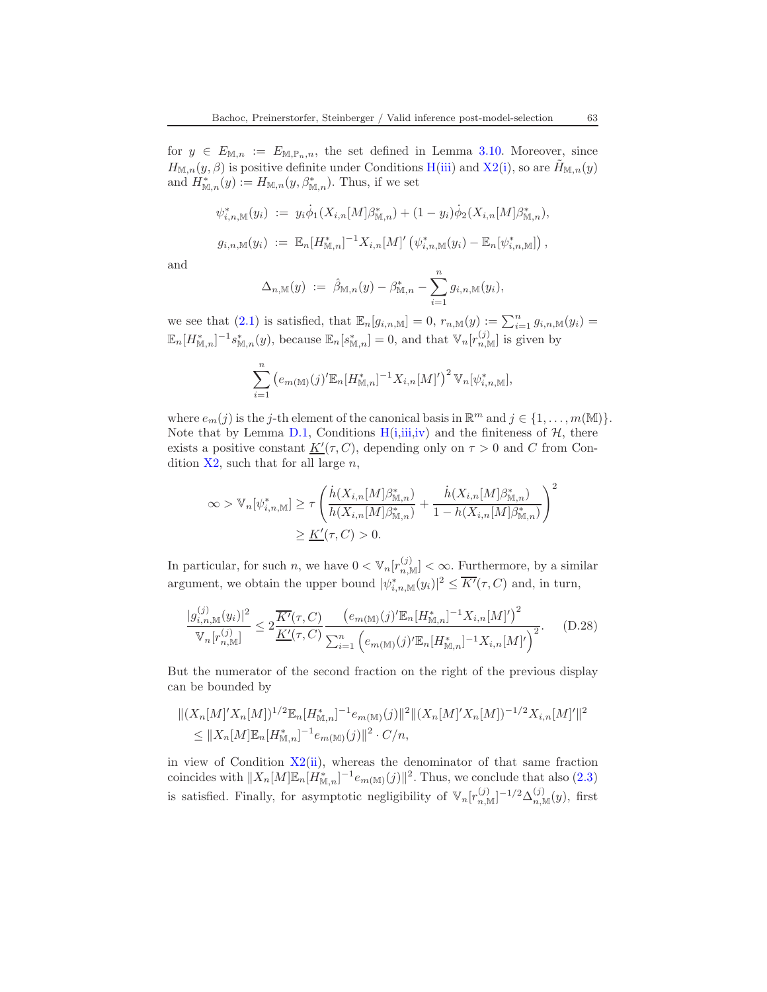for  $y \in E_{\mathbb{M},n} := E_{\mathbb{M},\mathbb{P}_n,n}$ , the set defined in Lemma [3.10.](#page-25-1) Moreover, since  $H_{\mathbb{M},n}(y,\beta)$  $H_{\mathbb{M},n}(y,\beta)$  is positive definite under Conditions H[\(iii\)](#page-24-5) and [X2](#page-24-0)[\(i\)](#page-24-7), so are  $\tilde{H}_{\mathbb{M},n}(y)$ and  $H^*_{\mathbb{M},n}(y) := H_{\mathbb{M},n}(y,\beta_{\mathbb{M},n}^*)$ . Thus, if we set

$$
\psi_{i,n,\mathbb{M}}^*(y_i) := y_i \phi_1(X_{i,n}[M]\beta_{\mathbb{M},n}^*) + (1 - y_i)\phi_2(X_{i,n}[M]\beta_{\mathbb{M},n}^*),
$$
  

$$
g_{i,n,\mathbb{M}}(y_i) := \mathbb{E}_n[H_{\mathbb{M},n}^*]^{-1} X_{i,n}[M]' (\psi_{i,n,\mathbb{M}}^*(y_i) - \mathbb{E}_n[\psi_{i,n,\mathbb{M}}^*)],
$$

and

$$
\Delta_{n,\mathbb{M}}(y) \; := \; \hat{\beta}_{\mathbb{M},n}(y) - \beta_{\mathbb{M},n}^* - \sum_{i=1}^n g_{i,n,\mathbb{M}}(y_i),
$$

we see that [\(2.1\)](#page-7-0) is satisfied, that  $\mathbb{E}_n[g_{i,n,\mathbb{M}}] = 0$ ,  $r_{n,\mathbb{M}}(y) := \sum_{i=1}^n g_{i,n,\mathbb{M}}(y_i) =$  $\mathbb{E}_n[H_{\mathbb{M},n}^*]^{-1} s_{\mathbb{M},n}^*(y)$ , because  $\mathbb{E}_n[s_{\mathbb{M},n}^*] = 0$ , and that  $\mathbb{V}_n[r_{n,\mathbb{M}}^{(j)}]$  is given by

$$
\sum_{i=1}^{n} (e_{m(\mathbb{M})}(j)^{\prime} \mathbb{E}_n[H_{\mathbb{M},n}^*]^{-1} X_{i,n}[M]^{\prime})^2 \mathbb{V}_n[\psi_{i,n,\mathbb{M}}^*],
$$

where  $e_m(j)$  is the j-th element of the canonical basis in  $\mathbb{R}^m$  and  $j \in \{1, ..., m(\mathbb{M})\}$ . Note that by Lemma [D.1,](#page-56-2) Cond[i](#page-24-3)tions  $H(i,iii,iv)$  $H(i,iii,iv)$  $H(i,iii,iv)$  $H(i,iii,iv)$  and the finiteness of  $H$ , there exists a positive constant  $K'(\tau, C)$ , depending only on  $\tau > 0$  and C from Condition  $X2$ , such that for all large n,

$$
\infty > \mathbb{V}_n[\psi^*_{i,n,\mathbb{M}}] \ge \tau \left( \frac{\dot{h}(X_{i,n}[M]\beta^*_{\mathbb{M},n})}{h(X_{i,n}[M]\beta^*_{\mathbb{M},n})} + \frac{\dot{h}(X_{i,n}[M]\beta^*_{\mathbb{M},n})}{1 - h(X_{i,n}[M]\beta^*_{\mathbb{M},n})} \right)^2
$$
  

$$
\ge \underline{K'}(\tau, C) > 0.
$$

In particular, for such n, we have  $0 < \mathbb{V}_n[r_{n,\mathbb{M}}^{(j)}] < \infty$ . Furthermore, by a similar argument, we obtain the upper bound  $|\psi^*_{i,n,\mathbb{M}}(y_i)|^2 \leq \overline{K'}(\tau,C)$  and, in turn,

<span id="page-62-0"></span>
$$
\frac{|g_{i,n,\mathbb{M}}^{(j)}(y_i)|^2}{\mathbb{V}_n[r_{n,\mathbb{M}}^{(j)}]} \le 2 \frac{\overline{K'}(\tau,C)}{\underline{K'}(\tau,C)} \frac{\left(e_{m(\mathbb{M})}(j)^{\prime} \mathbb{E}_n[H_{\mathbb{M},n}^*]^{-1} X_{i,n}[M]^{\prime}\right)^2}{\sum_{i=1}^n \left(e_{m(\mathbb{M})}(j)^{\prime} \mathbb{E}_n[H_{\mathbb{M},n}^*]^{-1} X_{i,n}[M]^{\prime}\right)^2}.
$$
 (D.28)

But the numerator of the second fraction on the right of the previous display can be bounded by

$$
||(X_n[M]'X_n[M])^{1/2}\mathbb{E}_n[H^*_{\mathbb{M},n}]^{-1}e_{m(\mathbb{M})}(j)||^2||(X_n[M]'X_n[M])^{-1/2}X_{i,n}[M]']|^2
$$
  
\n
$$
\leq ||X_n[M]\mathbb{E}_n[H^*_{\mathbb{M},n}]^{-1}e_{m(\mathbb{M})}(j)||^2 \cdot C/n,
$$

in view of Condition [X2](#page-24-0)[\(ii\)](#page-24-1), whereas the denominator of that same fraction coincides with  $||X_n[M]\mathbb{E}_n[H^*_{\mathbb{M},n}]^{-1}e_{m(\mathbb{M})}(j)||^2$ . Thus, we conclude that also [\(2.3\)](#page-7-2) is satisfied. Finally, for asymptotic negligibility of  $\mathbb{V}_n[r_{n,\mathbb{M}}^{(j)}]^{-1/2}\Delta_{n,\mathbb{M}}^{(j)}(y)$ , first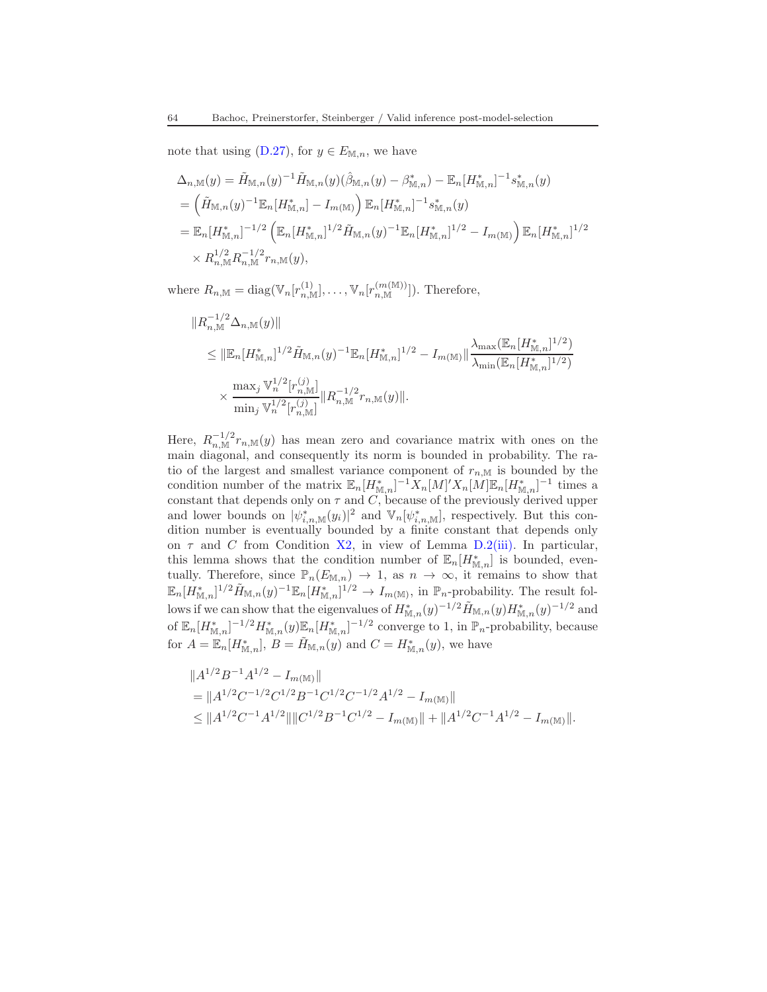note that using  $(D.27)$ , for  $y \in E_{\mathbb{M},n}$ , we have

$$
\Delta_{n,\mathbb{M}}(y) = \tilde{H}_{\mathbb{M},n}(y)^{-1} \tilde{H}_{\mathbb{M},n}(y) (\hat{\beta}_{\mathbb{M},n}(y) - \beta_{\mathbb{M},n}^*) - \mathbb{E}_n [H_{\mathbb{M},n}^*]^{-1} s_{\mathbb{M},n}^*(y)
$$
  
\n
$$
= \left( \tilde{H}_{\mathbb{M},n}(y)^{-1} \mathbb{E}_n [H_{\mathbb{M},n}^*] - I_{m(\mathbb{M})} \right) \mathbb{E}_n [H_{\mathbb{M},n}^*]^{-1} s_{\mathbb{M},n}^*(y)
$$
  
\n
$$
= \mathbb{E}_n [H_{\mathbb{M},n}^*]^{-1/2} \left( \mathbb{E}_n [H_{\mathbb{M},n}^*]^{1/2} \tilde{H}_{\mathbb{M},n}(y)^{-1} \mathbb{E}_n [H_{\mathbb{M},n}^*]^{1/2} - I_{m(\mathbb{M})} \right) \mathbb{E}_n [H_{\mathbb{M},n}^*]^{1/2}
$$
  
\n
$$
\times R_{n,\mathbb{M}}^{1/2} R_{n,\mathbb{M}}^{-1/2} r_{n,\mathbb{M}}(y),
$$

where  $R_{n,\mathbb{M}} = \text{diag}(\mathbb{V}_n[r_{n,\mathbb{M}}^{(1)}], \ldots, \mathbb{V}_n[r_{n,\mathbb{M}}^{(m(\mathbb{M}))}]).$  Therefore,

$$
\|R_{n,\mathbb{M}}^{-1/2}\Delta_{n,\mathbb{M}}(y)\|
$$
  
\n
$$
\leq \|\mathbb{E}_n[H_{\mathbb{M},n}^*]^{1/2}\tilde{H}_{\mathbb{M},n}(y)^{-1}\mathbb{E}_n[H_{\mathbb{M},n}^*]^{1/2} - I_{m(\mathbb{M})}\|\frac{\lambda_{\max}(\mathbb{E}_n[H_{\mathbb{M},n}^*]^{1/2})}{\lambda_{\min}(\mathbb{E}_n[H_{\mathbb{M},n}^*]^{1/2})}
$$
  
\n
$$
\times \frac{\max_j \mathbb{V}_n^{1/2}[r_{n,\mathbb{M}}^{(j)}]}{\min_j \mathbb{V}_n^{1/2}[r_{n,\mathbb{M}}^{(j)}]}\|R_{n,\mathbb{M}}^{-1/2}r_{n,\mathbb{M}}(y)\|.
$$

Here,  $R_{n,\mathbb{M}}^{-1/2} r_{n,\mathbb{M}}(y)$  has mean zero and covariance matrix with ones on the main diagonal, and consequently its norm is bounded in probability. The ratio of the largest and smallest variance component of  $r_{n,M}$  is bounded by the condition number of the matrix  $\mathbb{E}_n[H_{\mathbb{M},n}^*]^{-1}X_n[M]'X_n[M]\mathbb{E}_n[H_{\mathbb{M},n}^*]^{-1}$  times a constant that depends only on  $\tau$  and  $C$ , because of the previously derived upper and lower bounds on  $|\psi^*_{i,n,\mathbb{M}}(y_i)|^2$  and  $\mathbb{V}_n[\psi^*_{i,n,\mathbb{M}}]$ , respectively. But this condition number is eventually bounded by a finite constant that depends only on  $\tau$  and C from Condition [X2,](#page-24-0) in view of Lemma [D.2](#page-58-3)[\(iii\).](#page-58-2) In particular, this lemma shows that the condition number of  $\mathbb{E}_n[H^*_{\mathbb{M},n}]$  is bounded, eventually. Therefore, since  $\mathbb{P}_n(E_{\mathbb{M},n}) \to 1$ , as  $n \to \infty$ , it remains to show that  $\mathbb{E}_n[H_{\mathbb{M},n}^*]^{1/2}\tilde{H}_{\mathbb{M},n}(y)^{-1}\mathbb{E}_n[H_{\mathbb{M},n}^*]^{1/2}\to I_{m(\mathbb{M})}$ , in  $\mathbb{P}_n$ -probability. The result follows if we can show that the eigenvalues of  $H^{*}_{\mathbb{M},n}(y)^{-1/2} \tilde{H}_{\mathbb{M},n}(y) H^{*}_{\mathbb{M},n}(y)^{-1/2}$  and of  $\mathbb{E}_n[H_{\mathbb{M},n}^*]^{-1/2}H_{\mathbb{M},n}^*(y)\mathbb{E}_n[H_{\mathbb{M},n}^*]^{-1/2}$  converge to 1, in  $\mathbb{P}_n$ -probability, because for  $A = \mathbb{E}_n[H^*_{\mathbb{M},n}], B = \tilde{H}_{\mathbb{M},n}(y)$  and  $C = H^*_{\mathbb{M},n}(y)$ , we have

$$
||A^{1/2}B^{-1}A^{1/2} - I_{m(\mathbb{M})}||
$$
  
= 
$$
||A^{1/2}C^{-1/2}C^{1/2}B^{-1}C^{1/2}C^{-1/2}A^{1/2} - I_{m(\mathbb{M})}||
$$
  

$$
\leq ||A^{1/2}C^{-1}A^{1/2}|| ||C^{1/2}B^{-1}C^{1/2} - I_{m(\mathbb{M})}|| + ||A^{1/2}C^{-1}A^{1/2} - I_{m(\mathbb{M})}||.
$$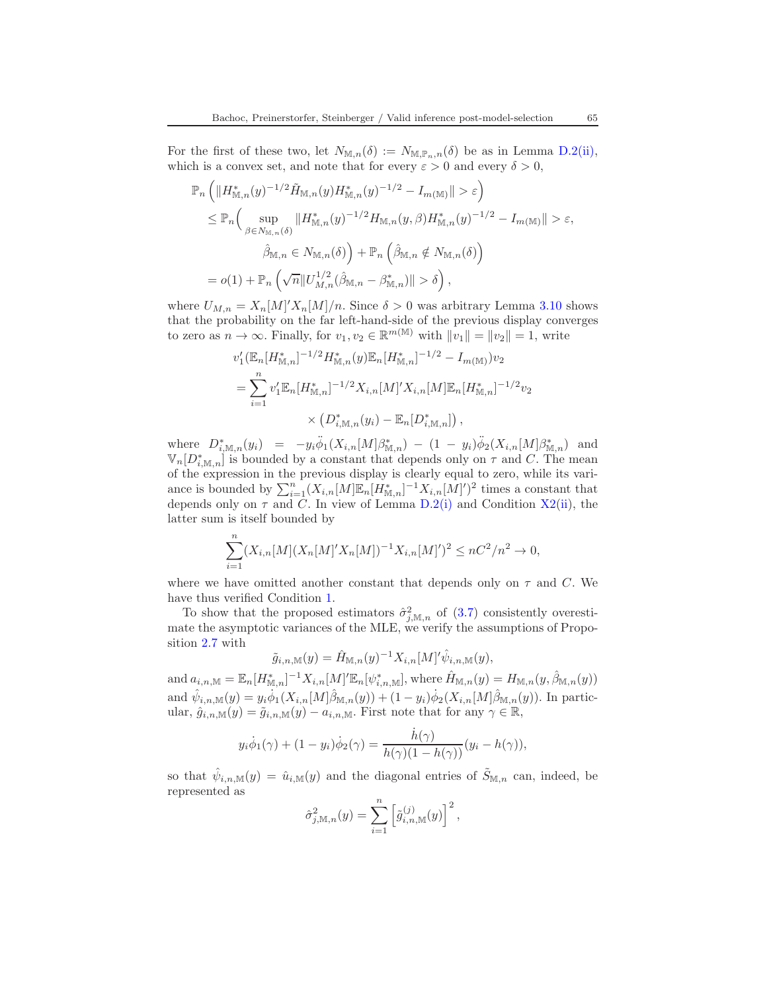For the first of these two, let  $N_{\mathbb{M},n}(\delta) := N_{\mathbb{M},\mathbb{P}_n,n}(\delta)$  be as in Lemma [D.2](#page-58-3)[\(ii\),](#page-58-1) which is a convex set, and note that for every  $\varepsilon > 0$  and every  $\delta > 0$ ,

$$
\mathbb{P}_n \left( \| H_{\mathbb{M},n}^*(y)^{-1/2} \tilde{H}_{\mathbb{M},n}(y) H_{\mathbb{M},n}^*(y)^{-1/2} - I_{m(\mathbb{M})} \| > \varepsilon \right)
$$
  
\n
$$
\leq \mathbb{P}_n \left( \sup_{\beta \in N_{\mathbb{M},n}(\delta)} \| H_{\mathbb{M},n}^*(y)^{-1/2} H_{\mathbb{M},n}(y,\beta) H_{\mathbb{M},n}^*(y)^{-1/2} - I_{m(\mathbb{M})} \| > \varepsilon,
$$
  
\n
$$
\hat{\beta}_{\mathbb{M},n} \in N_{\mathbb{M},n}(\delta) \right) + \mathbb{P}_n \left( \hat{\beta}_{\mathbb{M},n} \notin N_{\mathbb{M},n}(\delta) \right)
$$
  
\n
$$
= o(1) + \mathbb{P}_n \left( \sqrt{n} \| U_{M,n}^{1/2} (\hat{\beta}_{\mathbb{M},n} - \beta_{\mathbb{M},n}^*) \| > \delta \right),
$$

where  $U_{M,n} = X_n[M]/X_n[M]/n$ . Since  $\delta > 0$  was arbitrary Lemma [3.10](#page-25-1) shows that the probability on the far left-hand-side of the previous display converges to zero as  $n \to \infty$ . Finally, for  $v_1, v_2 \in \mathbb{R}^{m(\mathbb{M})}$  with  $||v_1|| = ||v_2|| = 1$ , write

$$
v'_1(\mathbb{E}_n[H^*_{\mathbb{M},n}]^{-1/2}H^*_{\mathbb{M},n}(y)\mathbb{E}_n[H^*_{\mathbb{M},n}]^{-1/2} - I_{m(\mathbb{M})})v_2
$$
  
= 
$$
\sum_{i=1}^n v'_1 \mathbb{E}_n[H^*_{\mathbb{M},n}]^{-1/2} X_{i,n}[M]' X_{i,n}[M] \mathbb{E}_n[H^*_{\mathbb{M},n}]^{-1/2} v_2
$$
  

$$
\times \left(D^*_{i,\mathbb{M},n}(y_i) - \mathbb{E}_n[D^*_{i,\mathbb{M},n}]\right),
$$

where  $D^*_{i,\mathbb{M},n}(y_i) = -y_i\ddot{\phi}_1(X_{i,n}[M]\beta^*_{\mathbb{M},n}) - (1 - y_i)\ddot{\phi}_2(X_{i,n}[M]\beta^*_{\mathbb{M},n})$  and  $\mathbb{V}_n[D^*_{i,\mathbb{M},n}]$  is bounded by a constant that depends only on  $\tau$  and C. The mean of the expression in the previous display is clearly equal to zero, while its variance is bounded by  $\sum_{i=1}^{n} (X_{i,n}[M]\mathbb{E}_n[H_{\mathbb{M},n}^*]^{-1}X_{i,n}[M]')^2$  times a constant that depends only on  $\tau$  and C. In view of Lemma [D.2](#page-58-3)[\(i\)](#page-58-0) and Condition [X2\(](#page-24-0)[ii\)](#page-24-1), the latter sum is itself bounded by

$$
\sum_{i=1}^{n} (X_{i,n}[M](X_n[M]'X_n[M])^{-1}X_{i,n}[M]')^2 \le nC^2/n^2 \to 0,
$$

where we have omitted another constant that depends only on  $\tau$  and C. We have thus verified Condition [1.](#page-7-1)

To show that the proposed estimators  $\hat{\sigma}_{j,M,n}^2$  of  $(3.7)$  consistently overestimate the asymptotic variances of the MLE, we verify the assumptions of Proposition [2.7](#page-13-0) with

$$
\tilde{g}_{i,n,\mathbb{M}}(y) = \hat{H}_{\mathbb{M},n}(y)^{-1} X_{i,n}[M]'\hat{\psi}_{i,n,\mathbb{M}}(y),
$$

and  $a_{i,n,\mathbb{M}} = \mathbb{E}_n[H_{\mathbb{M},n}^*]^{-1} X_{i,n}[M]'\mathbb{E}_n[\psi_{i,n,\mathbb{M}}^*],$  where  $\hat{H}_{\mathbb{M},n}(y) = H_{\mathbb{M},n}(y,\hat{\beta}_{\mathbb{M},n}(y))$ and  $\hat{\psi}_{i,n,\mathbb{M}}(y) = y_i \phi_1(X_{i,n}[M]\hat{\beta}_{\mathbb{M},n}(y)) + (1 - y_i)\phi_2(X_{i,n}[M]\hat{\beta}_{\mathbb{M},n}(y)).$  In particular,  $\hat{g}_{i,n,M}(y) = \tilde{g}_{i,n,M}(y) - a_{i,n,M}$ . First note that for any  $\gamma \in \mathbb{R}$ ,

$$
y_i \dot{\phi}_1(\gamma) + (1 - y_i)\dot{\phi}_2(\gamma) = \frac{\dot{h}(\gamma)}{h(\gamma)(1 - h(\gamma))}(y_i - h(\gamma)),
$$

so that  $\hat{\psi}_{i,n,\mathbb{M}}(y) = \hat{u}_{i,\mathbb{M}}(y)$  and the diagonal entries of  $\tilde{S}_{\mathbb{M},n}$  can, indeed, be represented as

$$
\hat{\sigma}_{j,\mathbb{M},n}^2(y) = \sum_{i=1}^n \left[ \tilde{g}_{i,n,\mathbb{M}}^{(j)}(y) \right]^2,
$$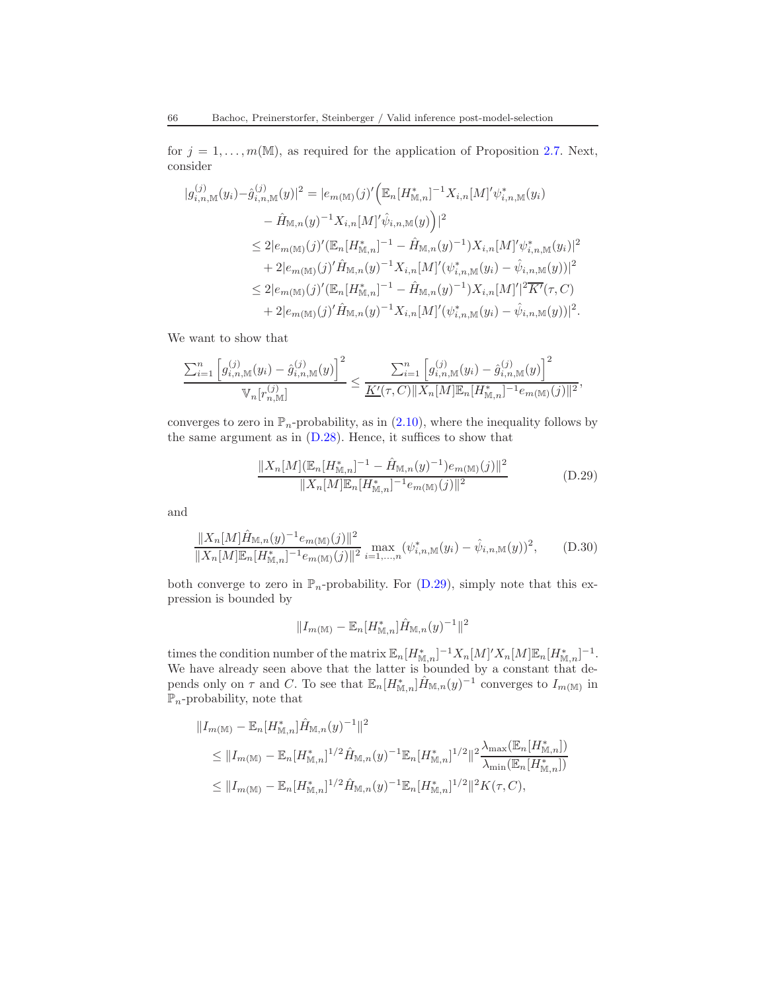for  $j = 1, \ldots, m(\mathbb{M})$ , as required for the application of Proposition [2.7.](#page-13-0) Next, consider

$$
|g_{i,n,\mathbb{M}}^{(j)}(y_i) - \hat{g}_{i,n,\mathbb{M}}^{(j)}(y)|^2 = |e_{m(\mathbb{M})}(j)' (\mathbb{E}_n[H_{\mathbb{M},n}^*]^{-1} X_{i,n}[M]'\psi_{i,n,\mathbb{M}}^*(y_i) - \hat{H}_{\mathbb{M},n}(y)^{-1} X_{i,n}[M]'\hat{\psi}_{i,n,\mathbb{M}}(y) \Big)|^2 \n\leq 2|e_{m(\mathbb{M})}(j)' (\mathbb{E}_n[H_{\mathbb{M},n}^*]^{-1} - \hat{H}_{\mathbb{M},n}(y)^{-1}) X_{i,n}[M]'\psi_{i,n,\mathbb{M}}^*(y_i)|^2 + 2|e_{m(\mathbb{M})}(j)' \hat{H}_{\mathbb{M},n}(y)^{-1} X_{i,n}[M]'(\psi_{i,n,\mathbb{M}}^*(y_i) - \hat{\psi}_{i,n,\mathbb{M}}(y))|^2 \n\leq 2|e_{m(\mathbb{M})}(j)' (\mathbb{E}_n[H_{\mathbb{M},n}^*]^{-1} - \hat{H}_{\mathbb{M},n}(y)^{-1}) X_{i,n}[M]'|^2 \overline{K'}(\tau,C) + 2|e_{m(\mathbb{M})}(j)' \hat{H}_{\mathbb{M},n}(y)^{-1} X_{i,n}[M]'(\psi_{i,n,\mathbb{M}}^*(y_i) - \hat{\psi}_{i,n,\mathbb{M}}(y))|^2.
$$

We want to show that

$$
\frac{\sum_{i=1}^n \left[ g_{i,n,\mathbb{M}}^{(j)}(y_i) - \hat{g}_{i,n,\mathbb{M}}^{(j)}(y) \right]^2}{\mathbb{V}_n[r_{n,\mathbb{M}}^{(j)}]} \le \frac{\sum_{i=1}^n \left[ g_{i,n,\mathbb{M}}^{(j)}(y_i) - \hat{g}_{i,n,\mathbb{M}}^{(j)}(y) \right]^2}{\underline{K}'(\tau,C) \Vert X_n[\![M]\!] \mathbb{E}_n[\![H^*_{\mathbb{M},n}]\!]^{-1} e_{m(\mathbb{M})}(j) \Vert^2},
$$

converges to zero in  $\mathbb{P}_n$ -probability, as in [\(2.10\)](#page-12-3), where the inequality follows by the same argument as in [\(D.28\)](#page-62-0). Hence, it suffices to show that

<span id="page-65-0"></span>
$$
\frac{\|X_n[M](\mathbb{E}_n[H^*_{\mathbb{M},n}]^{-1} - \hat{H}_{\mathbb{M},n}(y)^{-1})e_{m(\mathbb{M})}(j)\|^2}{\|X_n[M]\mathbb{E}_n[H^*_{\mathbb{M},n}]^{-1}e_{m(\mathbb{M})}(j)\|^2}
$$
(D.29)

and

<span id="page-65-1"></span>
$$
\frac{\|X_n[M]\hat{H}_{\mathbb{M},n}(y)^{-1}e_{m(\mathbb{M})}(j)\|^2}{\|X_n[M]\mathbb{E}_n[H_{\mathbb{M},n}^*]^{-1}e_{m(\mathbb{M})}(j)\|^2} \max_{i=1,\dots,n} (\psi_{i,n,\mathbb{M}}^*(y_i) - \hat{\psi}_{i,n,\mathbb{M}}(y))^2, \quad (D.30)
$$

both converge to zero in  $\mathbb{P}_n$ -probability. For [\(D.29\)](#page-65-0), simply note that this expression is bounded by

$$
\|I_{m(\mathbb{M})}-\mathbb{E}_n[H_{\mathbb{M},n}^*]\hat{H}_{\mathbb{M},n}(y)^{-1}\|^2
$$

times the condition number of the matrix  $\mathbb{E}_n[H_{\mathbb{M},n}^*]^{-1}X_n[M]'X_n[M]\mathbb{E}_n[H_{\mathbb{M},n}^*]^{-1}$ . We have already seen above that the latter is bounded by a constant that depends only on  $\tau$  and C. To see that  $\mathbb{E}_n[H_{\mathbb{M},n}^*]\hat{H}_{\mathbb{M},n}(y)^{-1}$  converges to  $I_{m(\mathbb{M})}$  in  $\mathbb{P}_n$ -probability, note that

$$
||I_{m(\mathbb{M})} - \mathbb{E}_n[H_{\mathbb{M},n}^*] \hat{H}_{\mathbb{M},n}(y)^{-1}||^2
$$
  
\n
$$
\leq ||I_{m(\mathbb{M})} - \mathbb{E}_n[H_{\mathbb{M},n}^*]^{1/2} \hat{H}_{\mathbb{M},n}(y)^{-1} \mathbb{E}_n[H_{\mathbb{M},n}^*]^{1/2} ||^2 \frac{\lambda_{\max}(\mathbb{E}_n[H_{\mathbb{M},n}^*)]}{\lambda_{\min}(\mathbb{E}_n[H_{\mathbb{M},n}^*)]}
$$
  
\n
$$
\leq ||I_{m(\mathbb{M})} - \mathbb{E}_n[H_{\mathbb{M},n}^*]^{1/2} \hat{H}_{\mathbb{M},n}(y)^{-1} \mathbb{E}_n[H_{\mathbb{M},n}^*]^{1/2} ||^2 K(\tau, C),
$$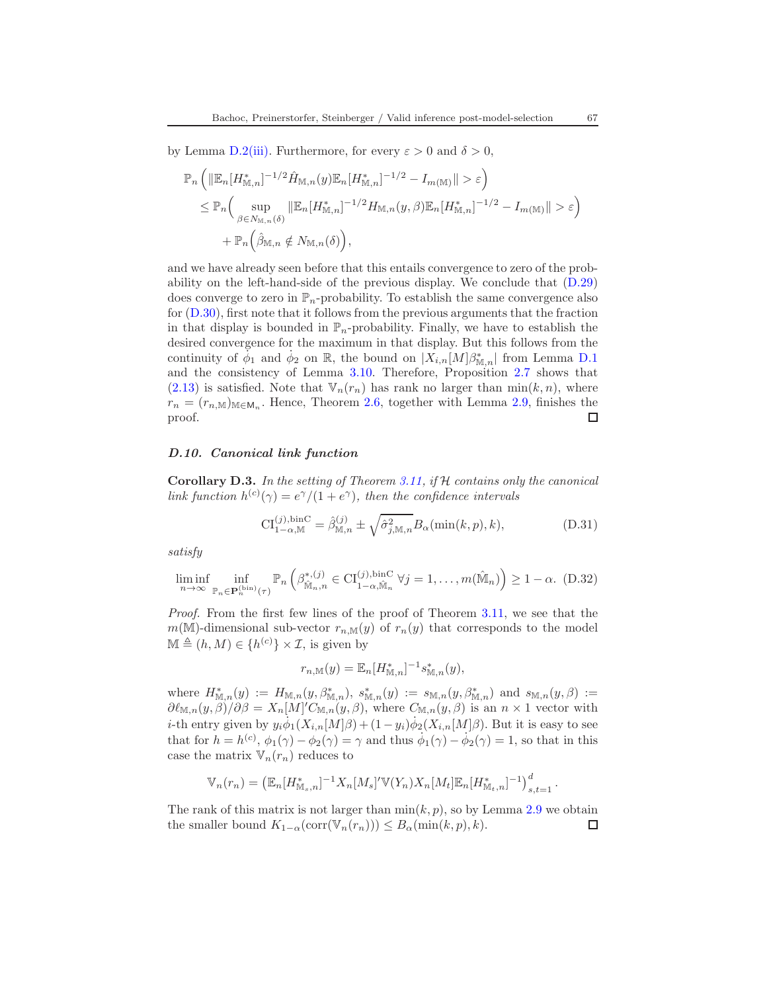by Lemma [D.2](#page-58-3)[\(iii\).](#page-58-2) Furthermore, for every  $\varepsilon > 0$  and  $\delta > 0$ ,

$$
\mathbb{P}_n \left( \|\mathbb{E}_n[H^*_{\mathbb{M},n}]^{-1/2} \hat{H}_{\mathbb{M},n}(y) \mathbb{E}_n[H^*_{\mathbb{M},n}]^{-1/2} - I_{m(\mathbb{M})} \| > \varepsilon \right)
$$
  
\n
$$
\leq \mathbb{P}_n \left( \sup_{\beta \in N_{\mathbb{M},n}(\delta)} \|\mathbb{E}_n[H^*_{\mathbb{M},n}]^{-1/2} H_{\mathbb{M},n}(y,\beta) \mathbb{E}_n[H^*_{\mathbb{M},n}]^{-1/2} - I_{m(\mathbb{M})} \| > \varepsilon \right)
$$
  
\n
$$
+ \mathbb{P}_n \left( \hat{\beta}_{\mathbb{M},n} \notin N_{\mathbb{M},n}(\delta) \right),
$$

and we have already seen before that this entails convergence to zero of the probability on the left-hand-side of the previous display. We conclude that [\(D.29\)](#page-65-0) does converge to zero in  $\mathbb{P}_n$ -probability. To establish the same convergence also for [\(D.30\)](#page-65-1), first note that it follows from the previous arguments that the fraction in that display is bounded in  $\mathbb{P}_n$ -probability. Finally, we have to establish the desired convergence for the maximum in that display. But this follows from the continuity of  $\phi_1$  and  $\phi_2$  on R, the bound on  $|X_{i,n}[M]\beta^*_{\mathbb{M},n}|$  from Lemma [D.1](#page-56-2) and the consistency of Lemma [3.10.](#page-25-1) Therefore, Proposition [2.7](#page-13-0) shows that  $(2.13)$  is satisfied. Note that  $\mathbb{V}_n(r_n)$  has rank no larger than  $\min(k, n)$ , where  $r_n = (r_{n,M})_{M \in \mathbb{M}_n}$ . Hence, Theorem [2.6,](#page-12-1) together with Lemma [2.9,](#page-15-1) finishes the proof.  $\Box$ 

### <span id="page-66-1"></span>D.10. Canonical link function

<span id="page-66-0"></span>**Corollary D.3.** In the setting of Theorem [3.11,](#page-26-0) if  $H$  contains only the canonical link function  $h^{(c)}(\gamma) = e^{\gamma}/(1+e^{\gamma})$ , then the confidence intervals

$$
\text{CI}_{1-\alpha,\mathbb{M}}^{(j),\text{binC}} = \hat{\beta}_{\mathbb{M},n}^{(j)} \pm \sqrt{\hat{\sigma}_{j,\mathbb{M},n}^2} B_{\alpha}(\min(k,p),k),\tag{D.31}
$$

satisfy

$$
\liminf_{n \to \infty} \inf_{\mathbb{P}_n \in \mathbf{P}_n^{(\text{bin})}(\tau)} \mathbb{P}_n \left( \beta^{*,(j)}_{\hat{\mathbb{M}}_n, n} \in \mathrm{CI}_{1-\alpha, \hat{\mathbb{M}}_n}^{(j), \text{binC}} \ \forall j = 1, \dots, m(\hat{\mathbb{M}}_n) \right) \ge 1 - \alpha. \tag{D.32}
$$

Proof. From the first few lines of the proof of Theorem [3.11,](#page-26-0) we see that the  $m(\mathbb{M})$ -dimensional sub-vector  $r_{n,\mathbb{M}}(y)$  of  $r_n(y)$  that corresponds to the model  $\mathbb{M} \triangleq (h, M) \in \{h^{(c)}\} \times \mathcal{I}$ , is given by

$$
r_{n,\mathbb{M}}(y) = \mathbb{E}_n [H^*_{\mathbb{M},n}]^{-1} s^*_{\mathbb{M},n}(y),
$$

where  $H^*_{\mathbb{M},n}(y) := H_{\mathbb{M},n}(y,\beta^*_{\mathbb{M},n}), s^*_{\mathbb{M},n}(y) := s_{\mathbb{M},n}(y,\beta^*_{\mathbb{M},n})$  and  $s_{\mathbb{M},n}(y,\beta) :=$  $\partial \ell_{\mathbb{M},n}(y,\beta)/\partial \beta = X_n[M]'C_{\mathbb{M},n}(y,\beta)$ , where  $C_{\mathbb{M},n}(y,\beta)$  is an  $n \times 1$  vector with *i*-th entry given by  $y_i \dot{\phi}_1(X_{i,n}[M]\beta) + (1-y_i)\dot{\phi}_2(X_{i,n}[M]\beta)$ . But it is easy to see that for  $h = h^{(c)}$ ,  $\phi_1(\gamma) - \phi_2(\gamma) = \gamma$  and thus  $\phi_1(\gamma) - \phi_2(\gamma) = 1$ , so that in this case the matrix  $\mathbb{V}_n(r_n)$  reduces to

$$
\mathbb{V}_n(r_n) = \left( \mathbb{E}_n[H^*_{\mathbb{M}_s,n}]^{-1} X_n[M_s]' \mathbb{V}(Y_n) X_n[M_t] \mathbb{E}_n[H^*_{\mathbb{M}_t,n}]^{-1} \right)_{s,t=1}^d.
$$

The rank of this matrix is not larger than  $\min(k, p)$ , so by Lemma [2.9](#page-15-1) we obtain the smaller bound  $K_{1-\alpha}(\text{corr}(\mathbb{V}_n(r_n))) \leq B_\alpha(\min(k, p), k).$ □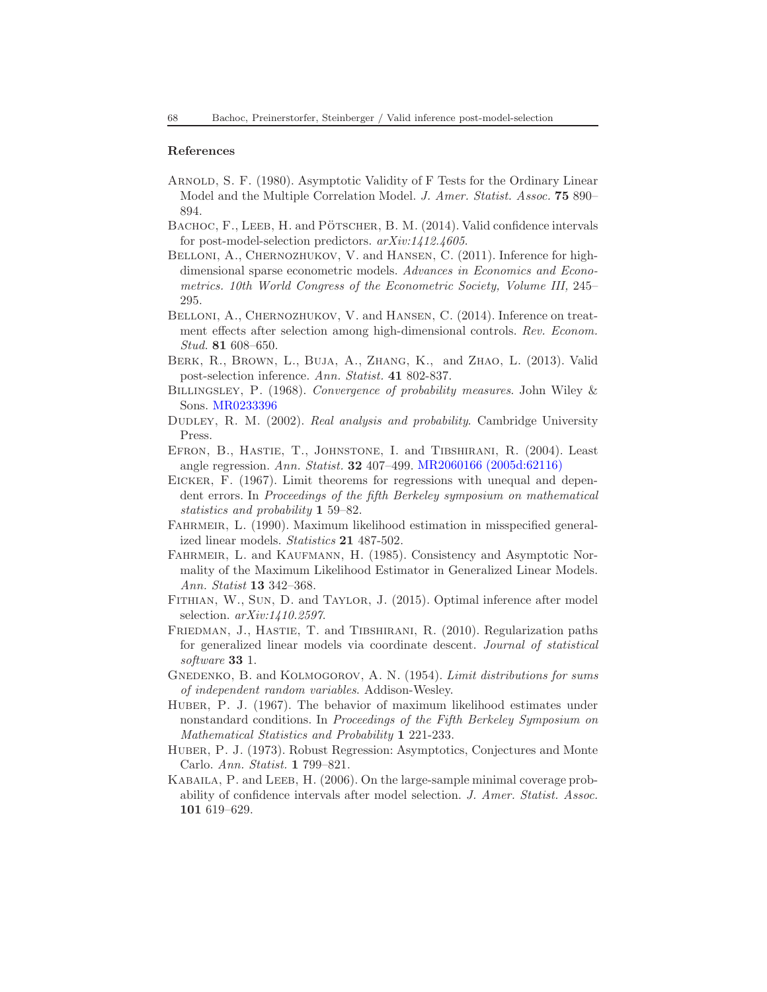### References

- <span id="page-67-11"></span>Arnold, S. F. (1980). Asymptotic Validity of F Tests for the Ordinary Linear Model and the Multiple Correlation Model. J. Amer. Statist. Assoc. 75 890– 894.
- <span id="page-67-2"></span>BACHOC, F., LEEB, H. and PÖTSCHER, B. M. (2014). Valid confidence intervals for post-model-selection predictors.  $arXiv:1412.4605$ .
- <span id="page-67-5"></span>BELLONI, A., CHERNOZHUKOV, V. and HANSEN, C. (2011). Inference for highdimensional sparse econometric models. Advances in Economics and Econometrics. 10th World Congress of the Econometric Society, Volume III, 245– 295.
- <span id="page-67-6"></span>BELLONI, A., CHERNOZHUKOV, V. and HANSEN, C. (2014). Inference on treatment effects after selection among high-dimensional controls. Rev. Econom. Stud. 81 608–650.
- <span id="page-67-0"></span>Berk, R., Brown, L., Buja, A., Zhang, K., and Zhao, L. (2013). Valid post-selection inference. Ann. Statist. 41 802-837.
- <span id="page-67-16"></span>BILLINGSLEY, P. (1968). Convergence of probability measures. John Wiley & Sons. [MR0233396](http://www.ams.org/mathscinet-getitem?mr=0233396)
- <span id="page-67-8"></span>DUDLEY, R. M. (2002). Real analysis and probability. Cambridge University Press.
- <span id="page-67-14"></span>Efron, B., Hastie, T., Johnstone, I. and Tibshirani, R. (2004). Least angle regression. Ann. Statist. 32 407–499. [MR2060166 \(2005d:62116\)](http://www.ams.org/mathscinet-getitem?mr=2060166)
- <span id="page-67-3"></span>EICKER, F. (1967). Limit theorems for regressions with unequal and dependent errors. In Proceedings of the fifth Berkeley symposium on mathematical statistics and probability 1 59–82.
- <span id="page-67-13"></span>Fahrmeir, L. (1990). Maximum likelihood estimation in misspecified generalized linear models. Statistics 21 487-502.
- <span id="page-67-12"></span>FAHRMEIR, L. and KAUFMANN, H. (1985). Consistency and Asymptotic Normality of the Maximum Likelihood Estimator in Generalized Linear Models. Ann. Statist 13 342–368.
- <span id="page-67-4"></span>Fithian, W., Sun, D. and Taylor, J. (2015). Optimal inference after model selection. arXiv:1410.2597.
- <span id="page-67-15"></span>FRIEDMAN, J., HASTIE, T. and TIBSHIRANI, R. (2010). Regularization paths for generalized linear models via coordinate descent. Journal of statistical software 33 1.
- <span id="page-67-9"></span>GNEDENKO, B. and KOLMOGOROV, A. N. (1954). Limit distributions for sums of independent random variables. Addison-Wesley.
- <span id="page-67-7"></span>Huber, P. J. (1967). The behavior of maximum likelihood estimates under nonstandard conditions. In Proceedings of the Fifth Berkeley Symposium on Mathematical Statistics and Probability 1 221-233.
- <span id="page-67-10"></span>Huber, P. J. (1973). Robust Regression: Asymptotics, Conjectures and Monte Carlo. Ann. Statist. 1 799–821.
- <span id="page-67-1"></span>KABAILA, P. and LEEB, H. (2006). On the large-sample minimal coverage probability of confidence intervals after model selection. J. Amer. Statist. Assoc. 101 619–629.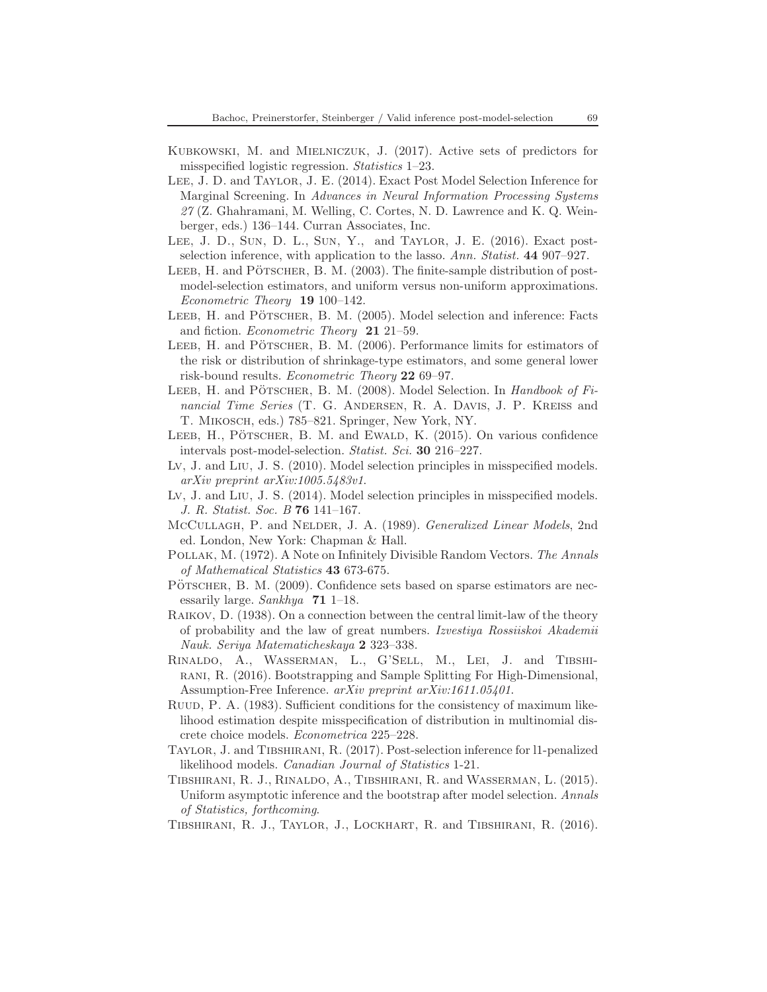- <span id="page-68-16"></span>Kubkowski, M. and Mielniczuk, J. (2017). Active sets of predictors for misspecified logistic regression. Statistics 1–23.
- <span id="page-68-10"></span>Lee, J. D. and Taylor, J. E. (2014). Exact Post Model Selection Inference for Marginal Screening. In Advances in Neural Information Processing Systems 27 (Z. Ghahramani, M. Welling, C. Cortes, N. D. Lawrence and K. Q. Weinberger, eds.) 136–144. Curran Associates, Inc.
- <span id="page-68-11"></span>Lee, J. D., Sun, D. L., Sun, Y., and Taylor, J. E. (2016). Exact postselection inference, with application to the lasso. Ann. Statist. 44 907–927.
- <span id="page-68-5"></span>LEEB, H. and PÖTSCHER, B. M.  $(2003)$ . The finite-sample distribution of postmodel-selection estimators, and uniform versus non-uniform approximations. Econometric Theory 19 100–142.
- <span id="page-68-0"></span>LEEB, H. and PÖTSCHER, B. M. (2005). Model selection and inference: Facts and fiction. Econometric Theory 21 21–59.
- <span id="page-68-1"></span>LEEB, H. and PÖTSCHER, B. M. (2006). Performance limits for estimators of the risk or distribution of shrinkage-type estimators, and some general lower risk-bound results. Econometric Theory 22 69–97.
- <span id="page-68-2"></span>LEEB, H. and PÖTSCHER, B. M. (2008). Model Selection. In Handbook of Financial Time Series (T. G. ANDERSEN, R. A. DAVIS, J. P. KREISS and T. Mikosch, eds.) 785–821. Springer, New York, NY.
- <span id="page-68-4"></span>LEEB,  $H_{\cdot}$ , PÖTSCHER, B. M. and EWALD, K. (2015). On various confidence intervals post-model-selection. Statist. Sci. 30 216–227.
- <span id="page-68-18"></span>Lv, J. and Liu, J. S. (2010). Model selection principles in misspecified models. arXiv preprint arXiv:1005.5483v1.
- <span id="page-68-12"></span>Lv, J. and Liu, J. S. (2014). Model selection principles in misspecified models. J. R. Statist. Soc. B 76 141–167.
- <span id="page-68-17"></span>McCullagh, P. and Nelder, J. A. (1989). Generalized Linear Models, 2nd ed. London, New York: Chapman & Hall.
- <span id="page-68-13"></span>Pollak, M. (1972). A Note on Infinitely Divisible Random Vectors. The Annals of Mathematical Statistics 43 673-675.
- <span id="page-68-3"></span>PÖTSCHER, B. M. (2009). Confidence sets based on sparse estimators are necessarily large. Sankhya 71 1–18.
- <span id="page-68-14"></span>Raikov, D. (1938). On a connection between the central limit-law of the theory of probability and the law of great numbers. Izvestiya Rossiiskoi Akademii Nauk. Seriya Matematicheskaya 2 323–338.
- <span id="page-68-8"></span>Rinaldo, A., Wasserman, L., G'Sell, M., Lei, J. and Tibshirani, R. (2016). Bootstrapping and Sample Splitting For High-Dimensional, Assumption-Free Inference. arXiv preprint arXiv:1611.05401.
- <span id="page-68-15"></span>Ruud, P. A. (1983). Sufficient conditions for the consistency of maximum likelihood estimation despite misspecification of distribution in multinomial discrete choice models. Econometrica 225–228.
- <span id="page-68-7"></span>Taylor, J. and Tibshirani, R. (2017). Post-selection inference for l1-penalized likelihood models. Canadian Journal of Statistics 1-21.
- <span id="page-68-6"></span>Tibshirani, R. J., Rinaldo, A., Tibshirani, R. and Wasserman, L. (2015). Uniform asymptotic inference and the bootstrap after model selection. Annals of Statistics, forthcoming.
- <span id="page-68-9"></span>Tibshirani, R. J., Taylor, J., Lockhart, R. and Tibshirani, R. (2016).